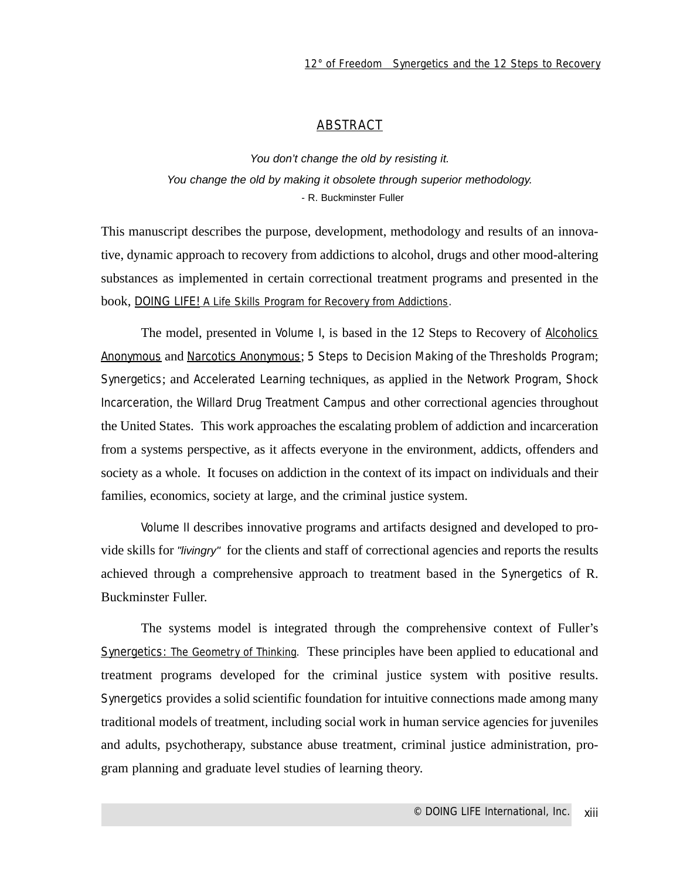### ABSTRACT

You don't change the old by resisting it. You change the old by making it obsolete through superior methodology. - R. Buckminster Fuller

This manuscript describes the purpose, development, methodology and results of an innovative, dynamic approach to recovery from addictions to alcohol, drugs and other mood-altering substances as implemented in certain correctional treatment programs and presented in the book, DOING LIFE! A Life Skills Program for Recovery from Addictions.

The model, presented in Volume I, is based in the 12 Steps to Recovery of Alcoholics Anonymous and Narcotics Anonymous; 5 Steps to Decision Making of the Thresholds Program; Synergetics; and Accelerated Learning techniques, as applied in the Network Program, Shock Incarceration, the Willard Drug Treatment Campus and other correctional agencies throughout the United States. This work approaches the escalating problem of addiction and incarceration from a systems perspective, as it affects everyone in the environment, addicts, offenders and society as a whole. It focuses on addiction in the context of its impact on individuals and their families, economics, society at large, and the criminal justice system.

Volume II describes innovative programs and artifacts designed and developed to provide skills for "livingry" for the clients and staff of correctional agencies and reports the results achieved through a comprehensive approach to treatment based in the Synergetics of R. Buckminster Fuller.

The systems model is integrated through the comprehensive context of Fuller's Synergetics: The Geometry of Thinking. These principles have been applied to educational and treatment programs developed for the criminal justice system with positive results. Synergetics provides a solid scientific foundation for intuitive connections made among many traditional models of treatment, including social work in human service agencies for juveniles and adults, psychotherapy, substance abuse treatment, criminal justice administration, program planning and graduate level studies of learning theory.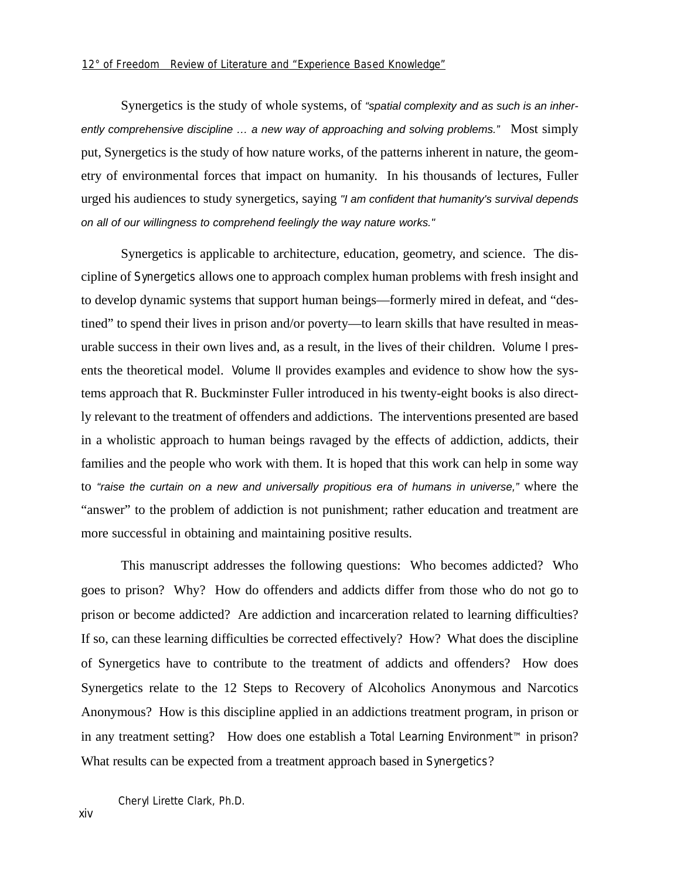Synergetics is the study of whole systems, of "spatial complexity and as such is an inherently comprehensive discipline … a new way of approaching and solving problems." Most simply put, Synergetics is the study of how nature works, of the patterns inherent in nature, the geometry of environmental forces that impact on humanity. In his thousands of lectures, Fuller urged his audiences to study synergetics, saying "I am confident that humanity's survival depends on all of our willingness to comprehend feelingly the way nature works."

Synergetics is applicable to architecture, education, geometry, and science. The discipline of Synergetics allows one to approach complex human problems with fresh insight and to develop dynamic systems that support human beings—formerly mired in defeat, and "destined" to spend their lives in prison and/or poverty—to learn skills that have resulted in measurable success in their own lives and, as a result, in the lives of their children. Volume I presents the theoretical model. Volume II provides examples and evidence to show how the systems approach that R. Buckminster Fuller introduced in his twenty-eight books is also directly relevant to the treatment of offenders and addictions. The interventions presented are based in a wholistic approach to human beings ravaged by the effects of addiction, addicts, their families and the people who work with them. It is hoped that this work can help in some way to "raise the curtain on a new and universally propitious era of humans in universe," where the "answer" to the problem of addiction is not punishment; rather education and treatment are more successful in obtaining and maintaining positive results.

This manuscript addresses the following questions: Who becomes addicted? Who goes to prison? Why? How do offenders and addicts differ from those who do not go to prison or become addicted? Are addiction and incarceration related to learning difficulties? If so, can these learning difficulties be corrected effectively? How? What does the discipline of Synergetics have to contribute to the treatment of addicts and offenders? How does Synergetics relate to the 12 Steps to Recovery of Alcoholics Anonymous and Narcotics Anonymous? How is this discipline applied in an addictions treatment program, in prison or in any treatment setting? How does one establish a Total Learning Environment™ in prison? What results can be expected from a treatment approach based in Synergetics?

*Cheryl Lirette Clark, Ph.D.*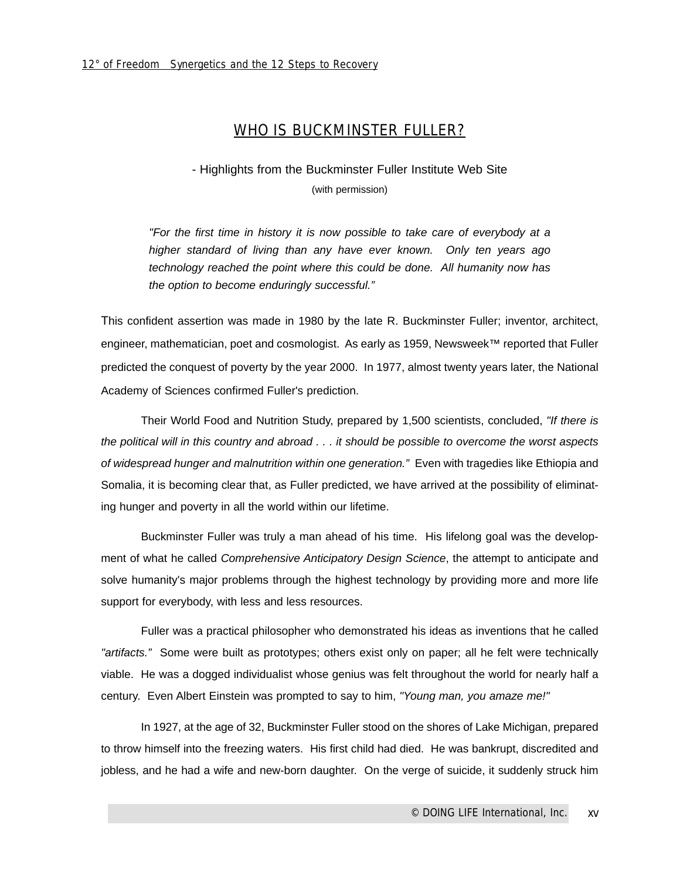### WHO IS BUCKMINSTER FULLER?

- Highlights from the Buckminster Fuller Institute Web Site (with permission)

"For the first time in history it is now possible to take care of everybody at a higher standard of living than any have ever known. Only ten years ago technology reached the point where this could be done. All humanity now has the option to become enduringly successful."

This confident assertion was made in 1980 by the late R. Buckminster Fuller; inventor, architect, engineer, mathematician, poet and cosmologist. As early as 1959, Newsweek™ reported that Fuller predicted the conquest of poverty by the year 2000. In 1977, almost twenty years later, the National Academy of Sciences confirmed Fuller's prediction.

Their World Food and Nutrition Study, prepared by 1,500 scientists, concluded, "If there is the political will in this country and abroad . . . it should be possible to overcome the worst aspects of widespread hunger and malnutrition within one generation." Even with tragedies like Ethiopia and Somalia, it is becoming clear that, as Fuller predicted, we have arrived at the possibility of eliminating hunger and poverty in all the world within our lifetime.

Buckminster Fuller was truly a man ahead of his time. His lifelong goal was the development of what he called Comprehensive Anticipatory Design Science, the attempt to anticipate and solve humanity's major problems through the highest technology by providing more and more life support for everybody, with less and less resources.

Fuller was a practical philosopher who demonstrated his ideas as inventions that he called "artifacts." Some were built as prototypes; others exist only on paper; all he felt were technically viable. He was a dogged individualist whose genius was felt throughout the world for nearly half a century. Even Albert Einstein was prompted to say to him, "Young man, you amaze me!"

In 1927, at the age of 32, Buckminster Fuller stood on the shores of Lake Michigan, prepared to throw himself into the freezing waters. His first child had died. He was bankrupt, discredited and jobless, and he had a wife and new-born daughter. On the verge of suicide, it suddenly struck him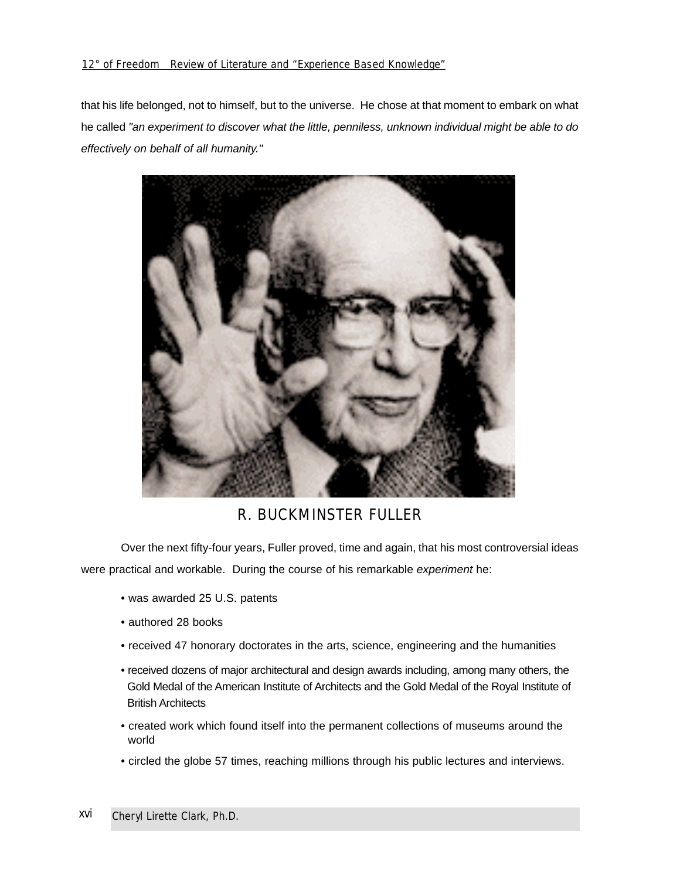#### *12° of Freedom Review of Literature and "Experience Based Knowledge"*

that his life belonged, not to himself, but to the universe. He chose at that moment to embark on what he called "an experiment to discover what the little, penniless, unknown individual might be able to do effectively on behalf of all humanity."



## R. BUCKMINSTER FULLER

Over the next fifty-four years, Fuller proved, time and again, that his most controversial ideas were practical and workable. During the course of his remarkable experiment he:

- was awarded 25 U.S. patents
- authored 28 books
- received 47 honorary doctorates in the arts, science, engineering and the humanities
- received dozens of major architectural and design awards including, among many others, the Gold Medal of the American Institute of Architects and the Gold Medal of the Royal Institute of British Architects
- created work which found itself into the permanent collections of museums around the world
- circled the globe 57 times, reaching millions through his public lectures and interviews.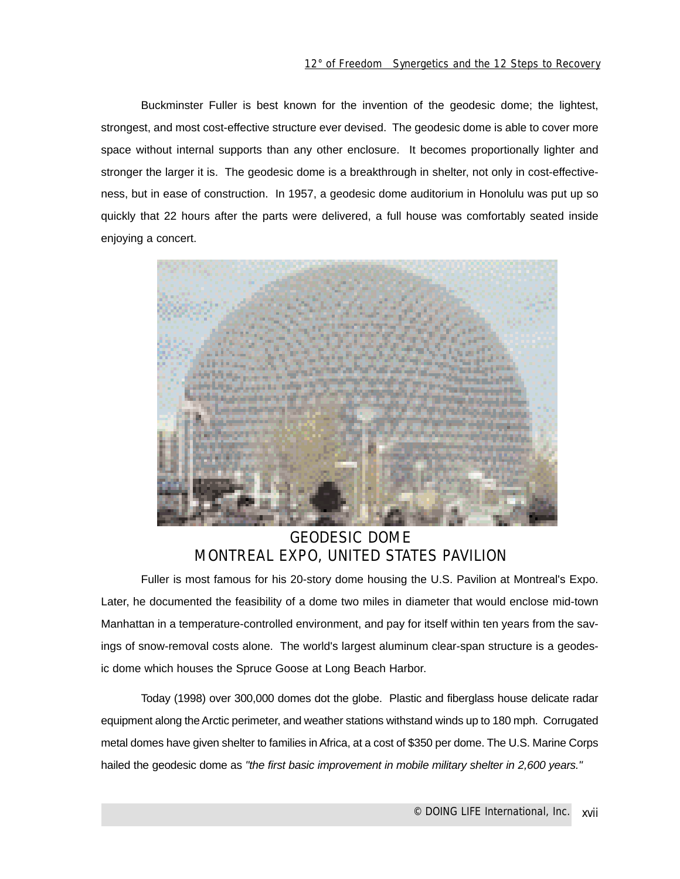Buckminster Fuller is best known for the invention of the geodesic dome; the lightest, strongest, and most cost-effective structure ever devised. The geodesic dome is able to cover more space without internal supports than any other enclosure. It becomes proportionally lighter and stronger the larger it is. The geodesic dome is a breakthrough in shelter, not only in cost-effectiveness, but in ease of construction. In 1957, a geodesic dome auditorium in Honolulu was put up so quickly that 22 hours after the parts were delivered, a full house was comfortably seated inside enjoying a concert.



GEODESIC DOME MONTREAL EXPO, UNITED STATES PAVILION

Fuller is most famous for his 20-story dome housing the U.S. Pavilion at Montreal's Expo. Later, he documented the feasibility of a dome two miles in diameter that would enclose mid-town Manhattan in a temperature-controlled environment, and pay for itself within ten years from the savings of snow-removal costs alone. The world's largest aluminum clear-span structure is a geodesic dome which houses the Spruce Goose at Long Beach Harbor.

Today (1998) over 300,000 domes dot the globe. Plastic and fiberglass house delicate radar equipment along the Arctic perimeter, and weather stations withstand winds up to 180 mph. Corrugated metal domes have given shelter to families in Africa, at a cost of \$350 per dome. The U.S. Marine Corps hailed the geodesic dome as "the first basic improvement in mobile military shelter in 2,600 years."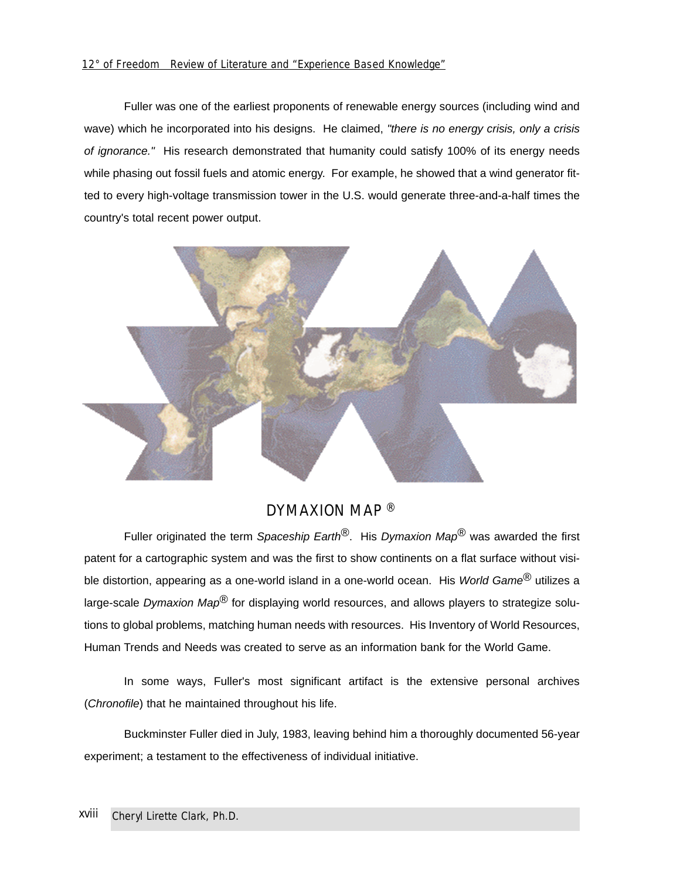#### *12° of Freedom Review of Literature and "Experience Based Knowledge"*

Fuller was one of the earliest proponents of renewable energy sources (including wind and wave) which he incorporated into his designs. He claimed, "there is no energy crisis, only a crisis of ignorance." His research demonstrated that humanity could satisfy 100% of its energy needs while phasing out fossil fuels and atomic energy. For example, he showed that a wind generator fitted to every high-voltage transmission tower in the U.S. would generate three-and-a-half times the country's total recent power output.



## DYMAXION MAP<sup>®</sup>

Fuller originated the term Spaceship Earth<sup>®</sup>. His Dymaxion Map<sup>®</sup> was awarded the first patent for a cartographic system and was the first to show continents on a flat surface without visible distortion, appearing as a one-world island in a one-world ocean. His World Game<sup>®</sup> utilizes a large-scale Dymaxion Map $^{\circledR}$  for displaying world resources, and allows players to strategize solutions to global problems, matching human needs with resources. His Inventory of World Resources, Human Trends and Needs was created to serve as an information bank for the World Game.

In some ways, Fuller's most significant artifact is the extensive personal archives (Chronofile) that he maintained throughout his life.

Buckminster Fuller died in July, 1983, leaving behind him a thoroughly documented 56-year experiment; a testament to the effectiveness of individual initiative.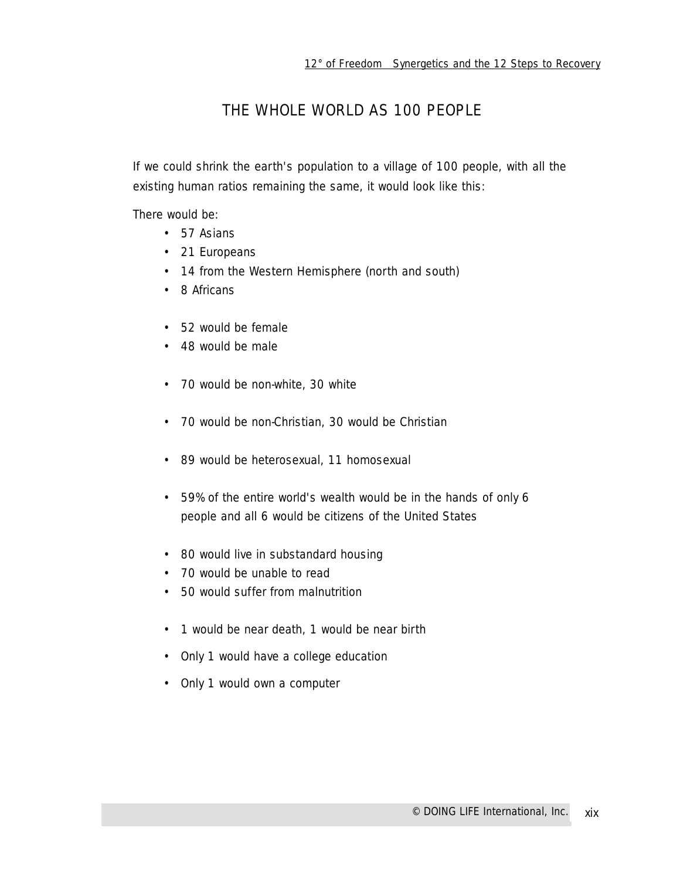## THE WHOLE WORLD AS 100 PEOPLE

If we could shrink the earth's population to a village of 100 people, with all the existing human ratios remaining the same, it would look like this:

There would be:

- 57 Asians
- 21 Europeans
- 14 from the Western Hemisphere (north and south)
- 8 Africans
- 52 would be female
- 48 would be male
- 70 would be non-white, 30 white
- 70 would be non-Christian, 30 would be Christian
- 89 would be heterosexual, 11 homosexual
- 59% of the entire world's wealth would be in the hands of only 6 people and all 6 would be citizens of the United States
- 80 would live in substandard housing
- 70 would be unable to read
- 50 would suffer from malnutrition
- 1 would be near death, 1 would be near birth
- Only 1 would have a college education
- Only 1 would own a computer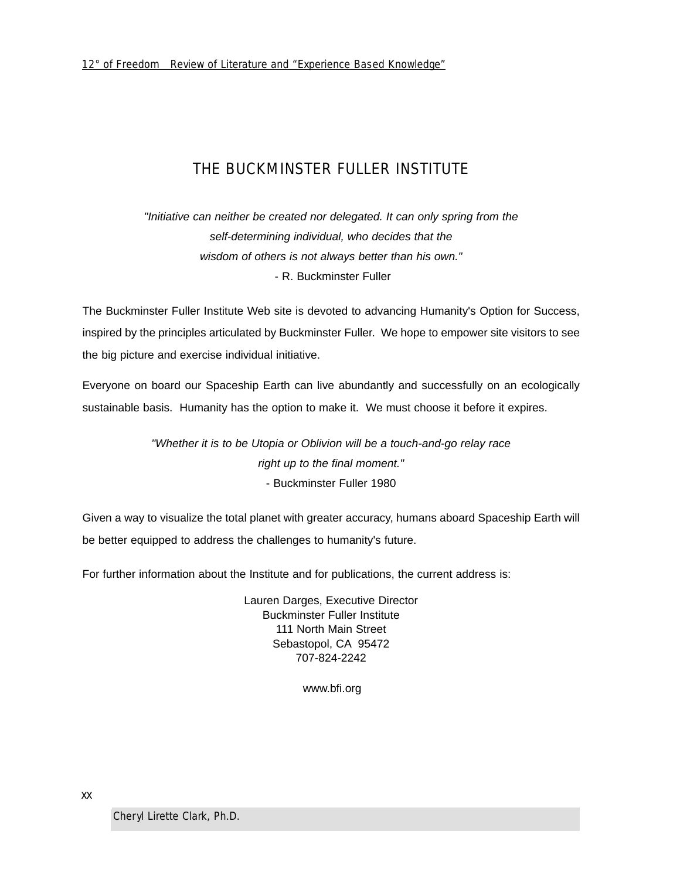# THE BUCKMINSTER FULLER INSTITUTE

"Initiative can neither be created nor delegated. It can only spring from the self-determining individual, who decides that the wisdom of others is not always better than his own." - R. Buckminster Fuller

The Buckminster Fuller Institute Web site is devoted to advancing Humanity's Option for Success, inspired by the principles articulated by Buckminster Fuller. We hope to empower site visitors to see the big picture and exercise individual initiative.

Everyone on board our Spaceship Earth can live abundantly and successfully on an ecologically sustainable basis. Humanity has the option to make it. We must choose it before it expires.

> "Whether it is to be Utopia or Oblivion will be a touch-and-go relay race right up to the final moment." - Buckminster Fuller 1980

Given a way to visualize the total planet with greater accuracy, humans aboard Spaceship Earth will be better equipped to address the challenges to humanity's future.

For further information about the Institute and for publications, the current address is:

Lauren Darges, Executive Director Buckminster Fuller Institute 111 North Main Street Sebastopol, CA 95472 707-824-2242

www.bfi.org

*Cheryl Lirette Clark, Ph.D.*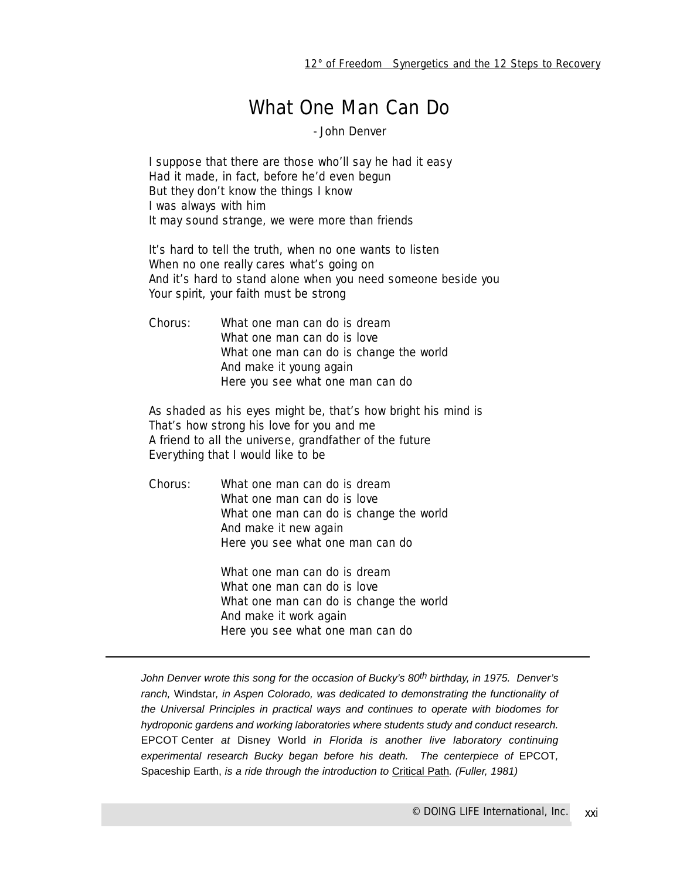# What One Man Can Do

*- John Denver*

I suppose that there are those who'll say he had it easy Had it made, in fact, before he'd even begun But they don't know the things I know I was always with him It may sound strange, we were more than friends

It's hard to tell the truth, when no one wants to listen When no one really cares what's going on And it's hard to stand alone when you need someone beside you Your spirit, your faith must be strong

*Chorus: What one man can do is dream What one man can do is love What one man can do is change the world And make it young again Here you see what one man can do*

As shaded as his eyes might be, that's how bright his mind is That's how strong his love for you and me A friend to all the universe, grandfather of the future Everything that I would like to be

*Chorus: What one man can do is dream What one man can do is love What one man can do is change the world And make it new again Here you see what one man can do*

> *What one man can do is dream What one man can do is love What one man can do is change the world And make it work again Here you see what one man can do*

John Denver wrote this song for the occasion of Bucky's  $80<sup>th</sup>$  birthday, in 1975. Denver's ranch, Windstar, in Aspen Colorado, was dedicated to demonstrating the functionality of the Universal Principles in practical ways and continues to operate with biodomes for hydroponic gardens and working laboratories where students study and conduct research. EPCOT Center at Disney World in Florida is another live laboratory continuing experimental research Bucky began before his death. The centerpiece of EPCOT, Spaceship Earth, is a ride through the introduction to Critical Path. (Fuller, 1981)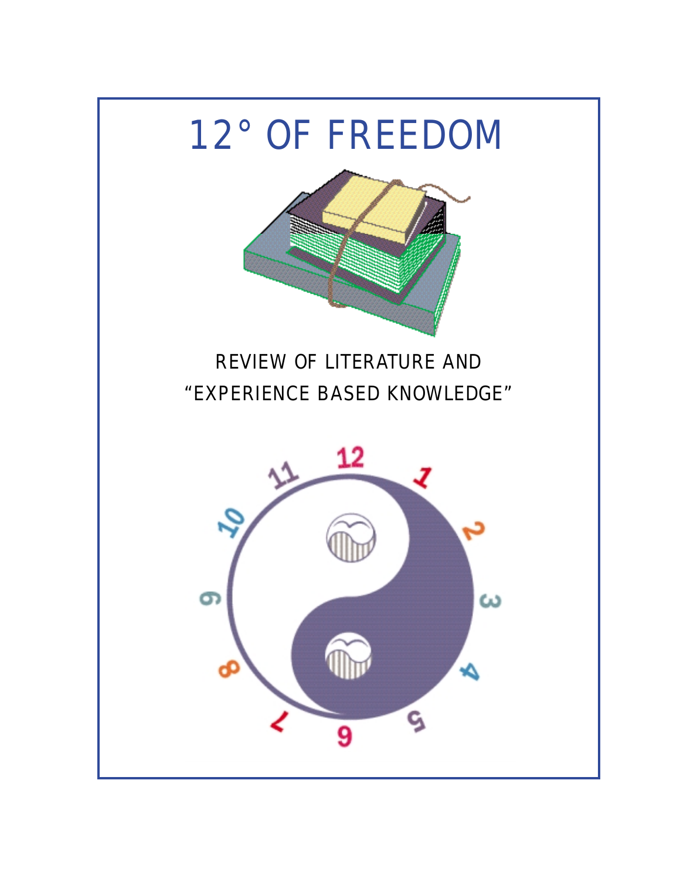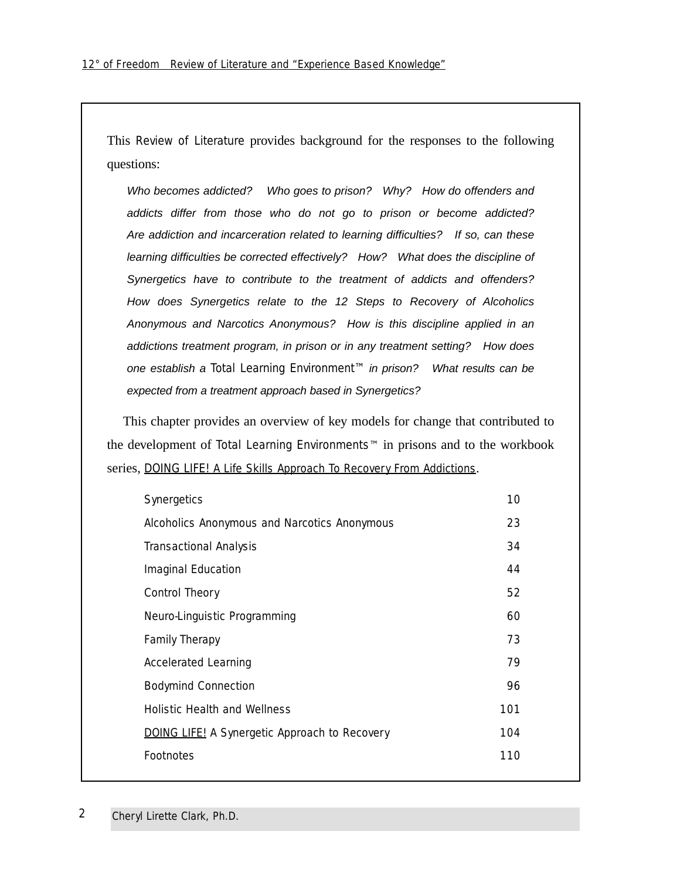This Review of Literature provides background for the responses to the following questions:

Who becomes addicted? Who goes to prison? Why? How do offenders and addicts differ from those who do not go to prison or become addicted? Are addiction and incarceration related to learning difficulties? If so, can these learning difficulties be corrected effectively? How? What does the discipline of Synergetics have to contribute to the treatment of addicts and offenders? How does Synergetics relate to the 12 Steps to Recovery of Alcoholics Anonymous and Narcotics Anonymous? How is this discipline applied in an addictions treatment program, in prison or in any treatment setting? How does one establish a Total Learning Environment™ in prison? What results can be expected from a treatment approach based in Synergetics?

This chapter provides an overview of key models for change that contributed to the development of Total Learning Environments™ in prisons and to the workbook series, DOING LIFE! A Life Skills Approach To Recovery From Addictions.

| Synergetics                                          | 10  |  |
|------------------------------------------------------|-----|--|
| Alcoholics Anonymous and Narcotics Anonymous         | 23  |  |
| <b>Transactional Analysis</b>                        | 34  |  |
| Imaginal Education                                   | 44  |  |
| Control Theory                                       | 52  |  |
| Neuro-Linguistic Programming                         | 60  |  |
| <b>Family Therapy</b>                                | 73  |  |
| <b>Accelerated Learning</b>                          | 79  |  |
| <b>Bodymind Connection</b>                           | 96  |  |
| <b>Holistic Health and Wellness</b>                  | 101 |  |
| <b>DOING LIFE!</b> A Synergetic Approach to Recovery | 104 |  |
| Footnotes                                            | 110 |  |
|                                                      |     |  |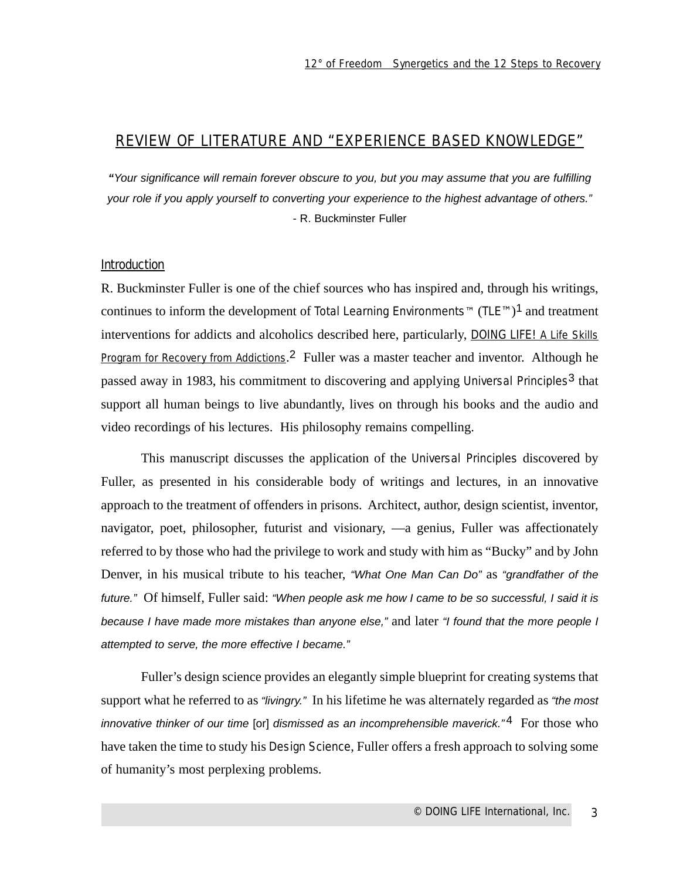### REVIEW OF LITERATURE AND *"EXPERIENCE BASED KNOWLEDGE"*

**"**Your significance will remain forever obscure to you, but you may assume that you are fulfilling your role if you apply yourself to converting your experience to the highest advantage of others." - R. Buckminster Fuller

### **Introduction**

R. Buckminster Fuller is one of the chief sources who has inspired and, through his writings, continues to inform the development of Total Learning Environments™ (TLE™)1 and treatment interventions for addicts and alcoholics described here, particularly, DOING LIFE! A Life Skills Program for Recovery from Addictions.<sup>2</sup> Fuller was a master teacher and inventor. Although he passed away in 1983, his commitment to discovering and applying Universal Principles<sup>3</sup> that support all human beings to live abundantly, lives on through his books and the audio and video recordings of his lectures. His philosophy remains compelling.

This manuscript discusses the application of the Universal Principles discovered by Fuller, as presented in his considerable body of writings and lectures, in an innovative approach to the treatment of offenders in prisons. Architect, author, design scientist, inventor, navigator, poet, philosopher, futurist and visionary, —a genius, Fuller was affectionately referred to by those who had the privilege to work and study with him as "Bucky" and by John Denver, in his musical tribute to his teacher, "What One Man Can Do" as "grandfather of the future." Of himself, Fuller said: "When people ask me how I came to be so successful, I said it is because I have made more mistakes than anyone else," and later "I found that the more people I attempted to serve, the more effective I became."

Fuller's design science provides an elegantly simple blueprint for creating systems that support what he referred to as "*livingry.*" In his lifetime he was alternately regarded as "the most" innovative thinker of our time [or] dismissed as an incomprehensible maverick." $4$  For those who have taken the time to study his Design Science, Fuller offers a fresh approach to solving some of humanity's most perplexing problems.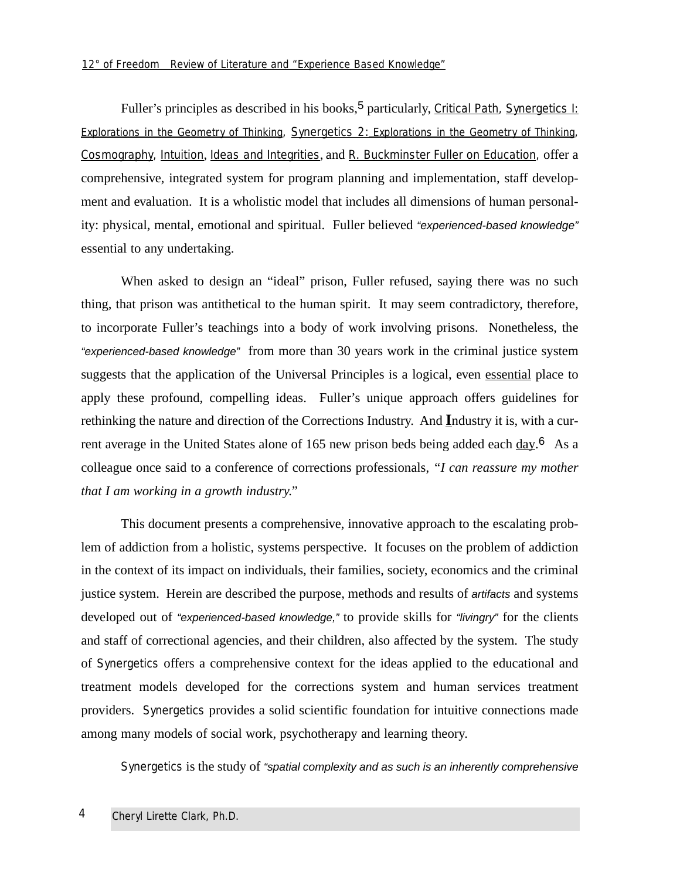Fuller's principles as described in his books,<sup>5</sup> particularly, Critical Path, Synergetics I: Explorations in the Geometry of Thinking, Synergetics 2: Explorations in the Geometry of Thinking, Cosmography, Intuition, Ideas and Integrities, and R. Buckminster Fuller on Education, offer a comprehensive, integrated system for program planning and implementation, staff development and evaluation. It is a wholistic model that includes all dimensions of human personality: physical, mental, emotional and spiritual. Fuller believed "experienced-based knowledge" essential to any undertaking.

When asked to design an "ideal" prison, Fuller refused, saying there was no such thing, that prison was antithetical to the human spirit. It may seem contradictory, therefore, to incorporate Fuller's teachings into a body of work involving prisons. Nonetheless, the "experienced-based knowledge" from more than 30 years work in the criminal justice system suggests that the application of the Universal Principles is a logical, even essential place to apply these profound, compelling ideas. Fuller's unique approach offers guidelines for rethinking the nature and direction of the Corrections Industry. And **I**ndustry it is, with a current average in the United States alone of 165 new prison beds being added each  $\underline{day}$ .<sup>6</sup> As a colleague once said to a conference of corrections professionals, *"I can reassure my mother that I am working in a growth industry."*

This document presents a comprehensive, innovative approach to the escalating problem of addiction from a holistic, systems perspective. It focuses on the problem of addiction in the context of its impact on individuals, their families, society, economics and the criminal justice system. Herein are described the purpose, methods and results of *artifacts* and systems developed out of "experienced-based knowledge," to provide skills for "livingry" for the clients and staff of correctional agencies, and their children, also affected by the system. The study of Synergetics offers a comprehensive context for the ideas applied to the educational and treatment models developed for the corrections system and human services treatment providers. Synergetics provides a solid scientific foundation for intuitive connections made among many models of social work, psychotherapy and learning theory.

Synergetics is the study of "spatial complexity and as such is an inherently comprehensive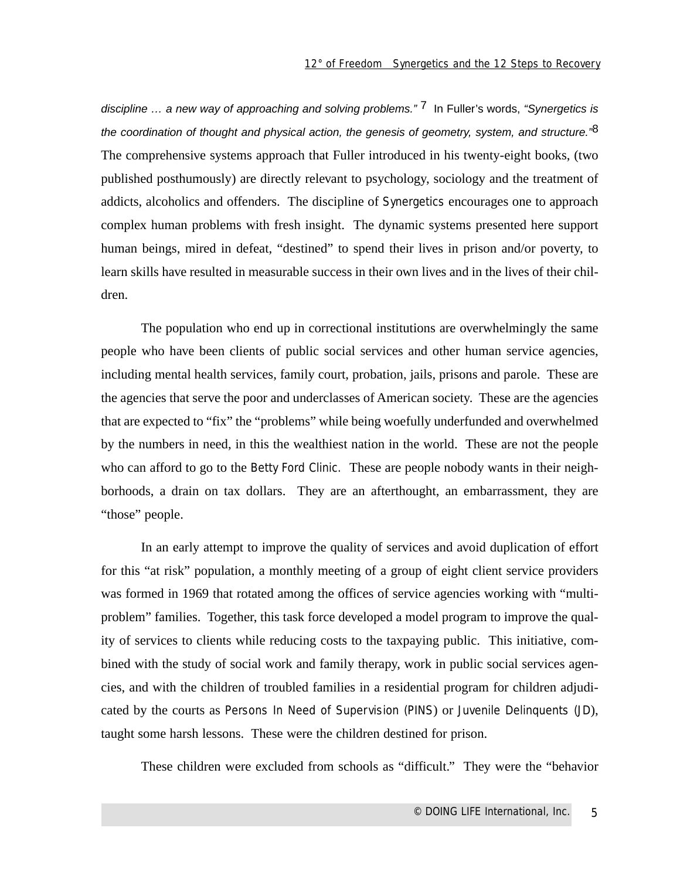discipline ... a new way of approaching and solving problems."  $\frac{7}{1}$  In Fuller's words, "Synergetics is the coordination of thought and physical action, the genesis of geometry, system, and structure.<sup>"8</sup> The comprehensive systems approach that Fuller introduced in his twenty-eight books, (two published posthumously) are directly relevant to psychology, sociology and the treatment of addicts, alcoholics and offenders. The discipline of Synergetics encourages one to approach complex human problems with fresh insight. The dynamic systems presented here support human beings, mired in defeat, "destined" to spend their lives in prison and/or poverty, to learn skills have resulted in measurable success in their own lives and in the lives of their children.

The population who end up in correctional institutions are overwhelmingly the same people who have been clients of public social services and other human service agencies, including mental health services, family court, probation, jails, prisons and parole. These are the agencies that serve the poor and underclasses of American society. These are the agencies that are expected to "fix" the "problems" while being woefully underfunded and overwhelmed by the numbers in need, in this the wealthiest nation in the world. These are not the people who can afford to go to the Betty Ford Clinic. These are people nobody wants in their neighborhoods, a drain on tax dollars. They are an afterthought, an embarrassment, they are "those" people.

In an early attempt to improve the quality of services and avoid duplication of effort for this "at risk" population, a monthly meeting of a group of eight client service providers was formed in 1969 that rotated among the offices of service agencies working with "multiproblem" families. Together, this task force developed a model program to improve the quality of services to clients while reducing costs to the taxpaying public. This initiative, combined with the study of social work and family therapy, work in public social services agencies, and with the children of troubled families in a residential program for children adjudicated by the courts as Persons In Need of Supervision (PINS) or Juvenile Delinquents (JD), taught some harsh lessons. These were the children destined for prison.

These children were excluded from schools as "difficult." They were the "behavior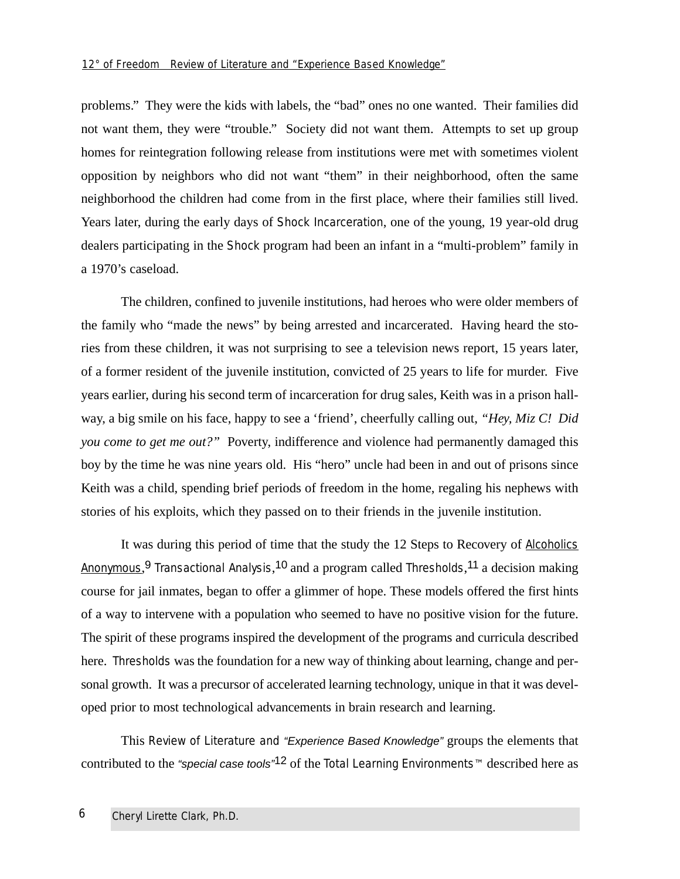problems." They were the kids with labels, the "bad" ones no one wanted. Their families did not want them, they were "trouble." Society did not want them. Attempts to set up group homes for reintegration following release from institutions were met with sometimes violent opposition by neighbors who did not want "them" in their neighborhood, often the same neighborhood the children had come from in the first place, where their families still lived. Years later, during the early days of Shock Incarceration, one of the young, 19 year-old drug dealers participating in the Shock program had been an infant in a "multi-problem" family in a 1970's caseload.

The children, confined to juvenile institutions, had heroes who were older members of the family who "made the news" by being arrested and incarcerated. Having heard the stories from these children, it was not surprising to see a television news report, 15 years later, of a former resident of the juvenile institution, convicted of 25 years to life for murder. Five years earlier, during his second term of incarceration for drug sales, Keith was in a prison hallway, a big smile on his face, happy to see a 'friend', cheerfully calling out, *"Hey, Miz C! Did you come to get me out?"* Poverty, indifference and violence had permanently damaged this boy by the time he was nine years old. His "hero" uncle had been in and out of prisons since Keith was a child, spending brief periods of freedom in the home, regaling his nephews with stories of his exploits, which they passed on to their friends in the juvenile institution.

It was during this period of time that the study the 12 Steps to Recovery of Alcoholics Anonymous, <sup>9</sup> Transactional Analysis, <sup>10</sup> and a program called Thresholds, <sup>11</sup> a decision making course for jail inmates, began to offer a glimmer of hope. These models offered the first hints of a way to intervene with a population who seemed to have no positive vision for the future. The spirit of these programs inspired the development of the programs and curricula described here. Thresholds was the foundation for a new way of thinking about learning, change and personal growth. It was a precursor of accelerated learning technology, unique in that it was developed prior to most technological advancements in brain research and learning.

This Review of Literature and "Experience Based Knowledge" groups the elements that contributed to the "special case tools"<sup>12</sup> of the Total Learning Environments™ described here as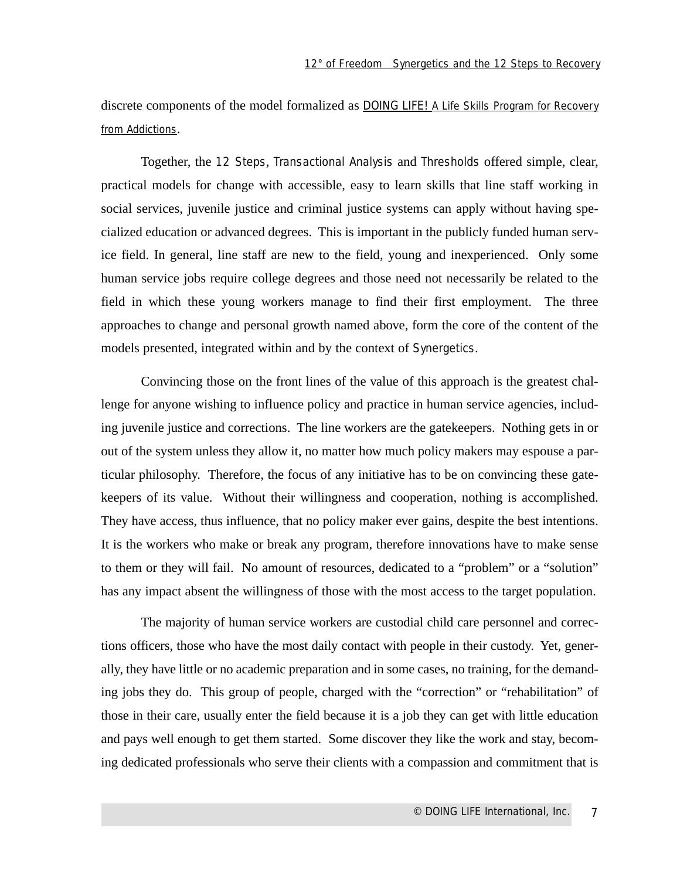discrete components of the model formalized as DOING LIFE! A Life Skills Program for Recovery from Addictions.

Together, the 12 Steps, Transactional Analysis and Thresholds offered simple, clear, practical models for change with accessible, easy to learn skills that line staff working in social services, juvenile justice and criminal justice systems can apply without having specialized education or advanced degrees. This is important in the publicly funded human service field. In general, line staff are new to the field, young and inexperienced. Only some human service jobs require college degrees and those need not necessarily be related to the field in which these young workers manage to find their first employment. The three approaches to change and personal growth named above, form the core of the content of the models presented, integrated within and by the context of Synergetics.

Convincing those on the front lines of the value of this approach is the greatest challenge for anyone wishing to influence policy and practice in human service agencies, including juvenile justice and corrections. The line workers are the gatekeepers. Nothing gets in or out of the system unless they allow it, no matter how much policy makers may espouse a particular philosophy. Therefore, the focus of any initiative has to be on convincing these gatekeepers of its value. Without their willingness and cooperation, nothing is accomplished. They have access, thus influence, that no policy maker ever gains, despite the best intentions. It is the workers who make or break any program, therefore innovations have to make sense to them or they will fail. No amount of resources, dedicated to a "problem" or a "solution" has any impact absent the willingness of those with the most access to the target population.

The majority of human service workers are custodial child care personnel and corrections officers, those who have the most daily contact with people in their custody. Yet, generally, they have little or no academic preparation and in some cases, no training, for the demanding jobs they do. This group of people, charged with the "correction" or "rehabilitation" of those in their care, usually enter the field because it is a job they can get with little education and pays well enough to get them started. Some discover they like the work and stay, becoming dedicated professionals who serve their clients with a compassion and commitment that is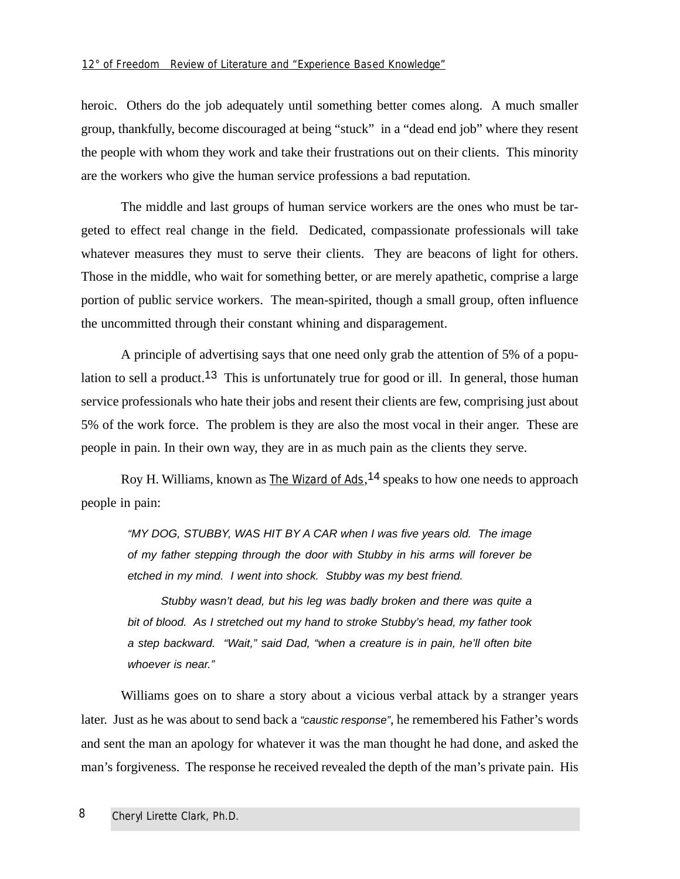heroic. Others do the job adequately until something better comes along. A much smaller group, thankfully, become discouraged at being "stuck" in a "dead end job" where they resent the people with whom they work and take their frustrations out on their clients. This minority are the workers who give the human service professions a bad reputation.

The middle and last groups of human service workers are the ones who must be targeted to effect real change in the field. Dedicated, compassionate professionals will take whatever measures they must to serve their clients. They are beacons of light for others. Those in the middle, who wait for something better, or are merely apathetic, comprise a large portion of public service workers. The mean-spirited, though a small group, often influence the uncommitted through their constant whining and disparagement.

A principle of advertising says that one need only grab the attention of 5% of a population to sell a product.<sup>13</sup> This is unfortunately true for good or ill. In general, those human service professionals who hate their jobs and resent their clients are few, comprising just about 5% of the work force. The problem is they are also the most vocal in their anger. These are people in pain. In their own way, they are in as much pain as the clients they serve.

Roy H. Williams, known as <u>The Wizard of Ads</u>,<sup>14</sup> speaks to how one needs to approach people in pain:

"MY DOG, STUBBY, WAS HIT BY A CAR when I was five years old. The image of my father stepping through the door with Stubby in his arms will forever be etched in my mind. I went into shock. Stubby was my best friend.

Stubby wasn't dead, but his leg was badly broken and there was quite a bit of blood. As I stretched out my hand to stroke Stubby's head, my father took a step backward. "Wait," said Dad, "when a creature is in pain, he'll often bite whoever is near."

Williams goes on to share a story about a vicious verbal attack by a stranger years later. Just as he was about to send back a "caustic response", he remembered his Father's words and sent the man an apology for whatever it was the man thought he had done, and asked the man's forgiveness. The response he received revealed the depth of the man's private pain. His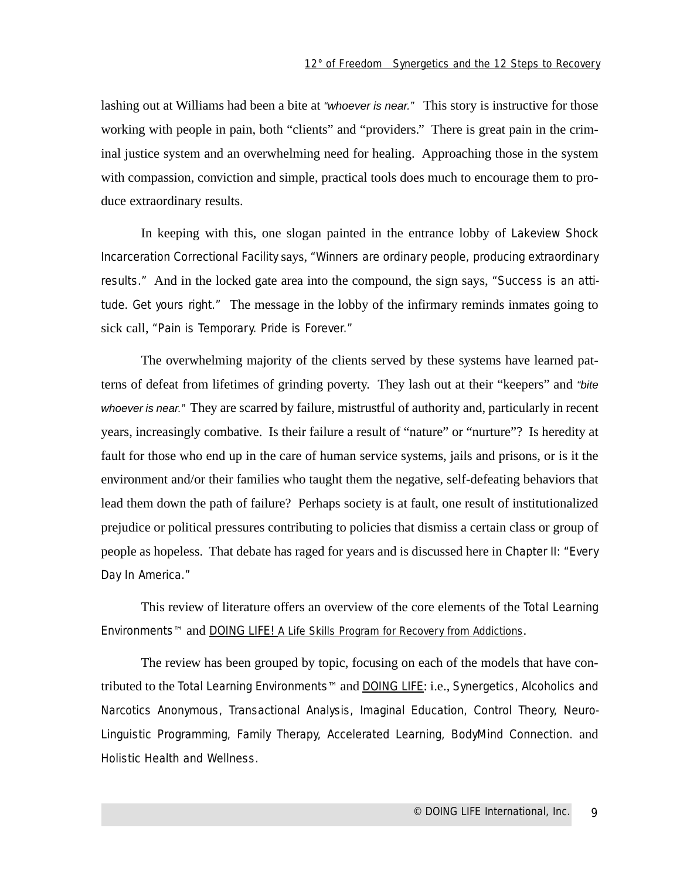lashing out at Williams had been a bite at "whoever is near." This story is instructive for those working with people in pain, both "clients" and "providers." There is great pain in the criminal justice system and an overwhelming need for healing. Approaching those in the system with compassion, conviction and simple, practical tools does much to encourage them to produce extraordinary results.

In keeping with this, one slogan painted in the entrance lobby of Lakeview Shock Incarceration Correctional Facility says, *"Winners are ordinary people, producing extraordinary results."* And in the locked gate area into the compound, the sign says, *"Success is an attitude. Get yours right."* The message in the lobby of the infirmary reminds inmates going to sick call, *"Pain is Temporary. Pride is Forever."*

The overwhelming majority of the clients served by these systems have learned patterns of defeat from lifetimes of grinding poverty. They lash out at their "keepers" and "bite whoever is near." They are scarred by failure, mistrustful of authority and, particularly in recent years, increasingly combative. Is their failure a result of "nature" or "nurture"? Is heredity at fault for those who end up in the care of human service systems, jails and prisons, or is it the environment and/or their families who taught them the negative, self-defeating behaviors that lead them down the path of failure? Perhaps society is at fault, one result of institutionalized prejudice or political pressures contributing to policies that dismiss a certain class or group of people as hopeless. That debate has raged for years and is discussed here in Chapter II: "Every Day In America."

This review of literature offers an overview of the core elements of the Total Learning Environments™ and DOING LIFE! A Life Skills Program for Recovery from Addictions.

The review has been grouped by topic, focusing on each of the models that have contributed to the Total Learning Environments™ and **DOING LIFE**: i.e., Synergetics, Alcoholics and Narcotics Anonymous, Transactional Analysis, Imaginal Education, Control Theory, Neuro-Linguistic Programming, Family Therapy, Accelerated Learning, BodyMind Connection. and Holistic Health and Wellness.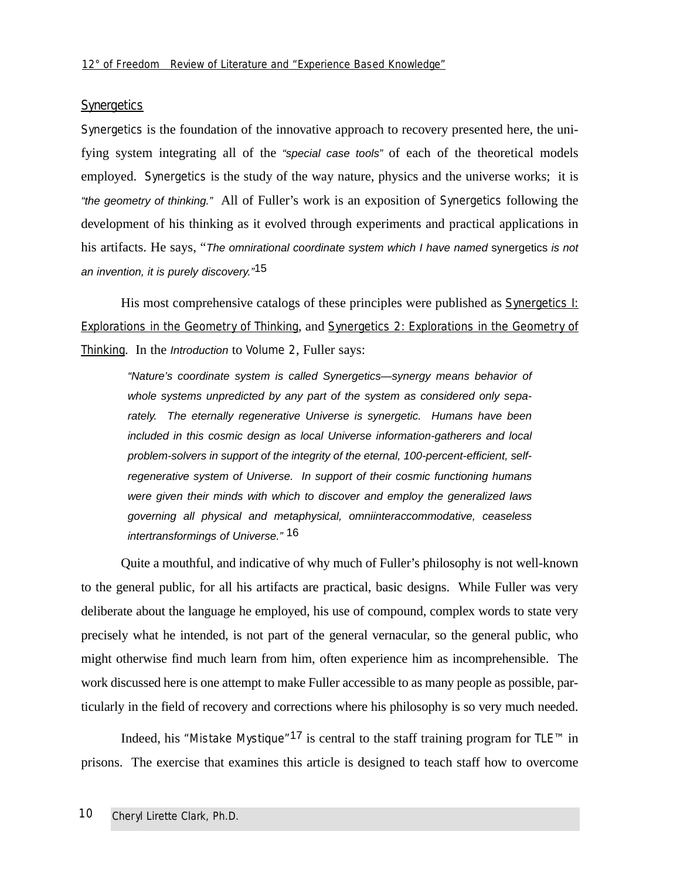### **Synergetics**

Synergetics is the foundation of the innovative approach to recovery presented here, the unifying system integrating all of the "special case tools" of each of the theoretical models employed. Synergetics is the study of the way nature, physics and the universe works; it is "the geometry of thinking." All of Fuller's work is an exposition of Synergetics following the development of his thinking as it evolved through experiments and practical applications in his artifacts. He says, "The omnirational coordinate system which I have named synergetics is not an invention, it is purely discovery."<sup>15</sup>

His most comprehensive catalogs of these principles were published as Synergetics I: Explorations in the Geometry of Thinking, and Synergetics 2: Explorations in the Geometry of Thinking. In the Introduction to Volume 2, Fuller says:

"Nature's coordinate system is called Synergetics—synergy means behavior of whole systems unpredicted by any part of the system as considered only separately. The eternally regenerative Universe is synergetic. Humans have been included in this cosmic design as local Universe information-gatherers and local problem-solvers in support of the integrity of the eternal, 100-percent-efficient, selfregenerative system of Universe. In support of their cosmic functioning humans were given their minds with which to discover and employ the generalized laws governing all physical and metaphysical, omniinteraccommodative, ceaseless intertransformings of Universe." <sup>16</sup>

Quite a mouthful, and indicative of why much of Fuller's philosophy is not well-known to the general public, for all his artifacts are practical, basic designs. While Fuller was very deliberate about the language he employed, his use of compound, complex words to state very precisely what he intended, is not part of the general vernacular, so the general public, who might otherwise find much learn from him, often experience him as incomprehensible. The work discussed here is one attempt to make Fuller accessible to as many people as possible, particularly in the field of recovery and corrections where his philosophy is so very much needed.

Indeed, his *"Mistake Mystique"*17 is central to the staff training program for TLE™ in prisons. The exercise that examines this article is designed to teach staff how to overcome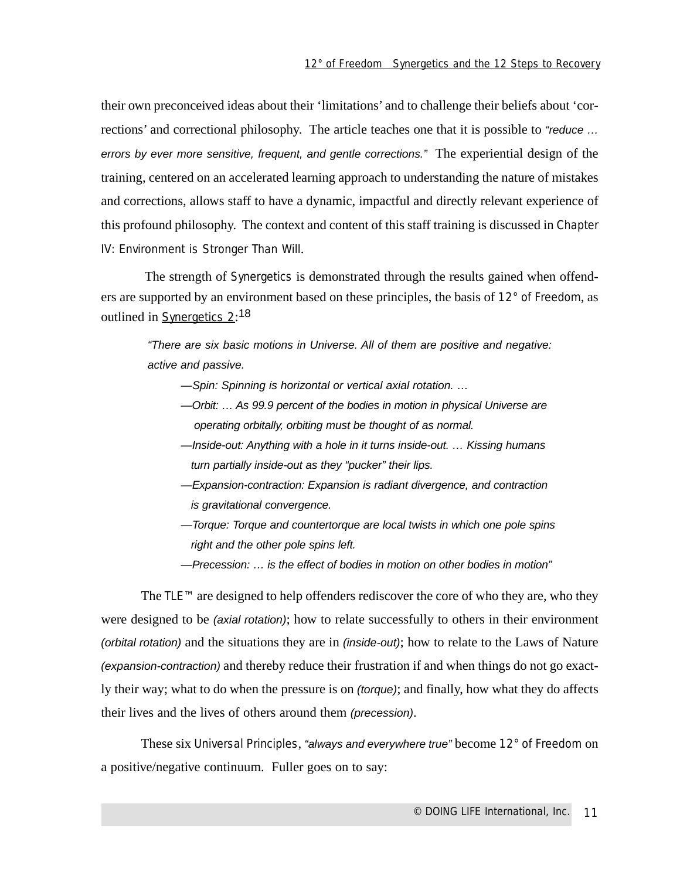their own preconceived ideas about their 'limitations' and to challenge their beliefs about 'corrections' and correctional philosophy. The article teaches one that it is possible to "reduce … errors by ever more sensitive, frequent, and gentle corrections." The experiential design of the training, centered on an accelerated learning approach to understanding the nature of mistakes and corrections, allows staff to have a dynamic, impactful and directly relevant experience of this profound philosophy. The context and content of this staff training is discussed in Chapter IV: Environment is Stronger Than Will.

The strength of Synergetics is demonstrated through the results gained when offenders are supported by an environment based on these principles, the basis of 12° of Freedom, as outlined in Synergetics 2:18

"There are six basic motions in Universe. All of them are positive and negative: active and passive.

- —Spin: Spinning is horizontal or vertical axial rotation. …
- —Orbit: … As 99.9 percent of the bodies in motion in physical Universe are operating orbitally, orbiting must be thought of as normal.
- —Inside-out: Anything with a hole in it turns inside-out. … Kissing humans turn partially inside-out as they "pucker" their lips.
- —Expansion-contraction: Expansion is radiant divergence, and contraction is gravitational convergence.
- —Torque: Torque and countertorque are local twists in which one pole spins right and the other pole spins left.
- —Precession: … is the effect of bodies in motion on other bodies in motion"

The TLE™ are designed to help offenders rediscover the core of who they are, who they were designed to be *(axial rotation)*; how to relate successfully to others in their environment (orbital rotation) and the situations they are in (inside-out); how to relate to the Laws of Nature (expansion-contraction) and thereby reduce their frustration if and when things do not go exactly their way; what to do when the pressure is on (torque); and finally, how what they do affects their lives and the lives of others around them (precession).

These six Universal Principles, "always and everywhere true" become 12° of Freedom on a positive/negative continuum. Fuller goes on to say: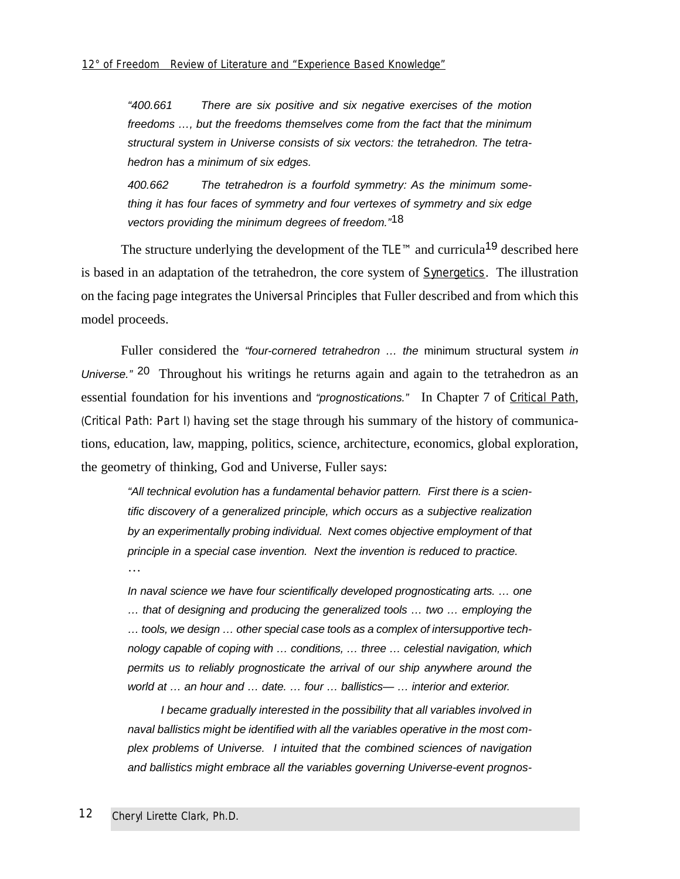"400.661 There are six positive and six negative exercises of the motion freedoms …, but the freedoms themselves come from the fact that the minimum structural system in Universe consists of six vectors: the tetrahedron. The tetrahedron has a minimum of six edges.

400.662 The tetrahedron is a fourfold symmetry: As the minimum something it has four faces of symmetry and four vertexes of symmetry and six edge vectors providing the minimum degrees of freedom."<sup>18</sup>

The structure underlying the development of the  $\text{TLEM}$  and curricula<sup>19</sup> described here is based in an adaptation of the tetrahedron, the core system of Synergetics. The illustration on the facing page integrates the Universal Principles that Fuller described and from which this model proceeds.

Fuller considered the "four-cornered tetrahedron ... the minimum structural system in Universe." <sup>20</sup> Throughout his writings he returns again and again to the tetrahedron as an essential foundation for his inventions and "prognostications." In Chapter 7 of Critical Path, *(Critical Path: Part I)* having set the stage through his summary of the history of communications, education, law, mapping, politics, science, architecture, economics, global exploration, the geometry of thinking, God and Universe, Fuller says:

"All technical evolution has a fundamental behavior pattern. First there is a scientific discovery of a generalized principle, which occurs as a subjective realization by an experimentally probing individual. Next comes objective employment of that principle in a special case invention. Next the invention is reduced to practice. …

In naval science we have four scientifically developed prognosticating arts. … one … that of designing and producing the generalized tools … two … employing the … tools, we design … other special case tools as a complex of intersupportive technology capable of coping with … conditions, … three … celestial navigation, which permits us to reliably prognosticate the arrival of our ship anywhere around the world at ... an hour and ... date. ... four ... ballistics— ... interior and exterior.

I became gradually interested in the possibility that all variables involved in naval ballistics might be identified with all the variables operative in the most complex problems of Universe. I intuited that the combined sciences of navigation and ballistics might embrace all the variables governing Universe-event prognos-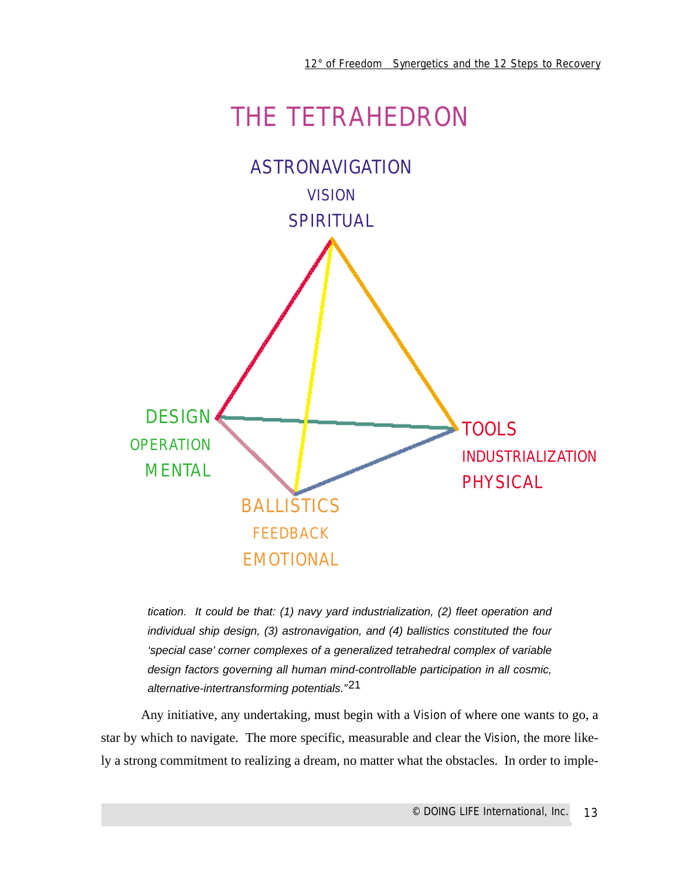# THE TETRAHEDRON



tication. It could be that: (1) navy yard industrialization, (2) fleet operation and individual ship design, (3) astronavigation, and (4) ballistics constituted the four 'special case' corner complexes of a generalized tetrahedral complex of variable design factors governing all human mind-controllable participation in all cosmic, alternative-intertransforming potentials."<sup>21</sup>

Any initiative, any undertaking, must begin with a Vision of where one wants to go, a star by which to navigate. The more specific, measurable and clear the Vision, the more likely a strong commitment to realizing a dream, no matter what the obstacles. In order to imple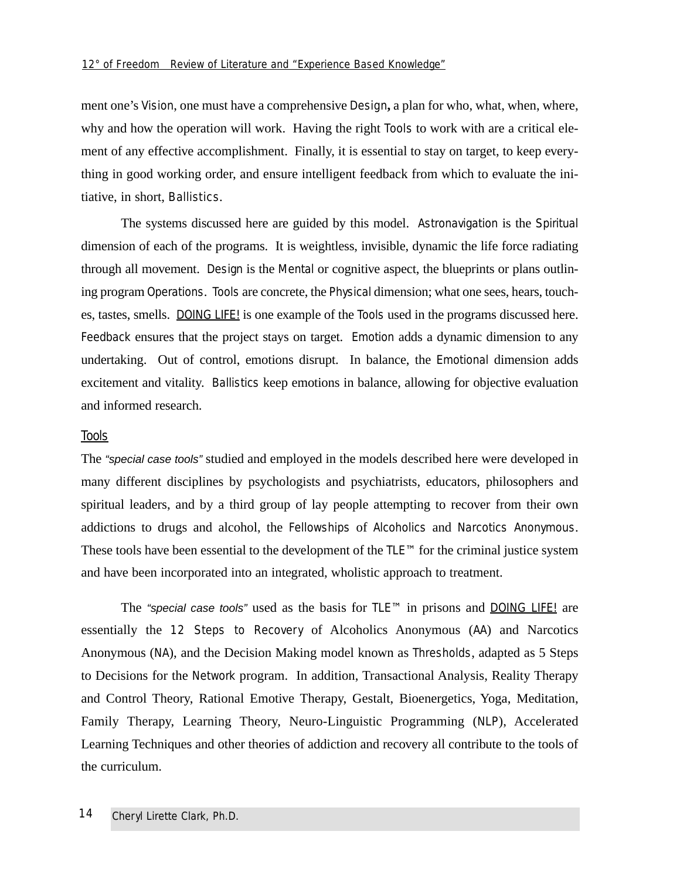ment one's Vision, one must have a comprehensive Design**,** a plan for who, what, when, where, why and how the operation will work. Having the right **Tools** to work with are a critical element of any effective accomplishment. Finally, it is essential to stay on target, to keep everything in good working order, and ensure intelligent feedback from which to evaluate the initiative, in short, Ballistics.

The systems discussed here are guided by this model. Astronavigation is the Spiritual dimension of each of the programs. It is weightless, invisible, dynamic the life force radiating through all movement. Design is the Mental or cognitive aspect, the blueprints or plans outlining program Operations. Tools are concrete, the Physical dimension; what one sees, hears, touches, tastes, smells. DOING LIFE! is one example of the Tools used in the programs discussed here. Feedback ensures that the project stays on target. Emotion adds a dynamic dimension to any undertaking. Out of control, emotions disrupt. In balance, the Emotional dimension adds excitement and vitality. Ballistics keep emotions in balance, allowing for objective evaluation and informed research.

### **Tools**

The "special case tools" studied and employed in the models described here were developed in many different disciplines by psychologists and psychiatrists, educators, philosophers and spiritual leaders, and by a third group of lay people attempting to recover from their own addictions to drugs and alcohol, the Fellowships of Alcoholics and Narcotics Anonymous. These tools have been essential to the development of the TLE™ for the criminal justice system and have been incorporated into an integrated, wholistic approach to treatment.

The "special case tools" used as the basis for  $\mathsf{TL}^{\mathsf{TM}}$  in prisons and DOING LIFE! are essentially the 12 Steps to Recovery of Alcoholics Anonymous (AA) and Narcotics Anonymous (NA), and the Decision Making model known as Thresholds, adapted as 5 Steps to Decisions for the Network program. In addition, Transactional Analysis, Reality Therapy and Control Theory, Rational Emotive Therapy, Gestalt, Bioenergetics, Yoga, Meditation, Family Therapy, Learning Theory, Neuro-Linguistic Programming (NLP), Accelerated Learning Techniques and other theories of addiction and recovery all contribute to the tools of the curriculum.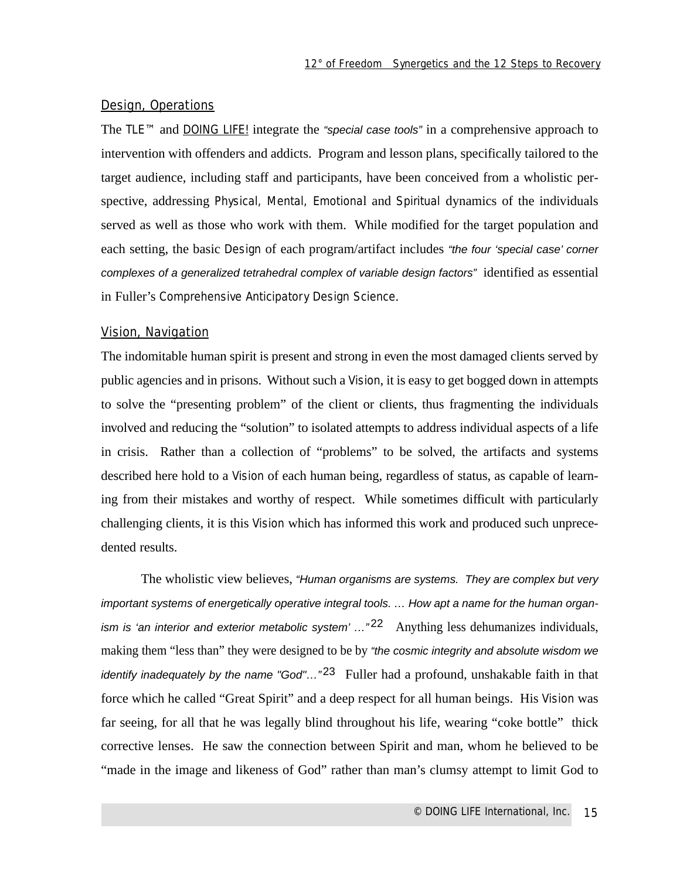### Design, Operations

The TLE™ and DOING LIFE! integrate the "special case tools" in a comprehensive approach to intervention with offenders and addicts. Program and lesson plans, specifically tailored to the target audience, including staff and participants, have been conceived from a wholistic perspective, addressing Physical, Mental, Emotional and Spiritual dynamics of the individuals served as well as those who work with them. While modified for the target population and each setting, the basic Design of each program/artifact includes "the four 'special case' corner complexes of a generalized tetrahedral complex of variable design factors" identified as essential in Fuller's *Comprehensive Anticipatory Design Science*.

### Vision, Navigation

The indomitable human spirit is present and strong in even the most damaged clients served by public agencies and in prisons. Without such a Vision, it is easy to get bogged down in attempts to solve the "presenting problem" of the client or clients, thus fragmenting the individuals involved and reducing the "solution" to isolated attempts to address individual aspects of a life in crisis. Rather than a collection of "problems" to be solved, the artifacts and systems described here hold to a Vision of each human being, regardless of status, as capable of learning from their mistakes and worthy of respect. While sometimes difficult with particularly challenging clients, it is this Vision which has informed this work and produced such unprecedented results.

The wholistic view believes, "Human organisms are systems. They are complex but very important systems of energetically operative integral tools. … How apt a name for the human organism is 'an interior and exterior metabolic system'  $\ldots$ <sup>"22</sup> Anything less dehumanizes individuals, making them "less than" they were designed to be by "the cosmic integrity and absolute wisdom we identify inadequately by the name "God"..."<sup>23</sup> Fuller had a profound, unshakable faith in that force which he called "Great Spirit" and a deep respect for all human beings. His Vision was far seeing, for all that he was legally blind throughout his life, wearing "coke bottle" thick corrective lenses. He saw the connection between Spirit and man, whom he believed to be "made in the image and likeness of God" rather than man's clumsy attempt to limit God to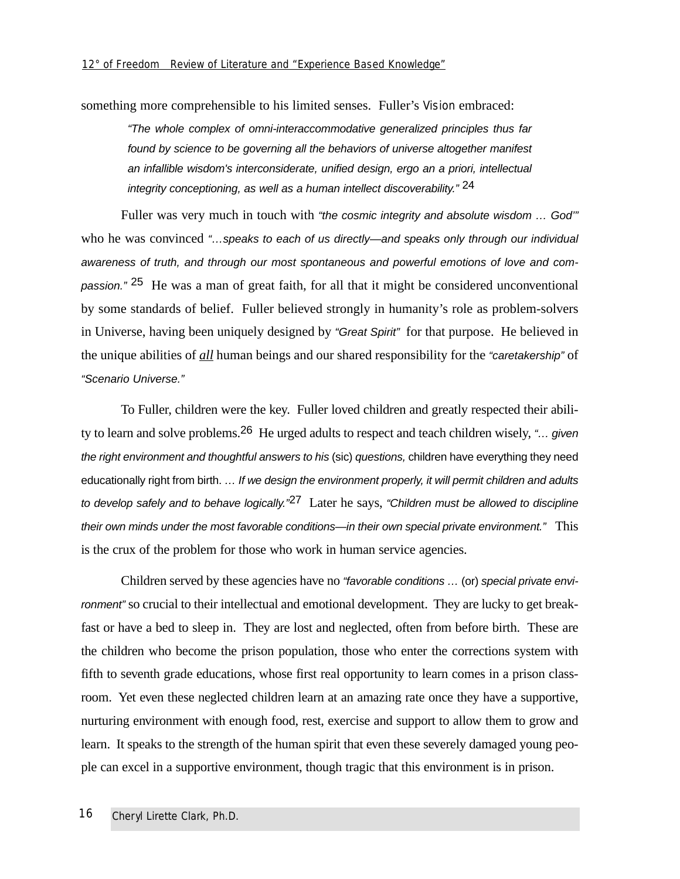something more comprehensible to his limited senses. Fuller's Vision embraced:

"The whole complex of omni-interaccommodative generalized principles thus far found by science to be governing all the behaviors of universe altogether manifest an infallible wisdom's interconsiderate, unified design, ergo an a priori, intellectual integrity conceptioning, as well as a human intellect discoverability." $24$ 

Fuller was very much in touch with "the cosmic integrity and absolute wisdom ... God"" who he was convinced "...speaks to each of us directly—and speaks only through our individual awareness of truth, and through our most spontaneous and powerful emotions of love and compassion." 25 He was a man of great faith, for all that it might be considered unconventional by some standards of belief. Fuller believed strongly in humanity's role as problem-solvers in Universe, having been uniquely designed by "Great Spirit" for that purpose. He believed in the unique abilities of *all* human beings and our shared responsibility for the "caretakership" of "Scenario Universe."

To Fuller, children were the key. Fuller loved children and greatly respected their ability to learn and solve problems.<sup>26</sup> He urged adults to respect and teach children wisely, "... given the right environment and thoughtful answers to his (sic) questions, children have everything they need educationally right from birth. ... If we design the environment properly, it will permit children and adults to develop safely and to behave logically."<sup>27</sup> Later he says, "Children must be allowed to discipline their own minds under the most favorable conditions—in their own special private environment." This is the crux of the problem for those who work in human service agencies.

Children served by these agencies have no "favorable conditions … (or) special private environment" so crucial to their intellectual and emotional development. They are lucky to get breakfast or have a bed to sleep in. They are lost and neglected, often from before birth. These are the children who become the prison population, those who enter the corrections system with fifth to seventh grade educations, whose first real opportunity to learn comes in a prison classroom. Yet even these neglected children learn at an amazing rate once they have a supportive, nurturing environment with enough food, rest, exercise and support to allow them to grow and learn. It speaks to the strength of the human spirit that even these severely damaged young people can excel in a supportive environment, though tragic that this environment is in prison.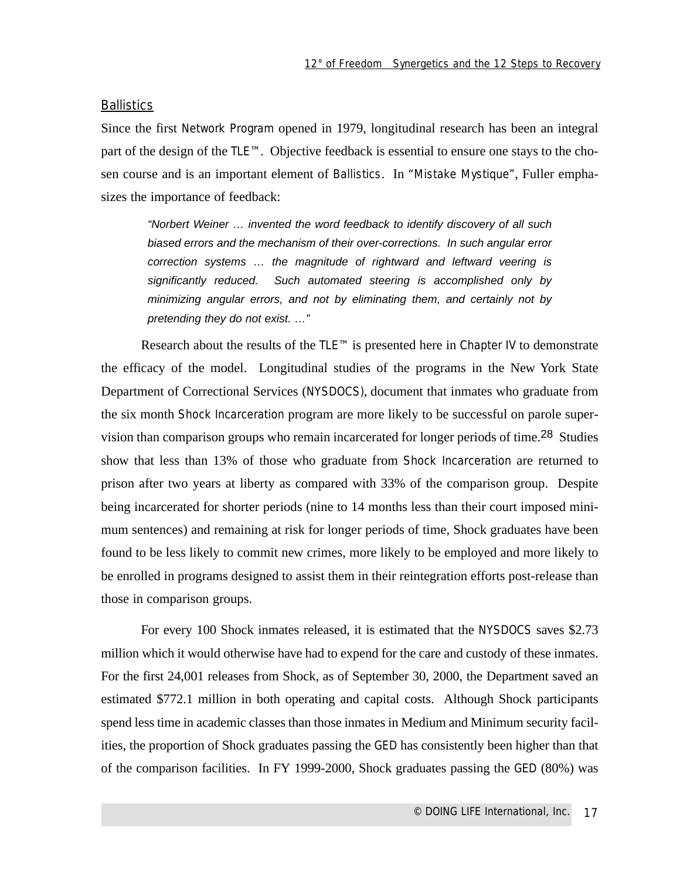### **Ballistics**

Since the first Network Program opened in 1979, longitudinal research has been an integral part of the design of the TLE™. Objective feedback is essential to ensure one stays to the chosen course and is an important element of Ballistics. In *"Mistake Mystique"*, Fuller emphasizes the importance of feedback:

"Norbert Weiner … invented the word feedback to identify discovery of all such biased errors and the mechanism of their over-corrections. In such angular error correction systems … the magnitude of rightward and leftward veering is significantly reduced. Such automated steering is accomplished only by minimizing angular errors, and not by eliminating them, and certainly not by pretending they do not exist. …"

Research about the results of the TLE™ is presented here in Chapter IV to demonstrate the efficacy of the model. Longitudinal studies of the programs in the New York State Department of Correctional Services (NYSDOCS), document that inmates who graduate from the six month Shock Incarceration program are more likely to be successful on parole supervision than comparison groups who remain incarcerated for longer periods of time.28 Studies show that less than 13% of those who graduate from Shock Incarceration are returned to prison after two years at liberty as compared with 33% of the comparison group. Despite being incarcerated for shorter periods (nine to 14 months less than their court imposed minimum sentences) and remaining at risk for longer periods of time, Shock graduates have been found to be less likely to commit new crimes, more likely to be employed and more likely to be enrolled in programs designed to assist them in their reintegration efforts post-release than those in comparison groups.

For every 100 Shock inmates released, it is estimated that the NYSDOCS saves \$2.73 million which it would otherwise have had to expend for the care and custody of these inmates. For the first 24,001 releases from Shock, as of September 30, 2000, the Department saved an estimated \$772.1 million in both operating and capital costs. Although Shock participants spend less time in academic classes than those inmates in Medium and Minimum security facilities, the proportion of Shock graduates passing the GED has consistently been higher than that of the comparison facilities. In FY 1999-2000, Shock graduates passing the GED (80%) was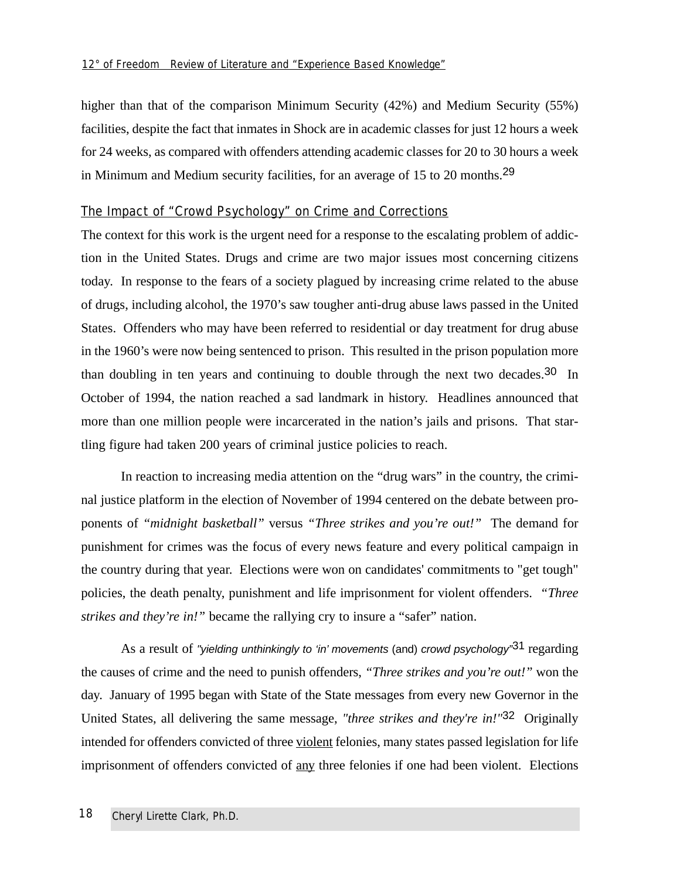higher than that of the comparison Minimum Security (42%) and Medium Security (55%) facilities, despite the fact that inmates in Shock are in academic classes for just 12 hours a week for 24 weeks, as compared with offenders attending academic classes for 20 to 30 hours a week in Minimum and Medium security facilities, for an average of 15 to 20 months.29

### The Impact of *"Crowd Psychology"* on Crime and Corrections

The context for this work is the urgent need for a response to the escalating problem of addiction in the United States. Drugs and crime are two major issues most concerning citizens today. In response to the fears of a society plagued by increasing crime related to the abuse of drugs, including alcohol, the 1970's saw tougher anti-drug abuse laws passed in the United States. Offenders who may have been referred to residential or day treatment for drug abuse in the 1960's were now being sentenced to prison. This resulted in the prison population more than doubling in ten years and continuing to double through the next two decades.<sup>30</sup> In October of 1994, the nation reached a sad landmark in history. Headlines announced that more than one million people were incarcerated in the nation's jails and prisons. That startling figure had taken 200 years of criminal justice policies to reach.

In reaction to increasing media attention on the "drug wars" in the country, the criminal justice platform in the election of November of 1994 centered on the debate between proponents of *"midnight basketball"* versus *"Three strikes and you're out!"* The demand for punishment for crimes was the focus of every news feature and every political campaign in the country during that year. Elections were won on candidates' commitments to "get tough" policies, the death penalty, punishment and life imprisonment for violent offenders. *"Three strikes and they're in!"* became the rallying cry to insure a "safer" nation.

As a result of "yielding unthinkingly to 'in' movements (and) crowd psychology'<sup>31</sup> regarding the causes of crime and the need to punish offenders, *"Three strikes and you're out!"* won the day. January of 1995 began with State of the State messages from every new Governor in the United States, all delivering the same message, *"three strikes and they're in!"*32 Originally intended for offenders convicted of three violent felonies, many states passed legislation for life imprisonment of offenders convicted of any three felonies if one had been violent. Elections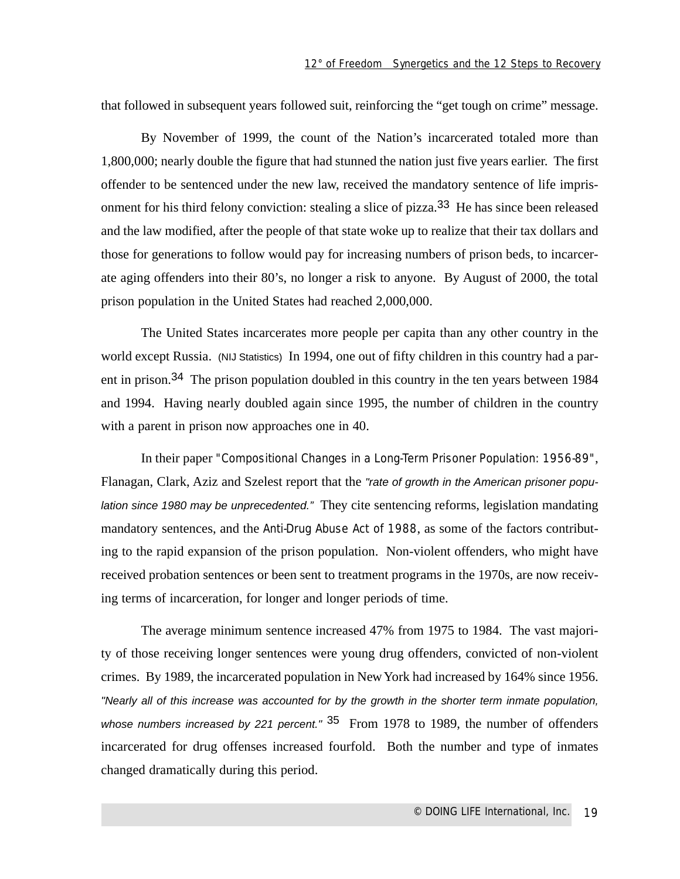that followed in subsequent years followed suit, reinforcing the "get tough on crime" message.

By November of 1999, the count of the Nation's incarcerated totaled more than 1,800,000; nearly double the figure that had stunned the nation just five years earlier. The first offender to be sentenced under the new law, received the mandatory sentence of life imprisonment for his third felony conviction: stealing a slice of pizza.33 He has since been released and the law modified, after the people of that state woke up to realize that their tax dollars and those for generations to follow would pay for increasing numbers of prison beds, to incarcerate aging offenders into their 80's, no longer a risk to anyone. By August of 2000, the total prison population in the United States had reached 2,000,000.

The United States incarcerates more people per capita than any other country in the world except Russia. (NIJ Statistics) In 1994, one out of fifty children in this country had a parent in prison.34 The prison population doubled in this country in the ten years between 1984 and 1994. Having nearly doubled again since 1995, the number of children in the country with a parent in prison now approaches one in 40.

In their paper *"Compositional Changes in a Long-Term Prisoner Population: 1956-89"*, Flanagan, Clark, Aziz and Szelest report that the "rate of growth in the American prisoner population since 1980 may be unprecedented." They cite sentencing reforms, legislation mandating mandatory sentences, and the Anti-Drug Abuse Act of 1988, as some of the factors contributing to the rapid expansion of the prison population. Non-violent offenders, who might have received probation sentences or been sent to treatment programs in the 1970s, are now receiving terms of incarceration, for longer and longer periods of time.

The average minimum sentence increased 47% from 1975 to 1984. The vast majority of those receiving longer sentences were young drug offenders, convicted of non-violent crimes. By 1989, the incarcerated population in New York had increased by 164% since 1956. "Nearly all of this increase was accounted for by the growth in the shorter term inmate population, whose numbers increased by 221 percent."  $35$  From 1978 to 1989, the number of offenders incarcerated for drug offenses increased fourfold. Both the number and type of inmates changed dramatically during this period.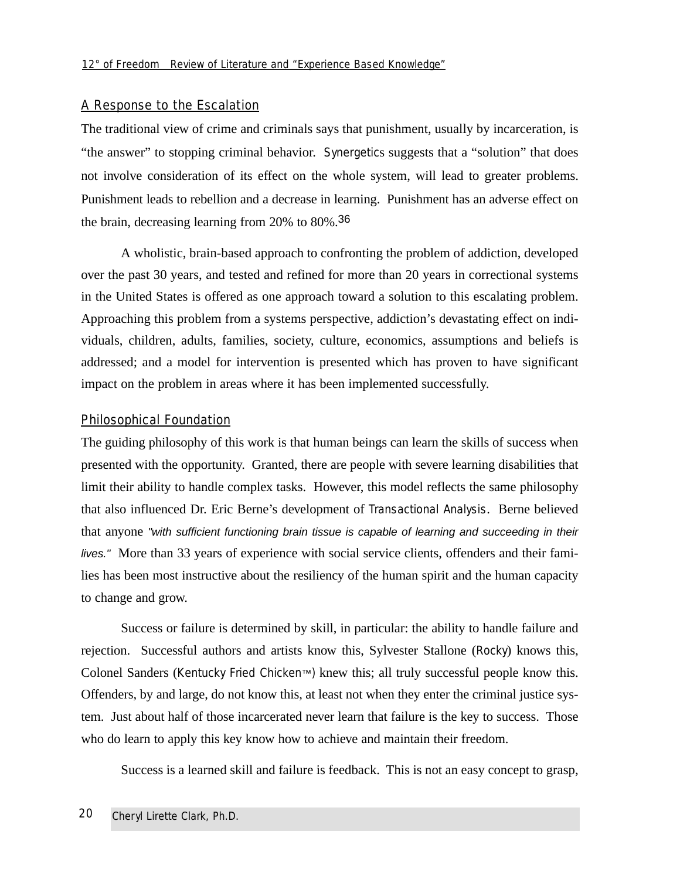### A Response to the Escalation

The traditional view of crime and criminals says that punishment, usually by incarceration, is "the answer" to stopping criminal behavior. Synergetics suggests that a "solution" that does not involve consideration of its effect on the whole system, will lead to greater problems. Punishment leads to rebellion and a decrease in learning. Punishment has an adverse effect on the brain, decreasing learning from 20% to 80%.36

A wholistic, brain-based approach to confronting the problem of addiction, developed over the past 30 years, and tested and refined for more than 20 years in correctional systems in the United States is offered as one approach toward a solution to this escalating problem. Approaching this problem from a systems perspective, addiction's devastating effect on individuals, children, adults, families, society, culture, economics, assumptions and beliefs is addressed; and a model for intervention is presented which has proven to have significant impact on the problem in areas where it has been implemented successfully.

### Philosophical Foundation

The guiding philosophy of this work is that human beings can learn the skills of success when presented with the opportunity. Granted, there are people with severe learning disabilities that limit their ability to handle complex tasks. However, this model reflects the same philosophy that also influenced Dr. Eric Berne's development of Transactional Analysis. Berne believed that anyone "with sufficient functioning brain tissue is capable of learning and succeeding in their lives." More than 33 years of experience with social service clients, offenders and their families has been most instructive about the resiliency of the human spirit and the human capacity to change and grow.

Success or failure is determined by skill, in particular: the ability to handle failure and rejection. Successful authors and artists know this, Sylvester Stallone (Rocky) knows this, Colonel Sanders (Kentucky Fried Chicken™) knew this; all truly successful people know this. Offenders, by and large, do not know this, at least not when they enter the criminal justice system. Just about half of those incarcerated never learn that failure is the key to success. Those who do learn to apply this key know how to achieve and maintain their freedom.

Success is a learned skill and failure is feedback. This is not an easy concept to grasp,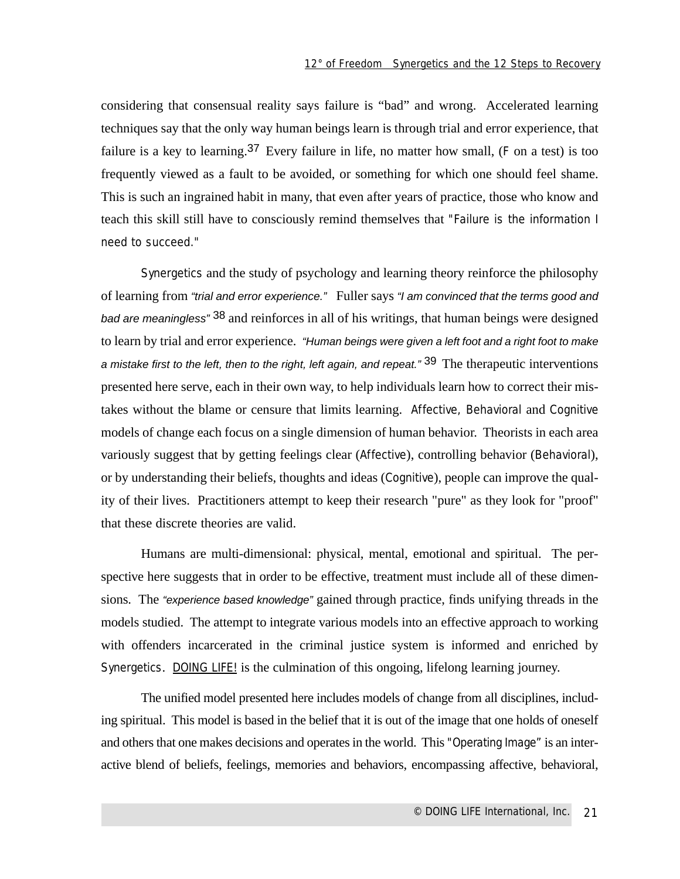considering that consensual reality says failure is "bad" and wrong. Accelerated learning techniques say that the only way human beings learn is through trial and error experience, that failure is a key to learning.<sup>37</sup> Every failure in life, no matter how small, (F on a test) is too frequently viewed as a fault to be avoided, or something for which one should feel shame. This is such an ingrained habit in many, that even after years of practice, those who know and teach this skill still have to consciously remind themselves that *"Failure is the information I need to succeed."*

Synergetics and the study of psychology and learning theory reinforce the philosophy of learning from "trial and error experience." Fuller says "I am convinced that the terms good and bad are meaningless"<sup>38</sup> and reinforces in all of his writings, that human beings were designed to learn by trial and error experience. "Human beings were given a left foot and a right foot to make a mistake first to the left, then to the right, left again, and repeat."<sup>39</sup> The therapeutic interventions presented here serve, each in their own way, to help individuals learn how to correct their mistakes without the blame or censure that limits learning. Affective, Behavioral and Cognitive models of change each focus on a single dimension of human behavior. Theorists in each area variously suggest that by getting feelings clear (Affective), controlling behavior (Behavioral), or by understanding their beliefs, thoughts and ideas (Cognitive), people can improve the quality of their lives. Practitioners attempt to keep their research "pure" as they look for "proof" that these discrete theories are valid.

Humans are multi-dimensional: physical, mental, emotional and spiritual. The perspective here suggests that in order to be effective, treatment must include all of these dimensions. The "experience based knowledge" gained through practice, finds unifying threads in the models studied. The attempt to integrate various models into an effective approach to working with offenders incarcerated in the criminal justice system is informed and enriched by Synergetics. DOING LIFE! is the culmination of this ongoing, lifelong learning journey.

The unified model presented here includes models of change from all disciplines, including spiritual. This model is based in the belief that it is out of the image that one holds of oneself and others that one makes decisions and operates in the world. This "Operating Image" is an interactive blend of beliefs, feelings, memories and behaviors, encompassing affective, behavioral,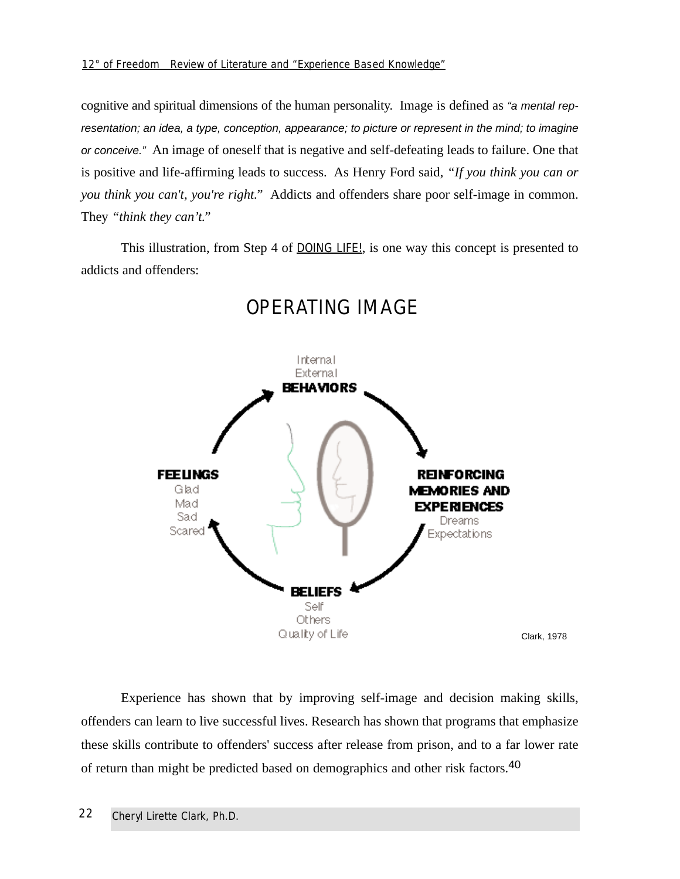cognitive and spiritual dimensions of the human personality. Image is defined as "a mental representation; an idea, a type, conception, appearance; to picture or represent in the mind; to imagine or conceive." An image of oneself that is negative and self-defeating leads to failure. One that is positive and life-affirming leads to success. As Henry Ford said, *"If you think you can or you think you can't, you're right."* Addicts and offenders share poor self-image in common. They *"think they can't."*

This illustration, from Step 4 of DOING LIFE!, is one way this concept is presented to addicts and offenders:



# OPERATING IMAGE

Experience has shown that by improving self-image and decision making skills, offenders can learn to live successful lives. Research has shown that programs that emphasize these skills contribute to offenders' success after release from prison, and to a far lower rate of return than might be predicted based on demographics and other risk factors.<sup>40</sup>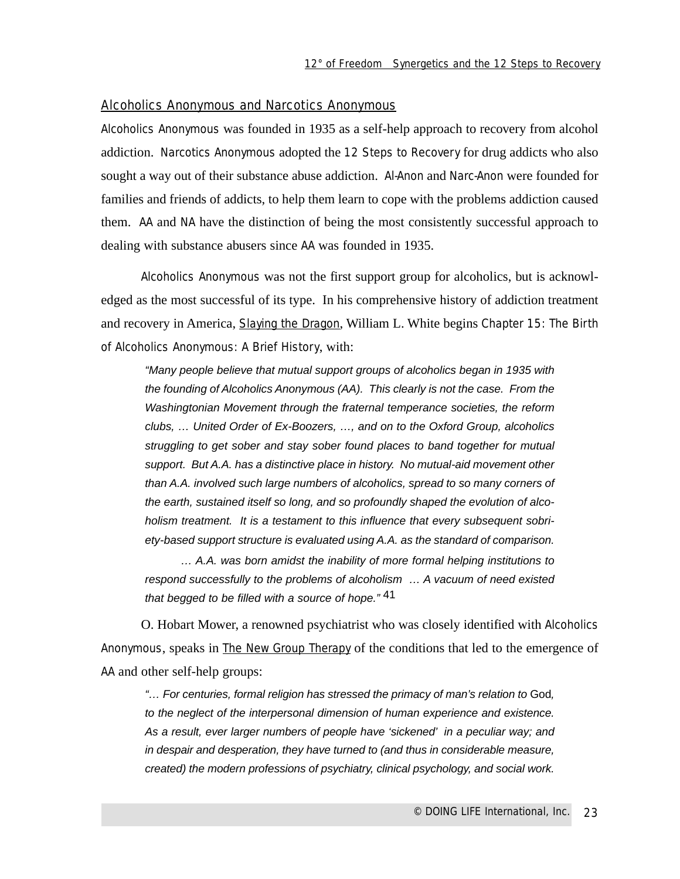### Alcoholics Anonymous and Narcotics Anonymous

Alcoholics Anonymous was founded in 1935 as a self-help approach to recovery from alcohol addiction. Narcotics Anonymous adopted the 12 Steps to Recovery for drug addicts who also sought a way out of their substance abuse addiction. Al-Anon and Narc-Anon were founded for families and friends of addicts, to help them learn to cope with the problems addiction caused them. AA and NA have the distinction of being the most consistently successful approach to dealing with substance abusers since AA was founded in 1935.

Alcoholics Anonymous was not the first support group for alcoholics, but is acknowledged as the most successful of its type. In his comprehensive history of addiction treatment and recovery in America, Slaying the Dragon, William L. White begins Chapter 15: *The Birth of Alcoholics Anonymous: A Brief History*, with:

"Many people believe that mutual support groups of alcoholics began in 1935 with the founding of Alcoholics Anonymous (AA). This clearly is not the case. From the Washingtonian Movement through the fraternal temperance societies, the reform clubs, … United Order of Ex-Boozers, …, and on to the Oxford Group, alcoholics struggling to get sober and stay sober found places to band together for mutual support. But A.A. has a distinctive place in history. No mutual-aid movement other than A.A. involved such large numbers of alcoholics, spread to so many corners of the earth, sustained itself so long, and so profoundly shaped the evolution of alcoholism treatment. It is a testament to this influence that every subsequent sobriety-based support structure is evaluated using A.A. as the standard of comparison.

… A.A. was born amidst the inability of more formal helping institutions to respond successfully to the problems of alcoholism … A vacuum of need existed that begged to be filled with a source of hope."<sup>41</sup>

O. Hobart Mower, a renowned psychiatrist who was closely identified with Alcoholics Anonymous, speaks in The New Group Therapy of the conditions that led to the emergence of AA and other self-help groups:

"… For centuries, formal religion has stressed the primacy of man's relation to God, to the neglect of the interpersonal dimension of human experience and existence. As a result, ever larger numbers of people have 'sickened' in a peculiar way; and in despair and desperation, they have turned to (and thus in considerable measure, created) the modern professions of psychiatry, clinical psychology, and social work.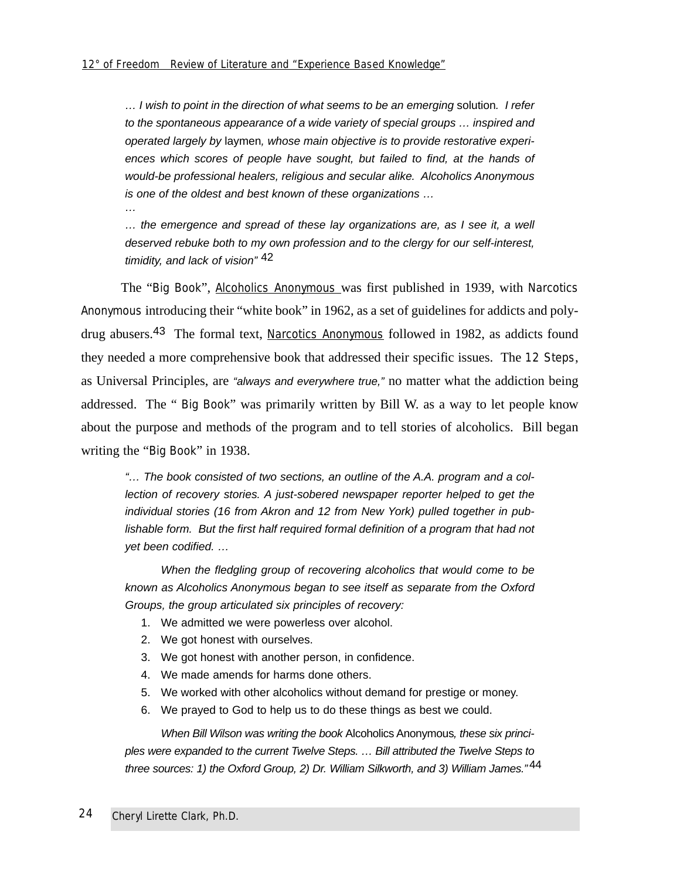… I wish to point in the direction of what seems to be an emerging solution. I refer to the spontaneous appearance of a wide variety of special groups … inspired and operated largely by laymen, whose main objective is to provide restorative experiences which scores of people have sought, but failed to find, at the hands of would-be professional healers, religious and secular alike. Alcoholics Anonymous is one of the oldest and best known of these organizations …

…

… the emergence and spread of these lay organizations are, as I see it, a well deserved rebuke both to my own profession and to the clergy for our self-interest, timidity, and lack of vision" 42

The "Big Book", Alcoholics Anonymous was first published in 1939, with Narcotics Anonymous introducing their "white book" in 1962, as a set of guidelines for addicts and polydrug abusers.43 The formal text, Narcotics Anonymous followed in 1982, as addicts found they needed a more comprehensive book that addressed their specific issues. The 12 Steps, as Universal Principles, are "always and everywhere true," no matter what the addiction being addressed. The " Big Book" was primarily written by Bill W. as a way to let people know about the purpose and methods of the program and to tell stories of alcoholics. Bill began writing the "Big Book" in 1938.

"… The book consisted of two sections, an outline of the A.A. program and a collection of recovery stories. A just-sobered newspaper reporter helped to get the individual stories (16 from Akron and 12 from New York) pulled together in publishable form. But the first half required formal definition of a program that had not yet been codified. …

When the fledgling group of recovering alcoholics that would come to be known as Alcoholics Anonymous began to see itself as separate from the Oxford Groups, the group articulated six principles of recovery:

- 1. We admitted we were powerless over alcohol.
- 2. We got honest with ourselves.
- 3. We got honest with another person, in confidence.
- 4. We made amends for harms done others.
- 5. We worked with other alcoholics without demand for prestige or money.
- 6. We prayed to God to help us to do these things as best we could.

When Bill Wilson was writing the book Alcoholics Anonymous, these six principles were expanded to the current Twelve Steps. … Bill attributed the Twelve Steps to three sources: 1) the Oxford Group, 2) Dr. William Silkworth, and 3) William James."<sup>44</sup>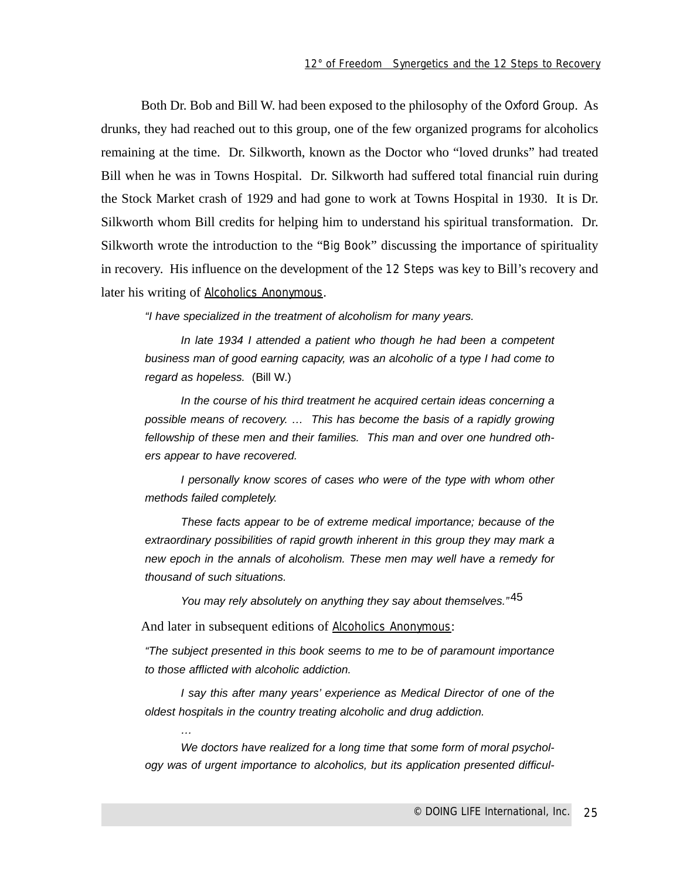Both Dr. Bob and Bill W. had been exposed to the philosophy of the Oxford Group. As drunks, they had reached out to this group, one of the few organized programs for alcoholics remaining at the time. Dr. Silkworth, known as the Doctor who "loved drunks" had treated Bill when he was in Towns Hospital. Dr. Silkworth had suffered total financial ruin during the Stock Market crash of 1929 and had gone to work at Towns Hospital in 1930. It is Dr. Silkworth whom Bill credits for helping him to understand his spiritual transformation. Dr. Silkworth wrote the introduction to the "Big Book" discussing the importance of spirituality in recovery. His influence on the development of the 12 Steps was key to Bill's recovery and later his writing of Alcoholics Anonymous.

"I have specialized in the treatment of alcoholism for many years.

In late 1934 I attended a patient who though he had been a competent business man of good earning capacity, was an alcoholic of a type I had come to regard as hopeless. (Bill W.)

In the course of his third treatment he acquired certain ideas concerning a possible means of recovery. … This has become the basis of a rapidly growing fellowship of these men and their families. This man and over one hundred others appear to have recovered.

I personally know scores of cases who were of the type with whom other methods failed completely.

These facts appear to be of extreme medical importance; because of the extraordinary possibilities of rapid growth inherent in this group they may mark a new epoch in the annals of alcoholism. These men may well have a remedy for thousand of such situations.

You may rely absolutely on anything they say about themselves."<sup>45</sup>

And later in subsequent editions of **Alcoholics** Anonymous:

…

"The subject presented in this book seems to me to be of paramount importance to those afflicted with alcoholic addiction.

I say this after many years' experience as Medical Director of one of the oldest hospitals in the country treating alcoholic and drug addiction.

We doctors have realized for a long time that some form of moral psychology was of urgent importance to alcoholics, but its application presented difficul-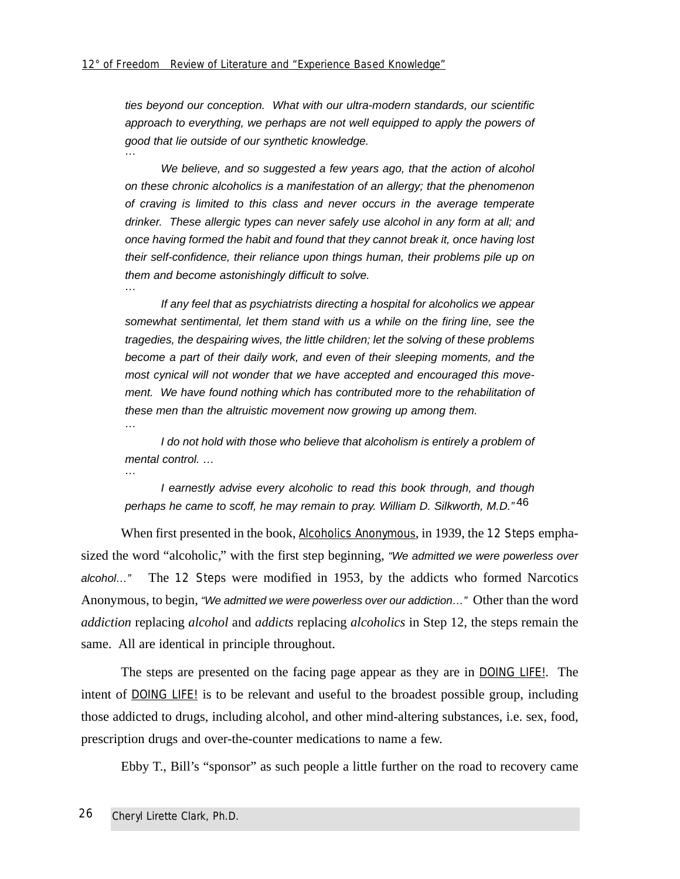ties beyond our conception. What with our ultra-modern standards, our scientific approach to everything, we perhaps are not well equipped to apply the powers of good that lie outside of our synthetic knowledge. ...

We believe, and so suggested a few years ago, that the action of alcohol on these chronic alcoholics is a manifestation of an allergy; that the phenomenon of craving is limited to this class and never occurs in the average temperate drinker. These allergic types can never safely use alcohol in any form at all; and once having formed the habit and found that they cannot break it, once having lost their self-confidence, their reliance upon things human, their problems pile up on them and become astonishingly difficult to solve.

If any feel that as psychiatrists directing a hospital for alcoholics we appear somewhat sentimental, let them stand with us a while on the firing line, see the tragedies, the despairing wives, the little children; let the solving of these problems become a part of their daily work, and even of their sleeping moments, and the most cynical will not wonder that we have accepted and encouraged this movement. We have found nothing which has contributed more to the rehabilitation of these men than the altruistic movement now growing up among them. …

I do not hold with those who believe that alcoholism is entirely a problem of mental control. … …

I earnestly advise every alcoholic to read this book through, and though perhaps he came to scoff, he may remain to pray. William D. Silkworth, M.D."<sup>46</sup>

When first presented in the book, Alcoholics Anonymous, in 1939, the 12 Steps emphasized the word "alcoholic," with the first step beginning, "We admitted we were powerless over alcohol…" The 12 Steps were modified in 1953, by the addicts who formed Narcotics Anonymous, to begin, "We admitted we were powerless over our addiction…" Other than the word *addiction* replacing *alcohol* and *addicts* replacing *alcoholics* in Step 12, the steps remain the same. All are identical in principle throughout.

The steps are presented on the facing page appear as they are in DOING LIFE!. The intent of <u>DOING LIFE!</u> is to be relevant and useful to the broadest possible group, including those addicted to drugs, including alcohol, and other mind-altering substances, i.e. sex, food, prescription drugs and over-the-counter medications to name a few.

Ebby T., Bill's "sponsor" as such people a little further on the road to recovery came

…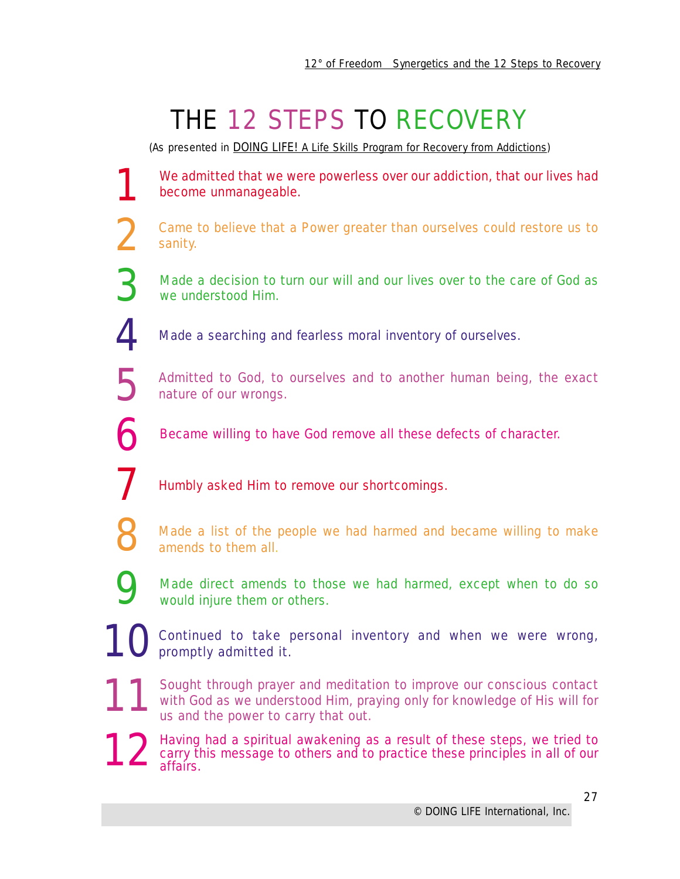# THE 12 STEPS TO RECOVERY

(As presented in DOING LIFE! A Life Skills Program for Recovery from Addictions)

1 We admitted that we were powerless over our addiction, that our lives had become unmanageable.

- 2 Came to believe that a Power greater than ourselves could restore us to sanity.
- 3

Made a decision to turn our will and our lives over to the care of God as we understood Him.

4

Made a searching and fearless moral inventory of ourselves.

5 Admitted to God, to ourselves and to another human being, the exact nature of our wrongs.

- Became willing to have God remove all these defects of character.
- 7

6

Humbly asked Him to remove our shortcomings.

8

9

Made a list of the people we had harmed and became willing to make amends to them all.

- Made direct amends to those we had harmed, except when to do so would injure them or others.
- 10 Continued to take personal inventory and when we were wrong, promptly admitted it.
- 11 Sought through prayer and meditation to improve our conscious contact with God as we understood Him, praying only for knowledge of His will for us and the power to carry that out.

12 Having had a spiritual awakening as a result of these steps, we tried to carry this message to others and to practice these principles in all of our affairs.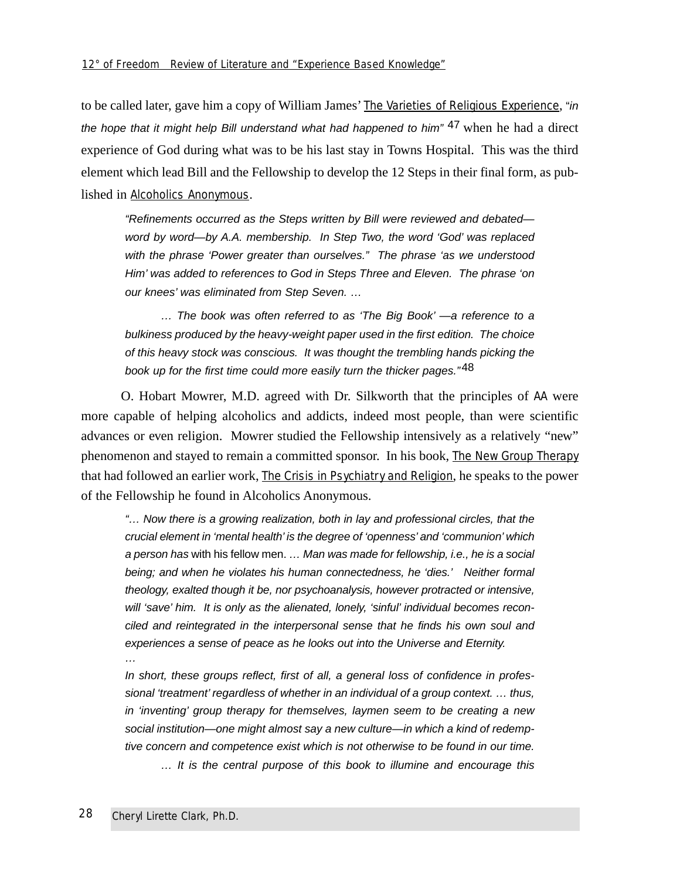to be called later, gave him a copy of William James' The Varieties of Religious Experience, "in the hope that it might help Bill understand what had happened to him<sup>" 47</sup> when he had a direct experience of God during what was to be his last stay in Towns Hospital. This was the third element which lead Bill and the Fellowship to develop the 12 Steps in their final form, as published in Alcoholics Anonymous.

"Refinements occurred as the Steps written by Bill were reviewed and debated word by word—by A.A. membership. In Step Two, the word 'God' was replaced with the phrase 'Power greater than ourselves." The phrase 'as we understood Him' was added to references to God in Steps Three and Eleven. The phrase 'on our knees' was eliminated from Step Seven. …

… The book was often referred to as 'The Big Book' —a reference to a bulkiness produced by the heavy-weight paper used in the first edition. The choice of this heavy stock was conscious. It was thought the trembling hands picking the book up for the first time could more easily turn the thicker pages."<sup>48</sup>

O. Hobart Mowrer, M.D. agreed with Dr. Silkworth that the principles of AA were more capable of helping alcoholics and addicts, indeed most people, than were scientific advances or even religion. Mowrer studied the Fellowship intensively as a relatively "new" phenomenon and stayed to remain a committed sponsor. In his book, The New Group Therapy that had followed an earlier work, The Crisis in Psychiatry and Religion, he speaks to the power of the Fellowship he found in Alcoholics Anonymous.

"… Now there is a growing realization, both in lay and professional circles, that the crucial element in 'mental health' is the degree of 'openness' and 'communion' which a person has with his fellow men. … Man was made for fellowship, i.e., he is a social being; and when he violates his human connectedness, he 'dies.' Neither formal theology, exalted though it be, nor psychoanalysis, however protracted or intensive, will 'save' him. It is only as the alienated, lonely, 'sinful' individual becomes reconciled and reintegrated in the interpersonal sense that he finds his own soul and experiences a sense of peace as he looks out into the Universe and Eternity.

In short, these groups reflect, first of all, a general loss of confidence in professional 'treatment' regardless of whether in an individual of a group context. … thus, in 'inventing' group therapy for themselves, laymen seem to be creating a new social institution—one might almost say a new culture—in which a kind of redemptive concern and competence exist which is not otherwise to be found in our time.

… It is the central purpose of this book to illumine and encourage this

…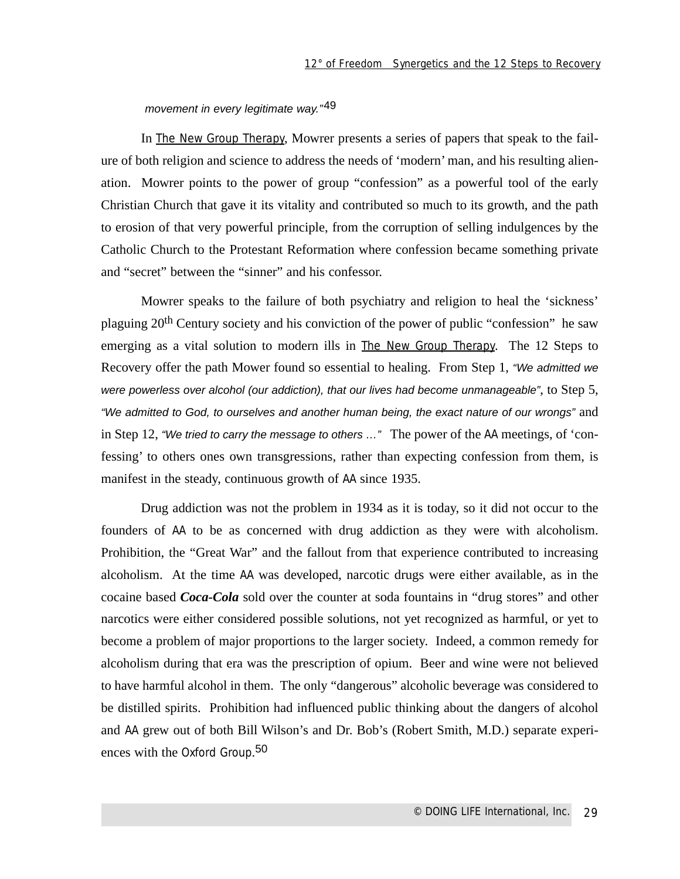movement in every legitimate way."<sup>49</sup>

In The New Group Therapy, Mowrer presents a series of papers that speak to the failure of both religion and science to address the needs of 'modern' man, and his resulting alienation. Mowrer points to the power of group "confession" as a powerful tool of the early Christian Church that gave it its vitality and contributed so much to its growth, and the path to erosion of that very powerful principle, from the corruption of selling indulgences by the Catholic Church to the Protestant Reformation where confession became something private and "secret" between the "sinner" and his confessor.

Mowrer speaks to the failure of both psychiatry and religion to heal the 'sickness' plaguing 20th Century society and his conviction of the power of public "confession" he saw emerging as a vital solution to modern ills in The New Group Therapy. The 12 Steps to Recovery offer the path Mower found so essential to healing. From Step 1, "We admitted we were powerless over alcohol (our addiction), that our lives had become unmanageable", to Step 5, "We admitted to God, to ourselves and another human being, the exact nature of our wrongs" and in Step 12, "We tried to carry the message to others …" The power of the AA meetings, of 'confessing' to others ones own transgressions, rather than expecting confession from them, is manifest in the steady, continuous growth of AA since 1935.

Drug addiction was not the problem in 1934 as it is today, so it did not occur to the founders of AA to be as concerned with drug addiction as they were with alcoholism. Prohibition, the "Great War" and the fallout from that experience contributed to increasing alcoholism. At the time AA was developed, narcotic drugs were either available, as in the cocaine based *Coca-Cola* sold over the counter at soda fountains in "drug stores" and other narcotics were either considered possible solutions, not yet recognized as harmful, or yet to become a problem of major proportions to the larger society. Indeed, a common remedy for alcoholism during that era was the prescription of opium. Beer and wine were not believed to have harmful alcohol in them. The only "dangerous" alcoholic beverage was considered to be distilled spirits. Prohibition had influenced public thinking about the dangers of alcohol and AA grew out of both Bill Wilson's and Dr. Bob's (Robert Smith, M.D.) separate experiences with the Oxford Group. 50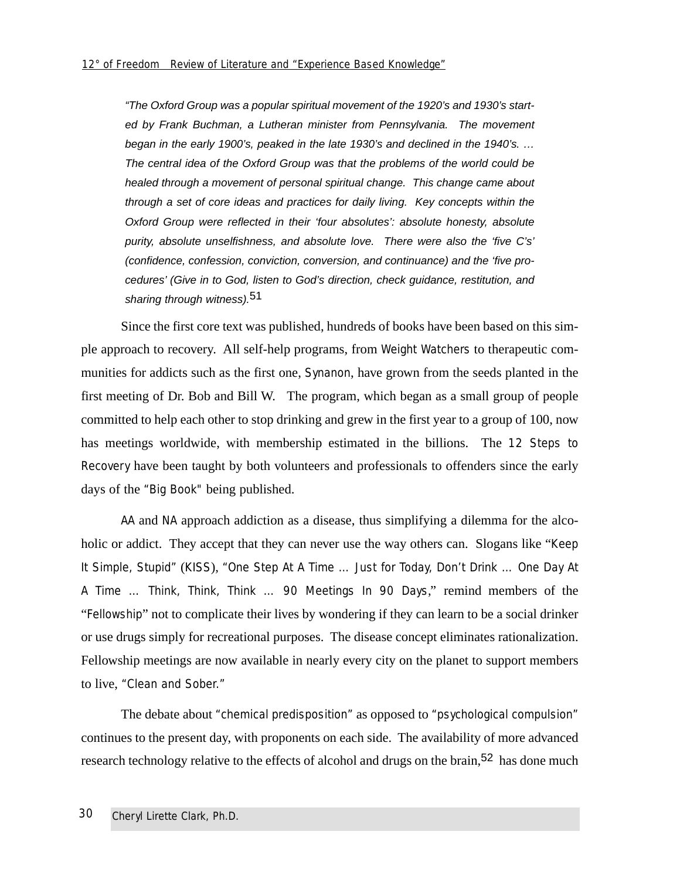"The Oxford Group was a popular spiritual movement of the 1920's and 1930's started by Frank Buchman, a Lutheran minister from Pennsylvania. The movement began in the early 1900's, peaked in the late 1930's and declined in the 1940's. … The central idea of the Oxford Group was that the problems of the world could be healed through a movement of personal spiritual change. This change came about through a set of core ideas and practices for daily living. Key concepts within the Oxford Group were reflected in their 'four absolutes': absolute honesty, absolute purity, absolute unselfishness, and absolute love. There were also the 'five C's' (confidence, confession, conviction, conversion, and continuance) and the 'five procedures' (Give in to God, listen to God's direction, check guidance, restitution, and sharing through witness).<sup>51</sup>

Since the first core text was published, hundreds of books have been based on this simple approach to recovery. All self-help programs, from Weight Watchers to therapeutic communities for addicts such as the first one, Synanon, have grown from the seeds planted in the first meeting of Dr. Bob and Bill W. The program, which began as a small group of people committed to help each other to stop drinking and grew in the first year to a group of 100, now has meetings worldwide, with membership estimated in the billions. The 12 Steps to Recovery have been taught by both volunteers and professionals to offenders since the early days of the "Big Book" being published.

AA and NA approach addiction as a disease, thus simplifying a dilemma for the alcoholic or addict. They accept that they can never use the way others can. Slogans like "Keep It Simple, Stupid" (KISS), "One Step At A Time … Just for Today, Don't Drink … One Day At A Time … Think, Think, Think … 90 Meetings In 90 Days," remind members of the "Fellowship" not to complicate their lives by wondering if they can learn to be a social drinker or use drugs simply for recreational purposes. The disease concept eliminates rationalization. Fellowship meetings are now available in nearly every city on the planet to support members to live, "Clean and Sober."

The debate about *"chemical predisposition"* as opposed to *"psychological compulsion"* continues to the present day, with proponents on each side. The availability of more advanced research technology relative to the effects of alcohol and drugs on the brain,<sup>52</sup> has done much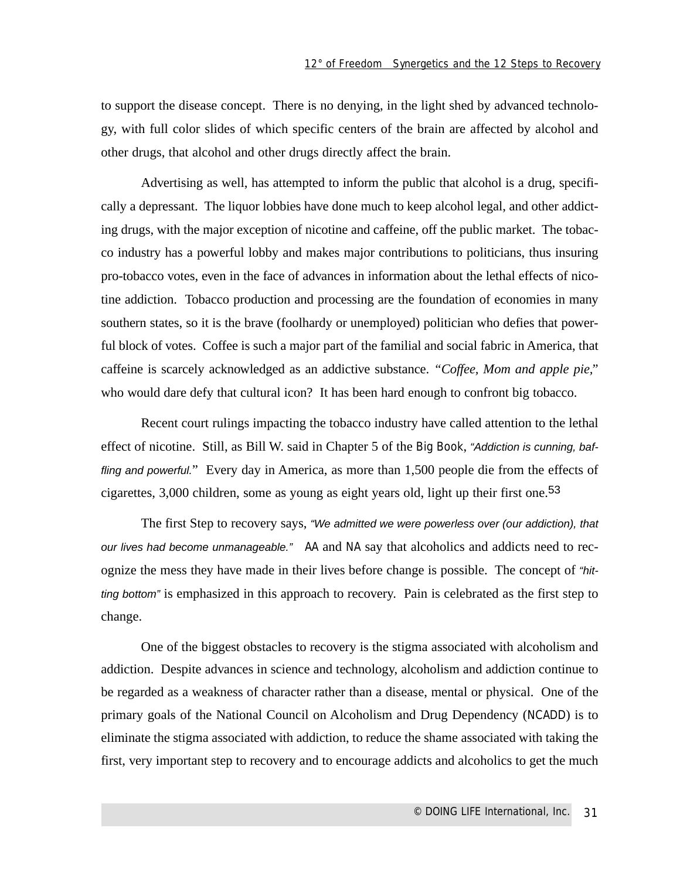to support the disease concept. There is no denying, in the light shed by advanced technology, with full color slides of which specific centers of the brain are affected by alcohol and other drugs, that alcohol and other drugs directly affect the brain.

Advertising as well, has attempted to inform the public that alcohol is a drug, specifically a depressant. The liquor lobbies have done much to keep alcohol legal, and other addicting drugs, with the major exception of nicotine and caffeine, off the public market. The tobacco industry has a powerful lobby and makes major contributions to politicians, thus insuring pro-tobacco votes, even in the face of advances in information about the lethal effects of nicotine addiction. Tobacco production and processing are the foundation of economies in many southern states, so it is the brave (foolhardy or unemployed) politician who defies that powerful block of votes. Coffee is such a major part of the familial and social fabric in America, that caffeine is scarcely acknowledged as an addictive substance. *"Coffee, Mom and apple pie,"* who would dare defy that cultural icon? It has been hard enough to confront big tobacco.

Recent court rulings impacting the tobacco industry have called attention to the lethal effect of nicotine. Still, as Bill W. said in Chapter 5 of the Big Book, "Addiction is cunning, baffling and powerful." Every day in America, as more than 1,500 people die from the effects of cigarettes, 3,000 children, some as young as eight years old, light up their first one.53

The first Step to recovery says, "We admitted we were powerless over (our addiction), that our lives had become unmanageable." AA and NA say that alcoholics and addicts need to recognize the mess they have made in their lives before change is possible. The concept of "hitting bottom" is emphasized in this approach to recovery. Pain is celebrated as the first step to change.

One of the biggest obstacles to recovery is the stigma associated with alcoholism and addiction. Despite advances in science and technology, alcoholism and addiction continue to be regarded as a weakness of character rather than a disease, mental or physical. One of the primary goals of the National Council on Alcoholism and Drug Dependency (NCADD) is to eliminate the stigma associated with addiction, to reduce the shame associated with taking the first, very important step to recovery and to encourage addicts and alcoholics to get the much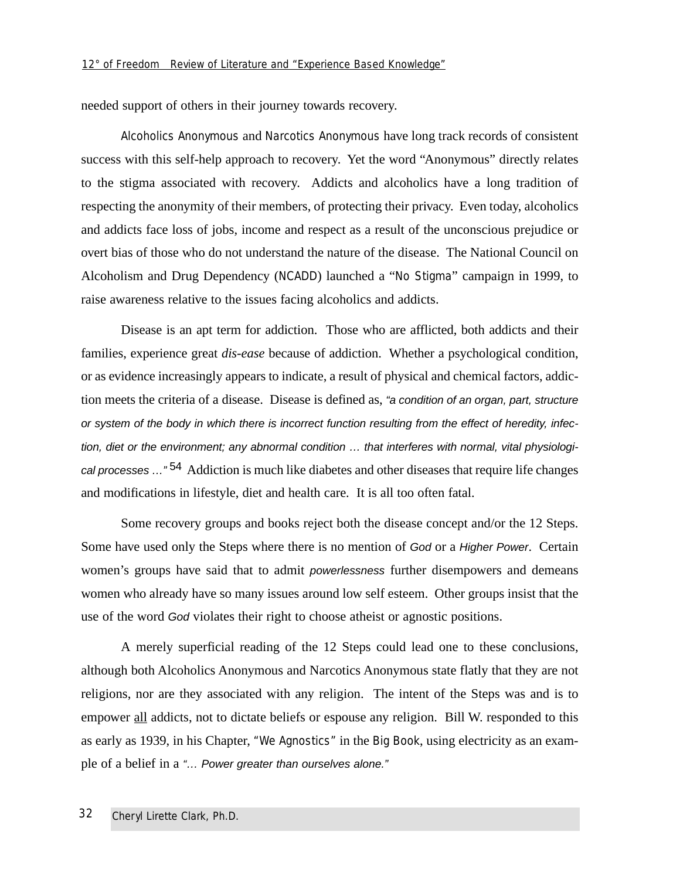needed support of others in their journey towards recovery.

Alcoholics Anonymous and Narcotics Anonymous have long track records of consistent success with this self-help approach to recovery. Yet the word "Anonymous" directly relates to the stigma associated with recovery. Addicts and alcoholics have a long tradition of respecting the anonymity of their members, of protecting their privacy. Even today, alcoholics and addicts face loss of jobs, income and respect as a result of the unconscious prejudice or overt bias of those who do not understand the nature of the disease. The National Council on Alcoholism and Drug Dependency (NCADD) launched a "No Stigma" campaign in 1999, to raise awareness relative to the issues facing alcoholics and addicts.

Disease is an apt term for addiction. Those who are afflicted, both addicts and their families, experience great *dis-ease* because of addiction. Whether a psychological condition, or as evidence increasingly appears to indicate, a result of physical and chemical factors, addiction meets the criteria of a disease. Disease is defined as, "a condition of an organ, part, structure or system of the body in which there is incorrect function resulting from the effect of heredity, infection, diet or the environment; any abnormal condition … that interferes with normal, vital physiological processes ..."<sup>54</sup> Addiction is much like diabetes and other diseases that require life changes and modifications in lifestyle, diet and health care. It is all too often fatal.

Some recovery groups and books reject both the disease concept and/or the 12 Steps. Some have used only the Steps where there is no mention of God or a Higher Power. Certain women's groups have said that to admit powerlessness further disempowers and demeans women who already have so many issues around low self esteem. Other groups insist that the use of the word God violates their right to choose atheist or agnostic positions.

A merely superficial reading of the 12 Steps could lead one to these conclusions, although both Alcoholics Anonymous and Narcotics Anonymous state flatly that they are not religions, nor are they associated with any religion. The intent of the Steps was and is to empower all addicts, not to dictate beliefs or espouse any religion. Bill W. responded to this as early as 1939, in his Chapter, *"We Agnostics"* in the Big Book, using electricity as an example of a belief in a "… Power greater than ourselves alone."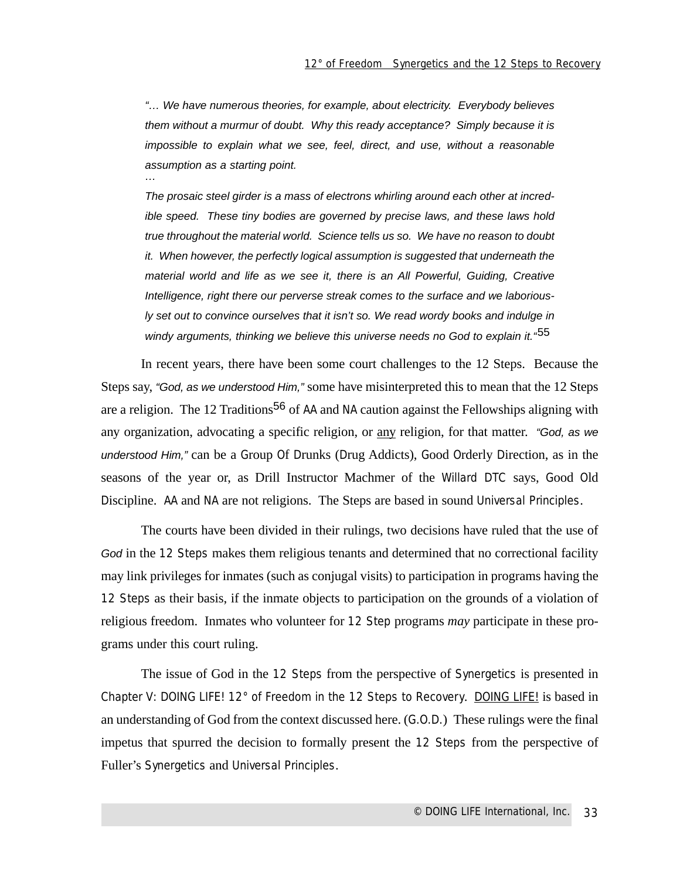"… We have numerous theories, for example, about electricity. Everybody believes them without a murmur of doubt. Why this ready acceptance? Simply because it is impossible to explain what we see, feel, direct, and use, without a reasonable assumption as a starting point.

…

The prosaic steel girder is a mass of electrons whirling around each other at incredible speed. These tiny bodies are governed by precise laws, and these laws hold true throughout the material world. Science tells us so. We have no reason to doubt it. When however, the perfectly logical assumption is suggested that underneath the material world and life as we see it, there is an All Powerful, Guiding, Creative Intelligence, right there our perverse streak comes to the surface and we laboriously set out to convince ourselves that it isn't so. We read wordy books and indulge in windy arguments, thinking we believe this universe needs no God to explain it."<sup>55</sup>

In recent years, there have been some court challenges to the 12 Steps. Because the Steps say, "God, as we understood Him," some have misinterpreted this to mean that the 12 Steps are a religion. The 12 Traditions<sup>56</sup> of AA and NA caution against the Fellowships aligning with any organization, advocating a specific religion, or any religion, for that matter. "God, as we understood Him," can be a Group Of Drunks (Drug Addicts), Good Orderly Direction, as in the seasons of the year or, as Drill Instructor Machmer of the Willard DTC says, Good Old Discipline. AA and NA are not religions. The Steps are based in sound Universal Principles.

The courts have been divided in their rulings, two decisions have ruled that the use of God in the 12 Steps makes them religious tenants and determined that no correctional facility may link privileges for inmates (such as conjugal visits) to participation in programs having the 12 Steps as their basis, if the inmate objects to participation on the grounds of a violation of religious freedom. Inmates who volunteer for 12 Step programs *may* participate in these programs under this court ruling.

The issue of God in the 12 Steps from the perspective of Synergetics is presented in Chapter V: DOING LIFE! 12° of Freedom in the 12 Steps to Recovery. DOING LIFE! is based in an understanding of God from the context discussed here. (G.O.D.) These rulings were the final impetus that spurred the decision to formally present the 12 Steps from the perspective of Fuller's Synergetics and Universal Principles.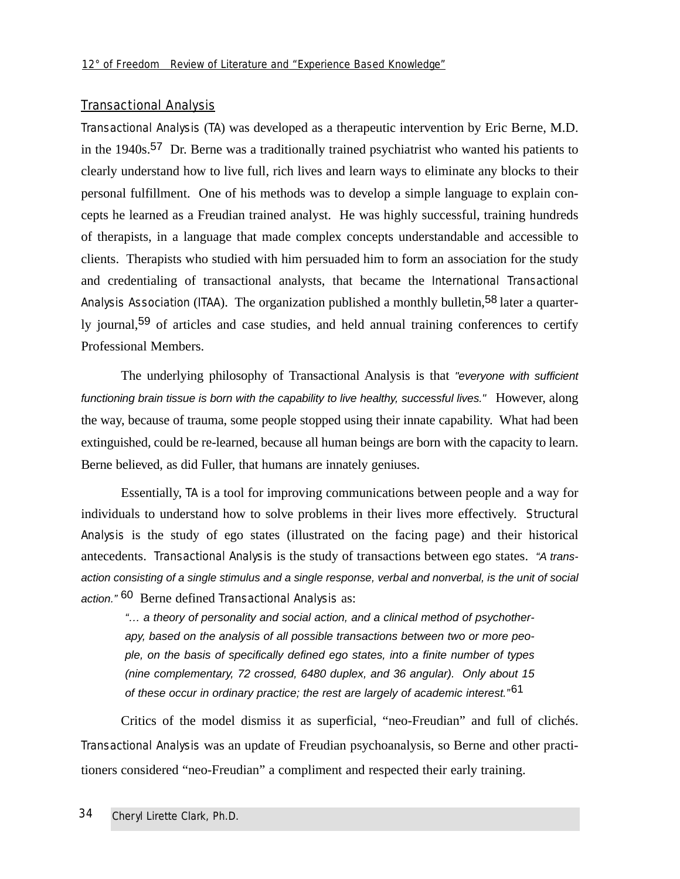### Transactional Analysis

Transactional Analysis (TA) was developed as a therapeutic intervention by Eric Berne, M.D. in the 1940s.57 Dr. Berne was a traditionally trained psychiatrist who wanted his patients to clearly understand how to live full, rich lives and learn ways to eliminate any blocks to their personal fulfillment. One of his methods was to develop a simple language to explain concepts he learned as a Freudian trained analyst. He was highly successful, training hundreds of therapists, in a language that made complex concepts understandable and accessible to clients. Therapists who studied with him persuaded him to form an association for the study and credentialing of transactional analysts, that became the International Transactional Analysis Association (ITAA). The organization published a monthly bulletin,<sup>58</sup> later a quarterly journal,59 of articles and case studies, and held annual training conferences to certify Professional Members.

The underlying philosophy of Transactional Analysis is that "everyone with sufficient functioning brain tissue is born with the capability to live healthy, successful lives." However, along the way, because of trauma, some people stopped using their innate capability. What had been extinguished, could be re-learned, because all human beings are born with the capacity to learn. Berne believed, as did Fuller, that humans are innately geniuses.

Essentially, TA is a tool for improving communications between people and a way for individuals to understand how to solve problems in their lives more effectively. Structural Analysis is the study of ego states (illustrated on the facing page) and their historical antecedents. Transactional Analysis is the study of transactions between ego states. "A transaction consisting of a single stimulus and a single response, verbal and nonverbal, is the unit of social action."<sup>60</sup> Berne defined Transactional Analysis as:

"… a theory of personality and social action, and a clinical method of psychotherapy, based on the analysis of all possible transactions between two or more people, on the basis of specifically defined ego states, into a finite number of types (nine complementary, 72 crossed, 6480 duplex, and 36 angular). Only about 15 of these occur in ordinary practice; the rest are largely of academic interest."<sup>61</sup>

Critics of the model dismiss it as superficial, "neo-Freudian" and full of clichés. Transactional Analysis was an update of Freudian psychoanalysis, so Berne and other practitioners considered "neo-Freudian" a compliment and respected their early training.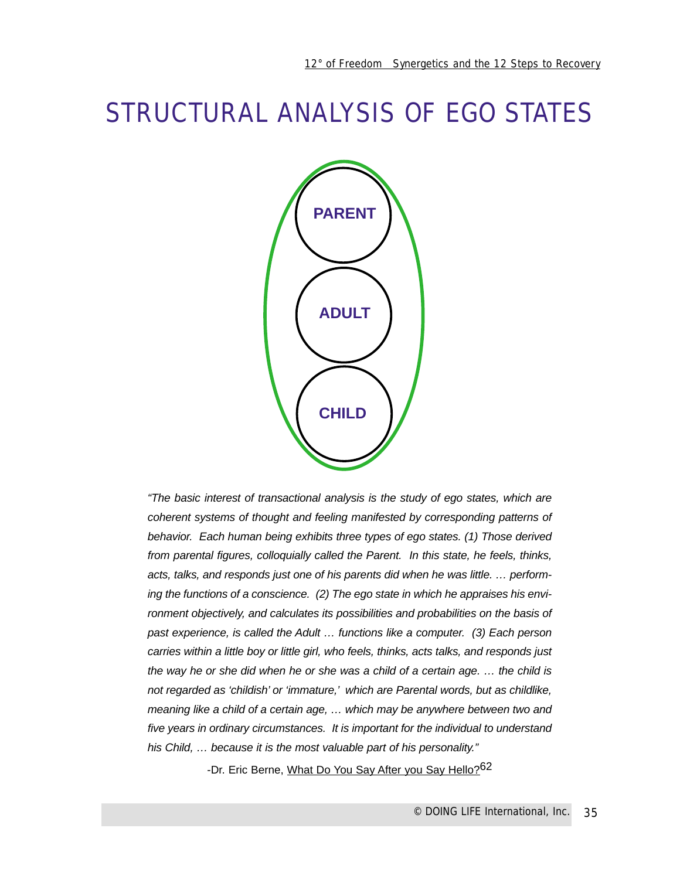# STRUCTURAL ANALYSIS OF EGO STATES



"The basic interest of transactional analysis is the study of ego states, which are coherent systems of thought and feeling manifested by corresponding patterns of behavior. Each human being exhibits three types of ego states. (1) Those derived from parental figures, colloquially called the Parent. In this state, he feels, thinks, acts, talks, and responds just one of his parents did when he was little. … performing the functions of a conscience. (2) The ego state in which he appraises his environment objectively, and calculates its possibilities and probabilities on the basis of past experience, is called the Adult … functions like a computer. (3) Each person carries within a little boy or little girl, who feels, thinks, acts talks, and responds just the way he or she did when he or she was a child of a certain age. … the child is not regarded as 'childish' or 'immature,' which are Parental words, but as childlike, meaning like a child of a certain age, … which may be anywhere between two and five years in ordinary circumstances. It is important for the individual to understand his Child, ... because it is the most valuable part of his personality."

-Dr. Eric Berne, What Do You Say After you Say Hello?62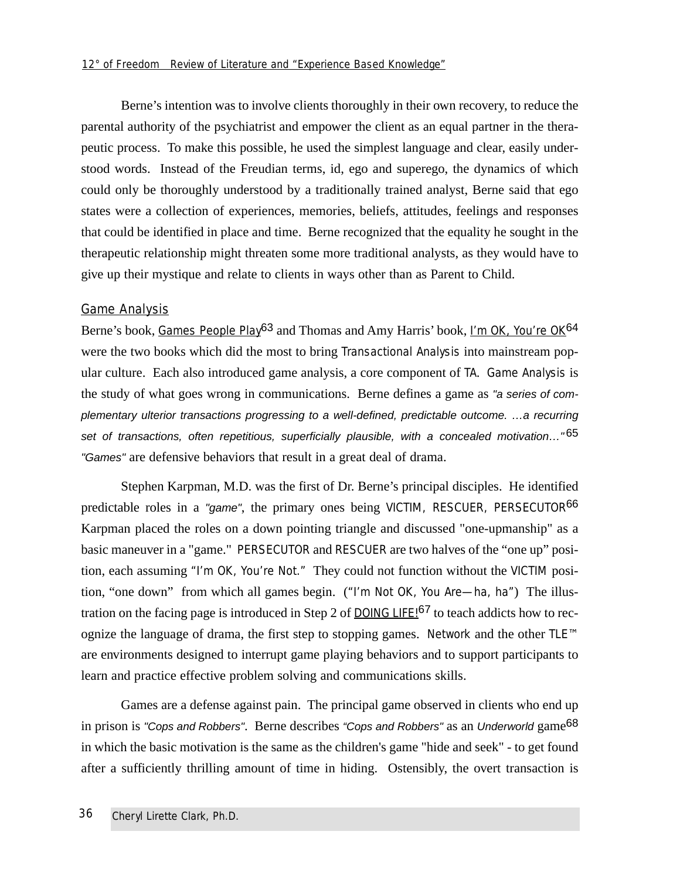Berne's intention was to involve clients thoroughly in their own recovery, to reduce the parental authority of the psychiatrist and empower the client as an equal partner in the therapeutic process. To make this possible, he used the simplest language and clear, easily understood words. Instead of the Freudian terms, id, ego and superego, the dynamics of which could only be thoroughly understood by a traditionally trained analyst, Berne said that ego states were a collection of experiences, memories, beliefs, attitudes, feelings and responses that could be identified in place and time. Berne recognized that the equality he sought in the therapeutic relationship might threaten some more traditional analysts, as they would have to give up their mystique and relate to clients in ways other than as Parent to Child.

### Game Analysis

Berne's book, Games People Play<sup>63</sup> and Thomas and Amy Harris' book, I'm OK, You're OK<sup>64</sup> were the two books which did the most to bring Transactional Analysis into mainstream popular culture. Each also introduced game analysis, a core component of TA. Game Analysis is the study of what goes wrong in communications. Berne defines a game as "a series of complementary ulterior transactions progressing to a well-defined, predictable outcome. …a recurring set of transactions, often repetitious, superficially plausible, with a concealed motivation..."<sup>65</sup> "Games" are defensive behaviors that result in a great deal of drama.

Stephen Karpman, M.D. was the first of Dr. Berne's principal disciples. He identified predictable roles in a "game", the primary ones being VICTIM, RESCUER, PERSECUTOR66 Karpman placed the roles on a down pointing triangle and discussed "one-upmanship" as a basic maneuver in a "game." PERSECUTOR and RESCUER are two halves of the "one up" position, each assuming *"I'm OK, You're Not."* They could not function without the VICTIM position, "one down" from which all games begin. (*"I'm Not OK, You Are—ha, ha"*) The illustration on the facing page is introduced in Step 2 of DOING LIFE!<sup>67</sup> to teach addicts how to recognize the language of drama, the first step to stopping games. Network and the other TLE™ are environments designed to interrupt game playing behaviors and to support participants to learn and practice effective problem solving and communications skills.

Games are a defense against pain. The principal game observed in clients who end up in prison is "Cops and Robbers". Berne describes "Cops and Robbers" as an Underworld game<sup>68</sup> in which the basic motivation is the same as the children's game "hide and seek" - to get found after a sufficiently thrilling amount of time in hiding. Ostensibly, the overt transaction is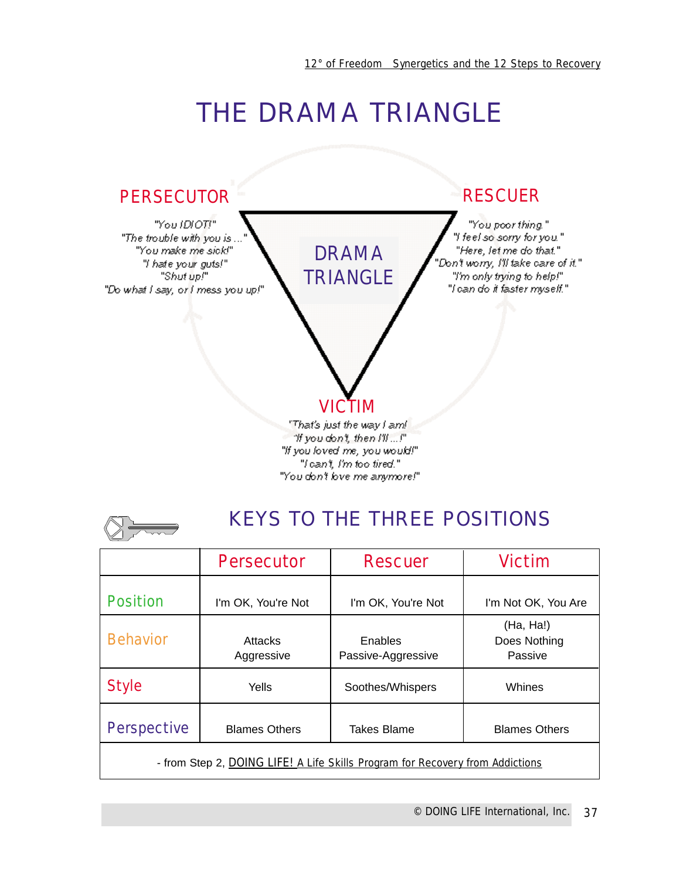# THE DRAMA TRIANGLE



# KEYS TO THE THREE POSITIONS

|                                                                               | <b>Persecutor</b>     | <b>Rescuer</b>                | <b>Victim</b>                        |  |  |  |
|-------------------------------------------------------------------------------|-----------------------|-------------------------------|--------------------------------------|--|--|--|
| <b>Position</b>                                                               | I'm OK, You're Not    | I'm OK, You're Not            | I'm Not OK, You Are                  |  |  |  |
| <b>Behavior</b>                                                               | Attacks<br>Aggressive | Enables<br>Passive-Aggressive | (Ha, Ha!)<br>Does Nothing<br>Passive |  |  |  |
| <b>Style</b>                                                                  | Yells                 | Soothes/Whispers              | Whines                               |  |  |  |
| <b>Perspective</b>                                                            | <b>Blames Others</b>  | <b>Takes Blame</b>            | <b>Blames Others</b>                 |  |  |  |
| - from Step 2, DOING LIFE! A Life Skills Program for Recovery from Addictions |                       |                               |                                      |  |  |  |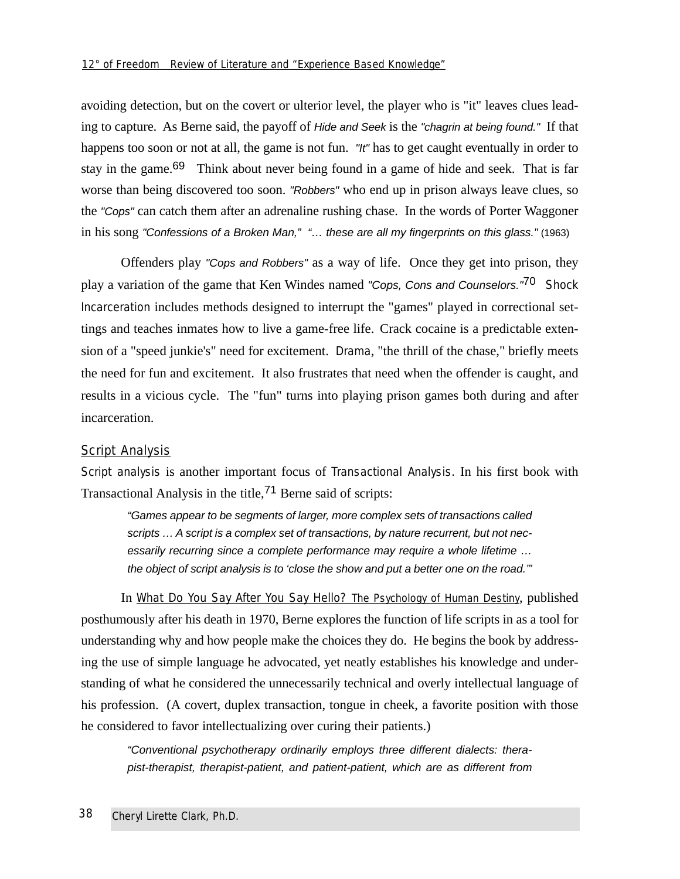avoiding detection, but on the covert or ulterior level, the player who is "it" leaves clues leading to capture. As Berne said, the payoff of Hide and Seek is the "chagrin at being found." If that happens too soon or not at all, the game is not fun. "*It*" has to get caught eventually in order to stay in the game.<sup>69</sup> Think about never being found in a game of hide and seek. That is far worse than being discovered too soon. "Robbers" who end up in prison always leave clues, so the "Cops" can catch them after an adrenaline rushing chase. In the words of Porter Waggoner in his song "Confessions of a Broken Man," "… these are all my fingerprints on this glass." (1963)

Offenders play "Cops and Robbers" as a way of life. Once they get into prison, they play a variation of the game that Ken Windes named "Cops, Cons and Counselors."<sup>70</sup> Shock Incarceration includes methods designed to interrupt the "games" played in correctional settings and teaches inmates how to live a game-free life. Crack cocaine is a predictable extension of a "speed junkie's" need for excitement. Drama, "the thrill of the chase," briefly meets the need for fun and excitement. It also frustrates that need when the offender is caught, and results in a vicious cycle. The "fun" turns into playing prison games both during and after incarceration.

### **Script Analysis**

Script analysis is another important focus of Transactional Analysis. In his first book with Transactional Analysis in the title,<sup>71</sup> Berne said of scripts:

"Games appear to be segments of larger, more complex sets of transactions called scripts … A script is a complex set of transactions, by nature recurrent, but not necessarily recurring since a complete performance may require a whole lifetime … the object of script analysis is to 'close the show and put a better one on the road.'"

In What Do You Say After You Say Hello? *The Psychology of Human Destiny*, published posthumously after his death in 1970, Berne explores the function of life scripts in as a tool for understanding why and how people make the choices they do. He begins the book by addressing the use of simple language he advocated, yet neatly establishes his knowledge and understanding of what he considered the unnecessarily technical and overly intellectual language of his profession. (A covert, duplex transaction, tongue in cheek, a favorite position with those he considered to favor intellectualizing over curing their patients.)

"Conventional psychotherapy ordinarily employs three different dialects: therapist-therapist, therapist-patient, and patient-patient, which are as different from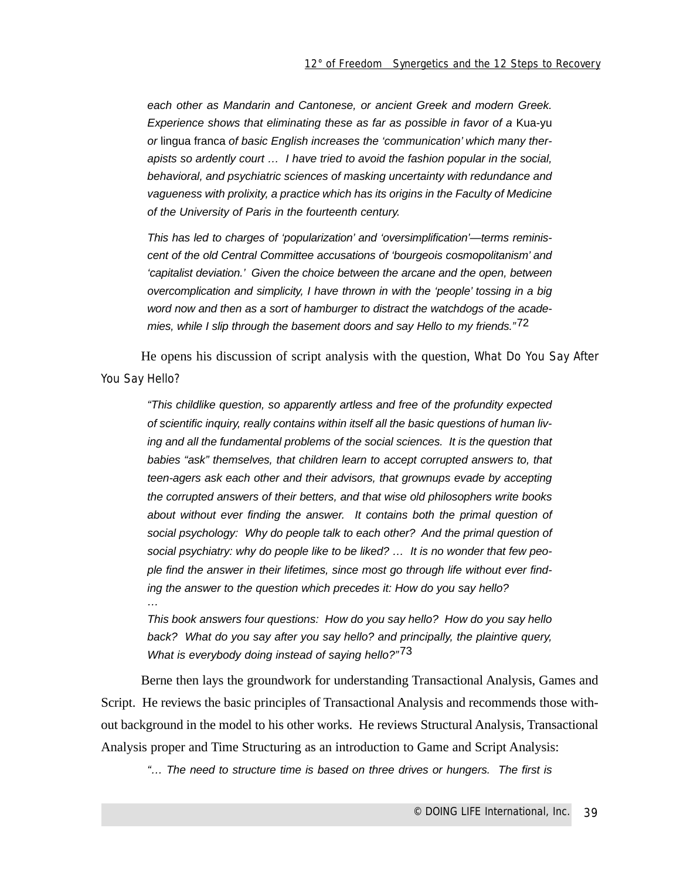each other as Mandarin and Cantonese, or ancient Greek and modern Greek. Experience shows that eliminating these as far as possible in favor of a Kua-yu or lingua franca of basic English increases the 'communication' which many therapists so ardently court … I have tried to avoid the fashion popular in the social, behavioral, and psychiatric sciences of masking uncertainty with redundance and vagueness with prolixity, a practice which has its origins in the Faculty of Medicine of the University of Paris in the fourteenth century.

This has led to charges of 'popularization' and 'oversimplification'—terms reminiscent of the old Central Committee accusations of 'bourgeois cosmopolitanism' and 'capitalist deviation.' Given the choice between the arcane and the open, between overcomplication and simplicity, I have thrown in with the 'people' tossing in a big word now and then as a sort of hamburger to distract the watchdogs of the academies, while I slip through the basement doors and say Hello to my friends."<sup>72</sup>

He opens his discussion of script analysis with the question, *What Do You Say After You Say Hello?*

"This childlike question, so apparently artless and free of the profundity expected of scientific inquiry, really contains within itself all the basic questions of human living and all the fundamental problems of the social sciences. It is the question that babies "ask" themselves, that children learn to accept corrupted answers to, that teen-agers ask each other and their advisors, that grownups evade by accepting the corrupted answers of their betters, and that wise old philosophers write books about without ever finding the answer. It contains both the primal question of social psychology: Why do people talk to each other? And the primal question of social psychiatry: why do people like to be liked? … It is no wonder that few people find the answer in their lifetimes, since most go through life without ever finding the answer to the question which precedes it: How do you say hello? …

This book answers four questions: How do you say hello? How do you say hello back? What do you say after you say hello? and principally, the plaintive query, What is everybody doing instead of saying hello?"<sup>73</sup>

Berne then lays the groundwork for understanding Transactional Analysis, Games and Script. He reviews the basic principles of Transactional Analysis and recommends those without background in the model to his other works. He reviews Structural Analysis, Transactional Analysis proper and Time Structuring as an introduction to Game and Script Analysis:

"… The need to structure time is based on three drives or hungers. The first is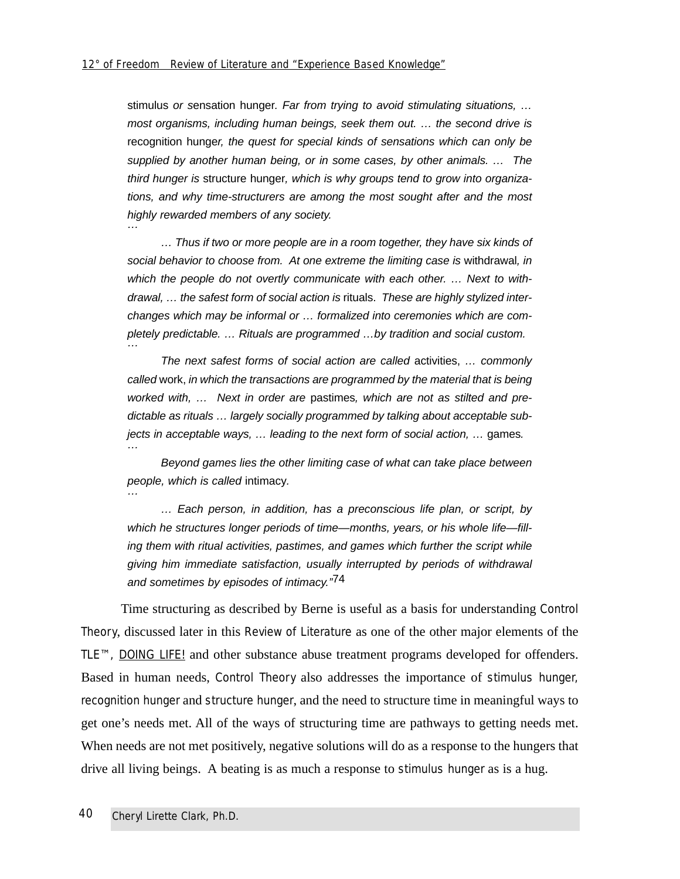stimulus or sensation hunger. Far from trying to avoid stimulating situations, ... most organisms, including human beings, seek them out. … the second drive is recognition hunger, the quest for special kinds of sensations which can only be supplied by another human being, or in some cases, by other animals. … The third hunger is structure hunger, which is why groups tend to grow into organizations, and why time-structurers are among the most sought after and the most highly rewarded members of any society. …

… Thus if two or more people are in a room together, they have six kinds of social behavior to choose from. At one extreme the limiting case is withdrawal, in which the people do not overtly communicate with each other. … Next to withdrawal, … the safest form of social action is rituals. These are highly stylized interchanges which may be informal or … formalized into ceremonies which are completely predictable. … Rituals are programmed …by tradition and social custom. …

The next safest forms of social action are called activities, … commonly called work, in which the transactions are programmed by the material that is being worked with, … Next in order are pastimes, which are not as stilted and predictable as rituals … largely socially programmed by talking about acceptable subjects in acceptable ways, ... leading to the next form of social action, ... games.<br>...

Beyond games lies the other limiting case of what can take place between people, which is called intimacy.

… Each person, in addition, has a preconscious life plan, or script, by which he structures longer periods of time—months, years, or his whole life—filling them with ritual activities, pastimes, and games which further the script while giving him immediate satisfaction, usually interrupted by periods of withdrawal and sometimes by episodes of intimacy."<sup>74</sup>

Time structuring as described by Berne is useful as a basis for understanding Control Theory, discussed later in this Review of Literature as one of the other major elements of the TLE™, DOING LIFE! and other substance abuse treatment programs developed for offenders. Based in human needs, Control Theory also addresses the importance of stimulus hunger, recognition hunger and structure hunger, and the need to structure time in meaningful ways to get one's needs met. All of the ways of structuring time are pathways to getting needs met. When needs are not met positively, negative solutions will do as a response to the hungers that drive all living beings. A beating is as much a response to stimulus hunger as is a hug.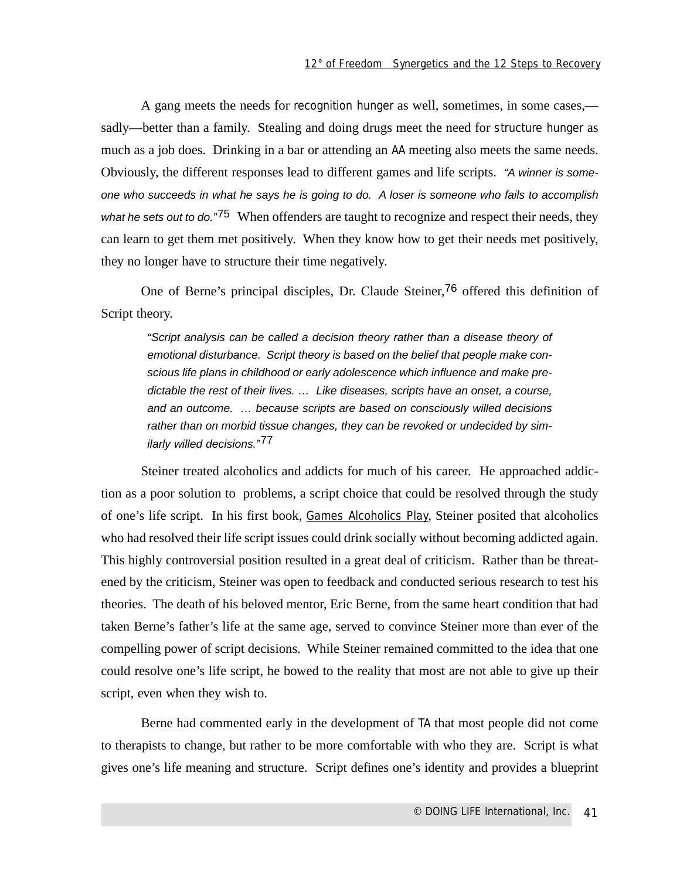A gang meets the needs for recognition hunger as well, sometimes, in some cases, sadly—better than a family. Stealing and doing drugs meet the need for structure hunger as much as a job does. Drinking in a bar or attending an AA meeting also meets the same needs. Obviously, the different responses lead to different games and life scripts. "A winner is someone who succeeds in what he says he is going to do. A loser is someone who fails to accomplish what he sets out to do.<sup>"75</sup> When offenders are taught to recognize and respect their needs, they can learn to get them met positively. When they know how to get their needs met positively, they no longer have to structure their time negatively.

One of Berne's principal disciples, Dr. Claude Steiner,76 offered this definition of Script theory.

"Script analysis can be called a decision theory rather than a disease theory of emotional disturbance. Script theory is based on the belief that people make conscious life plans in childhood or early adolescence which influence and make predictable the rest of their lives. … Like diseases, scripts have an onset, a course, and an outcome. … because scripts are based on consciously willed decisions rather than on morbid tissue changes, they can be revoked or undecided by similarly willed decisions."<sup>77</sup>

Steiner treated alcoholics and addicts for much of his career. He approached addiction as a poor solution to problems, a script choice that could be resolved through the study of one's life script. In his first book, Games Alcoholics Play, Steiner posited that alcoholics who had resolved their life script issues could drink socially without becoming addicted again. This highly controversial position resulted in a great deal of criticism. Rather than be threatened by the criticism, Steiner was open to feedback and conducted serious research to test his theories. The death of his beloved mentor, Eric Berne, from the same heart condition that had taken Berne's father's life at the same age, served to convince Steiner more than ever of the compelling power of script decisions. While Steiner remained committed to the idea that one could resolve one's life script, he bowed to the reality that most are not able to give up their script, even when they wish to.

Berne had commented early in the development of TA that most people did not come to therapists to change, but rather to be more comfortable with who they are. Script is what gives one's life meaning and structure. Script defines one's identity and provides a blueprint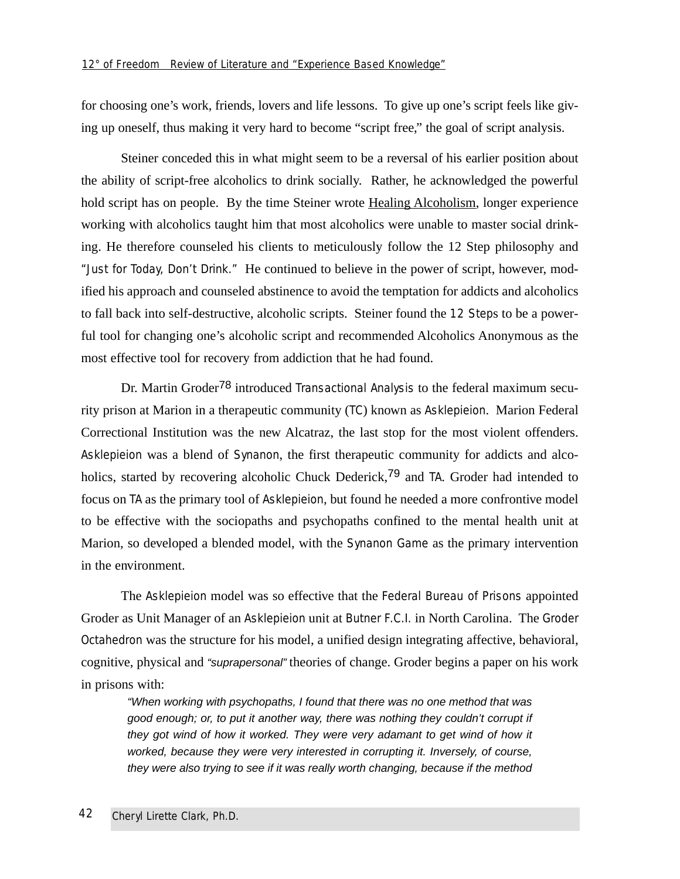for choosing one's work, friends, lovers and life lessons. To give up one's script feels like giving up oneself, thus making it very hard to become "script free," the goal of script analysis.

Steiner conceded this in what might seem to be a reversal of his earlier position about the ability of script-free alcoholics to drink socially. Rather, he acknowledged the powerful hold script has on people. By the time Steiner wrote Healing Alcoholism, longer experience working with alcoholics taught him that most alcoholics were unable to master social drinking. He therefore counseled his clients to meticulously follow the 12 Step philosophy and "Just for Today, Don't Drink." He continued to believe in the power of script, however, modified his approach and counseled abstinence to avoid the temptation for addicts and alcoholics to fall back into self-destructive, alcoholic scripts. Steiner found the 12 Steps to be a powerful tool for changing one's alcoholic script and recommended Alcoholics Anonymous as the most effective tool for recovery from addiction that he had found.

Dr. Martin Groder<sup>78</sup> introduced Transactional Analysis to the federal maximum security prison at Marion in a therapeutic community (TC) known as Asklepieion. Marion Federal Correctional Institution was the new Alcatraz, the last stop for the most violent offenders. Asklepieion was a blend of Synanon, the first therapeutic community for addicts and alcoholics, started by recovering alcoholic Chuck Dederick,<sup>79</sup> and TA. Groder had intended to focus on TA as the primary tool of Asklepieion, but found he needed a more confrontive model to be effective with the sociopaths and psychopaths confined to the mental health unit at Marion, so developed a blended model, with the Synanon Game as the primary intervention in the environment.

The Asklepieion model was so effective that the Federal Bureau of Prisons appointed Groder as Unit Manager of an Asklepieion unit at Butner F.C.I. in North Carolina. The Groder Octahedron was the structure for his model, a unified design integrating affective, behavioral, cognitive, physical and "suprapersonal" theories of change. Groder begins a paper on his work in prisons with:

"When working with psychopaths, I found that there was no one method that was good enough; or, to put it another way, there was nothing they couldn't corrupt if they got wind of how it worked. They were very adamant to get wind of how it worked, because they were very interested in corrupting it. Inversely, of course, they were also trying to see if it was really worth changing, because if the method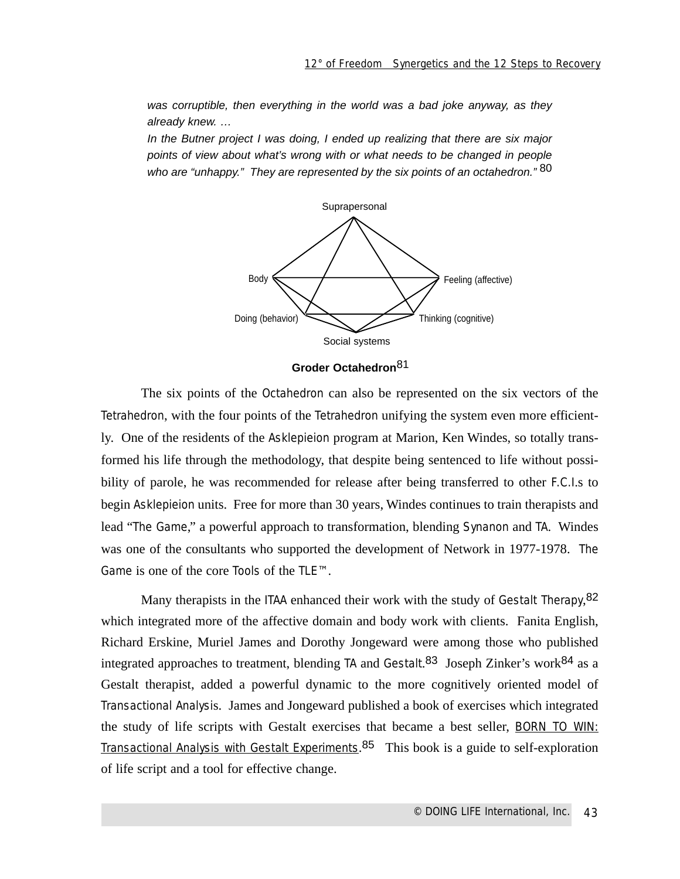was corruptible, then everything in the world was a bad joke anyway, as they already knew. …

In the Butner project I was doing, I ended up realizing that there are six major points of view about what's wrong with or what needs to be changed in people who are "unhappy." They are represented by the six points of an octahedron." $80$ 



#### **Groder Octahedron**81

The six points of the Octahedron can also be represented on the six vectors of the Tetrahedron, with the four points of the Tetrahedron unifying the system even more efficiently. One of the residents of the Asklepieion program at Marion, Ken Windes, so totally transformed his life through the methodology, that despite being sentenced to life without possibility of parole, he was recommended for release after being transferred to other F.C.I.s to begin Asklepieion units. Free for more than 30 years, Windes continues to train therapists and lead "The Game," a powerful approach to transformation, blending Synanon and TA. Windes was one of the consultants who supported the development of Network in 1977-1978. The Game is one of the core Tools of the TLE™.

Many therapists in the ITAA enhanced their work with the study of Gestalt Therapy, 82 which integrated more of the affective domain and body work with clients. Fanita English, Richard Erskine, Muriel James and Dorothy Jongeward were among those who published integrated approaches to treatment, blending TA and Gestalt.<sup>83</sup> Joseph Zinker's work<sup>84</sup> as a Gestalt therapist, added a powerful dynamic to the more cognitively oriented model of Transactional Analysis. James and Jongeward published a book of exercises which integrated the study of life scripts with Gestalt exercises that became a best seller, BORN TO WIN: Transactional Analysis with Gestalt Experiments.<sup>85</sup> This book is a guide to self-exploration of life script and a tool for effective change.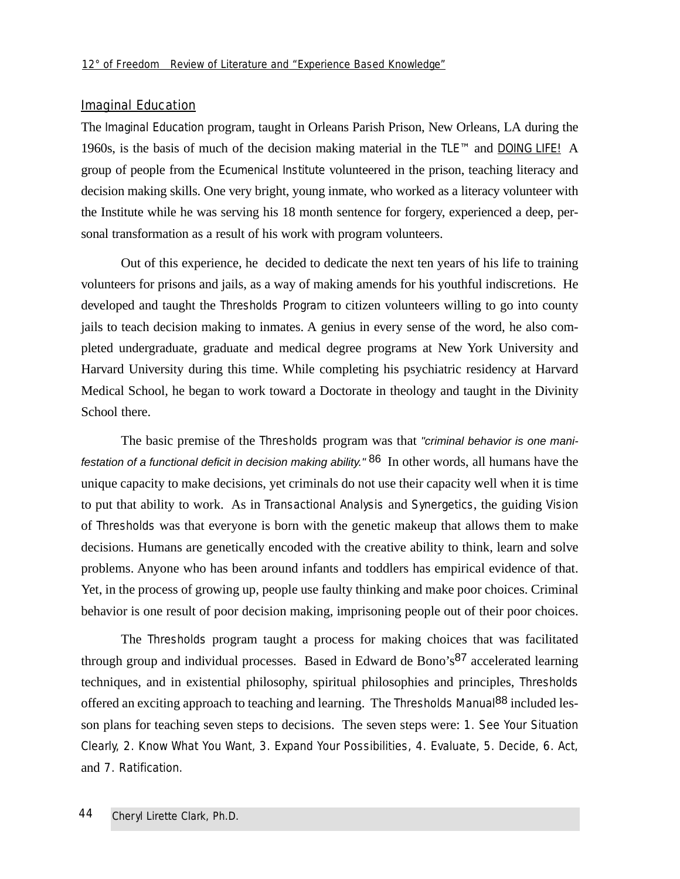#### Imaginal Education

The Imaginal Education program, taught in Orleans Parish Prison, New Orleans, LA during the 1960s, is the basis of much of the decision making material in the TLE™ and DOING LIFE! A group of people from the Ecumenical Institute volunteered in the prison, teaching literacy and decision making skills. One very bright, young inmate, who worked as a literacy volunteer with the Institute while he was serving his 18 month sentence for forgery, experienced a deep, personal transformation as a result of his work with program volunteers.

Out of this experience, he decided to dedicate the next ten years of his life to training volunteers for prisons and jails, as a way of making amends for his youthful indiscretions. He developed and taught the Thresholds Program to citizen volunteers willing to go into county jails to teach decision making to inmates. A genius in every sense of the word, he also completed undergraduate, graduate and medical degree programs at New York University and Harvard University during this time. While completing his psychiatric residency at Harvard Medical School, he began to work toward a Doctorate in theology and taught in the Divinity School there.

The basic premise of the Thresholds program was that "criminal behavior is one manifestation of a functional deficit in decision making ability."<sup>86</sup> In other words, all humans have the unique capacity to make decisions, yet criminals do not use their capacity well when it is time to put that ability to work. As in Transactional Analysis and Synergetics, the guiding Vision of Thresholds was that everyone is born with the genetic makeup that allows them to make decisions. Humans are genetically encoded with the creative ability to think, learn and solve problems. Anyone who has been around infants and toddlers has empirical evidence of that. Yet, in the process of growing up, people use faulty thinking and make poor choices. Criminal behavior is one result of poor decision making, imprisoning people out of their poor choices.

The Thresholds program taught a process for making choices that was facilitated through group and individual processes. Based in Edward de Bono's<sup>87</sup> accelerated learning techniques, and in existential philosophy, spiritual philosophies and principles, Thresholds offered an exciting approach to teaching and learning. The Thresholds Manual<sup>88</sup> included lesson plans for teaching seven steps to decisions. The seven steps were: 1. See Your Situation Clearly, 2. Know What You Want, 3. Expand Your Possibilities, 4. Evaluate, 5. Decide, 6. Act, and 7. Ratification.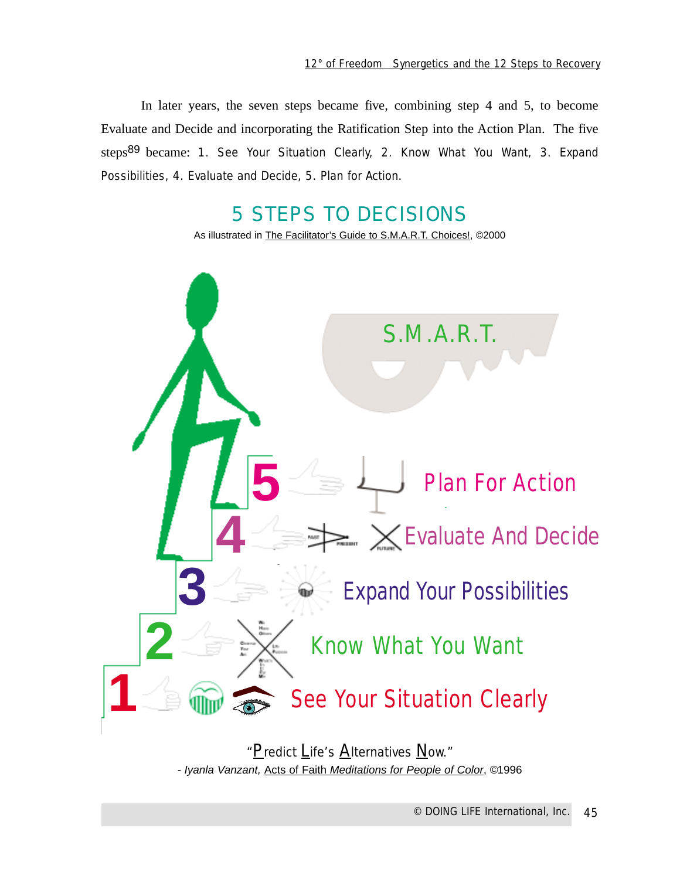In later years, the seven steps became five, combining step 4 and 5, to become Evaluate and Decide and incorporating the Ratification Step into the Action Plan. The five steps<sup>89</sup> became: 1. See Your Situation Clearly, 2. Know What You Want, 3. Expand Possibilities, 4. Evaluate and Decide, 5. Plan for Action.

### 5 STEPS TO DECISIONS

As illustrated in The Facilitator's Guide to S.M.A.R.T. Choices!, ©2000



"Predict Life's Alternatives Now." - Iyanla Vanzant, Acts of Faith Meditations for People of Color, ©1996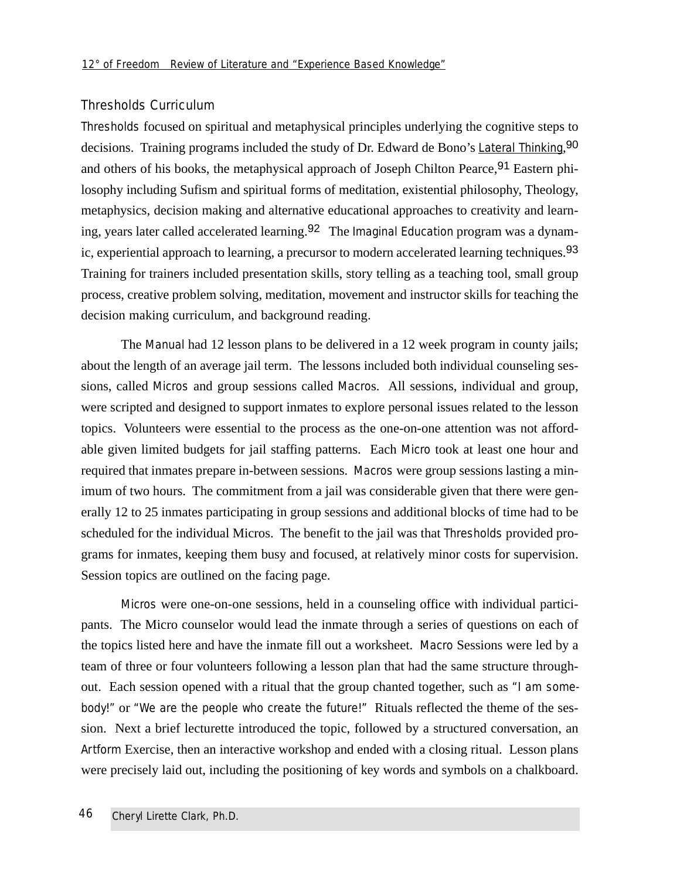#### Thresholds Curriculum

Thresholds focused on spiritual and metaphysical principles underlying the cognitive steps to decisions. Training programs included the study of Dr. Edward de Bono's Lateral Thinking, 90 and others of his books, the metaphysical approach of Joseph Chilton Pearce, <sup>91</sup> Eastern philosophy including Sufism and spiritual forms of meditation, existential philosophy, Theology, metaphysics, decision making and alternative educational approaches to creativity and learning, years later called accelerated learning.<sup>92</sup> The Imaginal Education program was a dynamic, experiential approach to learning, a precursor to modern accelerated learning techniques.93 Training for trainers included presentation skills, story telling as a teaching tool, small group process, creative problem solving, meditation, movement and instructor skills for teaching the decision making curriculum, and background reading.

The Manual had 12 lesson plans to be delivered in a 12 week program in county jails; about the length of an average jail term. The lessons included both individual counseling sessions, called Micros and group sessions called Macros. All sessions, individual and group, were scripted and designed to support inmates to explore personal issues related to the lesson topics. Volunteers were essential to the process as the one-on-one attention was not affordable given limited budgets for jail staffing patterns. Each Micro took at least one hour and required that inmates prepare in-between sessions. Macros were group sessions lasting a minimum of two hours. The commitment from a jail was considerable given that there were generally 12 to 25 inmates participating in group sessions and additional blocks of time had to be scheduled for the individual Micros. The benefit to the jail was that Thresholds provided programs for inmates, keeping them busy and focused, at relatively minor costs for supervision. Session topics are outlined on the facing page.

Micros were one-on-one sessions, held in a counseling office with individual participants. The Micro counselor would lead the inmate through a series of questions on each of the topics listed here and have the inmate fill out a worksheet. Macro Sessions were led by a team of three or four volunteers following a lesson plan that had the same structure throughout. Each session opened with a ritual that the group chanted together, such as *"I am somebody!"* or *"We are the people who create the future!"* Rituals reflected the theme of the session. Next a brief lecturette introduced the topic, followed by a structured conversation, an Artform Exercise, then an interactive workshop and ended with a closing ritual. Lesson plans were precisely laid out, including the positioning of key words and symbols on a chalkboard.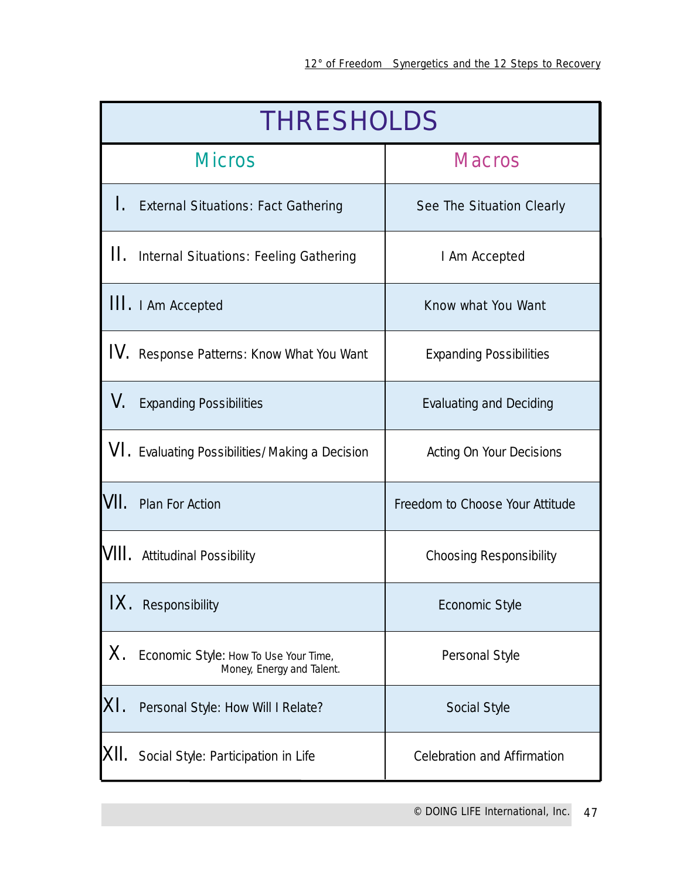| <b>THRESHOLDS</b> |                                                                    |                                 |  |  |
|-------------------|--------------------------------------------------------------------|---------------------------------|--|--|
| <b>Micros</b>     |                                                                    | <b>Macros</b>                   |  |  |
|                   | <b>I.</b> External Situations: Fact Gathering                      | See The Situation Clearly       |  |  |
|                   | II. Internal Situations: Feeling Gathering                         | I Am Accepted                   |  |  |
|                   | III. I Am Accepted                                                 | Know what You Want              |  |  |
|                   | IV. Response Patterns: Know What You Want                          | <b>Expanding Possibilities</b>  |  |  |
| V.                | <b>Expanding Possibilities</b>                                     | <b>Evaluating and Deciding</b>  |  |  |
|                   | VI. Evaluating Possibilities/Making a Decision                     | Acting On Your Decisions        |  |  |
| VII.              | <b>Plan For Action</b>                                             | Freedom to Choose Your Attitude |  |  |
|                   | <b>VIII.</b> Attitudinal Possibility                               | <b>Choosing Responsibility</b>  |  |  |
|                   | IX. Responsibility                                                 | <b>Economic Style</b>           |  |  |
| X.                | Economic Style: How To Use Your Time,<br>Money, Energy and Talent. | Personal Style                  |  |  |
| IXI.              | Personal Style: How Will I Relate?                                 | Social Style                    |  |  |
| XII.              | Social Style: Participation in Life                                | Celebration and Affirmation     |  |  |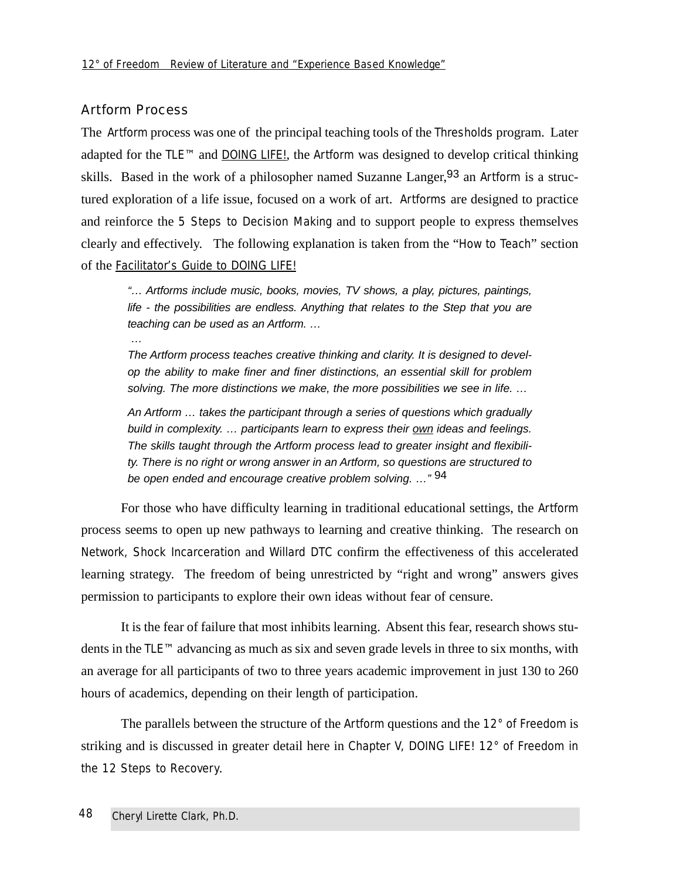### Artform Process

The Artform process was one of the principal teaching tools of the Thresholds program. Later adapted for the TLE™ and DOING LIFE!, the Artform was designed to develop critical thinking skills. Based in the work of a philosopher named Suzanne Langer,93 an Artform is a structured exploration of a life issue, focused on a work of art. Artforms are designed to practice and reinforce the 5 Steps to Decision Making and to support people to express themselves clearly and effectively. The following explanation is taken from the "How to Teach" section of the Facilitator's Guide to DOING LIFE!

"… Artforms include music, books, movies, TV shows, a play, pictures, paintings, life - the possibilities are endless. Anything that relates to the Step that you are teaching can be used as an Artform. …

… The Artform process teaches creative thinking and clarity. It is designed to develop the ability to make finer and finer distinctions, an essential skill for problem solving. The more distinctions we make, the more possibilities we see in life. ...

An Artform … takes the participant through a series of questions which gradually build in complexity. … participants learn to express their own ideas and feelings. The skills taught through the Artform process lead to greater insight and flexibility. There is no right or wrong answer in an Artform, so questions are structured to be open ended and encourage creative problem solving.  $\ldots$ <sup>"94</sup>

For those who have difficulty learning in traditional educational settings, the Artform process seems to open up new pathways to learning and creative thinking. The research on Network, Shock Incarceration and Willard DTC confirm the effectiveness of this accelerated learning strategy. The freedom of being unrestricted by "right and wrong" answers gives permission to participants to explore their own ideas without fear of censure.

It is the fear of failure that most inhibits learning. Absent this fear, research shows students in the  $\text{TL}^{\text{TM}}$  advancing as much as six and seven grade levels in three to six months, with an average for all participants of two to three years academic improvement in just 130 to 260 hours of academics, depending on their length of participation.

The parallels between the structure of the Artform questions and the 12° of Freedom is striking and is discussed in greater detail here in *Chapter V, DOING LIFE! 12° of Freedom in the 12 Steps to Recovery*.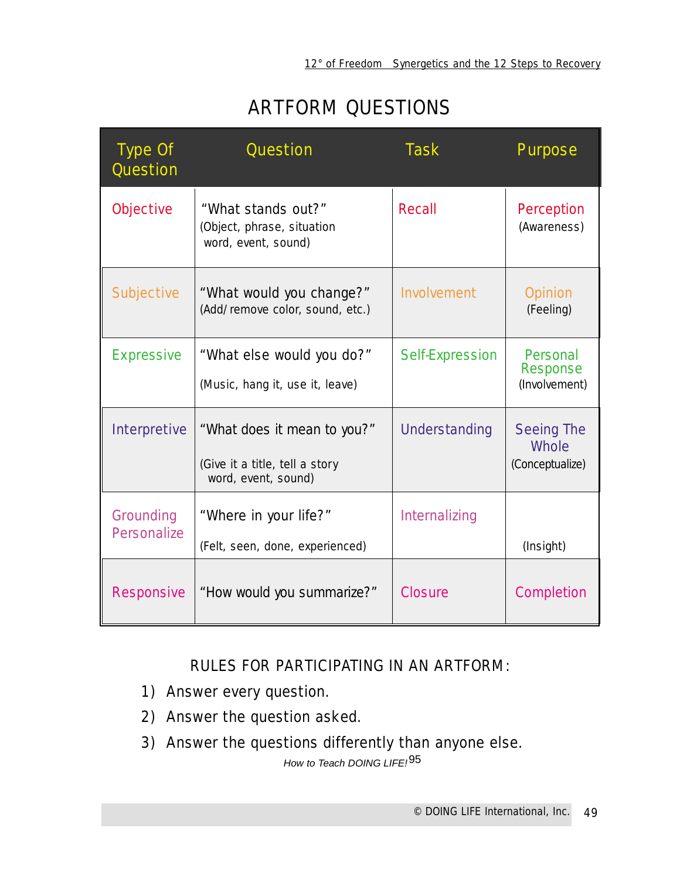# ARTFORM QUESTIONS

| <b>Type Of</b><br><b>Question</b> | <b>Question</b>                                                                      | <b>Task</b>     | <b>Purpose</b>                                |
|-----------------------------------|--------------------------------------------------------------------------------------|-----------------|-----------------------------------------------|
| <b>Objective</b>                  | "What stands out?"<br>(Object, phrase, situation<br>word, event, sound)              | Recall          | Perception<br>(Awareness)                     |
| <b>Subjective</b>                 | "What would you change?"<br>(Add/remove color, sound, etc.)                          | Involvement     | Opinion<br>(Feeling)                          |
| <b>Expressive</b>                 | "What else would you do?"<br>(Music, hang it, use it, leave)                         | Self-Expression | Personal<br>Response<br>(Involvement)         |
| <b>Interpretive</b>               | "What does it mean to you?"<br>(Give it a title, tell a story<br>word, event, sound) | Understanding   | Seeing The<br><b>Whole</b><br>(Conceptualize) |
| <b>Grounding</b><br>Personalize   | "Where in your life?"<br>(Felt, seen, done, experienced)                             | Internalizing   | (Insight)                                     |
| <b>Responsive</b>                 | "How would you summarize?"                                                           | Closure         | Completion                                    |

### RULES FOR PARTICIPATING IN AN ARTFORM:

- 1) Answer every question.
- 2) Answer the question asked.
- 3) Answer the questions differently than anyone else.

How to Teach DOING LIFE! 95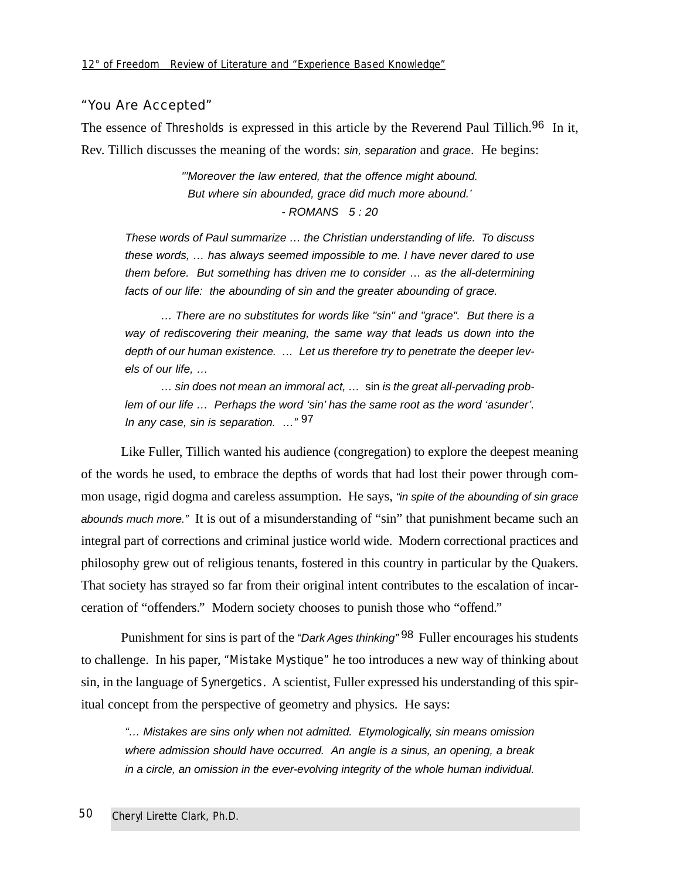### "You Are Accepted"

The essence of Thresholds is expressed in this article by the Reverend Paul Tillich.<sup>96</sup> In it, Rev. Tillich discusses the meaning of the words: sin, separation and grace. He begins:

> "'Moreover the law entered, that the offence might abound. But where sin abounded, grace did much more abound.' - ROMANS 5 : 20

These words of Paul summarize … the Christian understanding of life. To discuss these words, … has always seemed impossible to me. I have never dared to use them before. But something has driven me to consider … as the all-determining facts of our life: the abounding of sin and the greater abounding of grace.

… There are no substitutes for words like "sin" and "grace". But there is a way of rediscovering their meaning, the same way that leads us down into the depth of our human existence. … Let us therefore try to penetrate the deeper levels of our life, …

… sin does not mean an immoral act, … sin is the great all-pervading problem of our life … Perhaps the word 'sin' has the same root as the word 'asunder'. In any case, sin is separation. ..." 97

Like Fuller, Tillich wanted his audience (congregation) to explore the deepest meaning of the words he used, to embrace the depths of words that had lost their power through common usage, rigid dogma and careless assumption. He says, "in spite of the abounding of sin grace abounds much more." It is out of a misunderstanding of "sin" that punishment became such an integral part of corrections and criminal justice world wide. Modern correctional practices and philosophy grew out of religious tenants, fostered in this country in particular by the Quakers. That society has strayed so far from their original intent contributes to the escalation of incarceration of "offenders." Modern society chooses to punish those who "offend."

Punishment for sins is part of the "*Dark Ages thinking*"<sup>98</sup> Fuller encourages his students to challenge. In his paper, "Mistake Mystique" he too introduces a new way of thinking about sin, in the language of Synergetics. A scientist, Fuller expressed his understanding of this spiritual concept from the perspective of geometry and physics. He says:

"… Mistakes are sins only when not admitted. Etymologically, sin means omission where admission should have occurred. An angle is a sinus, an opening, a break in a circle, an omission in the ever-evolving integrity of the whole human individual.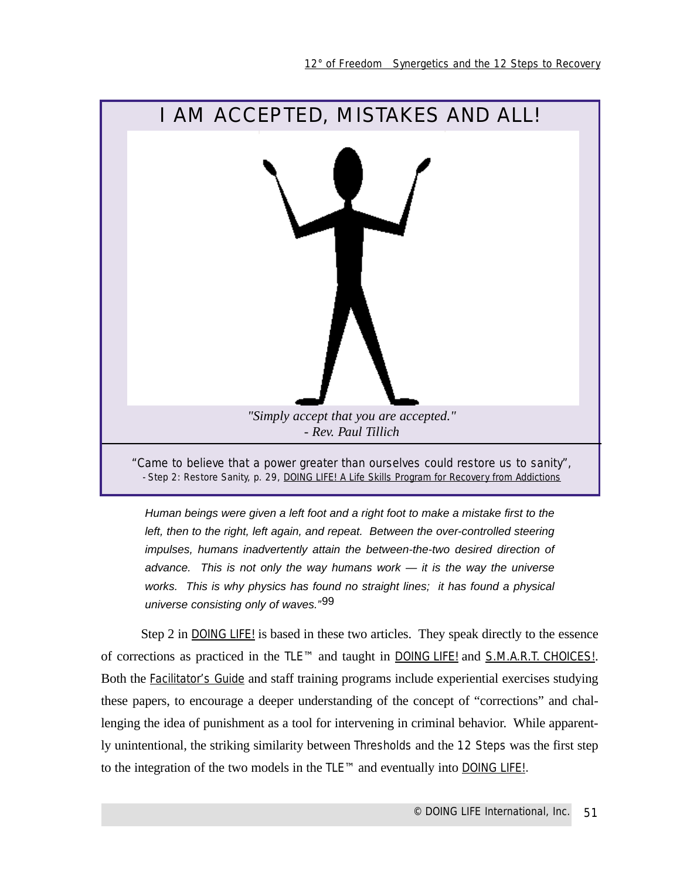

Human beings were given a left foot and a right foot to make a mistake first to the left, then to the right, left again, and repeat. Between the over-controlled steering impulses, humans inadvertently attain the between-the-two desired direction of advance. This is not only the way humans work  $-$  it is the way the universe works. This is why physics has found no straight lines; it has found a physical universe consisting only of waves."<sup>99</sup>

Step 2 in DOING LIFE! is based in these two articles. They speak directly to the essence of corrections as practiced in the TLE™ and taught in DOING LIFE! and S.M.A.R.T. CHOICES!. Both the Facilitator's Guide and staff training programs include experiential exercises studying these papers, to encourage a deeper understanding of the concept of "corrections" and challenging the idea of punishment as a tool for intervening in criminal behavior. While apparently unintentional, the striking similarity between Thresholds and the 12 Steps was the first step to the integration of the two models in the TLE™ and eventually into DOING LIFE!.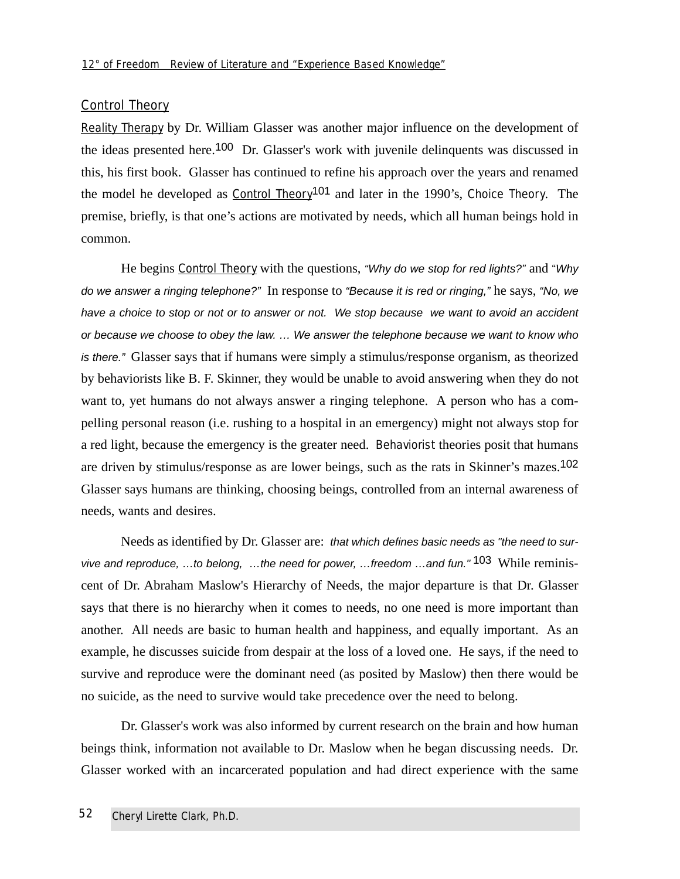#### Control Theory

Reality Therapy by Dr. William Glasser was another major influence on the development of the ideas presented here.100 Dr. Glasser's work with juvenile delinquents was discussed in this, his first book. Glasser has continued to refine his approach over the years and renamed the model he developed as Control Theory<sup>101</sup> and later in the 1990's, Choice Theory. The premise, briefly, is that one's actions are motivated by needs, which all human beings hold in common.

He begins Control Theory with the questions, "Why do we stop for red lights?" and "Why do we answer a ringing telephone?" In response to "Because it is red or ringing," he says, "No, we have a choice to stop or not or to answer or not. We stop because we want to avoid an accident or because we choose to obey the law. … We answer the telephone because we want to know who is there." Glasser says that if humans were simply a stimulus/response organism, as theorized by behaviorists like B. F. Skinner, they would be unable to avoid answering when they do not want to, yet humans do not always answer a ringing telephone. A person who has a compelling personal reason (i.e. rushing to a hospital in an emergency) might not always stop for a red light, because the emergency is the greater need. Behaviorist theories posit that humans are driven by stimulus/response as are lower beings, such as the rats in Skinner's mazes.102 Glasser says humans are thinking, choosing beings, controlled from an internal awareness of needs, wants and desires.

Needs as identified by Dr. Glasser are: that which defines basic needs as "the need to survive and reproduce, ...to belong, ...the need for power, ...freedom ...and fun."<sup>103</sup> While reminiscent of Dr. Abraham Maslow's Hierarchy of Needs, the major departure is that Dr. Glasser says that there is no hierarchy when it comes to needs, no one need is more important than another. All needs are basic to human health and happiness, and equally important. As an example, he discusses suicide from despair at the loss of a loved one. He says, if the need to survive and reproduce were the dominant need (as posited by Maslow) then there would be no suicide, as the need to survive would take precedence over the need to belong.

Dr. Glasser's work was also informed by current research on the brain and how human beings think, information not available to Dr. Maslow when he began discussing needs. Dr. Glasser worked with an incarcerated population and had direct experience with the same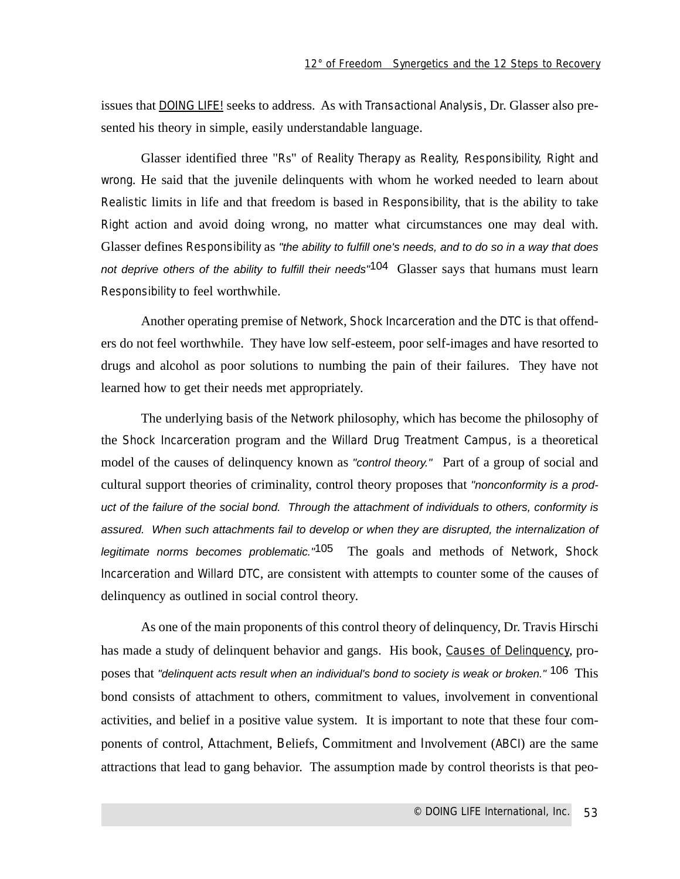issues that DOING LIFE! seeks to address. As with Transactional Analysis, Dr. Glasser also presented his theory in simple, easily understandable language.

Glasser identified three "Rs" of Reality Therapy as Reality, Responsibility, Right and wrong. He said that the juvenile delinquents with whom he worked needed to learn about Realistic limits in life and that freedom is based in Responsibility, that is the ability to take Right action and avoid doing wrong, no matter what circumstances one may deal with. Glasser defines Responsibility as "the ability to fulfill one's needs, and to do so in a way that does not deprive others of the ability to fulfill their needs<sup>"104</sup> Glasser says that humans must learn Responsibility to feel worthwhile.

Another operating premise of Network, Shock Incarceration and the DTC is that offenders do not feel worthwhile. They have low self-esteem, poor self-images and have resorted to drugs and alcohol as poor solutions to numbing the pain of their failures. They have not learned how to get their needs met appropriately.

The underlying basis of the Network philosophy, which has become the philosophy of the Shock Incarceration program and the Willard Drug Treatment Campus, is a theoretical model of the causes of delinquency known as "control theory." Part of a group of social and cultural support theories of criminality, control theory proposes that "nonconformity is a product of the failure of the social bond. Through the attachment of individuals to others, conformity is assured. When such attachments fail to develop or when they are disrupted, the internalization of legitimate norms becomes problematic.<sup>"105</sup> The goals and methods of Network, Shock Incarceration and Willard DTC, are consistent with attempts to counter some of the causes of delinquency as outlined in social control theory.

As one of the main proponents of this control theory of delinquency, Dr. Travis Hirschi has made a study of delinquent behavior and gangs. His book, Causes of Delinquency, proposes that "delinquent acts result when an individual's bond to society is weak or broken." <sup>106</sup> This bond consists of attachment to others, commitment to values, involvement in conventional activities, and belief in a positive value system. It is important to note that these four components of control, Attachment, Beliefs, Commitment and Involvement (ABCI) are the same attractions that lead to gang behavior. The assumption made by control theorists is that peo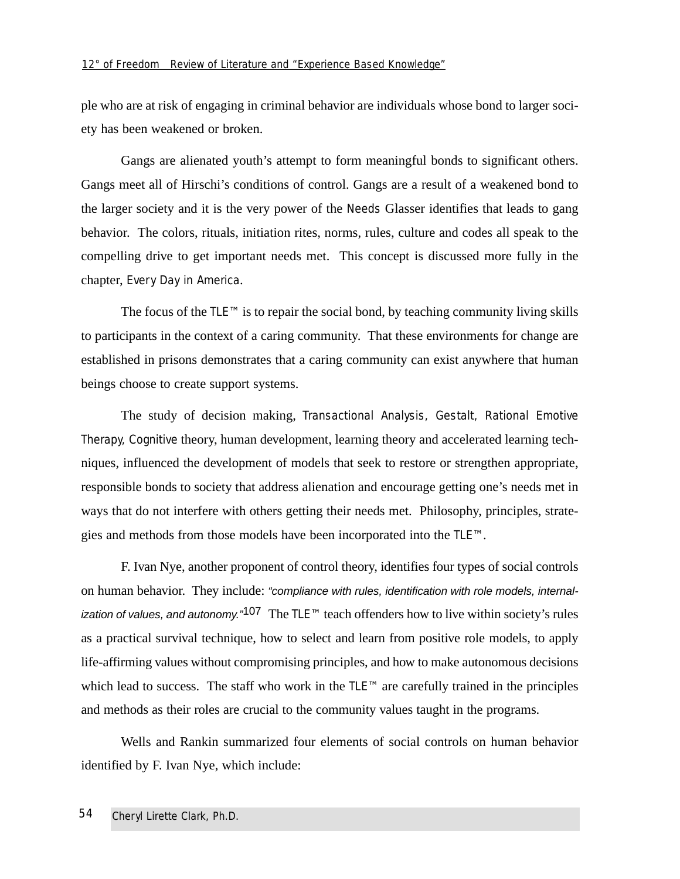ple who are at risk of engaging in criminal behavior are individuals whose bond to larger society has been weakened or broken.

Gangs are alienated youth's attempt to form meaningful bonds to significant others. Gangs meet all of Hirschi's conditions of control. Gangs are a result of a weakened bond to the larger society and it is the very power of the Needs Glasser identifies that leads to gang behavior. The colors, rituals, initiation rites, norms, rules, culture and codes all speak to the compelling drive to get important needs met. This concept is discussed more fully in the chapter, Every Day in America.

The focus of the  $\text{TE}^{\text{m}}$  is to repair the social bond, by teaching community living skills to participants in the context of a caring community. That these environments for change are established in prisons demonstrates that a caring community can exist anywhere that human beings choose to create support systems.

The study of decision making, Transactional Analysis, Gestalt, Rational Emotive Therapy, Cognitive theory, human development, learning theory and accelerated learning techniques, influenced the development of models that seek to restore or strengthen appropriate, responsible bonds to society that address alienation and encourage getting one's needs met in ways that do not interfere with others getting their needs met. Philosophy, principles, strategies and methods from those models have been incorporated into the TLE™.

F. Ivan Nye, another proponent of control theory, identifies four types of social controls on human behavior. They include: "compliance with rules, identification with role models, internal*ization of values, and autonomy.*"<sup>107</sup> The TLE™ teach offenders how to live within society's rules as a practical survival technique, how to select and learn from positive role models, to apply life-affirming values without compromising principles, and how to make autonomous decisions which lead to success. The staff who work in the TLE™ are carefully trained in the principles and methods as their roles are crucial to the community values taught in the programs.

Wells and Rankin summarized four elements of social controls on human behavior identified by F. Ivan Nye, which include: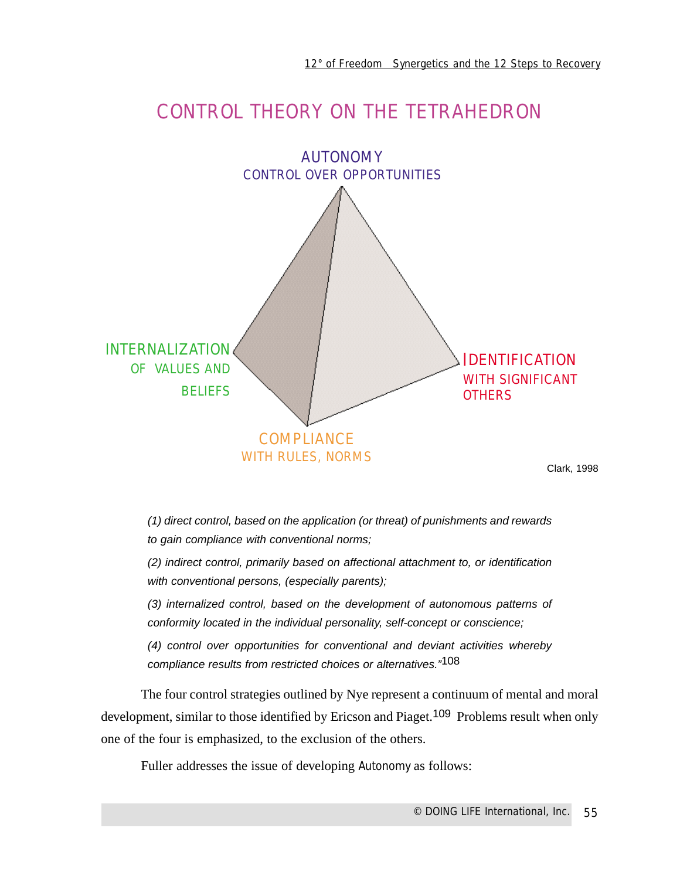## CONTROL THEORY ON THE TETRAHEDRON



Clark, 1998

(1) direct control, based on the application (or threat) of punishments and rewards to gain compliance with conventional norms;

(2) indirect control, primarily based on affectional attachment to, or identification with conventional persons, (especially parents);

(3) internalized control, based on the development of autonomous patterns of conformity located in the individual personality, self-concept or conscience;

(4) control over opportunities for conventional and deviant activities whereby compliance results from restricted choices or alternatives."108

The four control strategies outlined by Nye represent a continuum of mental and moral development, similar to those identified by Ericson and Piaget.<sup>109</sup> Problems result when only one of the four is emphasized, to the exclusion of the others.

Fuller addresses the issue of developing Autonomy as follows: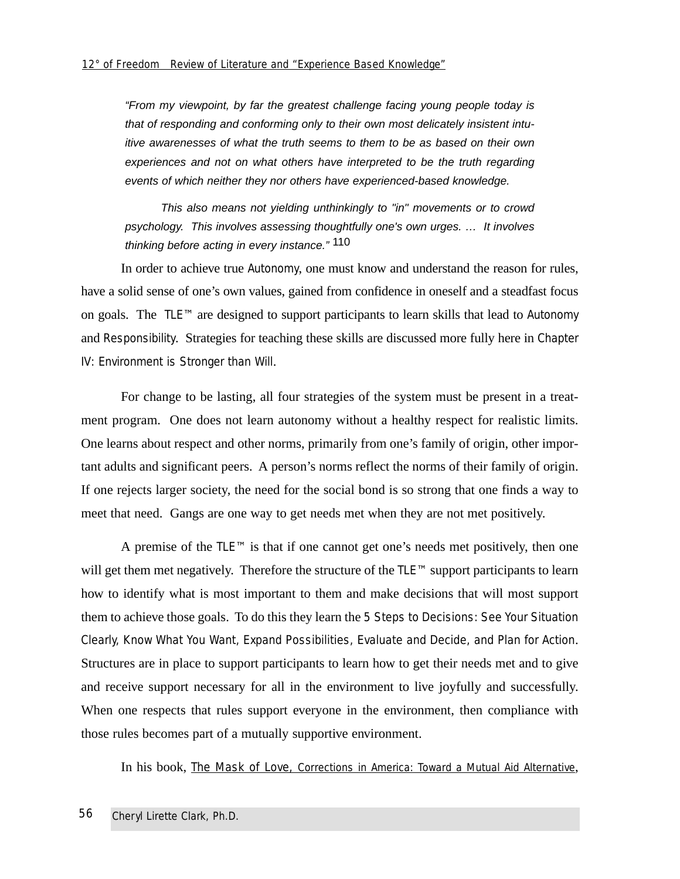"From my viewpoint, by far the greatest challenge facing young people today is that of responding and conforming only to their own most delicately insistent intuitive awarenesses of what the truth seems to them to be as based on their own experiences and not on what others have interpreted to be the truth regarding events of which neither they nor others have experienced-based knowledge.

This also means not yielding unthinkingly to "in" movements or to crowd psychology. This involves assessing thoughtfully one's own urges. … It involves thinking before acting in every instance." 110

In order to achieve true Autonomy, one must know and understand the reason for rules, have a solid sense of one's own values, gained from confidence in oneself and a steadfast focus on goals. The TLE™ are designed to support participants to learn skills that lead to Autonomy and Responsibility. Strategies for teaching these skills are discussed more fully here in Chapter IV: Environment is Stronger than Will.

For change to be lasting, all four strategies of the system must be present in a treatment program. One does not learn autonomy without a healthy respect for realistic limits. One learns about respect and other norms, primarily from one's family of origin, other important adults and significant peers. A person's norms reflect the norms of their family of origin. If one rejects larger society, the need for the social bond is so strong that one finds a way to meet that need. Gangs are one way to get needs met when they are not met positively.

A premise of the TLE™ is that if one cannot get one's needs met positively, then one will get them met negatively. Therefore the structure of the TLE™ support participants to learn how to identify what is most important to them and make decisions that will most support them to achieve those goals. To do this they learn the 5 Steps to Decisions: See Your Situation Clearly, Know What You Want, Expand Possibilities, Evaluate and Decide, and Plan for Action. Structures are in place to support participants to learn how to get their needs met and to give and receive support necessary for all in the environment to live joyfully and successfully. When one respects that rules support everyone in the environment, then compliance with those rules becomes part of a mutually supportive environment.

In his book, The Mask of Love, Corrections in America: Toward a Mutual Aid Alternative,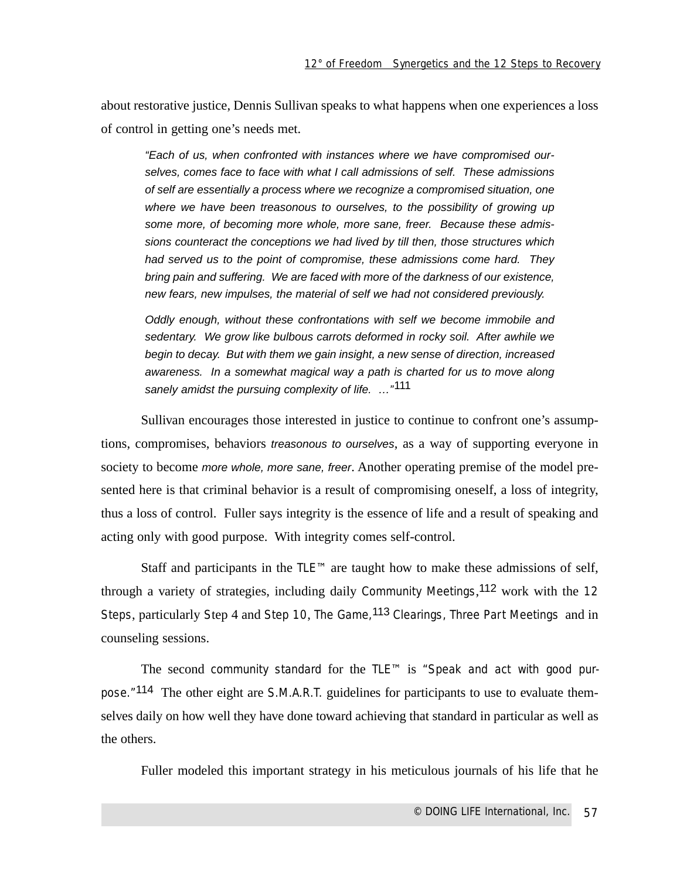about restorative justice, Dennis Sullivan speaks to what happens when one experiences a loss of control in getting one's needs met.

"Each of us, when confronted with instances where we have compromised ourselves, comes face to face with what I call admissions of self. These admissions of self are essentially a process where we recognize a compromised situation, one where we have been treasonous to ourselves, to the possibility of growing up some more, of becoming more whole, more sane, freer. Because these admissions counteract the conceptions we had lived by till then, those structures which had served us to the point of compromise, these admissions come hard. They bring pain and suffering. We are faced with more of the darkness of our existence, new fears, new impulses, the material of self we had not considered previously.

Oddly enough, without these confrontations with self we become immobile and sedentary. We grow like bulbous carrots deformed in rocky soil. After awhile we begin to decay. But with them we gain insight, a new sense of direction, increased awareness. In a somewhat magical way a path is charted for us to move along sanely amidst the pursuing complexity of life. ..."<sup>111</sup>

Sullivan encourages those interested in justice to continue to confront one's assumptions, compromises, behaviors treasonous to ourselves, as a way of supporting everyone in society to become more whole, more sane, freer. Another operating premise of the model presented here is that criminal behavior is a result of compromising oneself, a loss of integrity, thus a loss of control. Fuller says integrity is the essence of life and a result of speaking and acting only with good purpose. With integrity comes self-control.

Staff and participants in the TLE™ are taught how to make these admissions of self, through a variety of strategies, including daily Community Meetings, 112 work with the 12 Steps, particularly Step 4 and Step 10, The Game, <sup>113</sup> Clearings, Three Part Meetings and in counseling sessions.

The second community standard for the TLE™ is *"Speak and act with good purpose."*114 The other eight are S.M.A.R.T. guidelines for participants to use to evaluate themselves daily on how well they have done toward achieving that standard in particular as well as the others.

Fuller modeled this important strategy in his meticulous journals of his life that he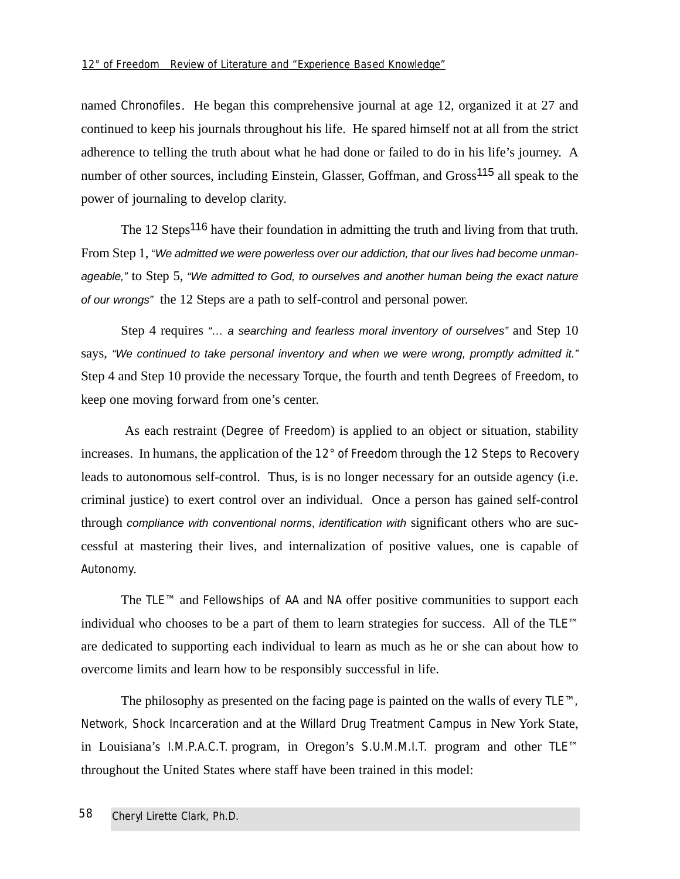named *Chronofiles*. He began this comprehensive journal at age 12, organized it at 27 and continued to keep his journals throughout his life. He spared himself not at all from the strict adherence to telling the truth about what he had done or failed to do in his life's journey. A number of other sources, including Einstein, Glasser, Goffman, and Gross<sup>115</sup> all speak to the power of journaling to develop clarity.

The 12 Steps<sup>116</sup> have their foundation in admitting the truth and living from that truth. From Step 1, "We admitted we were powerless over our addiction, that our lives had become unmanageable," to Step 5, "We admitted to God, to ourselves and another human being the exact nature of our wrongs" the 12 Steps are a path to self-control and personal power.

Step 4 requires "… a searching and fearless moral inventory of ourselves" and Step 10 says, "We continued to take personal inventory and when we were wrong, promptly admitted it." Step 4 and Step 10 provide the necessary Torque, the fourth and tenth Degrees of Freedom, to keep one moving forward from one's center.

As each restraint (Degree of Freedom) is applied to an object or situation, stability increases. In humans, the application of the 12° of Freedom through the 12 Steps to Recovery leads to autonomous self-control. Thus, is is no longer necessary for an outside agency (i.e. criminal justice) to exert control over an individual. Once a person has gained self-control through compliance with conventional norms, identification with significant others who are successful at mastering their lives, and internalization of positive values, one is capable of Autonomy.

The TLE™ and Fellowships of AA and NA offer positive communities to support each individual who chooses to be a part of them to learn strategies for success. All of the TLE™ are dedicated to supporting each individual to learn as much as he or she can about how to overcome limits and learn how to be responsibly successful in life.

The philosophy as presented on the facing page is painted on the walls of every  $\mathsf{TL}^{\mathsf{TM}}$ , Network, Shock Incarceration and at the Willard Drug Treatment Campus in New York State, in Louisiana's I.M.P.A.C.T. program, in Oregon's S.U.M.M.I.T. program and other TLE™ throughout the United States where staff have been trained in this model: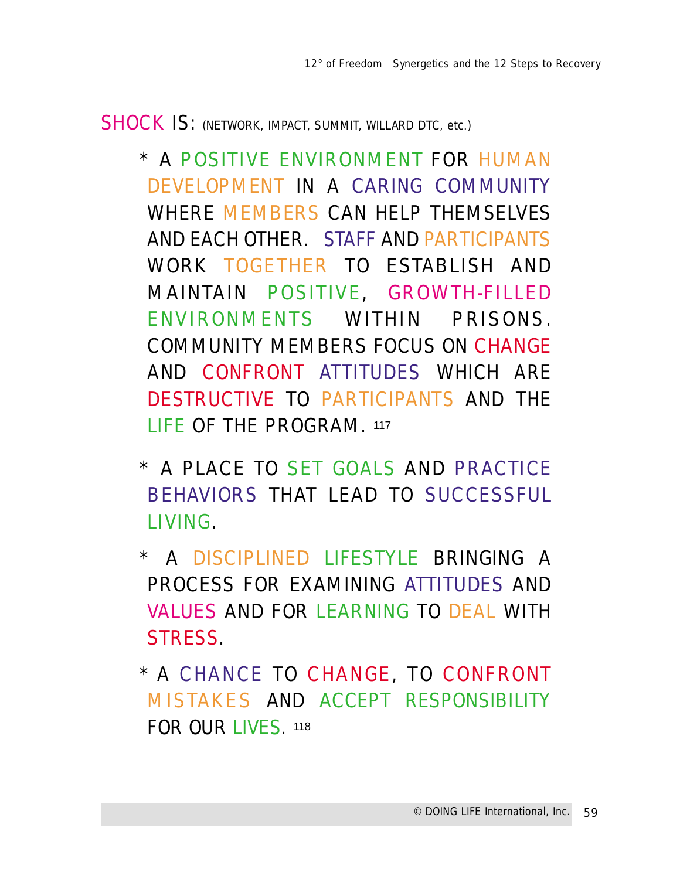SHOCK IS: (NETWORK, IMPACT, SUMMIT, WILLARD DTC, etc.)

- \* A POSITIVE ENVIRONMENT FOR HUMAN DEVELOPMENT IN A CARING COMMUNITY WHERE MEMBERS CAN HELP THEMSELVES AND EACH OTHER. STAFF AND PARTICIPANTS WORK TOGETHER TO ESTABLISH AND MAINTAIN POSITIVE, GROWTH-FILLED ENVIRONMENTS WITHIN PRISONS. COMMUNITY MEMBERS FOCUS ON CHANGE AND CONFRONT ATTITUDES WHICH ARE DESTRUCTIVE TO PARTICIPANTS AND THE LIFE OF THE PROGRAM. 117
- \* A PLACE TO SET GOALS AND PRACTICE BEHAVIORS THAT LEAD TO SUCCESSFUL LIVING.
- \* A DISCIPLINED LIFESTYLE BRINGING A PROCESS FOR EXAMINING ATTITUDES AND VALUES AND FOR LEARNING TO DEAL WITH STRESS.
- \* A CHANCE TO CHANGE, TO CONFRONT MISTAKES AND ACCEPT RESPONSIBILITY FOR OUR LIVES. 118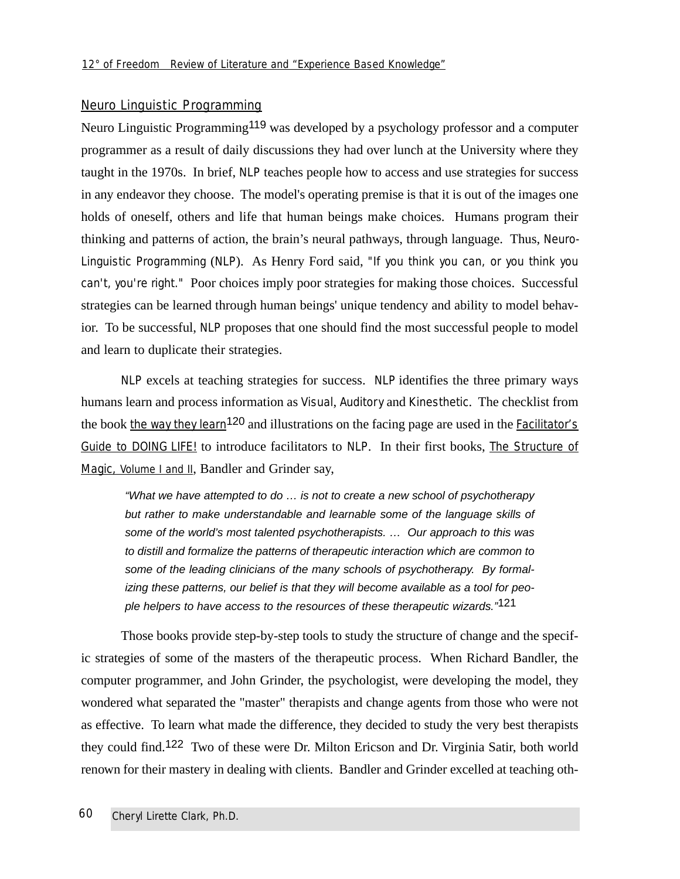### Neuro Linguistic Programming

Neuro Linguistic Programming<sup>119</sup> was developed by a psychology professor and a computer programmer as a result of daily discussions they had over lunch at the University where they taught in the 1970s. In brief, NLP teaches people how to access and use strategies for success in any endeavor they choose. The model's operating premise is that it is out of the images one holds of oneself, others and life that human beings make choices. Humans program their thinking and patterns of action, the brain's neural pathways, through language. Thus, Neuro-Linguistic Programming (NLP). As Henry Ford said, *"If you think you can, or you think you can't, you're right."* Poor choices imply poor strategies for making those choices. Successful strategies can be learned through human beings' unique tendency and ability to model behavior. To be successful, NLP proposes that one should find the most successful people to model and learn to duplicate their strategies.

NLP excels at teaching strategies for success. NLP identifies the three primary ways humans learn and process information as Visual, Auditory and Kinesthetic. The checklist from the book the way they learn<sup>120</sup> and illustrations on the facing page are used in the **Facilitator's** Guide to DOING LIFE! to introduce facilitators to NLP. In their first books, The Structure of Magic, Volume I and II, Bandler and Grinder say,

"What we have attempted to do … is not to create a new school of psychotherapy but rather to make understandable and learnable some of the language skills of some of the world's most talented psychotherapists. … Our approach to this was to distill and formalize the patterns of therapeutic interaction which are common to some of the leading clinicians of the many schools of psychotherapy. By formalizing these patterns, our belief is that they will become available as a tool for people helpers to have access to the resources of these therapeutic wizards."121

Those books provide step-by-step tools to study the structure of change and the specific strategies of some of the masters of the therapeutic process. When Richard Bandler, the computer programmer, and John Grinder, the psychologist, were developing the model, they wondered what separated the "master" therapists and change agents from those who were not as effective. To learn what made the difference, they decided to study the very best therapists they could find.122 Two of these were Dr. Milton Ericson and Dr. Virginia Satir, both world renown for their mastery in dealing with clients. Bandler and Grinder excelled at teaching oth-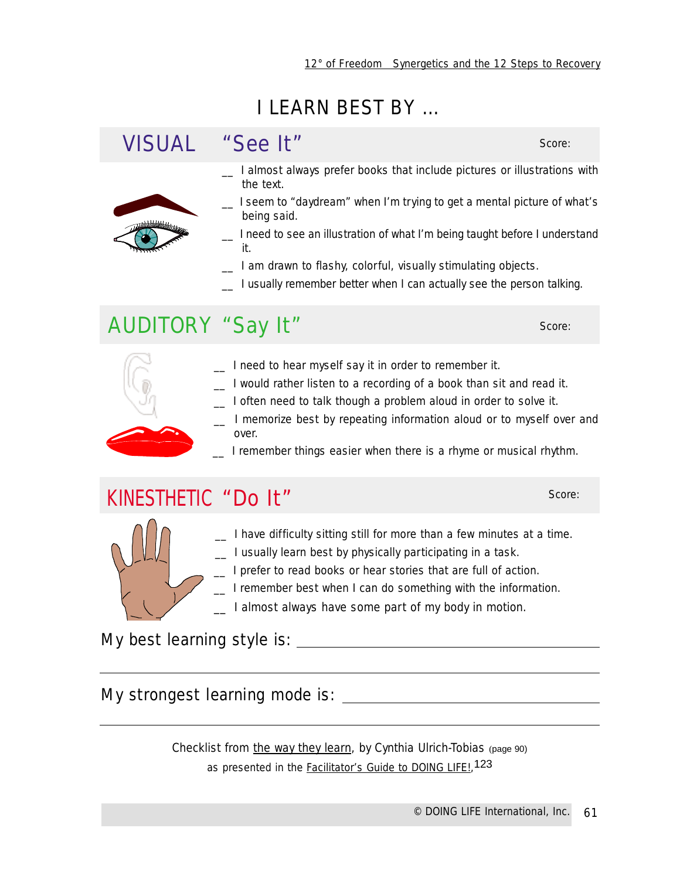# I LEARN BEST BY …

### VISUAL *"See It" Score:*

- I almost always prefer books that include pictures or illustrations with the text.
- \_\_ I seem to "daydream" when I'm trying to get a mental picture of what's being said.
- \_\_ I need to see an illustration of what I'm being taught before I understand it.
- I am drawn to flashy, colorful, visually stimulating objects.
- \_\_ I usually remember better when I can actually see the person talking.

# AUDITORY *"Say It" Score:*



- \_\_ I need to hear myself say it in order to remember it.
- \_\_ I would rather listen to a recording of a book than sit and read it.
- \_\_ I often need to talk though a problem aloud in order to solve it.
- I memorize best by repeating information aloud or to myself over and over.
- \_\_ I remember things easier when there is a rhyme or musical rhythm.

# KINESTHETIC *"Do It" Score:*

- \_\_ I have difficulty sitting still for more than a few minutes at a time.
- \_\_ I usually learn best by physically participating in a task.
- \_\_ I prefer to read books or hear stories that are full of action.
- \_\_ I remember best when I can do something with the information.
- \_\_ I almost always have some part of my body in motion.

### My best learning style is:

### My strongest learning mode is:

Checklist from the way they learn, by Cynthia Ulrich-Tobias (page 90) as presented in the Facilitator's Guide to DOING LIFE!, 123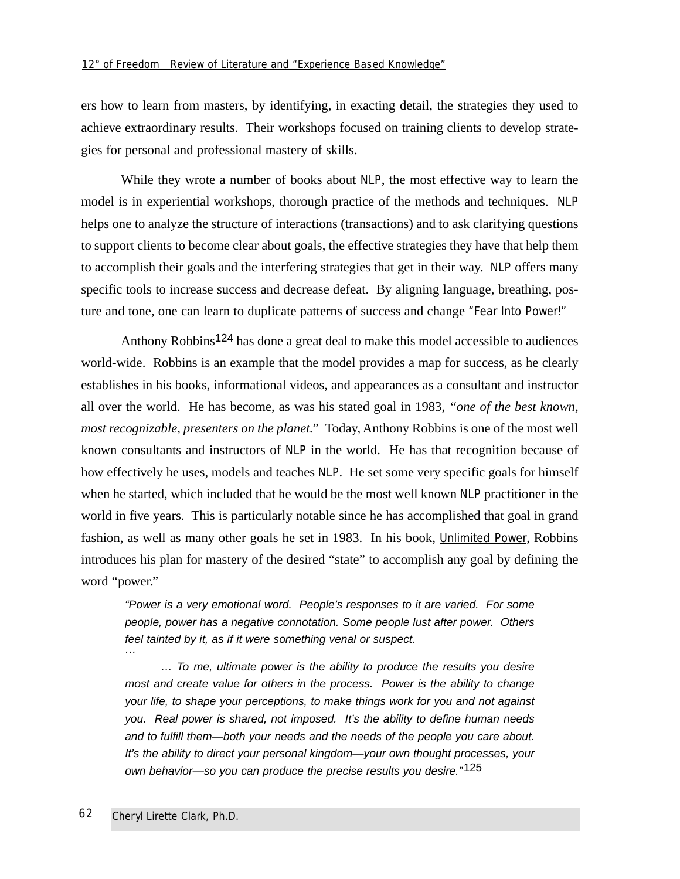ers how to learn from masters, by identifying, in exacting detail, the strategies they used to achieve extraordinary results. Their workshops focused on training clients to develop strategies for personal and professional mastery of skills.

While they wrote a number of books about NLP, the most effective way to learn the model is in experiential workshops, thorough practice of the methods and techniques. NLP helps one to analyze the structure of interactions (transactions) and to ask clarifying questions to support clients to become clear about goals, the effective strategies they have that help them to accomplish their goals and the interfering strategies that get in their way. NLP offers many specific tools to increase success and decrease defeat. By aligning language, breathing, posture and tone, one can learn to duplicate patterns of success and change *"Fear Into Power!"*

Anthony Robbins<sup>124</sup> has done a great deal to make this model accessible to audiences world-wide. Robbins is an example that the model provides a map for success, as he clearly establishes in his books, informational videos, and appearances as a consultant and instructor all over the world. He has become, as was his stated goal in 1983, *"one of the best known, most recognizable, presenters on the planet."* Today, Anthony Robbins is one of the most well known consultants and instructors of NLP in the world. He has that recognition because of how effectively he uses, models and teaches NLP. He set some very specific goals for himself when he started, which included that he would be the most well known NLP practitioner in the world in five years. This is particularly notable since he has accomplished that goal in grand fashion, as well as many other goals he set in 1983. In his book, Unlimited Power, Robbins introduces his plan for mastery of the desired "state" to accomplish any goal by defining the word "power."

"Power is a very emotional word. People's responses to it are varied. For some people, power has a negative connotation. Some people lust after power. Others feel tainted by it, as if it were something venal or suspect. …

… To me, ultimate power is the ability to produce the results you desire most and create value for others in the process. Power is the ability to change your life, to shape your perceptions, to make things work for you and not against you. Real power is shared, not imposed. It's the ability to define human needs and to fulfill them—both your needs and the needs of the people you care about. It's the ability to direct your personal kingdom—your own thought processes, your own behavior—so you can produce the precise results you desire."<sup>125</sup>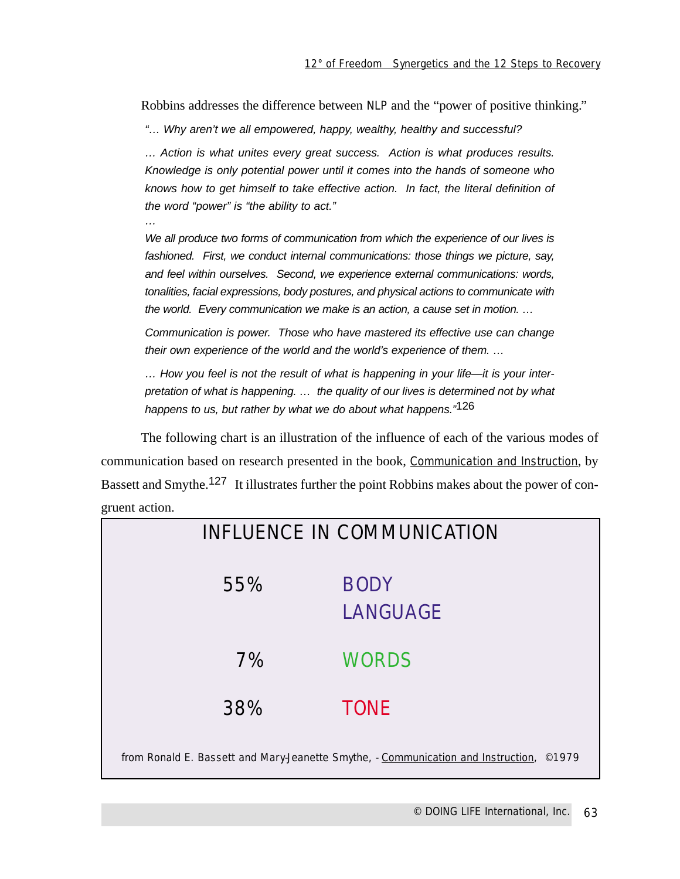Robbins addresses the difference between NLP and the "power of positive thinking."

"… Why aren't we all empowered, happy, wealthy, healthy and successful?

…

… Action is what unites every great success. Action is what produces results. Knowledge is only potential power until it comes into the hands of someone who knows how to get himself to take effective action. In fact, the literal definition of the word "power" is "the ability to act."

We all produce two forms of communication from which the experience of our lives is fashioned. First, we conduct internal communications: those things we picture, say, and feel within ourselves. Second, we experience external communications: words, tonalities, facial expressions, body postures, and physical actions to communicate with the world. Every communication we make is an action, a cause set in motion. …

Communication is power. Those who have mastered its effective use can change their own experience of the world and the world's experience of them. …

… How you feel is not the result of what is happening in your life—it is your interpretation of what is happening. … the quality of our lives is determined not by what happens to us, but rather by what we do about what happens."<sup>126</sup>

The following chart is an illustration of the influence of each of the various modes of communication based on research presented in the book, Communication and Instruction, by Bassett and Smythe.<sup>127</sup> It illustrates further the point Robbins makes about the power of congruent action.

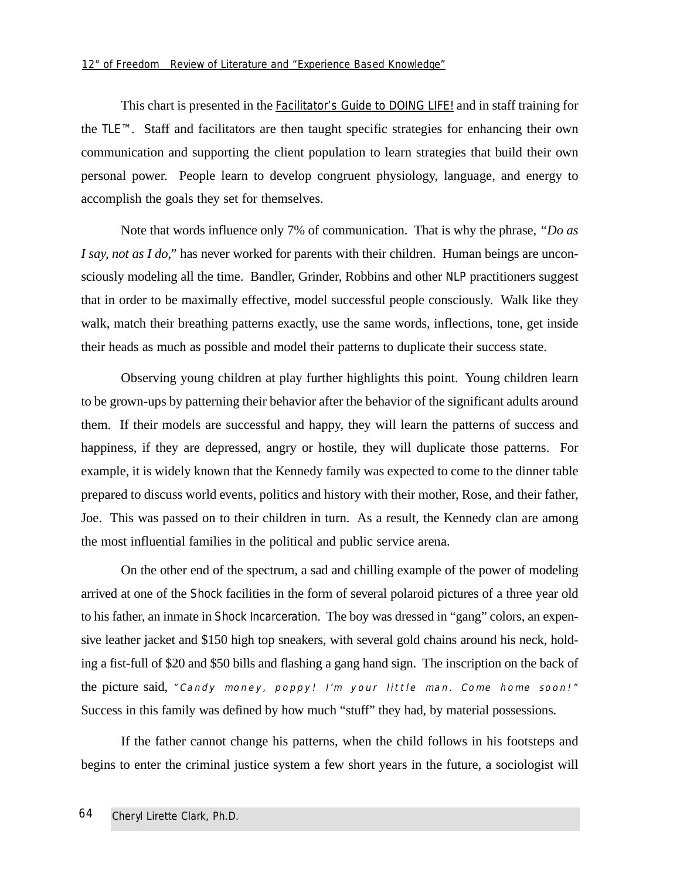This chart is presented in the Facilitator's Guide to DOING LIFE! and in staff training for the TLE™. Staff and facilitators are then taught specific strategies for enhancing their own communication and supporting the client population to learn strategies that build their own personal power. People learn to develop congruent physiology, language, and energy to accomplish the goals they set for themselves.

Note that words influence only 7% of communication. That is why the phrase, *"Do as I say, not as I do,"* has never worked for parents with their children. Human beings are unconsciously modeling all the time. Bandler, Grinder, Robbins and other NLP practitioners suggest that in order to be maximally effective, model successful people consciously. Walk like they walk, match their breathing patterns exactly, use the same words, inflections, tone, get inside their heads as much as possible and model their patterns to duplicate their success state.

Observing young children at play further highlights this point. Young children learn to be grown-ups by patterning their behavior after the behavior of the significant adults around them. If their models are successful and happy, they will learn the patterns of success and happiness, if they are depressed, angry or hostile, they will duplicate those patterns. For example, it is widely known that the Kennedy family was expected to come to the dinner table prepared to discuss world events, politics and history with their mother, Rose, and their father, Joe. This was passed on to their children in turn. As a result, the Kennedy clan are among the most influential families in the political and public service arena.

On the other end of the spectrum, a sad and chilling example of the power of modeling arrived at one of the Shock facilities in the form of several polaroid pictures of a three year old to his father, an inmate in Shock Incarceration. The boy was dressed in "gang" colors, an expensive leather jacket and \$150 high top sneakers, with several gold chains around his neck, holding a fist-full of \$20 and \$50 bills and flashing a gang hand sign. The inscription on the back of the picture said, "Candy money, poppy! I'm your little man. Come home soon!" Success in this family was defined by how much "stuff" they had, by material possessions.

If the father cannot change his patterns, when the child follows in his footsteps and begins to enter the criminal justice system a few short years in the future, a sociologist will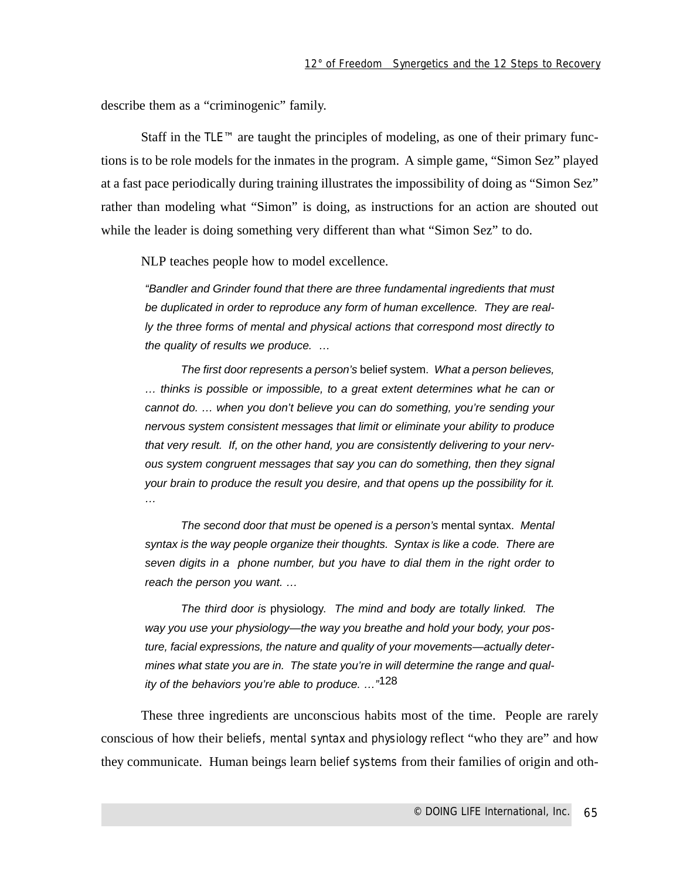describe them as a "criminogenic" family.

Staff in the  $TLE^{\pi}$  are taught the principles of modeling, as one of their primary functions is to be role models for the inmates in the program. A simple game, "Simon Sez" played at a fast pace periodically during training illustrates the impossibility of doing as "Simon Sez" rather than modeling what "Simon" is doing, as instructions for an action are shouted out while the leader is doing something very different than what "Simon Sez" to do.

NLP teaches people how to model excellence.

"Bandler and Grinder found that there are three fundamental ingredients that must be duplicated in order to reproduce any form of human excellence. They are really the three forms of mental and physical actions that correspond most directly to the quality of results we produce. …

The first door represents a person's belief system. What a person believes, … thinks is possible or impossible, to a great extent determines what he can or cannot do. … when you don't believe you can do something, you're sending your nervous system consistent messages that limit or eliminate your ability to produce that very result. If, on the other hand, you are consistently delivering to your nervous system congruent messages that say you can do something, then they signal your brain to produce the result you desire, and that opens up the possibility for it. …

The second door that must be opened is a person's mental syntax. Mental syntax is the way people organize their thoughts. Syntax is like a code. There are seven digits in a phone number, but you have to dial them in the right order to reach the person you want. …

The third door is physiology. The mind and body are totally linked. The way you use your physiology—the way you breathe and hold your body, your posture, facial expressions, the nature and quality of your movements—actually determines what state you are in. The state you're in will determine the range and quality of the behaviors you're able to produce.  $\ldots$ <sup>128</sup>

These three ingredients are unconscious habits most of the time. People are rarely conscious of how their beliefs, mental syntax and physiology reflect "who they are" and how they communicate. Human beings learn belief systems from their families of origin and oth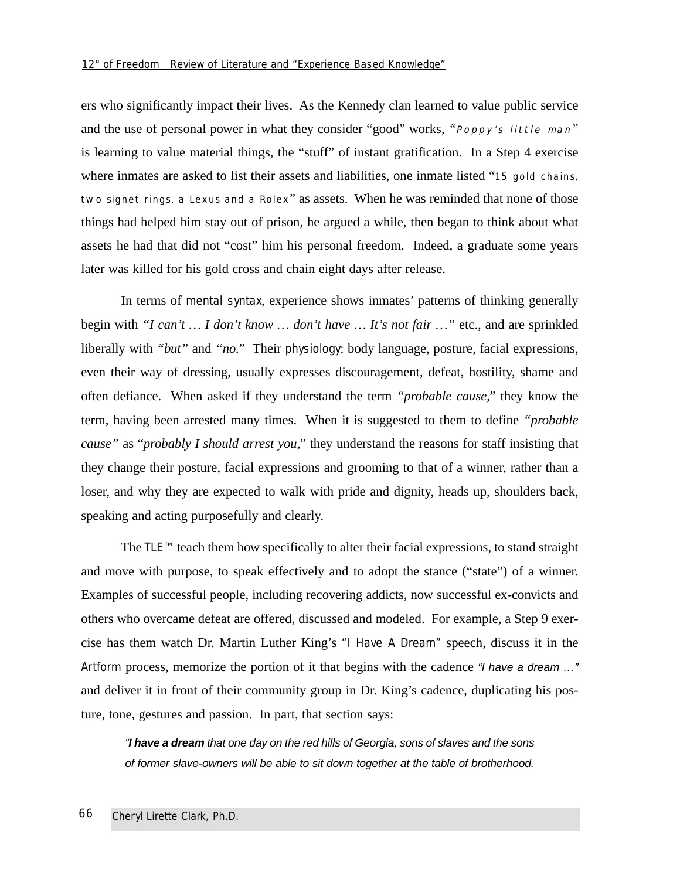ers who significantly impact their lives. As the Kennedy clan learned to value public service and the use of personal power in what they consider "good" works, *"*Poppy's little man*"* is learning to value material things, the "stuff" of instant gratification. In a Step 4 exercise where inmates are asked to list their assets and liabilities, one inmate listed "15 gold chains, two signet rings, a Lexus and a Rolex" as assets. When he was reminded that none of those things had helped him stay out of prison, he argued a while, then began to think about what assets he had that did not "cost" him his personal freedom. Indeed, a graduate some years later was killed for his gold cross and chain eight days after release.

In terms of mental syntax, experience shows inmates' patterns of thinking generally begin with *"I can't … I don't know … don't have … It's not fair …"* etc., and are sprinkled liberally with *"but"* and *"no."* Their physiology: body language, posture, facial expressions, even their way of dressing, usually expresses discouragement, defeat, hostility, shame and often defiance. When asked if they understand the term *"probable cause,"* they know the term, having been arrested many times. When it is suggested to them to define *"probable cause"* as "*probably I should arrest you,"* they understand the reasons for staff insisting that they change their posture, facial expressions and grooming to that of a winner, rather than a loser, and why they are expected to walk with pride and dignity, heads up, shoulders back, speaking and acting purposefully and clearly.

The TLE™ teach them how specifically to alter their facial expressions, to stand straight and move with purpose, to speak effectively and to adopt the stance ("state") of a winner. Examples of successful people, including recovering addicts, now successful ex-convicts and others who overcame defeat are offered, discussed and modeled. For example, a Step 9 exercise has them watch Dr. Martin Luther King's "I Have A Dream" speech, discuss it in the Artform process, memorize the portion of it that begins with the cadence "I have a dream ..." and deliver it in front of their community group in Dr. King's cadence, duplicating his posture, tone, gestures and passion. In part, that section says:

"**I have a dream** that one day on the red hills of Georgia, sons of slaves and the sons of former slave-owners will be able to sit down together at the table of brotherhood.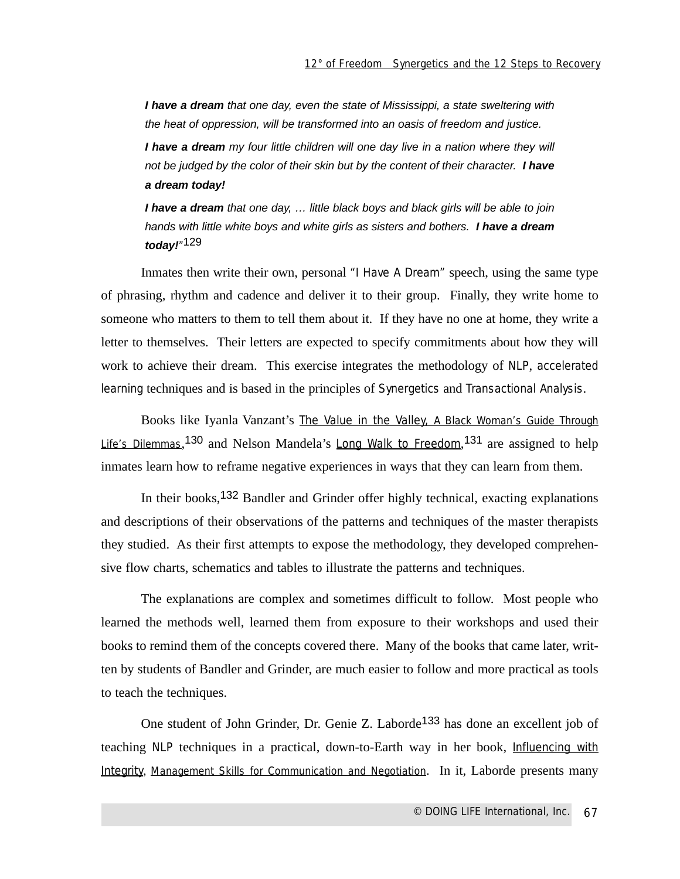**I have a dream** that one day, even the state of Mississippi, a state sweltering with the heat of oppression, will be transformed into an oasis of freedom and justice.

**I have a dream** my four little children will one day live in a nation where they will not be judged by the color of their skin but by the content of their character. **I have a dream today!** 

**I have a dream** that one day, … little black boys and black girls will be able to join hands with little white boys and white girls as sisters and bothers. **I have a dream today!**"129

Inmates then write their own, personal "I Have A Dream" speech, using the same type of phrasing, rhythm and cadence and deliver it to their group. Finally, they write home to someone who matters to them to tell them about it. If they have no one at home, they write a letter to themselves. Their letters are expected to specify commitments about how they will work to achieve their dream. This exercise integrates the methodology of NLP, accelerated learning techniques and is based in the principles of Synergetics and Transactional Analysis.

Books like Iyanla Vanzant's The Value in the Valley, A Black Woman's Guide Through Life's Dilemmas,<sup>130</sup> and Nelson Mandela's Long Walk to Freedom,<sup>131</sup> are assigned to help inmates learn how to reframe negative experiences in ways that they can learn from them.

In their books,<sup>132</sup> Bandler and Grinder offer highly technical, exacting explanations and descriptions of their observations of the patterns and techniques of the master therapists they studied. As their first attempts to expose the methodology, they developed comprehensive flow charts, schematics and tables to illustrate the patterns and techniques.

The explanations are complex and sometimes difficult to follow. Most people who learned the methods well, learned them from exposure to their workshops and used their books to remind them of the concepts covered there. Many of the books that came later, written by students of Bandler and Grinder, are much easier to follow and more practical as tools to teach the techniques.

One student of John Grinder, Dr. Genie Z. Laborde133 has done an excellent job of teaching NLP techniques in a practical, down-to-Earth way in her book, Influencing with Integrity, *Management Skills for Communication and Negotiation*. In it, Laborde presents many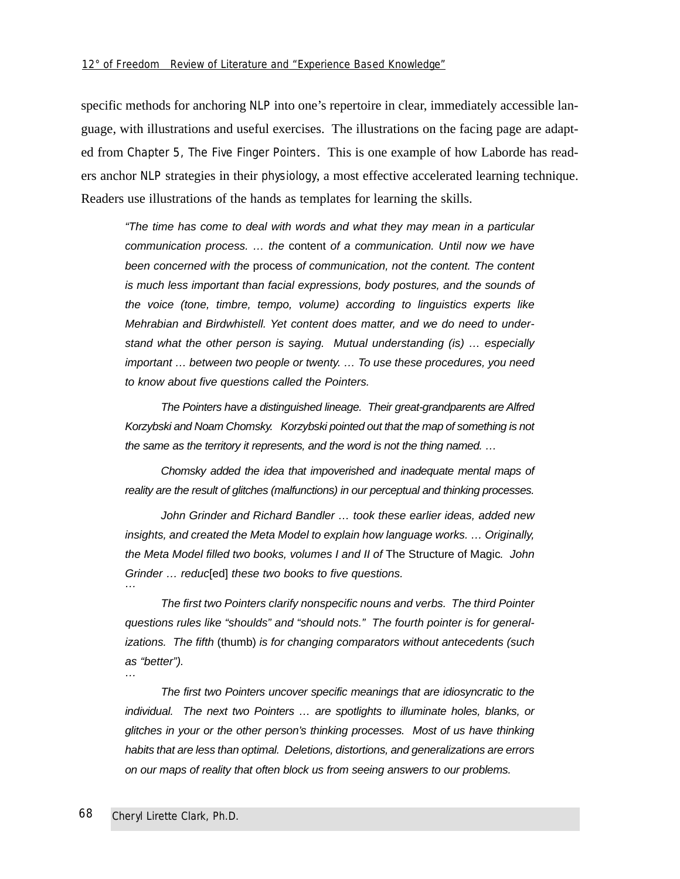specific methods for anchoring NLP into one's repertoire in clear, immediately accessible language, with illustrations and useful exercises. The illustrations on the facing page are adapted from *Chapter 5, The Five Finger Pointers*. This is one example of how Laborde has readers anchor NLP strategies in their physiology, a most effective accelerated learning technique. Readers use illustrations of the hands as templates for learning the skills.

"The time has come to deal with words and what they may mean in a particular communication process. … the content of a communication. Until now we have been concerned with the process of communication, not the content. The content is much less important than facial expressions, body postures, and the sounds of the voice (tone, timbre, tempo, volume) according to linguistics experts like Mehrabian and Birdwhistell. Yet content does matter, and we do need to understand what the other person is saying. Mutual understanding (is) … especially important … between two people or twenty. … To use these procedures, you need to know about five questions called the Pointers.

The Pointers have a distinguished lineage. Their great-grandparents are Alfred Korzybski and Noam Chomsky. Korzybski pointed out that the map of something is not the same as the territory it represents, and the word is not the thing named. …

Chomsky added the idea that impoverished and inadequate mental maps of reality are the result of glitches (malfunctions) in our perceptual and thinking processes.

John Grinder and Richard Bandler … took these earlier ideas, added new insights, and created the Meta Model to explain how language works. … Originally, the Meta Model filled two books, volumes I and II of The Structure of Magic. John Grinder ... reduc[ed] these two books to five questions.

The first two Pointers clarify nonspecific nouns and verbs. The third Pointer questions rules like "shoulds" and "should nots." The fourth pointer is for generalizations. The fifth (thumb) is for changing comparators without antecedents (such as "better"). …

The first two Pointers uncover specific meanings that are idiosyncratic to the individual. The next two Pointers … are spotlights to illuminate holes, blanks, or glitches in your or the other person's thinking processes. Most of us have thinking habits that are less than optimal. Deletions, distortions, and generalizations are errors on our maps of reality that often block us from seeing answers to our problems.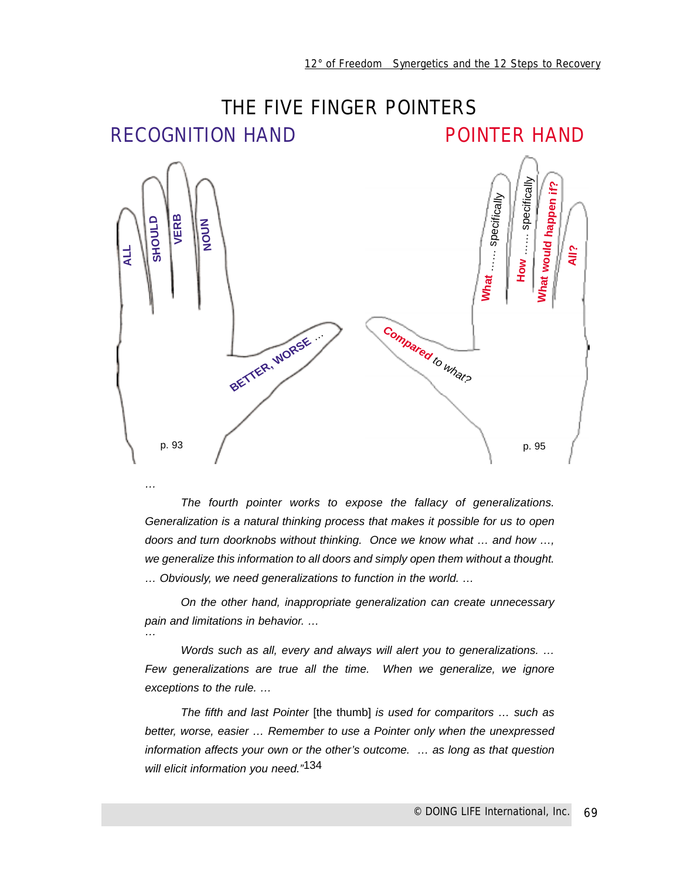

The fourth pointer works to expose the fallacy of generalizations. Generalization is a natural thinking process that makes it possible for us to open doors and turn doorknobs without thinking. Once we know what … and how …, we generalize this information to all doors and simply open them without a thought. … Obviously, we need generalizations to function in the world. …

On the other hand, inappropriate generalization can create unnecessary pain and limitations in behavior. … …

Words such as all, every and always will alert you to generalizations. … Few generalizations are true all the time. When we generalize, we ignore exceptions to the rule. …

The fifth and last Pointer [the thumb] is used for comparitors … such as better, worse, easier … Remember to use a Pointer only when the unexpressed information affects your own or the other's outcome. … as long as that question will elicit information you need."<sup>134</sup>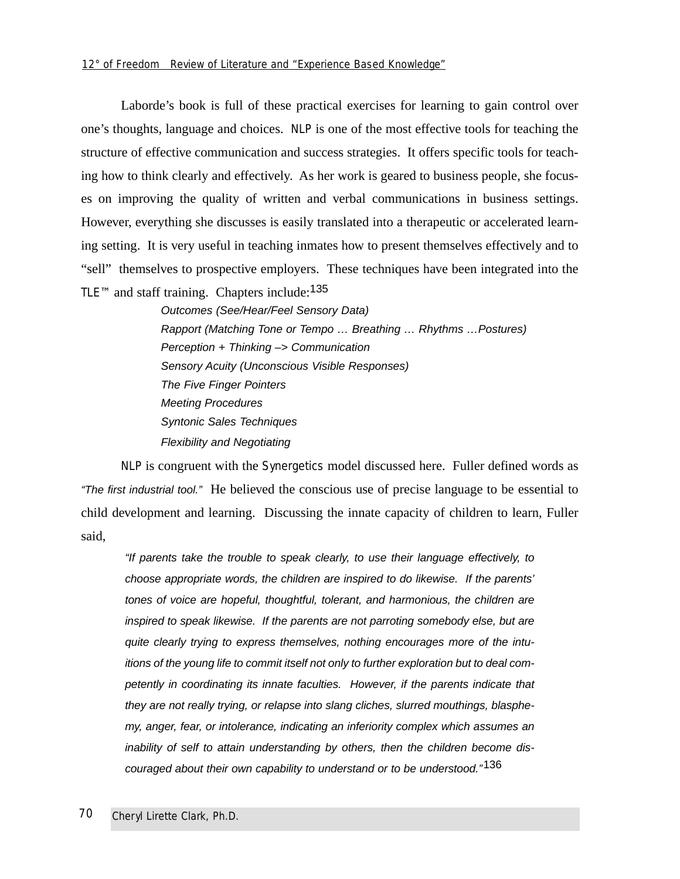#### *12° of Freedom Review of Literature and "Experience Based Knowledge"*

Laborde's book is full of these practical exercises for learning to gain control over one's thoughts, language and choices. NLP is one of the most effective tools for teaching the structure of effective communication and success strategies. It offers specific tools for teaching how to think clearly and effectively. As her work is geared to business people, she focuses on improving the quality of written and verbal communications in business settings. However, everything she discusses is easily translated into a therapeutic or accelerated learning setting. It is very useful in teaching inmates how to present themselves effectively and to "sell" themselves to prospective employers. These techniques have been integrated into the TLE™ and staff training. Chapters include:  $135$ 

> Outcomes (See/Hear/Feel Sensory Data) Rapport (Matching Tone or Tempo … Breathing … Rhythms …Postures) Perception + Thinking –> Communication Sensory Acuity (Unconscious Visible Responses) The Five Finger Pointers Meeting Procedures Syntonic Sales Techniques Flexibility and Negotiating

NLP is congruent with the Synergetics model discussed here. Fuller defined words as "The first industrial tool." He believed the conscious use of precise language to be essential to child development and learning. Discussing the innate capacity of children to learn, Fuller said,

"If parents take the trouble to speak clearly, to use their language effectively, to choose appropriate words, the children are inspired to do likewise. If the parents' tones of voice are hopeful, thoughtful, tolerant, and harmonious, the children are inspired to speak likewise. If the parents are not parroting somebody else, but are quite clearly trying to express themselves, nothing encourages more of the intuitions of the young life to commit itself not only to further exploration but to deal competently in coordinating its innate faculties. However, if the parents indicate that they are not really trying, or relapse into slang cliches, slurred mouthings, blasphemy, anger, fear, or intolerance, indicating an inferiority complex which assumes an inability of self to attain understanding by others, then the children become discouraged about their own capability to understand or to be understood."<sup>136</sup>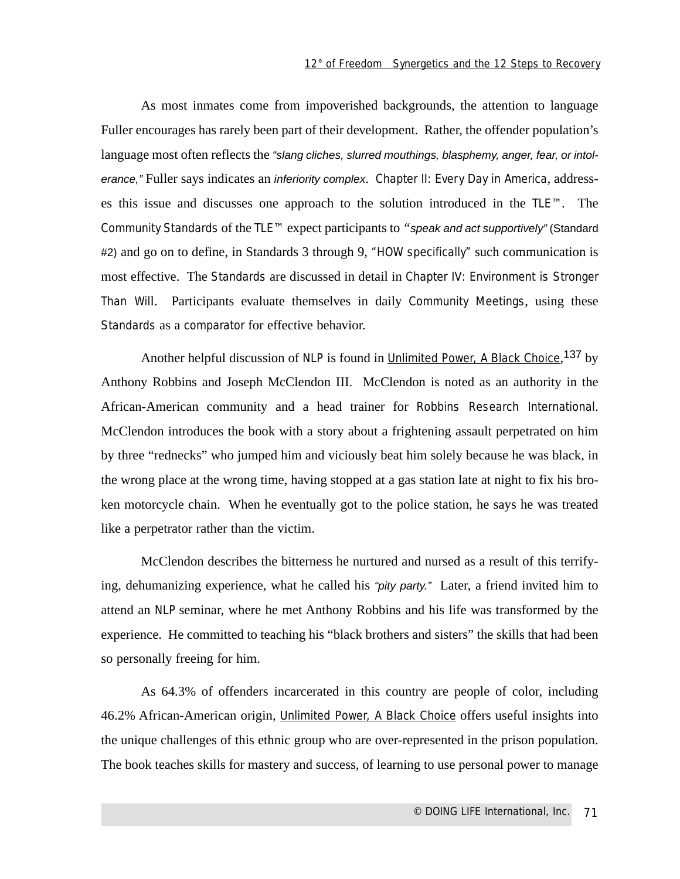As most inmates come from impoverished backgrounds, the attention to language Fuller encourages has rarely been part of their development. Rather, the offender population's language most often reflects the "slang cliches, slurred mouthings, blasphemy, anger, fear, or intolerance," Fuller says indicates an *inferiority complex*. Chapter II: Every Day in America, addresses this issue and discusses one approach to the solution introduced in the TLE™. The Community Standards of the TLE™ expect participants to *"*speak and act supportively" (Standard #2) and go on to define, in Standards 3 through 9, *"HOW specifically"* such communication is most effective. The Standards are discussed in detail in Chapter IV: Environment is Stronger Than Will. Participants evaluate themselves in daily Community Meetings, using these Standards as a *comparator* for effective behavior.

Another helpful discussion of NLP is found in Unlimited Power, A Black Choice, 137 by Anthony Robbins and Joseph McClendon III. McClendon is noted as an authority in the African-American community and a head trainer for Robbins Research International. McClendon introduces the book with a story about a frightening assault perpetrated on him by three "rednecks" who jumped him and viciously beat him solely because he was black, in the wrong place at the wrong time, having stopped at a gas station late at night to fix his broken motorcycle chain. When he eventually got to the police station, he says he was treated like a perpetrator rather than the victim.

McClendon describes the bitterness he nurtured and nursed as a result of this terrifying, dehumanizing experience, what he called his "pity party." Later, a friend invited him to attend an NLP seminar, where he met Anthony Robbins and his life was transformed by the experience. He committed to teaching his "black brothers and sisters" the skills that had been so personally freeing for him.

As 64.3% of offenders incarcerated in this country are people of color, including 46.2% African-American origin, Unlimited Power, A Black Choice offers useful insights into the unique challenges of this ethnic group who are over-represented in the prison population. The book teaches skills for mastery and success, of learning to use personal power to manage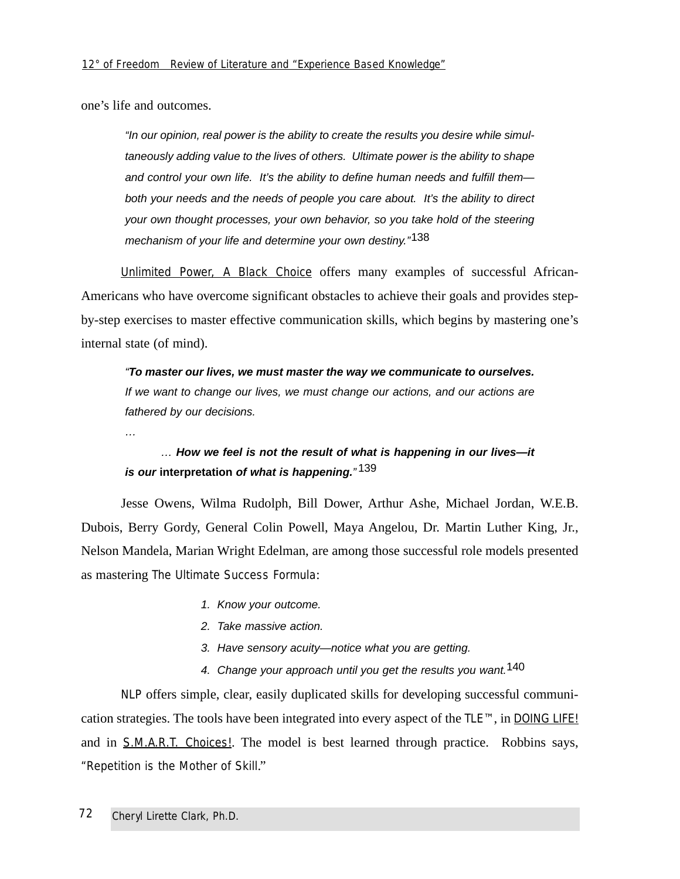one's life and outcomes.

"In our opinion, real power is the ability to create the results you desire while simultaneously adding value to the lives of others. Ultimate power is the ability to shape and control your own life. It's the ability to define human needs and fulfill themboth your needs and the needs of people you care about. It's the ability to direct your own thought processes, your own behavior, so you take hold of the steering mechanism of your life and determine your own destiny."<sup>138</sup>

Unlimited Power, A Black Choice offers many examples of successful African-Americans who have overcome significant obstacles to achieve their goals and provides stepby-step exercises to master effective communication skills, which begins by mastering one's internal state (of mind).

"**To master our lives, we must master the way we communicate to ourselves.** If we want to change our lives, we must change our actions, and our actions are fathered by our decisions.

…

### … **How we feel is not the result of what is happening in our lives—it is our interpretation of what is happening.**" 139

Jesse Owens, Wilma Rudolph, Bill Dower, Arthur Ashe, Michael Jordan, W.E.B. Dubois, Berry Gordy, General Colin Powell, Maya Angelou, Dr. Martin Luther King, Jr., Nelson Mandela, Marian Wright Edelman, are among those successful role models presented as mastering The Ultimate Success Formula:

- 1. Know your outcome.
- 2. Take massive action.
- 3. Have sensory acuity—notice what you are getting.
- 4. Change your approach until you get the results you want.<sup>140</sup>

NLP offers simple, clear, easily duplicated skills for developing successful communication strategies. The tools have been integrated into every aspect of the  $\text{TL} \mathbb{R}^m$ , in DOING LIFE! and in <u>S.M.A.R.T. Choices!</u>. The model is best learned through practice. Robbins says, "Repetition is the Mother of Skill."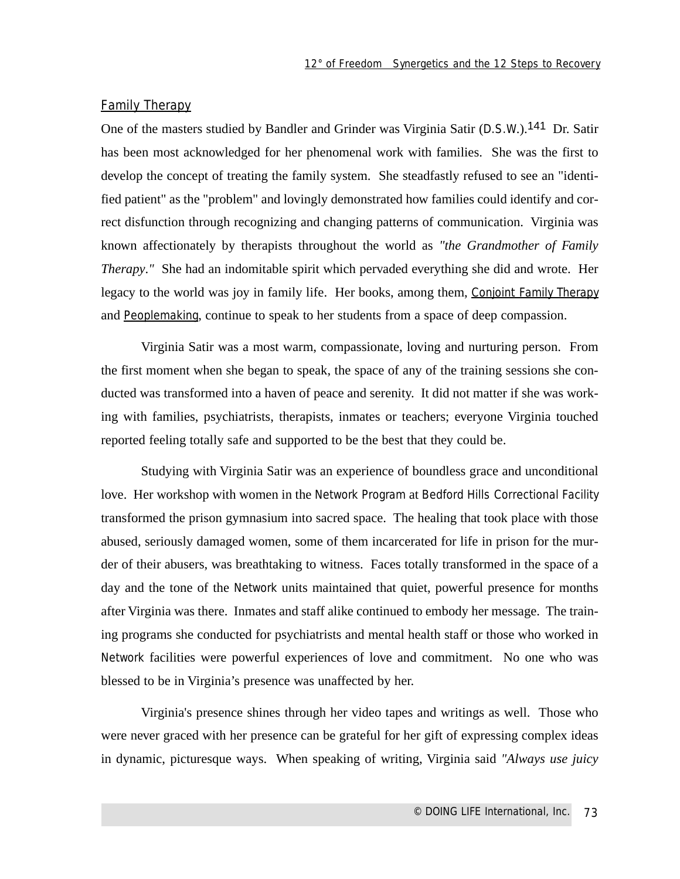### Family Therapy

One of the masters studied by Bandler and Grinder was Virginia Satir (D.S.W.).141 Dr. Satir has been most acknowledged for her phenomenal work with families. She was the first to develop the concept of treating the family system. She steadfastly refused to see an "identified patient" as the "problem" and lovingly demonstrated how families could identify and correct disfunction through recognizing and changing patterns of communication. Virginia was known affectionately by therapists throughout the world as *"the Grandmother of Family Therapy*.*"* She had an indomitable spirit which pervaded everything she did and wrote. Her legacy to the world was joy in family life. Her books, among them, Conjoint Family Therapy and Peoplemaking, continue to speak to her students from a space of deep compassion.

Virginia Satir was a most warm, compassionate, loving and nurturing person. From the first moment when she began to speak, the space of any of the training sessions she conducted was transformed into a haven of peace and serenity. It did not matter if she was working with families, psychiatrists, therapists, inmates or teachers; everyone Virginia touched reported feeling totally safe and supported to be the best that they could be.

Studying with Virginia Satir was an experience of boundless grace and unconditional love. Her workshop with women in the Network Program at Bedford Hills Correctional Facility transformed the prison gymnasium into sacred space. The healing that took place with those abused, seriously damaged women, some of them incarcerated for life in prison for the murder of their abusers, was breathtaking to witness. Faces totally transformed in the space of a day and the tone of the Network units maintained that quiet, powerful presence for months after Virginia was there. Inmates and staff alike continued to embody her message. The training programs she conducted for psychiatrists and mental health staff or those who worked in Network facilities were powerful experiences of love and commitment. No one who was blessed to be in Virginia's presence was unaffected by her.

Virginia's presence shines through her video tapes and writings as well. Those who were never graced with her presence can be grateful for her gift of expressing complex ideas in dynamic, picturesque ways. When speaking of writing, Virginia said *"Always use juicy*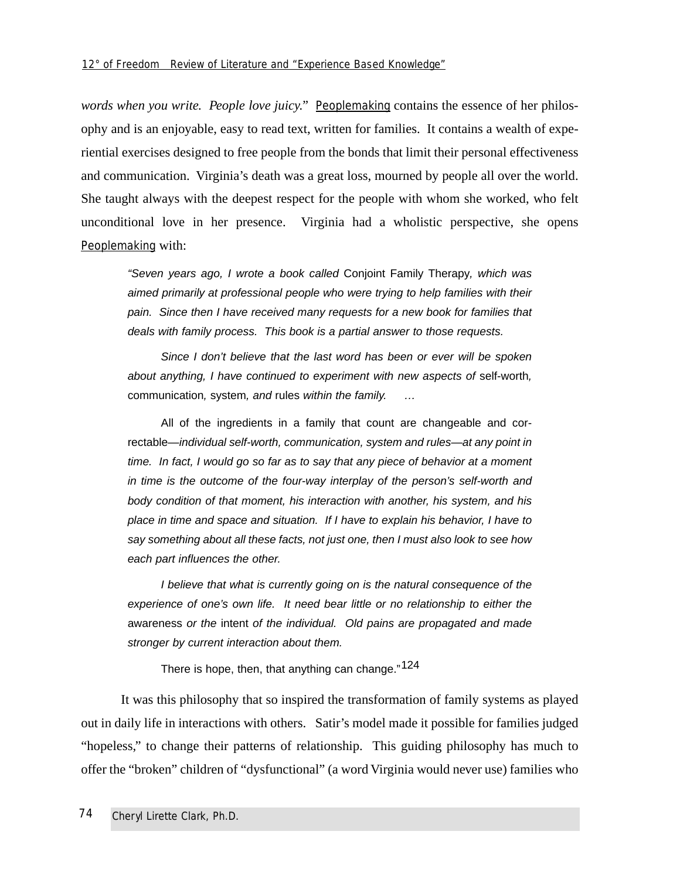*words when you write. People love juicy."* Peoplemaking contains the essence of her philosophy and is an enjoyable, easy to read text, written for families. It contains a wealth of experiential exercises designed to free people from the bonds that limit their personal effectiveness and communication. Virginia's death was a great loss, mourned by people all over the world. She taught always with the deepest respect for the people with whom she worked, who felt unconditional love in her presence. Virginia had a wholistic perspective, she opens Peoplemaking with:

"Seven years ago, I wrote a book called Conjoint Family Therapy, which was aimed primarily at professional people who were trying to help families with their pain. Since then I have received many requests for a new book for families that deals with family process. This book is a partial answer to those requests.

Since I don't believe that the last word has been or ever will be spoken about anything, I have continued to experiment with new aspects of self-worth, communication, system, and rules within the family. ...

All of the ingredients in a family that count are changeable and correctable—individual self-worth, communication, system and rules—at any point in time. In fact, I would go so far as to say that any piece of behavior at a moment in time is the outcome of the four-way interplay of the person's self-worth and body condition of that moment, his interaction with another, his system, and his place in time and space and situation. If I have to explain his behavior, I have to say something about all these facts, not just one, then I must also look to see how each part influences the other.

I believe that what is currently going on is the natural consequence of the experience of one's own life. It need bear little or no relationship to either the awareness or the intent of the individual. Old pains are propagated and made stronger by current interaction about them.

There is hope, then, that anything can change."124

It was this philosophy that so inspired the transformation of family systems as played out in daily life in interactions with others. Satir's model made it possible for families judged "hopeless," to change their patterns of relationship. This guiding philosophy has much to offer the "broken" children of "dysfunctional" (a word Virginia would never use) families who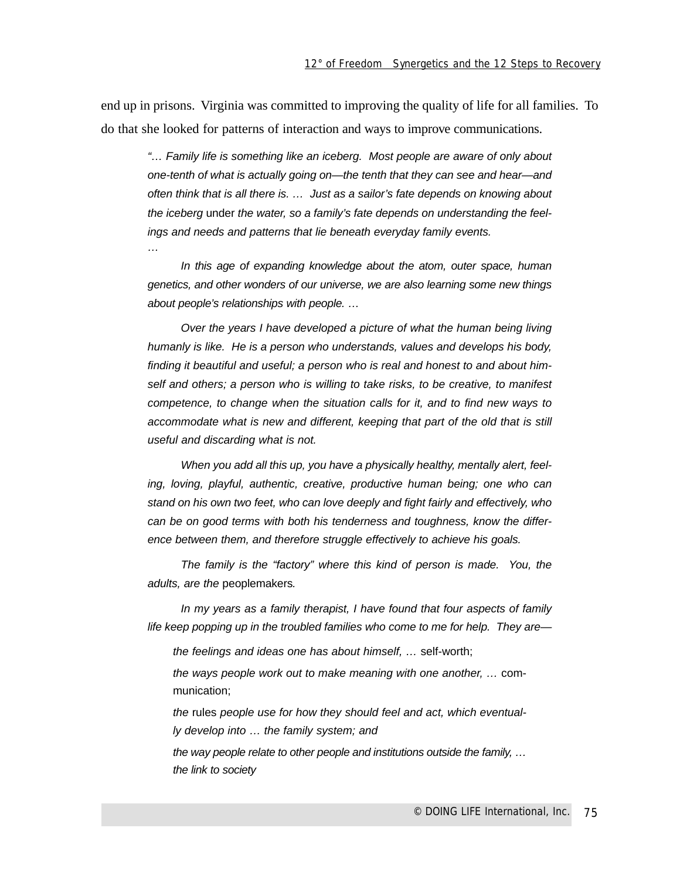end up in prisons. Virginia was committed to improving the quality of life for all families. To do that she looked for patterns of interaction and ways to improve communications.

"… Family life is something like an iceberg. Most people are aware of only about one-tenth of what is actually going on—the tenth that they can see and hear—and often think that is all there is. … Just as a sailor's fate depends on knowing about the iceberg under the water, so a family's fate depends on understanding the feelings and needs and patterns that lie beneath everyday family events. …

In this age of expanding knowledge about the atom, outer space, human genetics, and other wonders of our universe, we are also learning some new things about people's relationships with people. …

Over the years I have developed a picture of what the human being living humanly is like. He is a person who understands, values and develops his body, finding it beautiful and useful; a person who is real and honest to and about himself and others; a person who is willing to take risks, to be creative, to manifest competence, to change when the situation calls for it, and to find new ways to accommodate what is new and different, keeping that part of the old that is still useful and discarding what is not.

When you add all this up, you have a physically healthy, mentally alert, feeling, loving, playful, authentic, creative, productive human being; one who can stand on his own two feet, who can love deeply and fight fairly and effectively, who can be on good terms with both his tenderness and toughness, know the difference between them, and therefore struggle effectively to achieve his goals.

The family is the "factory" where this kind of person is made. You, the adults, are the peoplemakers.

In my years as a family therapist, I have found that four aspects of family life keep popping up in the troubled families who come to me for help. They are—

the feelings and ideas one has about himself, … self-worth;

the ways people work out to make meaning with one another, … communication;

the rules people use for how they should feel and act, which eventually develop into … the family system; and

the way people relate to other people and institutions outside the family, … the link to society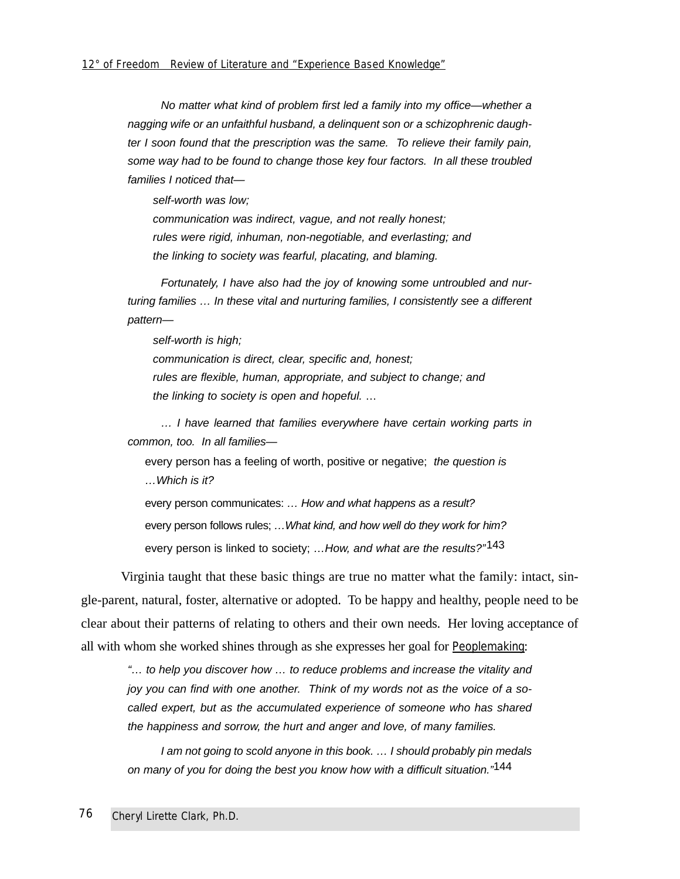No matter what kind of problem first led a family into my office—whether a nagging wife or an unfaithful husband, a delinquent son or a schizophrenic daughter I soon found that the prescription was the same. To relieve their family pain, some way had to be found to change those key four factors. In all these troubled families I noticed that—

self-worth was low;

communication was indirect, vague, and not really honest; rules were rigid, inhuman, non-negotiable, and everlasting; and the linking to society was fearful, placating, and blaming.

Fortunately, I have also had the joy of knowing some untroubled and nurturing families … In these vital and nurturing families, I consistently see a different pattern—

self-worth is high;

communication is direct, clear, specific and, honest; rules are flexible, human, appropriate, and subject to change; and the linking to society is open and hopeful. …

… I have learned that families everywhere have certain working parts in common, too. In all families—

every person has a feeling of worth, positive or negative; the question is …Which is it?

every person communicates: … How and what happens as a result? every person follows rules; …What kind, and how well do they work for him? every person is linked to society; ...How, and what are the results?"<sup>143</sup>

Virginia taught that these basic things are true no matter what the family: intact, single-parent, natural, foster, alternative or adopted. To be happy and healthy, people need to be clear about their patterns of relating to others and their own needs. Her loving acceptance of all with whom she worked shines through as she expresses her goal for Peoplemaking:

"… to help you discover how … to reduce problems and increase the vitality and joy you can find with one another. Think of my words not as the voice of a socalled expert, but as the accumulated experience of someone who has shared the happiness and sorrow, the hurt and anger and love, of many families.

I am not going to scold anyone in this book. … I should probably pin medals on many of you for doing the best you know how with a difficult situation."<sup>144</sup>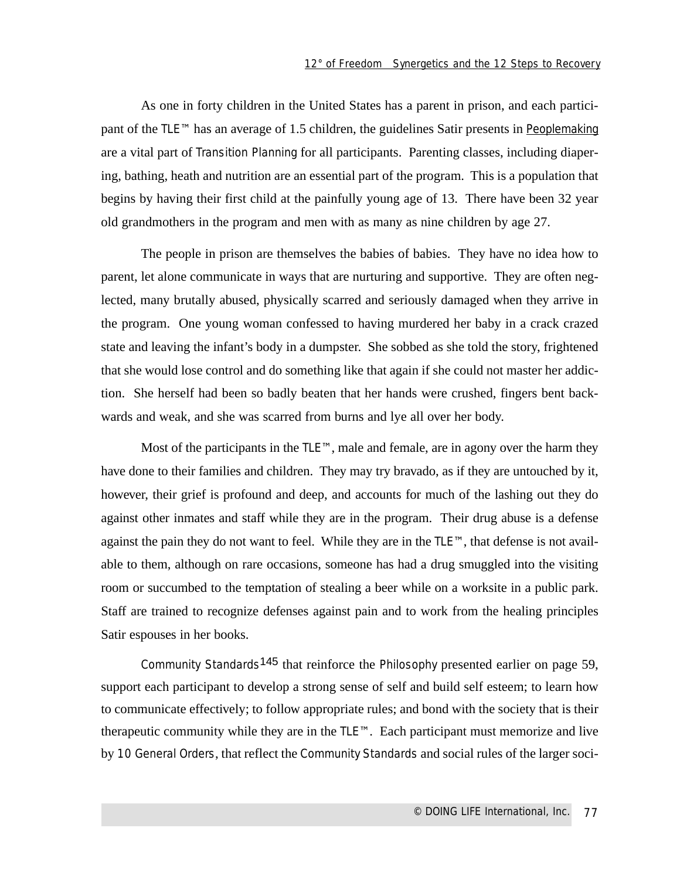As one in forty children in the United States has a parent in prison, and each participant of the TLE™ has an average of 1.5 children, the guidelines Satir presents in Peoplemaking are a vital part of Transition Planning for all participants. Parenting classes, including diapering, bathing, heath and nutrition are an essential part of the program. This is a population that begins by having their first child at the painfully young age of 13. There have been 32 year old grandmothers in the program and men with as many as nine children by age 27.

The people in prison are themselves the babies of babies. They have no idea how to parent, let alone communicate in ways that are nurturing and supportive. They are often neglected, many brutally abused, physically scarred and seriously damaged when they arrive in the program. One young woman confessed to having murdered her baby in a crack crazed state and leaving the infant's body in a dumpster. She sobbed as she told the story, frightened that she would lose control and do something like that again if she could not master her addiction. She herself had been so badly beaten that her hands were crushed, fingers bent backwards and weak, and she was scarred from burns and lye all over her body.

Most of the participants in the  $\mathsf{TL}^{\mathsf{TM}}$ , male and female, are in agony over the harm they have done to their families and children. They may try bravado, as if they are untouched by it, however, their grief is profound and deep, and accounts for much of the lashing out they do against other inmates and staff while they are in the program. Their drug abuse is a defense against the pain they do not want to feel. While they are in the TLE™, that defense is not available to them, although on rare occasions, someone has had a drug smuggled into the visiting room or succumbed to the temptation of stealing a beer while on a worksite in a public park. Staff are trained to recognize defenses against pain and to work from the healing principles Satir espouses in her books.

Community Standards<sup>145</sup> that reinforce the Philosophy presented earlier on page 59, support each participant to develop a strong sense of self and build self esteem; to learn how to communicate effectively; to follow appropriate rules; and bond with the society that is their therapeutic community while they are in the TLE™. Each participant must memorize and live by 10 General Orders, that reflect the Community Standards and social rules of the larger soci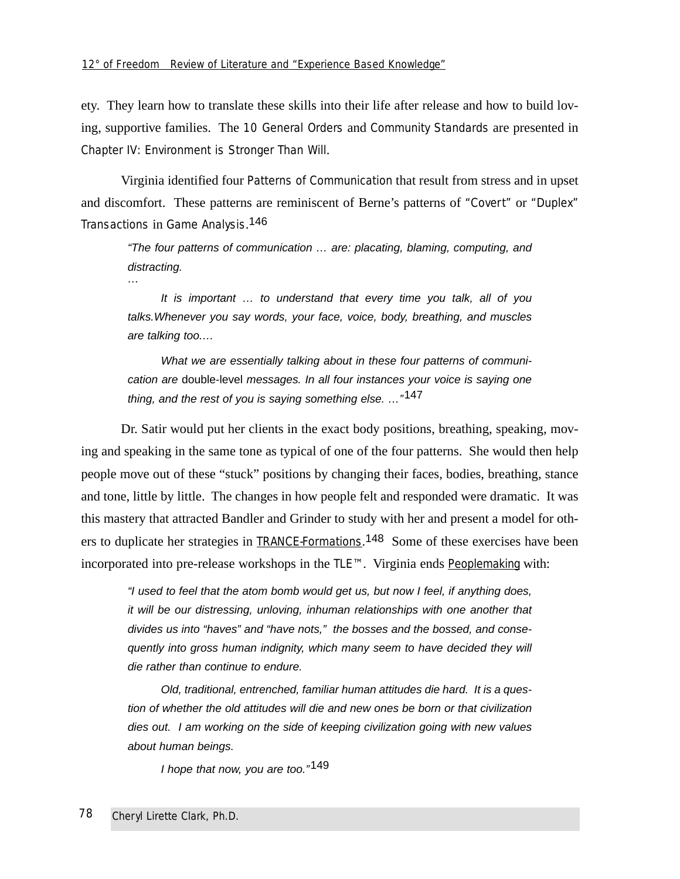ety. They learn how to translate these skills into their life after release and how to build loving, supportive families. The 10 General Orders and Community Standards are presented in Chapter IV: Environment is Stronger Than Will.

Virginia identified four Patterns of Communication that result from stress and in upset and discomfort. These patterns are reminiscent of Berne's patterns of "Covert" or "Duplex" Transactions in Game Analysis. 146

"The four patterns of communication … are: placating, blaming, computing, and distracting. …

It is important … to understand that every time you talk, all of you talks.Whenever you say words, your face, voice, body, breathing, and muscles are talking too.…

What we are essentially talking about in these four patterns of communication are double-level messages. In all four instances your voice is saying one thing, and the rest of you is saying something else. ..."147

Dr. Satir would put her clients in the exact body positions, breathing, speaking, moving and speaking in the same tone as typical of one of the four patterns. She would then help people move out of these "stuck" positions by changing their faces, bodies, breathing, stance and tone, little by little. The changes in how people felt and responded were dramatic. It was this mastery that attracted Bandler and Grinder to study with her and present a model for others to duplicate her strategies in **TRANCE-Formations**.<sup>148</sup> Some of these exercises have been incorporated into pre-release workshops in the TLE™. Virginia ends Peoplemaking with:

"I used to feel that the atom bomb would get us, but now I feel, if anything does, it will be our distressing, unloving, inhuman relationships with one another that divides us into "haves" and "have nots," the bosses and the bossed, and consequently into gross human indignity, which many seem to have decided they will die rather than continue to endure.

Old, traditional, entrenched, familiar human attitudes die hard. It is a question of whether the old attitudes will die and new ones be born or that civilization dies out. I am working on the side of keeping civilization going with new values about human beings.

I hope that now, you are too."149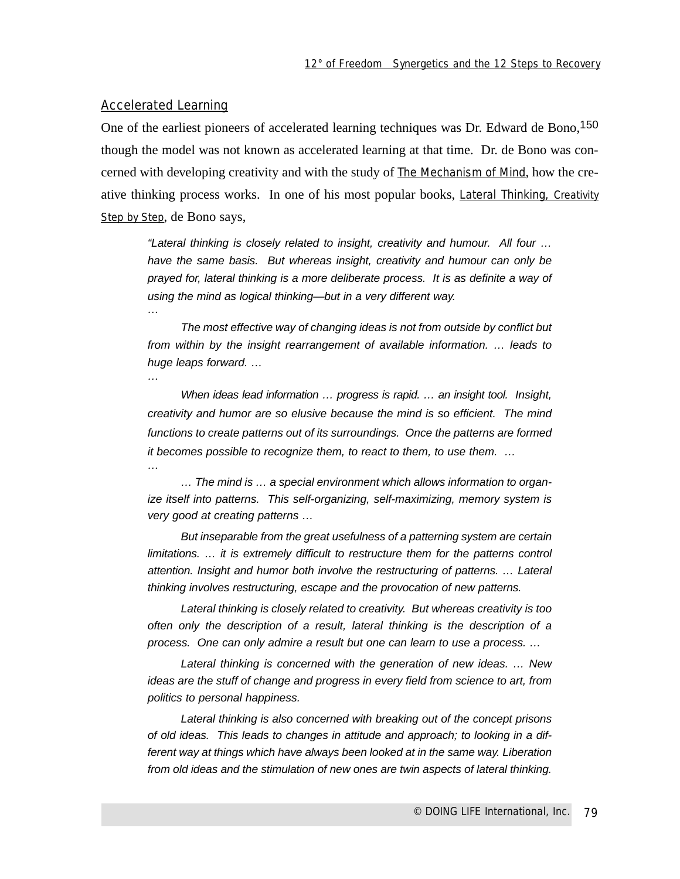#### Accelerated Learning

…

One of the earliest pioneers of accelerated learning techniques was Dr. Edward de Bono,<sup>150</sup> though the model was not known as accelerated learning at that time. Dr. de Bono was concerned with developing creativity and with the study of The Mechanism of Mind, how the creative thinking process works. In one of his most popular books, Lateral Thinking, *Creativity Step by Step*, de Bono says,

"Lateral thinking is closely related to insight, creativity and humour. All four … have the same basis. But whereas insight, creativity and humour can only be prayed for, lateral thinking is a more deliberate process. It is as definite a way of using the mind as logical thinking—but in a very different way. …

The most effective way of changing ideas is not from outside by conflict but from within by the insight rearrangement of available information. … leads to huge leaps forward. …

When ideas lead information ... progress is rapid. ... an insight tool. Insight, creativity and humor are so elusive because the mind is so efficient. The mind functions to create patterns out of its surroundings. Once the patterns are formed it becomes possible to recognize them, to react to them, to use them. … …

… The mind is … a special environment which allows information to organize itself into patterns. This self-organizing, self-maximizing, memory system is very good at creating patterns …

But inseparable from the great usefulness of a patterning system are certain limitations. … it is extremely difficult to restructure them for the patterns control attention. Insight and humor both involve the restructuring of patterns. … Lateral thinking involves restructuring, escape and the provocation of new patterns.

Lateral thinking is closely related to creativity. But whereas creativity is too often only the description of a result, lateral thinking is the description of a process. One can only admire a result but one can learn to use a process. …

Lateral thinking is concerned with the generation of new ideas. … New ideas are the stuff of change and progress in every field from science to art, from politics to personal happiness.

Lateral thinking is also concerned with breaking out of the concept prisons of old ideas. This leads to changes in attitude and approach; to looking in a different way at things which have always been looked at in the same way. Liberation from old ideas and the stimulation of new ones are twin aspects of lateral thinking.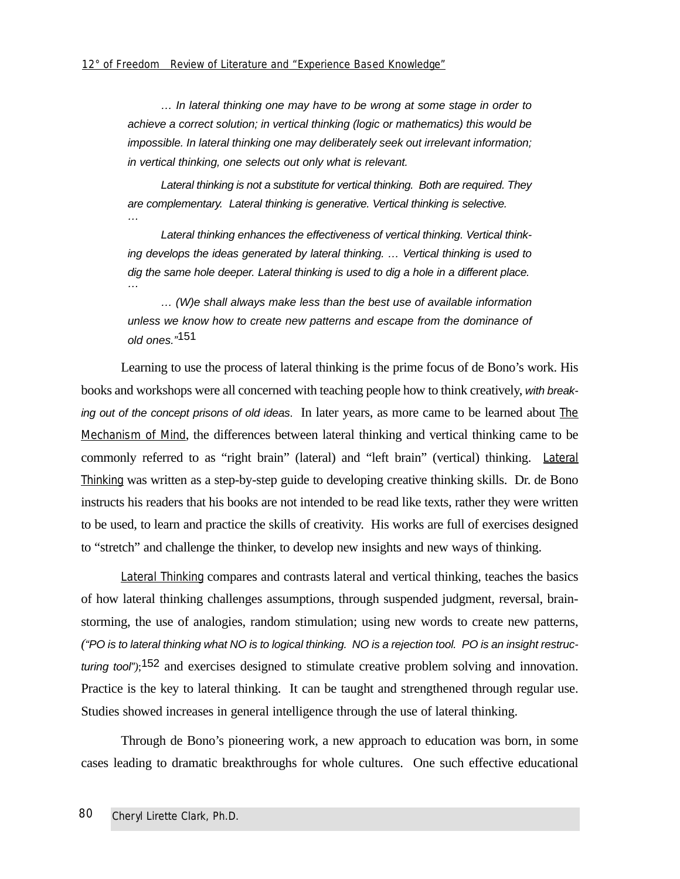… In lateral thinking one may have to be wrong at some stage in order to achieve a correct solution; in vertical thinking (logic or mathematics) this would be impossible. In lateral thinking one may deliberately seek out irrelevant information; in vertical thinking, one selects out only what is relevant.

Lateral thinking is not a substitute for vertical thinking. Both are required. They are complementary. Lateral thinking is generative. Vertical thinking is selective.

Lateral thinking enhances the effectiveness of vertical thinking. Vertical thinking develops the ideas generated by lateral thinking. … Vertical thinking is used to dig the same hole deeper. Lateral thinking is used to dig a hole in a different place. …

… (W)e shall always make less than the best use of available information unless we know how to create new patterns and escape from the dominance of old ones."151

Learning to use the process of lateral thinking is the prime focus of de Bono's work. His books and workshops were all concerned with teaching people how to think creatively, with breaking out of the concept prisons of old ideas. In later years, as more came to be learned about  $\text{The}$ Mechanism of Mind, the differences between lateral thinking and vertical thinking came to be commonly referred to as "right brain" (lateral) and "left brain" (vertical) thinking. Lateral Thinking was written as a step-by-step guide to developing creative thinking skills. Dr. de Bono instructs his readers that his books are not intended to be read like texts, rather they were written to be used, to learn and practice the skills of creativity. His works are full of exercises designed to "stretch" and challenge the thinker, to develop new insights and new ways of thinking.

Lateral Thinking compares and contrasts lateral and vertical thinking, teaches the basics of how lateral thinking challenges assumptions, through suspended judgment, reversal, brainstorming, the use of analogies, random stimulation; using new words to create new patterns, *(*"PO is to lateral thinking what NO is to logical thinking. NO is a rejection tool. PO is an insight restructuring tool");<sup>152</sup> and exercises designed to stimulate creative problem solving and innovation. Practice is the key to lateral thinking. It can be taught and strengthened through regular use. Studies showed increases in general intelligence through the use of lateral thinking.

Through de Bono's pioneering work, a new approach to education was born, in some cases leading to dramatic breakthroughs for whole cultures. One such effective educational

…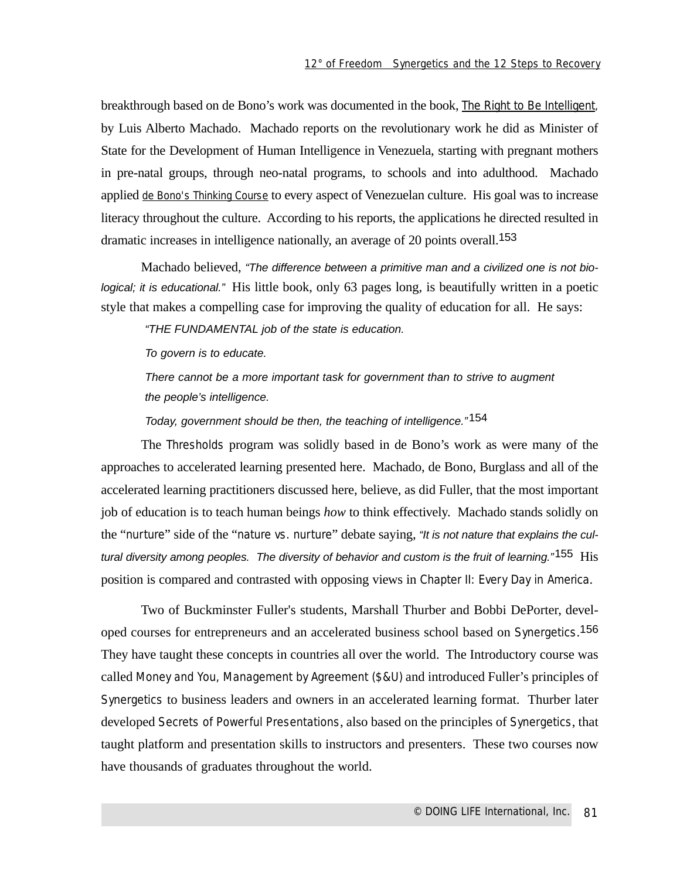breakthrough based on de Bono's work was documented in the book, The Right to Be Intelligent, by Luis Alberto Machado. Machado reports on the revolutionary work he did as Minister of State for the Development of Human Intelligence in Venezuela, starting with pregnant mothers in pre-natal groups, through neo-natal programs, to schools and into adulthood. Machado applied de Bono's Thinking Course to every aspect of Venezuelan culture. His goal was to increase literacy throughout the culture. According to his reports, the applications he directed resulted in dramatic increases in intelligence nationally, an average of 20 points overall.<sup>153</sup>

Machado believed, "The difference between a primitive man and a civilized one is not biological; it is educational." His little book, only 63 pages long, is beautifully written in a poetic style that makes a compelling case for improving the quality of education for all. He says:

"THE FUNDAMENTAL job of the state is education.

To govern is to educate.

There cannot be a more important task for government than to strive to augment the people's intelligence.

Today, government should be then, the teaching of intelligence."<sup>154</sup>

The Thresholds program was solidly based in de Bono's work as were many of the approaches to accelerated learning presented here. Machado, de Bono, Burglass and all of the accelerated learning practitioners discussed here, believe, as did Fuller, that the most important job of education is to teach human beings *how* to think effectively. Machado stands solidly on the "nurture" side of the "nature vs. nurture" debate saying, "It is not nature that explains the cultural diversity among peoples. The diversity of behavior and custom is the fruit of learning."155 His position is compared and contrasted with opposing views in Chapter II: Every Day in America.

Two of Buckminster Fuller's students, Marshall Thurber and Bobbi DePorter, developed courses for entrepreneurs and an accelerated business school based on Synergetics. 156 They have taught these concepts in countries all over the world. The Introductory course was called Money and You, Management by Agreement (\$&U) and introduced Fuller's principles of Synergetics to business leaders and owners in an accelerated learning format. Thurber later developed Secrets of Powerful Presentations, also based on the principles of Synergetics, that taught platform and presentation skills to instructors and presenters. These two courses now have thousands of graduates throughout the world.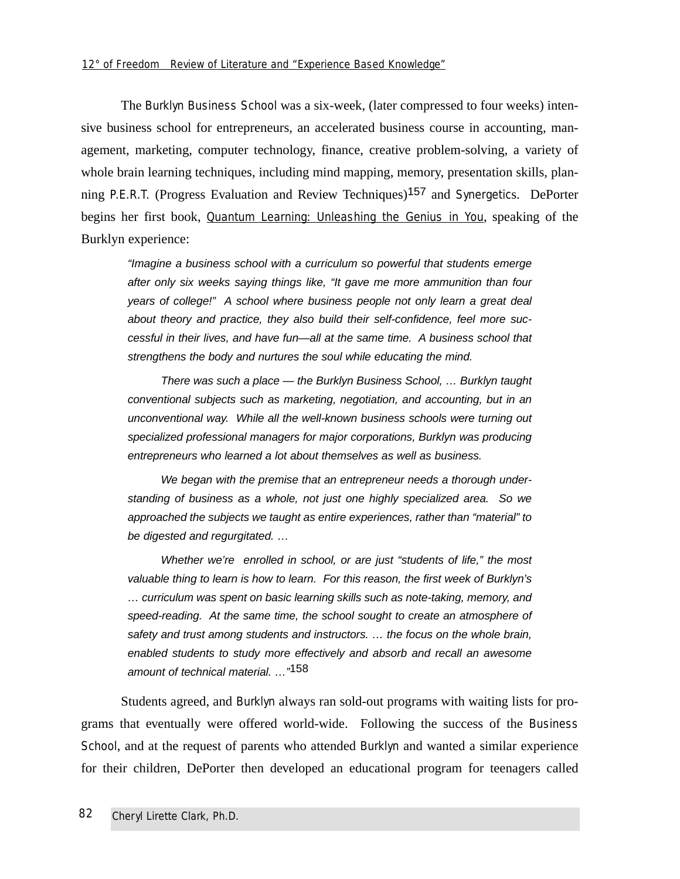#### *12° of Freedom Review of Literature and "Experience Based Knowledge"*

The Burklyn Business School was a six-week, (later compressed to four weeks) intensive business school for entrepreneurs, an accelerated business course in accounting, management, marketing, computer technology, finance, creative problem-solving, a variety of whole brain learning techniques, including mind mapping, memory, presentation skills, planning P.E.R.T. (Progress Evaluation and Review Techniques)<sup>157</sup> and Synergetics. DePorter begins her first book, Quantum Learning: Unleashing the Genius in You, speaking of the Burklyn experience:

"Imagine a business school with a curriculum so powerful that students emerge after only six weeks saying things like, "It gave me more ammunition than four years of college!" A school where business people not only learn a great deal about theory and practice, they also build their self-confidence, feel more successful in their lives, and have fun—all at the same time. A business school that strengthens the body and nurtures the soul while educating the mind.

There was such a place — the Burklyn Business School, … Burklyn taught conventional subjects such as marketing, negotiation, and accounting, but in an unconventional way. While all the well-known business schools were turning out specialized professional managers for major corporations, Burklyn was producing entrepreneurs who learned a lot about themselves as well as business.

We began with the premise that an entrepreneur needs a thorough understanding of business as a whole, not just one highly specialized area. So we approached the subjects we taught as entire experiences, rather than "material" to be digested and regurgitated. …

Whether we're enrolled in school, or are just "students of life," the most valuable thing to learn is how to learn. For this reason, the first week of Burklyn's … curriculum was spent on basic learning skills such as note-taking, memory, and speed-reading. At the same time, the school sought to create an atmosphere of safety and trust among students and instructors. ... the focus on the whole brain, enabled students to study more effectively and absorb and recall an awesome amount of technical material. …"158

Students agreed, and Burklyn always ran sold-out programs with waiting lists for programs that eventually were offered world-wide. Following the success of the Business School, and at the request of parents who attended Burklyn and wanted a similar experience for their children, DePorter then developed an educational program for teenagers called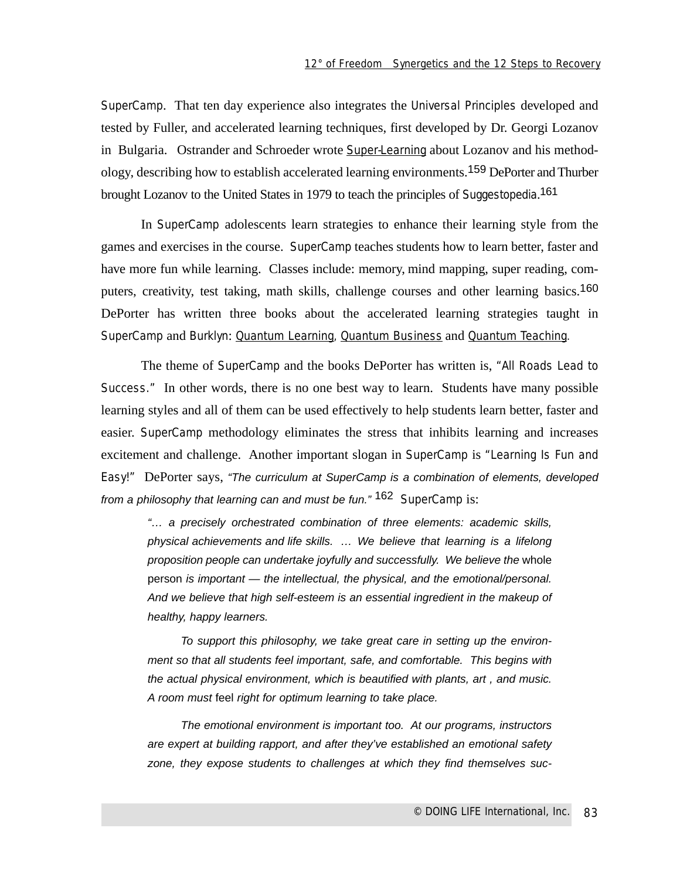*SuperCamp*. That ten day experience also integrates the Universal Principles developed and tested by Fuller, and accelerated learning techniques, first developed by Dr. Georgi Lozanov in Bulgaria. Ostrander and Schroeder wrote Super-Learning about Lozanov and his methodology, describing how to establish accelerated learning environments.159 DePorter and Thurber brought Lozanov to the United States in 1979 to teach the principles of Suggestopedia. 161

In *SuperCamp* adolescents learn strategies to enhance their learning style from the games and exercises in the course. *SuperCamp* teaches students how to learn better, faster and have more fun while learning. Classes include: memory, mind mapping, super reading, computers, creativity, test taking, math skills, challenge courses and other learning basics.160 DePorter has written three books about the accelerated learning strategies taught in *SuperCamp* and Burklyn: Quantum Learning, Quantum Business and Quantum Teaching.

The theme of *SuperCamp* and the books DePorter has written is, *"All Roads Lead to Success."* In other words, there is no one best way to learn. Students have many possible learning styles and all of them can be used effectively to help students learn better, faster and easier. *SuperCamp* methodology eliminates the stress that inhibits learning and increases excitement and challenge. Another important slogan in *SuperCamp* is *"Learning Is Fun and Easy!"* DePorter says, "The curriculum at SuperCamp is a combination of elements, developed from a philosophy that learning can and must be fun." 162 *SuperCamp* is:

"… a precisely orchestrated combination of three elements: academic skills, physical achievements and life skills. … We believe that learning is a lifelong proposition people can undertake joyfully and successfully. We believe the whole person is important — the intellectual, the physical, and the emotional/personal. And we believe that high self-esteem is an essential ingredient in the makeup of healthy, happy learners.

To support this philosophy, we take great care in setting up the environment so that all students feel important, safe, and comfortable. This begins with the actual physical environment, which is beautified with plants, art , and music. A room must feel right for optimum learning to take place.

The emotional environment is important too. At our programs, instructors are expert at building rapport, and after they've established an emotional safety zone, they expose students to challenges at which they find themselves suc-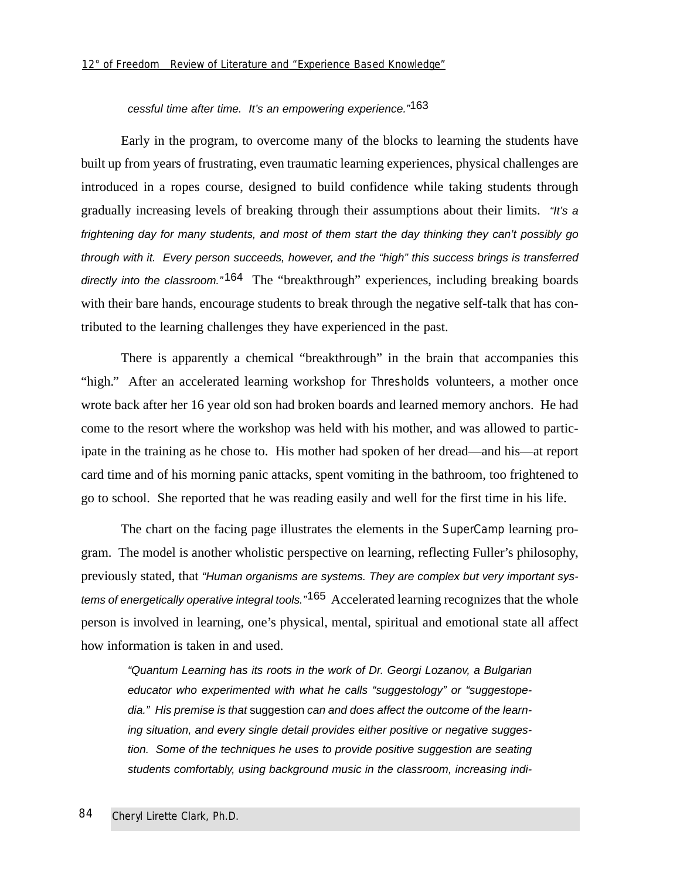#### cessful time after time. It's an empowering experience."163

Early in the program, to overcome many of the blocks to learning the students have built up from years of frustrating, even traumatic learning experiences, physical challenges are introduced in a ropes course, designed to build confidence while taking students through gradually increasing levels of breaking through their assumptions about their limits. "It's a frightening day for many students, and most of them start the day thinking they can't possibly go through with it. Every person succeeds, however, and the "high" this success brings is transferred directly into the classroom.<sup>"164</sup> The "breakthrough" experiences, including breaking boards with their bare hands, encourage students to break through the negative self-talk that has contributed to the learning challenges they have experienced in the past.

There is apparently a chemical "breakthrough" in the brain that accompanies this "high." After an accelerated learning workshop for Thresholds volunteers, a mother once wrote back after her 16 year old son had broken boards and learned memory anchors. He had come to the resort where the workshop was held with his mother, and was allowed to participate in the training as he chose to. His mother had spoken of her dread—and his—at report card time and of his morning panic attacks, spent vomiting in the bathroom, too frightened to go to school. She reported that he was reading easily and well for the first time in his life.

The chart on the facing page illustrates the elements in the *SuperCamp* learning program. The model is another wholistic perspective on learning, reflecting Fuller's philosophy, previously stated, that "Human organisms are systems. They are complex but very important systems of energetically operative integral tools."<sup>165</sup> Accelerated learning recognizes that the whole person is involved in learning, one's physical, mental, spiritual and emotional state all affect how information is taken in and used.

"Quantum Learning has its roots in the work of Dr. Georgi Lozanov, a Bulgarian educator who experimented with what he calls "suggestology" or "suggestopedia." His premise is that suggestion can and does affect the outcome of the learning situation, and every single detail provides either positive or negative suggestion. Some of the techniques he uses to provide positive suggestion are seating students comfortably, using background music in the classroom, increasing indi-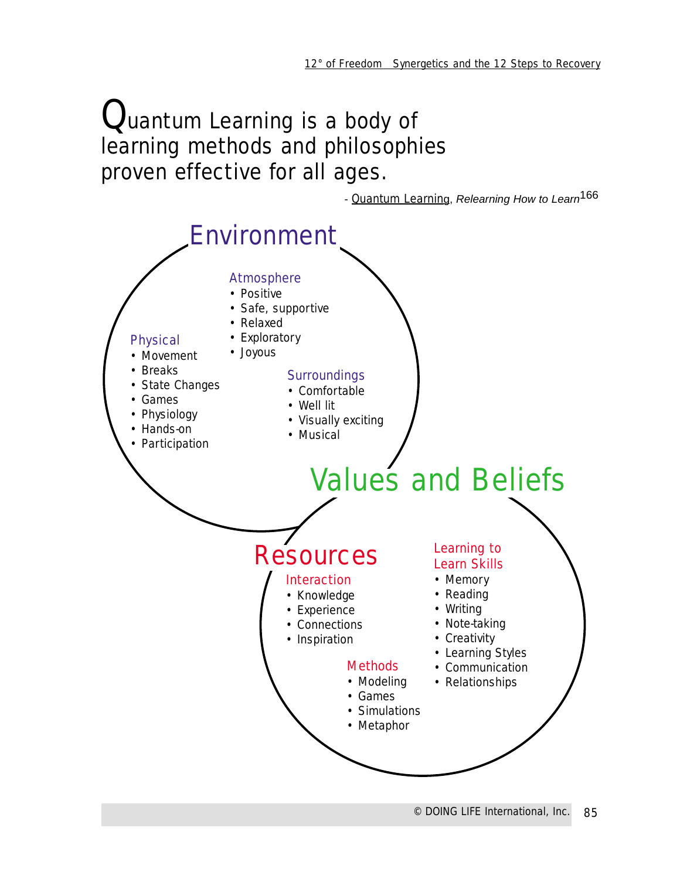# **Quantum Learning is a body of** learning methods and philosophies proven effective for all ages.

- Quantum Learning, Relearning How to Learn<sup>166</sup>



85 *© DOING LIFE International, Inc.*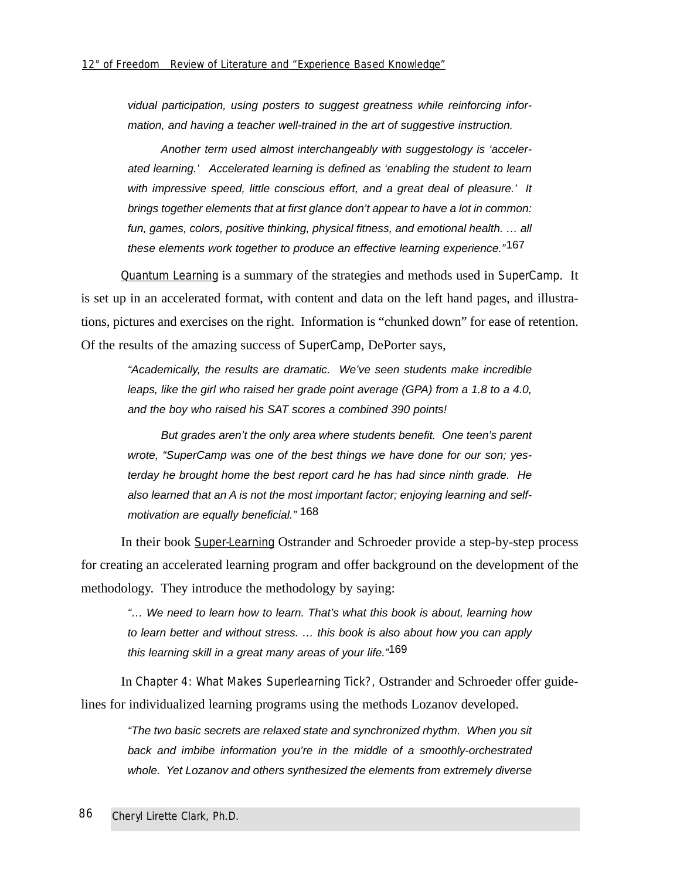vidual participation, using posters to suggest greatness while reinforcing information, and having a teacher well-trained in the art of suggestive instruction.

Another term used almost interchangeably with suggestology is 'accelerated learning.' Accelerated learning is defined as 'enabling the student to learn with impressive speed, little conscious effort, and a great deal of pleasure.' It brings together elements that at first glance don't appear to have a lot in common: fun, games, colors, positive thinking, physical fitness, and emotional health. … all these elements work together to produce an effective learning experience."<sup>167</sup>

Quantum Learning is a summary of the strategies and methods used in *SuperCamp*. It is set up in an accelerated format, with content and data on the left hand pages, and illustrations, pictures and exercises on the right. Information is "chunked down" for ease of retention. Of the results of the amazing success of *SuperCamp*, DePorter says,

"Academically, the results are dramatic. We've seen students make incredible leaps, like the girl who raised her grade point average (GPA) from a 1.8 to a 4.0, and the boy who raised his SAT scores a combined 390 points!

But grades aren't the only area where students benefit. One teen's parent wrote, "SuperCamp was one of the best things we have done for our son; yesterday he brought home the best report card he has had since ninth grade. He also learned that an A is not the most important factor; enjoying learning and selfmotivation are equally beneficial." 168

In their book Super-Learning Ostrander and Schroeder provide a step-by-step process for creating an accelerated learning program and offer background on the development of the methodology. They introduce the methodology by saying:

"… We need to learn how to learn. That's what this book is about, learning how to learn better and without stress. … this book is also about how you can apply this learning skill in a great many areas of your life."<sup>169</sup>

In *Chapter 4: What Makes Superlearning Tick?,* Ostrander and Schroeder offer guidelines for individualized learning programs using the methods Lozanov developed.

"The two basic secrets are relaxed state and synchronized rhythm. When you sit back and imbibe information you're in the middle of a smoothly-orchestrated whole. Yet Lozanov and others synthesized the elements from extremely diverse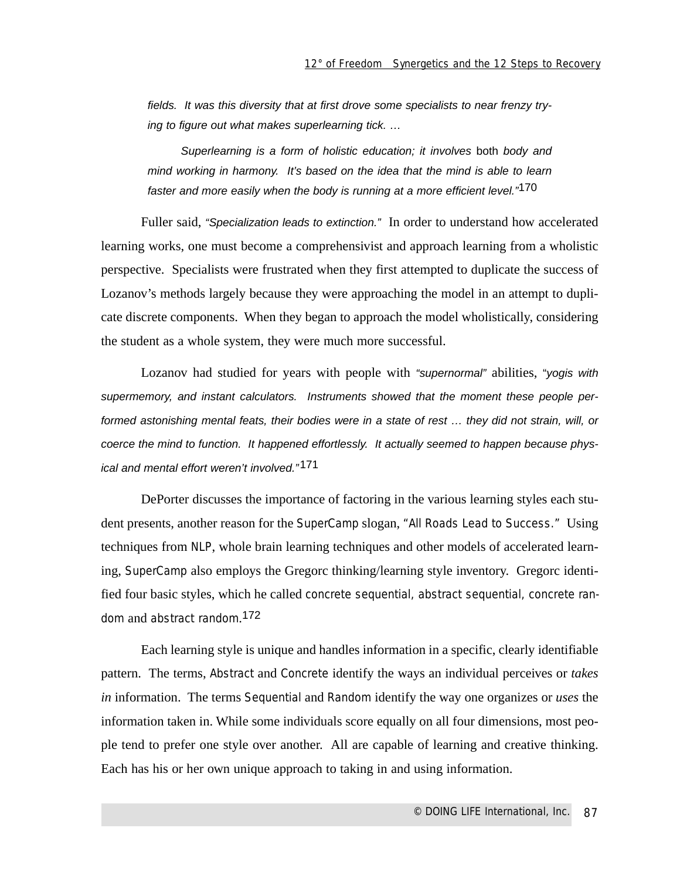fields. It was this diversity that at first drove some specialists to near frenzy trying to figure out what makes superlearning tick. …

Superlearning is a form of holistic education; it involves both body and mind working in harmony. It's based on the idea that the mind is able to learn faster and more easily when the body is running at a more efficient level."<sup>170</sup>

Fuller said, "Specialization leads to extinction." In order to understand how accelerated learning works, one must become a comprehensivist and approach learning from a wholistic perspective. Specialists were frustrated when they first attempted to duplicate the success of Lozanov's methods largely because they were approaching the model in an attempt to duplicate discrete components. When they began to approach the model wholistically, considering the student as a whole system, they were much more successful.

Lozanov had studied for years with people with "supernormal" abilities, "yogis with supermemory, and instant calculators. Instruments showed that the moment these people performed astonishing mental feats, their bodies were in a state of rest … they did not strain, will, or coerce the mind to function. It happened effortlessly. It actually seemed to happen because physical and mental effort weren't involved."171

DePorter discusses the importance of factoring in the various learning styles each student presents, another reason for the *SuperCamp* slogan, *"All Roads Lead to Success."* Using techniques from NLP, whole brain learning techniques and other models of accelerated learning, *SuperCamp* also employs the Gregorc thinking/learning style inventory. Gregorc identified four basic styles, which he called concrete sequential, abstract sequential, concrete random and abstract random. 172

Each learning style is unique and handles information in a specific, clearly identifiable pattern. The terms, Abstract and Concrete identify the ways an individual perceives or *takes in* information. The terms Sequential and Random identify the way one organizes or *uses* the information taken in. While some individuals score equally on all four dimensions, most people tend to prefer one style over another. All are capable of learning and creative thinking. Each has his or her own unique approach to taking in and using information.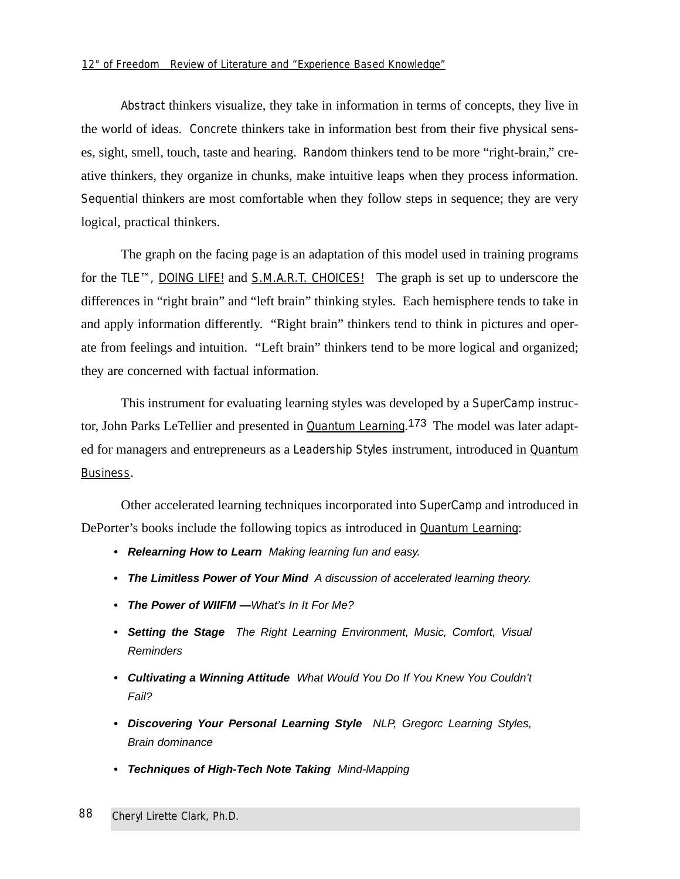#### *12° of Freedom Review of Literature and "Experience Based Knowledge"*

Abstract thinkers visualize, they take in information in terms of concepts, they live in the world of ideas. Concrete thinkers take in information best from their five physical senses, sight, smell, touch, taste and hearing. Random thinkers tend to be more "right-brain," creative thinkers, they organize in chunks, make intuitive leaps when they process information. Sequential thinkers are most comfortable when they follow steps in sequence; they are very logical, practical thinkers.

The graph on the facing page is an adaptation of this model used in training programs for the TLE™, DOING LIFE! and S.M.A.R.T. CHOICES! The graph is set up to underscore the differences in "right brain" and "left brain" thinking styles. Each hemisphere tends to take in and apply information differently. "Right brain" thinkers tend to think in pictures and operate from feelings and intuition. "Left brain" thinkers tend to be more logical and organized; they are concerned with factual information.

This instrument for evaluating learning styles was developed by a *SuperCamp* instructor, John Parks LeTellier and presented in **Quantum Learning**.<sup>173</sup> The model was later adapted for managers and entrepreneurs as a Leadership Styles instrument, introduced in Quantum Business.

Other accelerated learning techniques incorporated into *SuperCamp* and introduced in DePorter's books include the following topics as introduced in **Quantum Learning**:

- **Relearning How to Learn** Making learning fun and easy.
- **The Limitless Power of Your Mind** A discussion of accelerated learning theory.
- **The Power of WIIFM —**What's In It For Me?
- **Setting the Stage** The Right Learning Environment, Music, Comfort, Visual Reminders
- **Cultivating a Winning Attitude** What Would You Do If You Knew You Couldn't Fail?
- **Discovering Your Personal Learning Style** NLP, Gregorc Learning Styles, Brain dominance
- **Techniques of High-Tech Note Taking** Mind-Mapping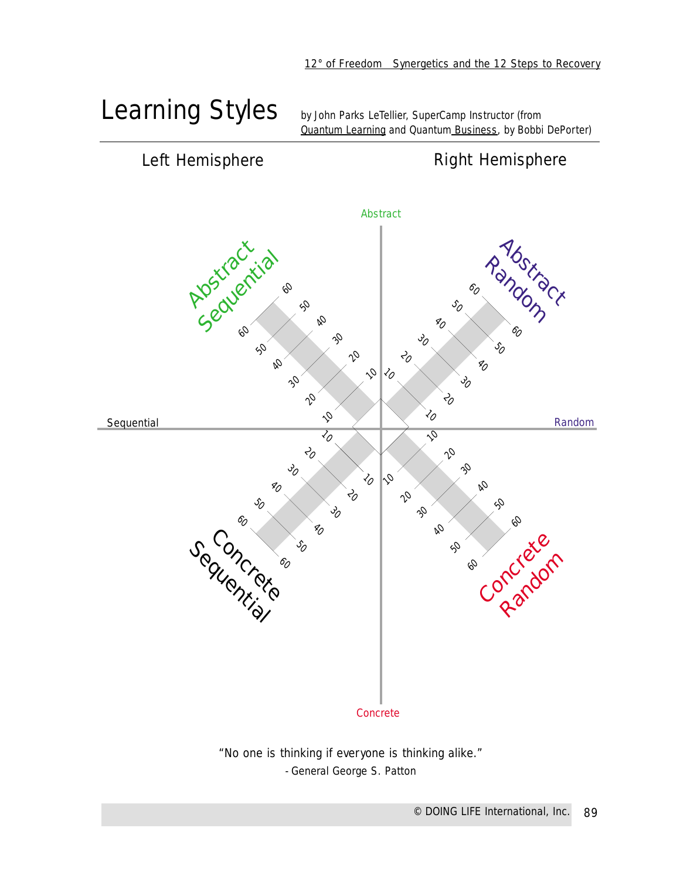Learning Styles *by John Parks LeTellier, SuperCamp Instructor (from Quantum Learning* and Quantum *Business, by Bobbi DePorter)*  $\varphi$  $\varphi$  $\diamond$  $\mathcal{E}$  $\%$  $\mathscr{C}$ z Qo  $\varphi$  $\varphi$  $\mathcal{O}_{\lambda}$  $\sim$ **Abstractive Abstract** Randon  $\hat{\mathcal{C}}_{\mathcal{O}}$ 50 60 40  $\mathcal{P}_O$ જે જે ⊰∂ ⊰∂  $\mathcal{V}_O$  $\mathcal{L}_{\mathcal{O}}$ Abstract Left Hemisphere **Right Hemisphere** 



*"No one is thinking if everyone is thinking alike."* - General George S. Patton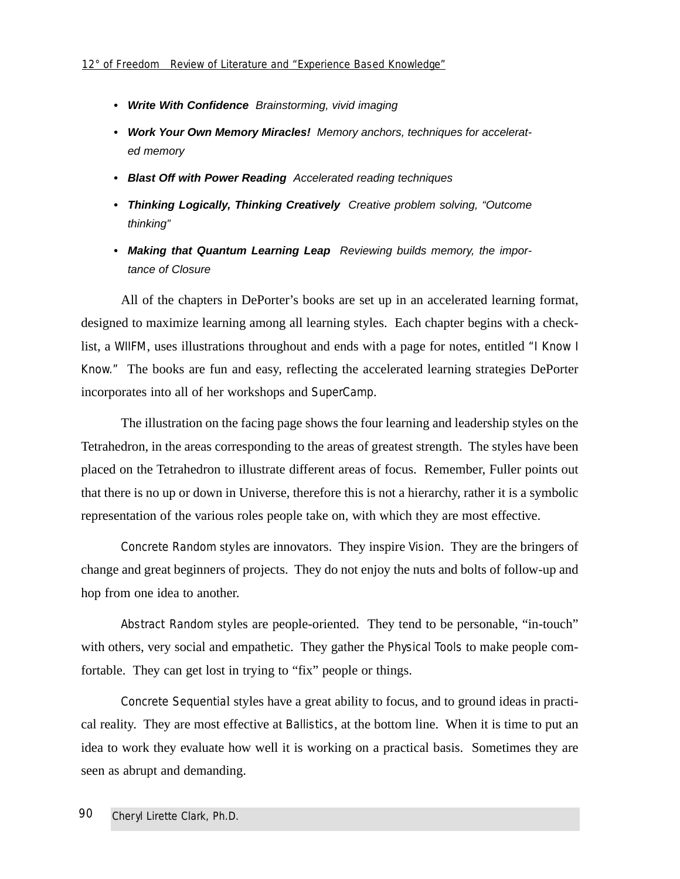- **Write With Confidence** Brainstorming, vivid imaging
- **Work Your Own Memory Miracles!** Memory anchors, techniques for accelerated memory
- **Blast Off with Power Reading** Accelerated reading techniques
- **Thinking Logically, Thinking Creatively** Creative problem solving, "Outcome thinking"
- **Making that Quantum Learning Leap** Reviewing builds memory, the importance of Closure

All of the chapters in DePorter's books are set up in an accelerated learning format, designed to maximize learning among all learning styles. Each chapter begins with a checklist, a WIIFM, uses illustrations throughout and ends with a page for notes, entitled "I Know I Know." The books are fun and easy, reflecting the accelerated learning strategies DePorter incorporates into all of her workshops and *SuperCamp*.

The illustration on the facing page shows the four learning and leadership styles on the Tetrahedron, in the areas corresponding to the areas of greatest strength. The styles have been placed on the Tetrahedron to illustrate different areas of focus. Remember, Fuller points out that there is no up or down in Universe, therefore this is not a hierarchy, rather it is a symbolic representation of the various roles people take on, with which they are most effective.

Concrete Random styles are innovators. They inspire Vision. They are the bringers of change and great beginners of projects. They do not enjoy the nuts and bolts of follow-up and hop from one idea to another.

Abstract Random styles are people-oriented. They tend to be personable, "in-touch" with others, very social and empathetic. They gather the Physical Tools to make people comfortable. They can get lost in trying to "fix" people or things.

Concrete Sequential styles have a great ability to focus, and to ground ideas in practical reality. They are most effective at Ballistics, at the bottom line. When it is time to put an idea to work they evaluate how well it is working on a practical basis. Sometimes they are seen as abrupt and demanding.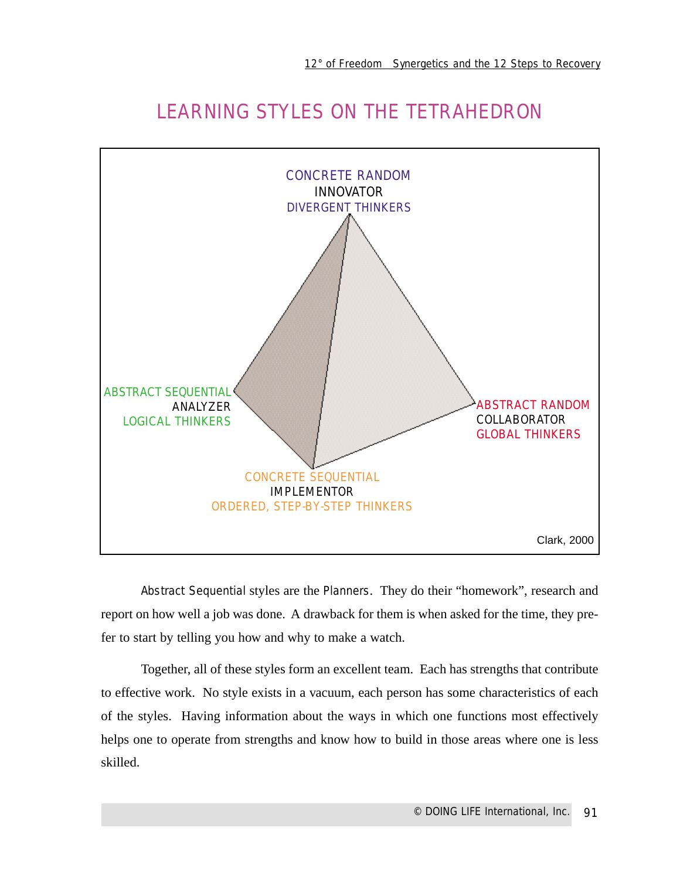# LEARNING STYLES ON THE TETRAHEDRON



Abstract Sequential styles are the Planners. They do their "homework", research and report on how well a job was done. A drawback for them is when asked for the time, they prefer to start by telling you how and why to make a watch.

Together, all of these styles form an excellent team. Each has strengths that contribute to effective work. No style exists in a vacuum, each person has some characteristics of each of the styles. Having information about the ways in which one functions most effectively helps one to operate from strengths and know how to build in those areas where one is less skilled.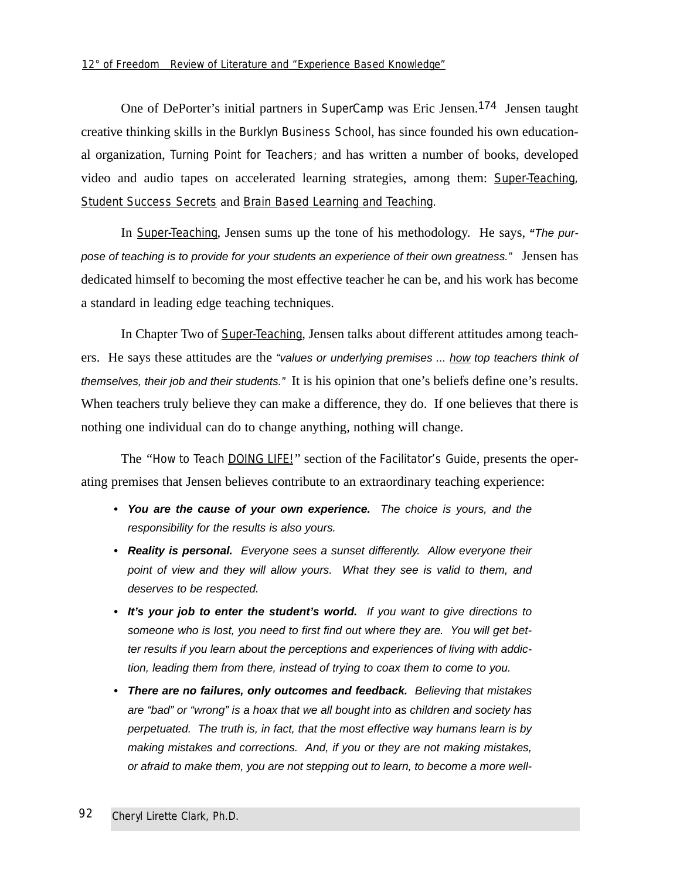One of DePorter's initial partners in *SuperCamp* was Eric Jensen.174 Jensen taught creative thinking skills in the Burklyn Business School, has since founded his own educational organization, Turning Point for Teachers; and has written a number of books, developed video and audio tapes on accelerated learning strategies, among them: Super-Teaching, Student Success Secrets and Brain Based Learning and Teaching.

In Super-Teaching, Jensen sums up the tone of his methodology. He says, **"**The purpose of teaching is to provide for your students an experience of their own greatness." Jensen has dedicated himself to becoming the most effective teacher he can be, and his work has become a standard in leading edge teaching techniques.

In Chapter Two of Super-Teaching, Jensen talks about different attitudes among teachers. He says these attitudes are the "values or underlying premises ... how top teachers think of themselves, their job and their students." It is his opinion that one's beliefs define one's results. When teachers truly believe they can make a difference, they do. If one believes that there is nothing one individual can do to change anything, nothing will change.

The *"How to Teach DOING LIFE!"* section of the Facilitator's Guide, presents the operating premises that Jensen believes contribute to an extraordinary teaching experience:

- **You are the cause of your own experience.** The choice is yours, and the responsibility for the results is also yours.
- **Reality is personal.** Everyone sees a sunset differently. Allow everyone their point of view and they will allow yours. What they see is valid to them, and deserves to be respected.
- **It's your job to enter the student's world.** If you want to give directions to someone who is lost, you need to first find out where they are. You will get better results if you learn about the perceptions and experiences of living with addiction, leading them from there, instead of trying to coax them to come to you.
- **There are no failures, only outcomes and feedback.** Believing that mistakes are "bad" or "wrong" is a hoax that we all bought into as children and society has perpetuated. The truth is, in fact, that the most effective way humans learn is by making mistakes and corrections. And, if you or they are not making mistakes, or afraid to make them, you are not stepping out to learn, to become a more well-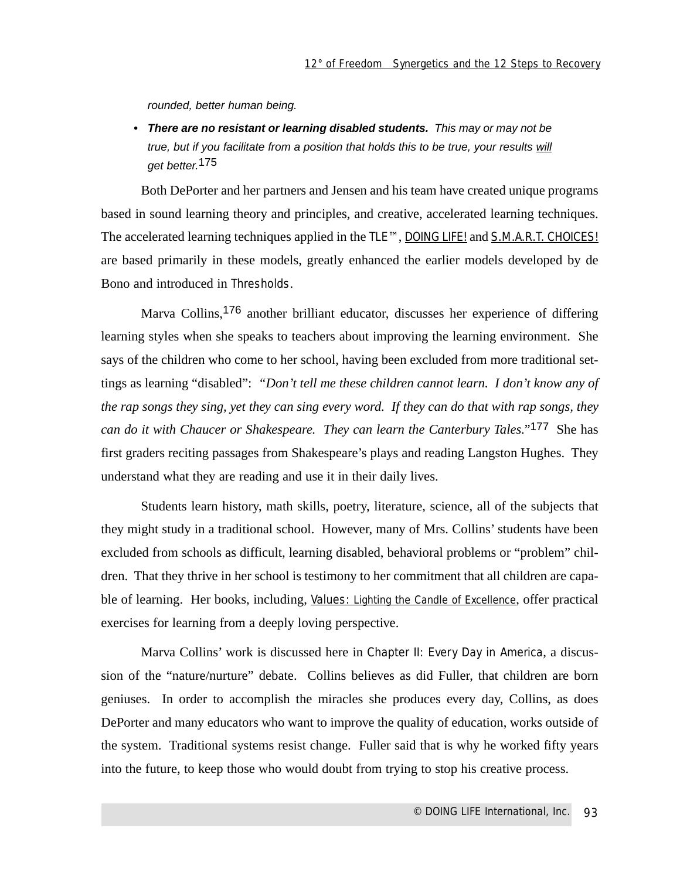rounded, better human being.

**• There are no resistant or learning disabled students.** This may or may not be true, but if you facilitate from a position that holds this to be true, your results will get better.175

Both DePorter and her partners and Jensen and his team have created unique programs based in sound learning theory and principles, and creative, accelerated learning techniques. The accelerated learning techniques applied in the TLE™, DOING LIFE! and S.M.A.R.T. CHOICES! are based primarily in these models, greatly enhanced the earlier models developed by de Bono and introduced in Thresholds.

Marva Collins,176 another brilliant educator, discusses her experience of differing learning styles when she speaks to teachers about improving the learning environment. She says of the children who come to her school, having been excluded from more traditional settings as learning "disabled": *"Don't tell me these children cannot learn. I don't know any of the rap songs they sing, yet they can sing every word. If they can do that with rap songs, they can do it with Chaucer or Shakespeare. They can learn the Canterbury Tales."*177 She has first graders reciting passages from Shakespeare's plays and reading Langston Hughes. They understand what they are reading and use it in their daily lives.

Students learn history, math skills, poetry, literature, science, all of the subjects that they might study in a traditional school. However, many of Mrs. Collins' students have been excluded from schools as difficult, learning disabled, behavioral problems or "problem" children. That they thrive in her school is testimony to her commitment that all children are capable of learning. Her books, including, Values: Lighting the Candle of Excellence, offer practical exercises for learning from a deeply loving perspective.

Marva Collins' work is discussed here in Chapter II: Every Day in America, a discussion of the "nature/nurture" debate. Collins believes as did Fuller, that children are born geniuses. In order to accomplish the miracles she produces every day, Collins, as does DePorter and many educators who want to improve the quality of education, works outside of the system. Traditional systems resist change. Fuller said that is why he worked fifty years into the future, to keep those who would doubt from trying to stop his creative process.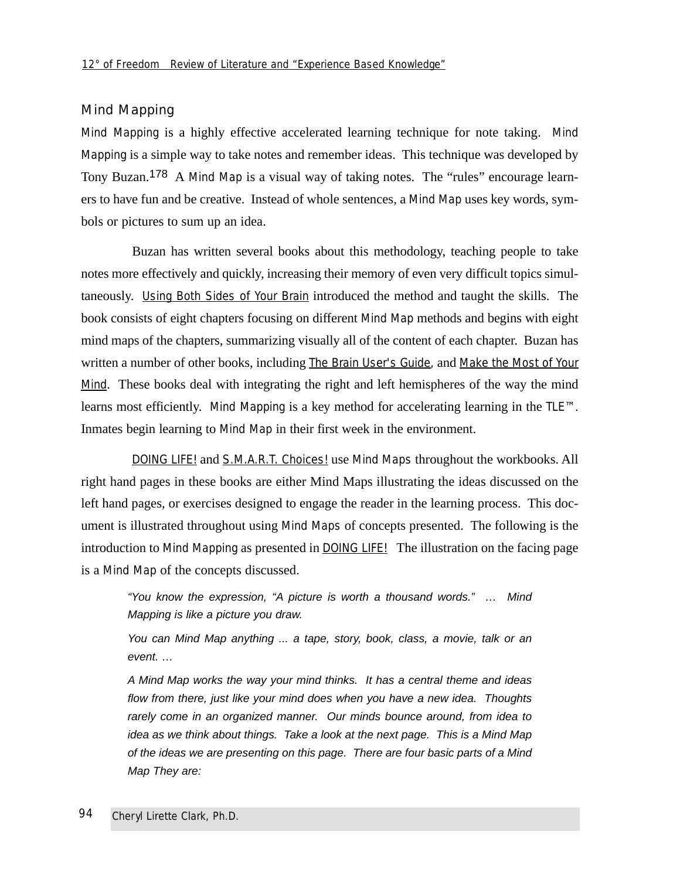### Mind Mapping

Mind Mapping is a highly effective accelerated learning technique for note taking. Mind Mapping is a simple way to take notes and remember ideas. This technique was developed by Tony Buzan.<sup>178</sup> A Mind Map is a visual way of taking notes. The "rules" encourage learners to have fun and be creative. Instead of whole sentences, a Mind Map uses key words, symbols or pictures to sum up an idea.

Buzan has written several books about this methodology, teaching people to take notes more effectively and quickly, increasing their memory of even very difficult topics simultaneously. Using Both Sides of Your Brain introduced the method and taught the skills. The book consists of eight chapters focusing on different Mind Map methods and begins with eight mind maps of the chapters, summarizing visually all of the content of each chapter. Buzan has written a number of other books, including The Brain User's Guide, and Make the Most of Your Mind. These books deal with integrating the right and left hemispheres of the way the mind learns most efficiently. Mind Mapping is a key method for accelerating learning in the TLE™. Inmates begin learning to Mind Map in their first week in the environment.

DOING LIFE! and S.M.A.R.T. Choices! use Mind Maps throughout the workbooks. All right hand pages in these books are either Mind Maps illustrating the ideas discussed on the left hand pages, or exercises designed to engage the reader in the learning process. This document is illustrated throughout using Mind Maps of concepts presented. The following is the introduction to Mind Mapping as presented in **DOING LIFE!** The illustration on the facing page is a Mind Map of the concepts discussed.

"You know the expression, "A picture is worth a thousand words." … Mind Mapping is like a picture you draw.

You can Mind Map anything ... a tape, story, book, class, a movie, talk or an event. …

A Mind Map works the way your mind thinks. It has a central theme and ideas flow from there, just like your mind does when you have a new idea. Thoughts rarely come in an organized manner. Our minds bounce around, from idea to idea as we think about things. Take a look at the next page. This is a Mind Map of the ideas we are presenting on this page. There are four basic parts of a Mind Map They are: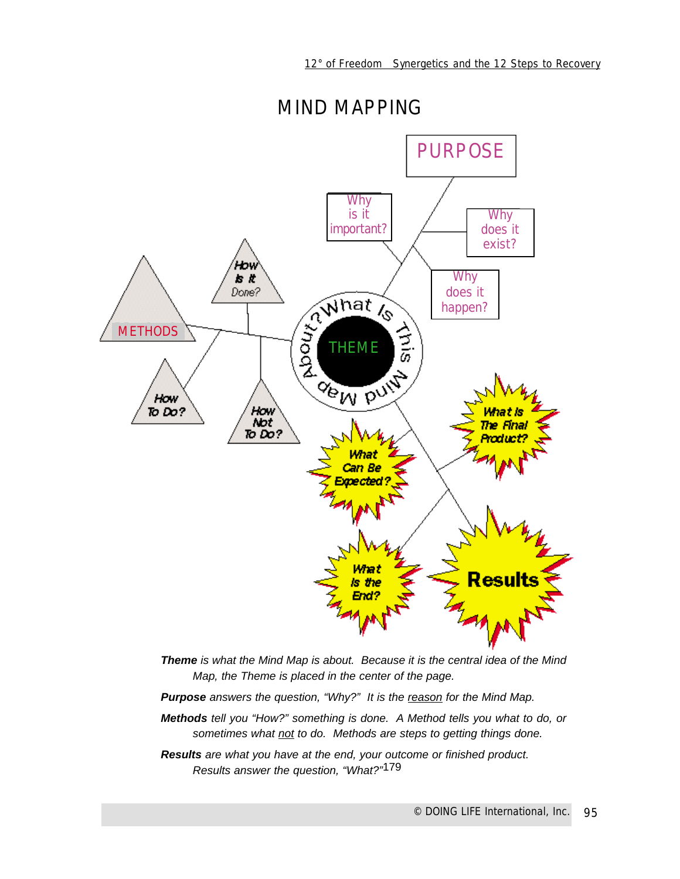

## MIND MAPPING

- **Theme** is what the Mind Map is about. Because it is the central idea of the Mind Map, the Theme is placed in the center of the page.
- Purpose answers the question, "Why?" It is the reason for the Mind Map.
- **Methods** tell you "How?" something is done. A Method tells you what to do, or sometimes what not to do. Methods are steps to getting things done.
- **Results** are what you have at the end, your outcome or finished product. Results answer the question, "What?"179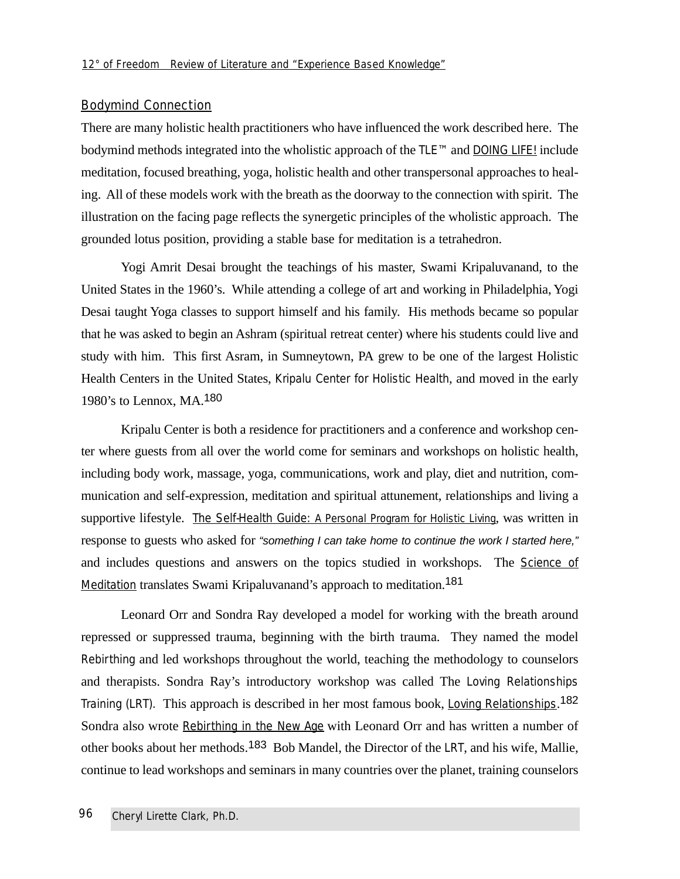#### Bodymind Connection

There are many holistic health practitioners who have influenced the work described here. The bodymind methods integrated into the wholistic approach of the TLE™ and DOING LIFE! include meditation, focused breathing, yoga, holistic health and other transpersonal approaches to healing. All of these models work with the breath as the doorway to the connection with spirit. The illustration on the facing page reflects the synergetic principles of the wholistic approach. The grounded lotus position, providing a stable base for meditation is a tetrahedron.

Yogi Amrit Desai brought the teachings of his master, Swami Kripaluvanand, to the United States in the 1960's. While attending a college of art and working in Philadelphia, Yogi Desai taught Yoga classes to support himself and his family. His methods became so popular that he was asked to begin an Ashram (spiritual retreat center) where his students could live and study with him. This first Asram, in Sumneytown, PA grew to be one of the largest Holistic Health Centers in the United States, Kripalu Center for Holistic Health, and moved in the early 1980's to Lennox, MA.180

Kripalu Center is both a residence for practitioners and a conference and workshop center where guests from all over the world come for seminars and workshops on holistic health, including body work, massage, yoga, communications, work and play, diet and nutrition, communication and self-expression, meditation and spiritual attunement, relationships and living a supportive lifestyle. The Self-Health Guide: *A Personal Program for Holistic Living*, was written in response to guests who asked for "something I can take home to continue the work I started here," and includes questions and answers on the topics studied in workshops. The Science of Meditation translates Swami Kripaluvanand's approach to meditation.181

Leonard Orr and Sondra Ray developed a model for working with the breath around repressed or suppressed trauma, beginning with the birth trauma. They named the model Rebirthing and led workshops throughout the world, teaching the methodology to counselors and therapists. Sondra Ray's introductory workshop was called The Loving Relationships Training (LRT). This approach is described in her most famous book, Loving Relationships. <sup>182</sup> Sondra also wrote Rebirthing in the New Age with Leonard Orr and has written a number of other books about her methods.183 Bob Mandel, the Director of the LRT, and his wife, Mallie, continue to lead workshops and seminars in many countries over the planet, training counselors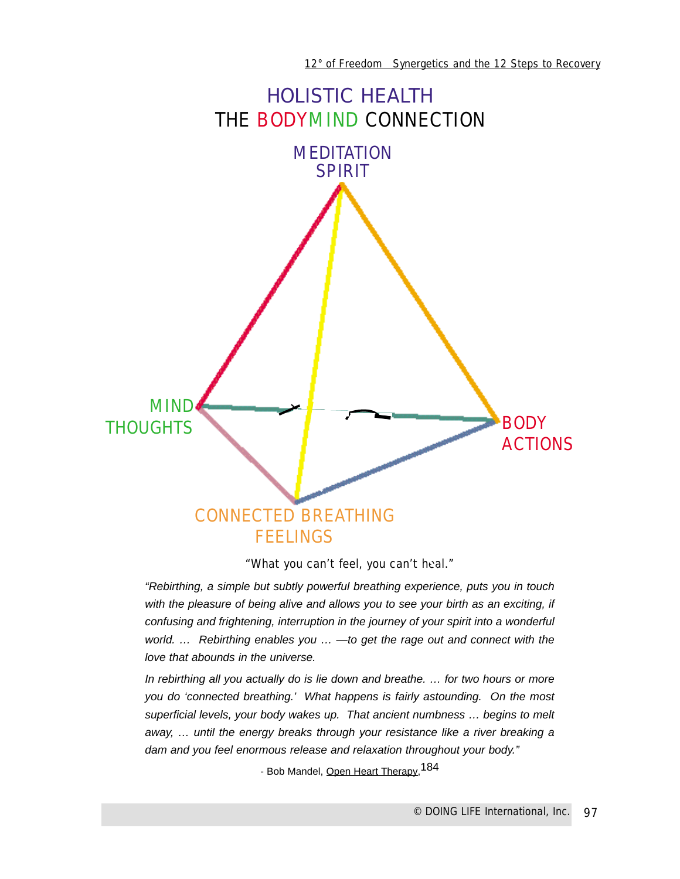

*"What you can't feel, you can't heal."*

"Rebirthing, a simple but subtly powerful breathing experience, puts you in touch with the pleasure of being alive and allows you to see your birth as an exciting, if confusing and frightening, interruption in the journey of your spirit into a wonderful world. ... Rebirthing enables you ... - to get the rage out and connect with the love that abounds in the universe.

In rebirthing all you actually do is lie down and breathe. … for two hours or more you do 'connected breathing.' What happens is fairly astounding. On the most superficial levels, your body wakes up. That ancient numbness … begins to melt away, … until the energy breaks through your resistance like a river breaking a dam and you feel enormous release and relaxation throughout your body."

- Bob Mandel, <u>Open Heart Therapy</u>, <sup>184</sup>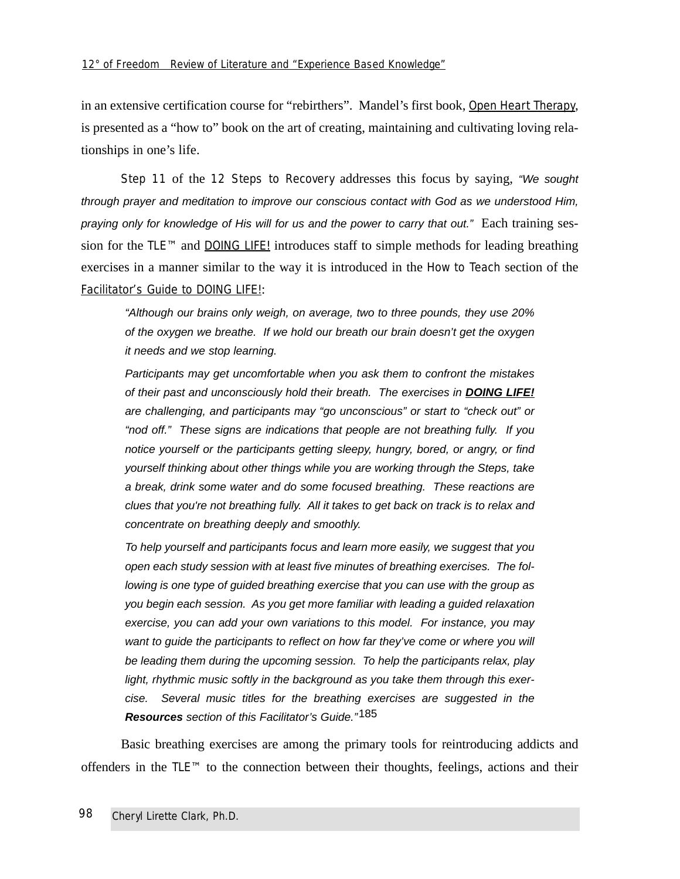in an extensive certification course for "rebirthers". Mandel's first book, Open Heart Therapy, is presented as a "how to" book on the art of creating, maintaining and cultivating loving relationships in one's life.

Step 11 of the 12 Steps to Recovery addresses this focus by saying, "We sought through prayer and meditation to improve our conscious contact with God as we understood Him, praying only for knowledge of His will for us and the power to carry that out." Each training session for the TLE™ and DOING LIFE! introduces staff to simple methods for leading breathing exercises in a manner similar to the way it is introduced in the *How to Teach* section of the Facilitator's Guide to DOING LIFE!:

"Although our brains only weigh, on average, two to three pounds, they use 20% of the oxygen we breathe. If we hold our breath our brain doesn't get the oxygen it needs and we stop learning.

Participants may get uncomfortable when you ask them to confront the mistakes of their past and unconsciously hold their breath. The exercises in **DOING LIFE!** are challenging, and participants may "go unconscious" or start to "check out" or "nod off." These signs are indications that people are not breathing fully. If you notice yourself or the participants getting sleepy, hungry, bored, or angry, or find yourself thinking about other things while you are working through the Steps, take a break, drink some water and do some focused breathing. These reactions are clues that you're not breathing fully. All it takes to get back on track is to relax and concentrate on breathing deeply and smoothly.

To help yourself and participants focus and learn more easily, we suggest that you open each study session with at least five minutes of breathing exercises. The following is one type of guided breathing exercise that you can use with the group as you begin each session. As you get more familiar with leading a guided relaxation exercise, you can add your own variations to this model. For instance, you may want to guide the participants to reflect on how far they've come or where you will be leading them during the upcoming session. To help the participants relax, play light, rhythmic music softly in the background as you take them through this exercise. Several music titles for the breathing exercises are suggested in the **Resources** section of this Facilitator's Guide."185

Basic breathing exercises are among the primary tools for reintroducing addicts and offenders in the TLE™ to the connection between their thoughts, feelings, actions and their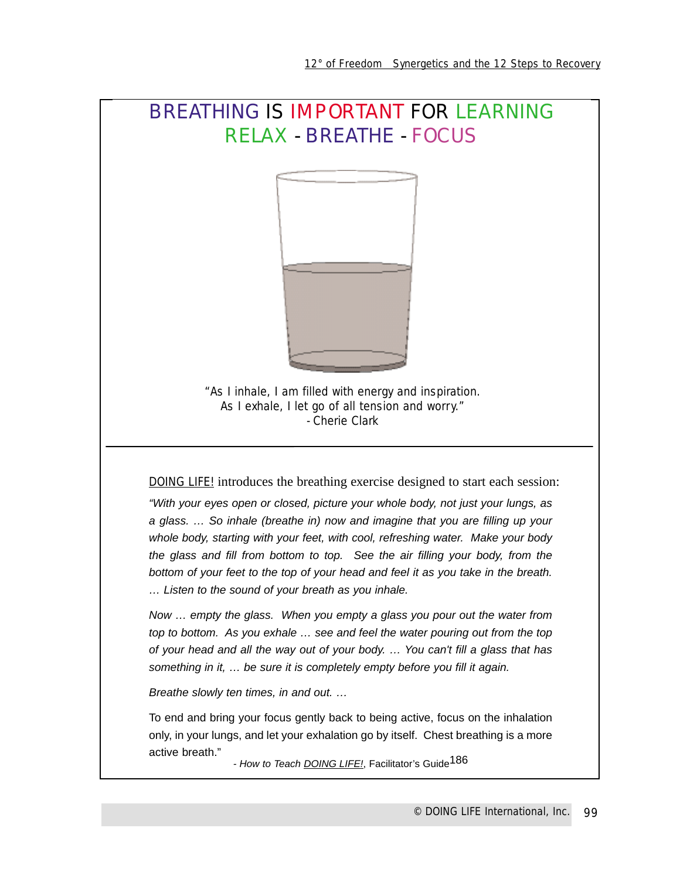# BREATHING IS IMPORTANT FOR LEARNING RELAX - BREATHE - FOCUS



*"As I inhale, I am filled with energy and inspiration. As I exhale, I let go of all tension and worry." - Cherie Clark*

DOING LIFE! introduces the breathing exercise designed to start each session:

"With your eyes open or closed, picture your whole body, not just your lungs, as a glass. … So inhale (breathe in) now and imagine that you are filling up your whole body, starting with your feet, with cool, refreshing water. Make your body the glass and fill from bottom to top. See the air filling your body, from the bottom of your feet to the top of your head and feel it as you take in the breath. … Listen to the sound of your breath as you inhale.

Now … empty the glass. When you empty a glass you pour out the water from top to bottom. As you exhale … see and feel the water pouring out from the top of your head and all the way out of your body. … You can't fill a glass that has something in it, ... be sure it is completely empty before you fill it again.

Breathe slowly ten times, in and out. …

To end and bring your focus gently back to being active, focus on the inhalation only, in your lungs, and let your exhalation go by itself. Chest breathing is a more active breath."

- How to Teach DOING LIFE!, Facilitator's Guide<sup>186</sup>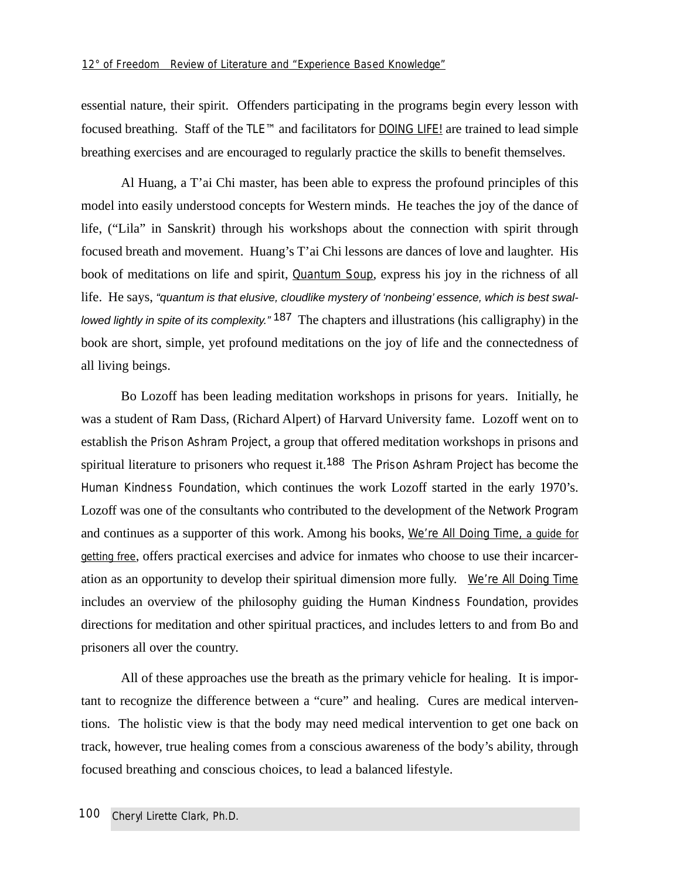essential nature, their spirit. Offenders participating in the programs begin every lesson with focused breathing. Staff of the TLE™ and facilitators for DOING LIFE! are trained to lead simple breathing exercises and are encouraged to regularly practice the skills to benefit themselves.

Al Huang, a T'ai Chi master, has been able to express the profound principles of this model into easily understood concepts for Western minds. He teaches the joy of the dance of life, ("Lila" in Sanskrit) through his workshops about the connection with spirit through focused breath and movement. Huang's T'ai Chi lessons are dances of love and laughter. His book of meditations on life and spirit, Quantum Soup, express his joy in the richness of all life. He says, "quantum is that elusive, cloudlike mystery of 'nonbeing' essence, which is best swallowed lightly in spite of its complexity."<sup>187</sup> The chapters and illustrations (his calligraphy) in the book are short, simple, yet profound meditations on the joy of life and the connectedness of all living beings.

Bo Lozoff has been leading meditation workshops in prisons for years. Initially, he was a student of Ram Dass, (Richard Alpert) of Harvard University fame. Lozoff went on to establish the Prison Ashram Project, a group that offered meditation workshops in prisons and spiritual literature to prisoners who request it.<sup>188</sup> The Prison Ashram Project has become the Human Kindness Foundation, which continues the work Lozoff started in the early 1970's. Lozoff was one of the consultants who contributed to the development of the Network Program and continues as a supporter of this work. Among his books, We're All Doing Time, a guide for getting free, offers practical exercises and advice for inmates who choose to use their incarceration as an opportunity to develop their spiritual dimension more fully. We're All Doing Time includes an overview of the philosophy guiding the Human Kindness Foundation, provides directions for meditation and other spiritual practices, and includes letters to and from Bo and prisoners all over the country.

All of these approaches use the breath as the primary vehicle for healing. It is important to recognize the difference between a "cure" and healing. Cures are medical interventions. The holistic view is that the body may need medical intervention to get one back on track, however, true healing comes from a conscious awareness of the body's ability, through focused breathing and conscious choices, to lead a balanced lifestyle.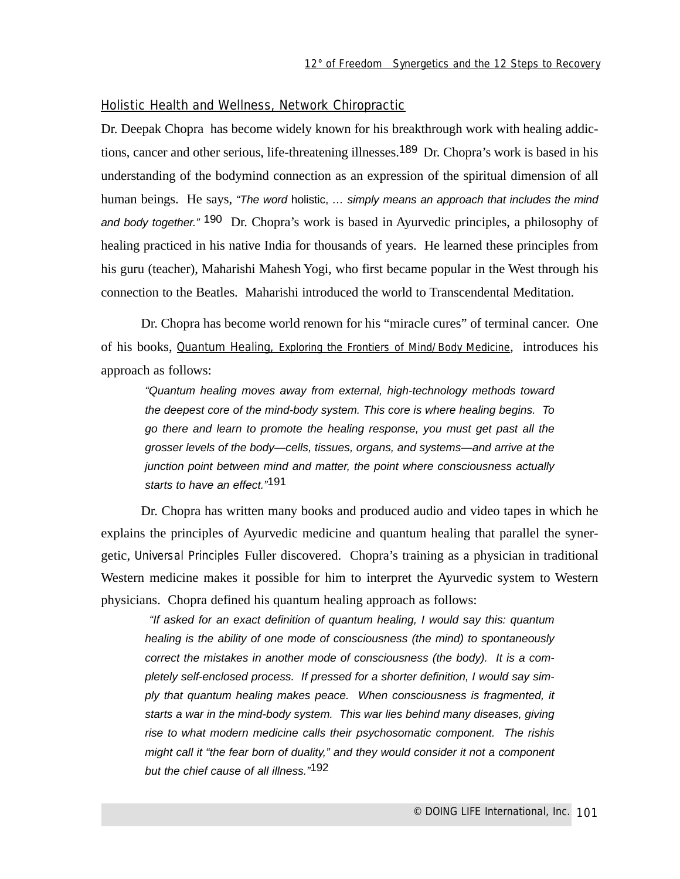#### Holistic Health and Wellness, Network Chiropractic

Dr. Deepak Chopra has become widely known for his breakthrough work with healing addictions, cancer and other serious, life-threatening illnesses.189 Dr. Chopra's work is based in his understanding of the bodymind connection as an expression of the spiritual dimension of all human beings. He says, "The word holistic, ... simply means an approach that includes the mind and body together." <sup>190</sup> Dr. Chopra's work is based in Ayurvedic principles, a philosophy of healing practiced in his native India for thousands of years. He learned these principles from his guru (teacher), Maharishi Mahesh Yogi, who first became popular in the West through his connection to the Beatles. Maharishi introduced the world to Transcendental Meditation.

Dr. Chopra has become world renown for his "miracle cures" of terminal cancer. One of his books, Quantum Healing, *Exploring the Frontiers of Mind/Body Medicine*, introduces his approach as follows:

"Quantum healing moves away from external, high-technology methods toward the deepest core of the mind-body system. This core is where healing begins. To go there and learn to promote the healing response, you must get past all the grosser levels of the body—cells, tissues, organs, and systems—and arrive at the junction point between mind and matter, the point where consciousness actually starts to have an effect."<sup>191</sup>

Dr. Chopra has written many books and produced audio and video tapes in which he explains the principles of Ayurvedic medicine and quantum healing that parallel the synergetic, Universal Principles Fuller discovered. Chopra's training as a physician in traditional Western medicine makes it possible for him to interpret the Ayurvedic system to Western physicians. Chopra defined his quantum healing approach as follows:

"If asked for an exact definition of quantum healing, I would say this: quantum healing is the ability of one mode of consciousness (the mind) to spontaneously correct the mistakes in another mode of consciousness (the body). It is a completely self-enclosed process. If pressed for a shorter definition, I would say simply that quantum healing makes peace. When consciousness is fragmented, it starts a war in the mind-body system. This war lies behind many diseases, giving rise to what modern medicine calls their psychosomatic component. The rishis might call it "the fear born of duality," and they would consider it not a component but the chief cause of all illness."<sup>192</sup>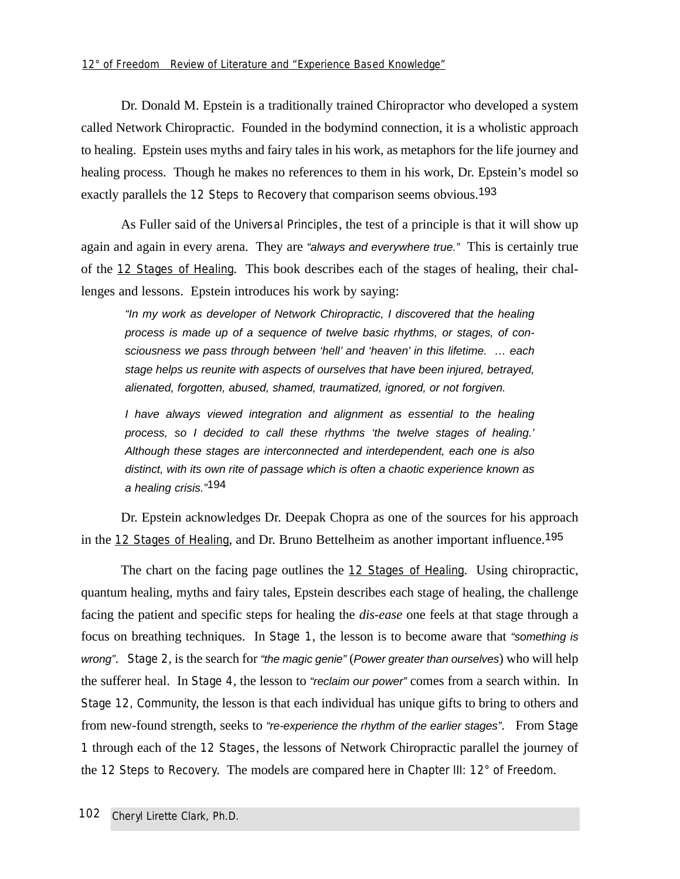Dr. Donald M. Epstein is a traditionally trained Chiropractor who developed a system called Network Chiropractic. Founded in the bodymind connection, it is a wholistic approach to healing. Epstein uses myths and fairy tales in his work, as metaphors for the life journey and healing process. Though he makes no references to them in his work, Dr. Epstein's model so exactly parallels the 12 Steps to Recovery that comparison seems obvious.<sup>193</sup>

As Fuller said of the Universal Principles, the test of a principle is that it will show up again and again in every arena. They are "always and everywhere true." This is certainly true of the 12 Stages of Healing. This book describes each of the stages of healing, their challenges and lessons. Epstein introduces his work by saying:

"In my work as developer of Network Chiropractic, I discovered that the healing process is made up of a sequence of twelve basic rhythms, or stages, of consciousness we pass through between 'hell' and 'heaven' in this lifetime. … each stage helps us reunite with aspects of ourselves that have been injured, betrayed, alienated, forgotten, abused, shamed, traumatized, ignored, or not forgiven.

I have always viewed integration and alignment as essential to the healing process, so I decided to call these rhythms 'the twelve stages of healing.' Although these stages are interconnected and interdependent, each one is also distinct, with its own rite of passage which is often a chaotic experience known as a healing crisis."194

Dr. Epstein acknowledges Dr. Deepak Chopra as one of the sources for his approach in the 12 Stages of Healing, and Dr. Bruno Bettelheim as another important influence.<sup>195</sup>

The chart on the facing page outlines the 12 Stages of Healing. Using chiropractic, quantum healing, myths and fairy tales, Epstein describes each stage of healing, the challenge facing the patient and specific steps for healing the *dis-ease* one feels at that stage through a focus on breathing techniques. In Stage 1, the lesson is to become aware that "something is wrong". Stage 2, is the search for "the magic genie" (Power greater than ourselves) who will help the sufferer heal. In Stage 4, the lesson to "reclaim our power" comes from a search within. In Stage 12, Community, the lesson is that each individual has unique gifts to bring to others and from new-found strength, seeks to "re-experience the rhythm of the earlier stages". From Stage 1 through each of the 12 Stages, the lessons of Network Chiropractic parallel the journey of the 12 Steps to Recovery. The models are compared here in Chapter III: 12° of Freedom.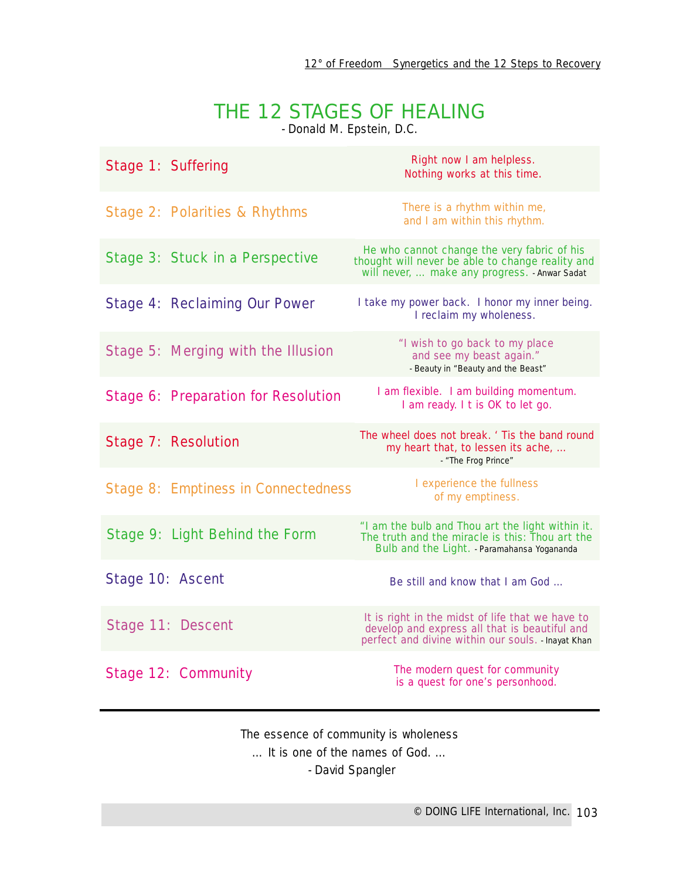# THE 12 STAGES OF HEALING

- Donald M. Epstein, D.C.

|                  | Stage 1: Suffering                         | <b>Right now I am helpless.</b><br>Nothing works at this time.                                                                                            |
|------------------|--------------------------------------------|-----------------------------------------------------------------------------------------------------------------------------------------------------------|
|                  | <b>Stage 2: Polarities &amp; Rhythms</b>   | There is a rhythm within me,<br>and I am within this rhythm.                                                                                              |
|                  | Stage 3: Stuck in a Perspective            | He who cannot change the very fabric of his<br>thought will never be able to change reality and<br>will never,  make any progress. Anwar Sadat            |
|                  | <b>Stage 4: Reclaiming Our Power</b>       | I take my power back. I honor my inner being.<br>I reclaim my wholeness.                                                                                  |
|                  | Stage 5: Merging with the Illusion         | "I wish to go back to my place<br>and see my beast again."<br>- Beauty in "Beauty and the Beast"                                                          |
|                  | <b>Stage 6: Preparation for Resolution</b> | I am flexible. I am building momentum.<br>I am ready. I t is OK to let go.                                                                                |
|                  | <b>Stage 7: Resolution</b>                 | The wheel does not break. ' Tis the band round<br>my heart that, to lessen its ache,<br>- "The Frog Prince"                                               |
|                  | <b>Stage 8: Emptiness in Connectedness</b> | I experience the fullness<br>of my emptiness.                                                                                                             |
|                  | Stage 9: Light Behind the Form             | "I am the bulb and Thou art the light within it.<br>The truth and the miracle is this: Thou art the<br><b>Bulb and the Light.</b> - Paramahansa Yogananda |
| Stage 10: Ascent |                                            | Be still and know that I am God                                                                                                                           |
|                  | Stage 11: Descent                          | It is right in the midst of life that we have to<br>develop and express all that is beautiful and<br>perfect and divine within our souls. Inayat Khan     |
|                  | Stage 12: Community                        | The modern quest for community<br>is a quest for one's personhood.                                                                                        |

*The essence of community is wholeness … It is one of the names of God. … - David Spangler*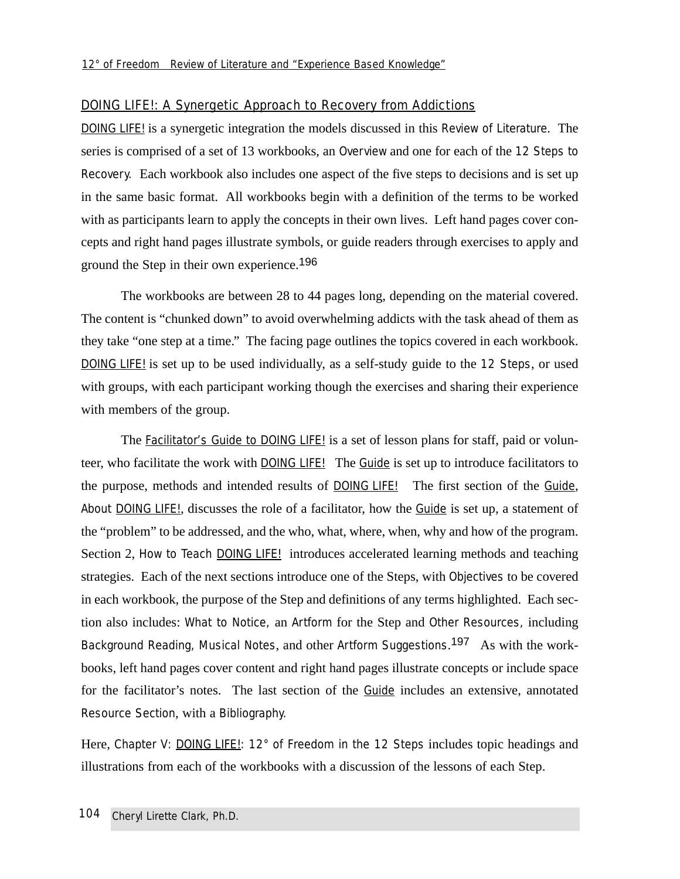## DOING LIFE!: A Synergetic Approach to Recovery from Addictions

DOING LIFE! is a synergetic integration the models discussed in this Review of Literature. The series is comprised of a set of 13 workbooks, an Overview and one for each of the 12 Steps to Recovery. Each workbook also includes one aspect of the five steps to decisions and is set up in the same basic format. All workbooks begin with a definition of the terms to be worked with as participants learn to apply the concepts in their own lives. Left hand pages cover concepts and right hand pages illustrate symbols, or guide readers through exercises to apply and ground the Step in their own experience.196

The workbooks are between 28 to 44 pages long, depending on the material covered. The content is "chunked down" to avoid overwhelming addicts with the task ahead of them as they take "one step at a time." The facing page outlines the topics covered in each workbook. DOING LIFE! is set up to be used individually, as a self-study guide to the 12 Steps, or used with groups, with each participant working though the exercises and sharing their experience with members of the group.

The **Facilitator's Guide to DOING LIFE!** is a set of lesson plans for staff, paid or volunteer, who facilitate the work with **DOING LIFE!** The Guide is set up to introduce facilitators to the purpose, methods and intended results of DOING LIFE! The first section of the Guide, *About DOING LIFE!*, discusses the role of a facilitator, how the Guide is set up, a statement of the "problem" to be addressed, and the who, what, where, when, why and how of the program. Section 2, *How to Teach DOING LIFE!* introduces accelerated learning methods and teaching strategies. Each of the next sections introduce one of the Steps, with *Objectives* to be covered in each workbook, the purpose of the Step and definitions of any terms highlighted. Each section also includes: *What to Notice,* an Artform for the Step and *Other Resources,* including *Background Reading, Musical Notes*, and other *Artform Suggestions*. 197 As with the workbooks, left hand pages cover content and right hand pages illustrate concepts or include space for the facilitator's notes. The last section of the Guide includes an extensive, annotated *Resource Section*, with a *Bibliography.*

Here, Chapter V: **DOING LIFE!**: 12° of Freedom in the 12 Steps includes topic headings and illustrations from each of the workbooks with a discussion of the lessons of each Step.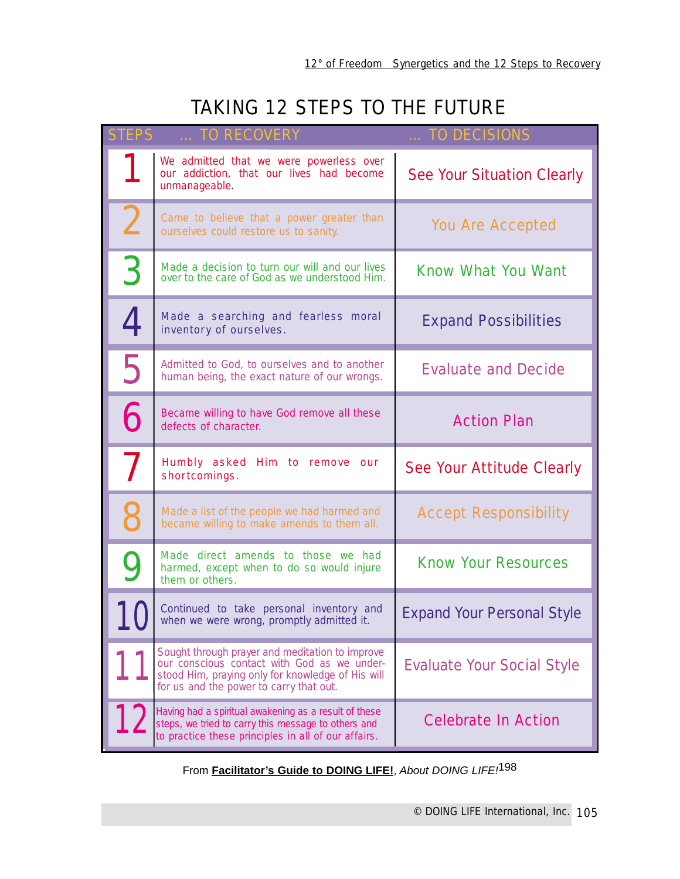## TAKING 12 STEPS TO THE FUTURE

| <b>STEPS</b>             | TO RECOVERY                                                                                                                                                                                    | TO DECISIONS                      |
|--------------------------|------------------------------------------------------------------------------------------------------------------------------------------------------------------------------------------------|-----------------------------------|
|                          | We admitted that we were powerless over<br>our addiction, that our lives had become<br>unmanageable.                                                                                           | <b>See Your Situation Clearly</b> |
| $\overline{2}$           | Came to believe that a power greater than<br>ourselves could restore us to sanity.                                                                                                             | <b>You Are Accepted</b>           |
| 3                        | Made a decision to turn our will and our lives<br>over to the care of God as we understood Him.                                                                                                | <b>Know What You Want</b>         |
| $\overline{4}$           | Made a searching and fearless moral<br>inventory of ourselves.                                                                                                                                 | <b>Expand Possibilities</b>       |
| 5                        | Admitted to God, to ourselves and to another<br>human being, the exact nature of our wrongs.                                                                                                   | <b>Evaluate and Decide</b>        |
| 6                        | Became willing to have God remove all these<br>defects of character.                                                                                                                           | <b>Action Plan</b>                |
| $\overline{\phantom{a}}$ | Humbly asked Him to remove our<br>shortcomings.                                                                                                                                                | <b>See Your Attitude Clearly</b>  |
|                          | Made a list of the people we had harmed and<br>became willing to make amends to them all.                                                                                                      | <b>Accept Responsibility</b>      |
|                          | Made direct amends to those we had<br>harmed, except when to do so would injure<br>them or others.                                                                                             | <b>Know Your Resources</b>        |
|                          | Continued to take personal inventory and<br>when we were wrong, promptly admitted it.                                                                                                          | <b>Expand Your Personal Style</b> |
|                          | Sought through prayer and meditation to improve<br>our conscious contact with God as we under-<br>stood Him, praying only for knowledge of His will<br>for us and the power to carry that out. | <b>Evaluate Your Social Style</b> |
|                          | Having had a spiritual awakening as a result of these<br>steps, we tried to carry this message to others and<br>to practice these principles in all of our affairs.                            | <b>Celebrate In Action</b>        |

From **Facilitator's Guide to DOING LIFE!**, About DOING LIFE!198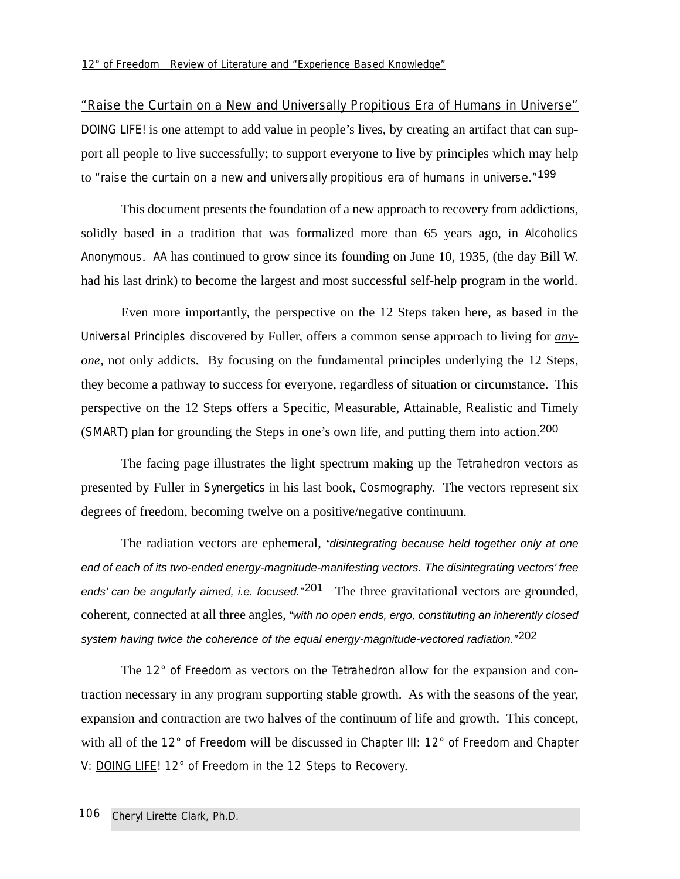*"Raise the Curtain on a New and Universally Propitious Era of Humans in Universe"* DOING LIFE! is one attempt to add value in people's lives, by creating an artifact that can support all people to live successfully; to support everyone to live by principles which may help to *"raise the curtain on a new and universally propitious era of humans in universe."*199

This document presents the foundation of a new approach to recovery from addictions, solidly based in a tradition that was formalized more than 65 years ago, in Alcoholics Anonymous. AA has continued to grow since its founding on June 10, 1935, (the day Bill W. had his last drink) to become the largest and most successful self-help program in the world.

Even more importantly, the perspective on the 12 Steps taken here, as based in the Universal Principles discovered by Fuller, offers a common sense approach to living for *anyone*, not only addicts. By focusing on the fundamental principles underlying the 12 Steps, they become a pathway to success for everyone, regardless of situation or circumstance. This perspective on the 12 Steps offers a Specific, Measurable, Attainable, Realistic and Timely (SMART) plan for grounding the Steps in one's own life, and putting them into action.200

The facing page illustrates the light spectrum making up the Tetrahedron vectors as presented by Fuller in Synergetics in his last book, Cosmography. The vectors represent six degrees of freedom, becoming twelve on a positive/negative continuum.

The radiation vectors are ephemeral, "disintegrating because held together only at one end of each of its two-ended energy-magnitude-manifesting vectors. The disintegrating vectors' free ends' can be angularly aimed, i.e. focused.<sup>"201</sup> The three gravitational vectors are grounded, coherent, connected at all three angles, "with no open ends, ergo, constituting an inherently closed system having twice the coherence of the equal energy-magnitude-vectored radiation."202

The 12° of Freedom as vectors on the Tetrahedron allow for the expansion and contraction necessary in any program supporting stable growth. As with the seasons of the year, expansion and contraction are two halves of the continuum of life and growth. This concept, with all of the 12° of Freedom will be discussed in Chapter III: 12° of Freedom and Chapter V: DOING LIFE! 12° of Freedom in the 12 Steps to Recovery.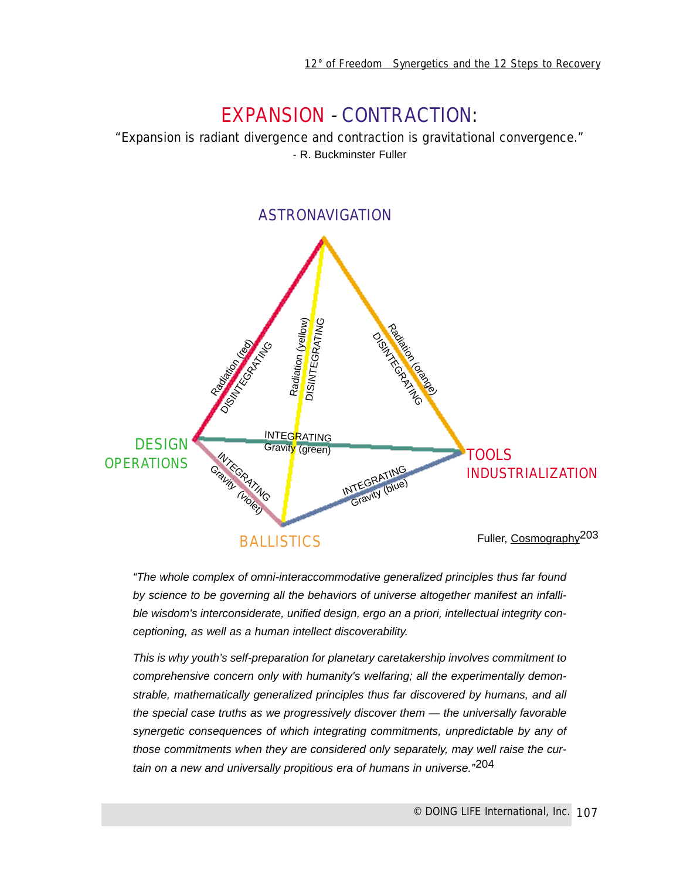## EXPANSION - CONTRACTION:

*"Expansion is radiant divergence and contraction is gravitational convergence."*

- R. Buckminster Fuller

ASTRONAVIGATION



"The whole complex of omni-interaccommodative generalized principles thus far found by science to be governing all the behaviors of universe altogether manifest an infallible wisdom's interconsiderate, unified design, ergo an a priori, intellectual integrity conceptioning, as well as a human intellect discoverability.

This is why youth's self-preparation for planetary caretakership involves commitment to comprehensive concern only with humanity's welfaring; all the experimentally demonstrable, mathematically generalized principles thus far discovered by humans, and all the special case truths as we progressively discover them — the universally favorable synergetic consequences of which integrating commitments, unpredictable by any of those commitments when they are considered only separately, may well raise the curtain on a new and universally propitious era of humans in universe."<sup>204</sup>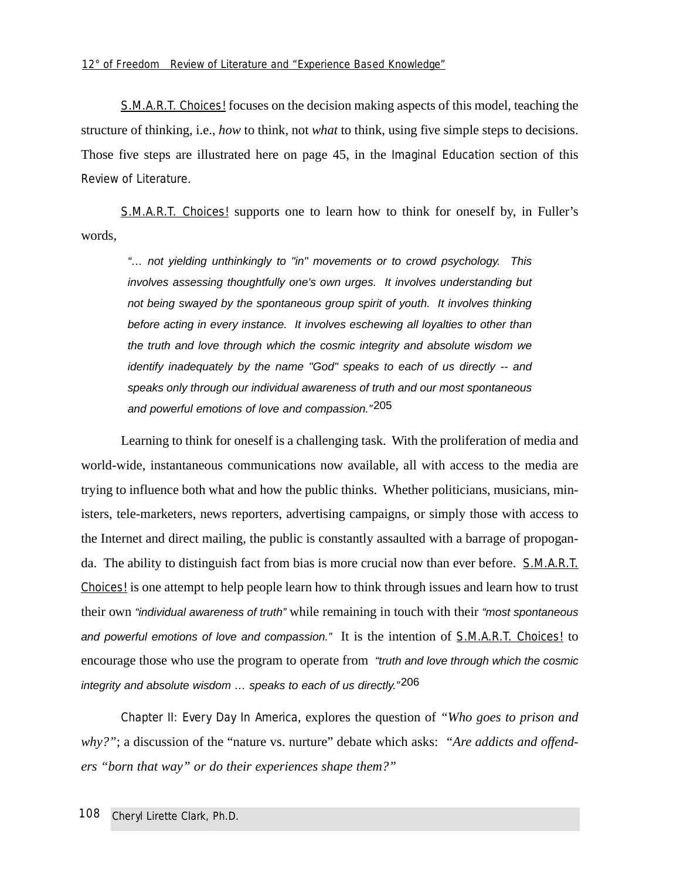S.M.A.R.T. Choices! focuses on the decision making aspects of this model, teaching the structure of thinking, i.e., *how* to think, not *what* to think, using five simple steps to decisions. Those five steps are illustrated here on page 45, in the Imaginal Education section of this Review of Literature.

S.M.A.R.T. Choices! supports one to learn how to think for oneself by, in Fuller's words,

"… not yielding unthinkingly to "in" movements or to crowd psychology. This involves assessing thoughtfully one's own urges. It involves understanding but not being swayed by the spontaneous group spirit of youth. It involves thinking before acting in every instance. It involves eschewing all loyalties to other than the truth and love through which the cosmic integrity and absolute wisdom we identify inadequately by the name "God" speaks to each of us directly -- and speaks only through our individual awareness of truth and our most spontaneous and powerful emotions of love and compassion."<sup>205</sup>

Learning to think for oneself is a challenging task. With the proliferation of media and world-wide, instantaneous communications now available, all with access to the media are trying to influence both what and how the public thinks. Whether politicians, musicians, ministers, tele-marketers, news reporters, advertising campaigns, or simply those with access to the Internet and direct mailing, the public is constantly assaulted with a barrage of propoganda. The ability to distinguish fact from bias is more crucial now than ever before. S.M.A.R.T. Choices! is one attempt to help people learn how to think through issues and learn how to trust their own "individual awareness of truth" while remaining in touch with their "most spontaneous and powerful emotions of love and compassion." It is the intention of S.M.A.R.T. Choices! to encourage those who use the program to operate from "truth and love through which the cosmic integrity and absolute wisdom  $\ldots$  speaks to each of us directly." $^{206}$ 

Chapter II: Every Day In America, explores the question of *"Who goes to prison and* why?"; a discussion of the "nature vs. nurture" debate which asks: "Are addicts and offend*ers "born that way" or do their experiences shape them?"*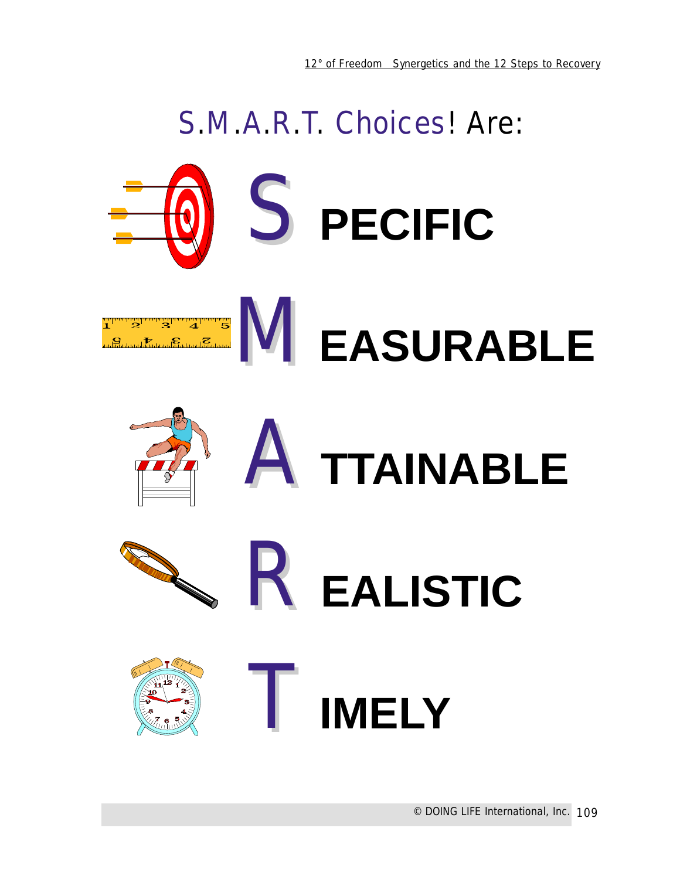# S.M.A.R.T. Choices! Are:









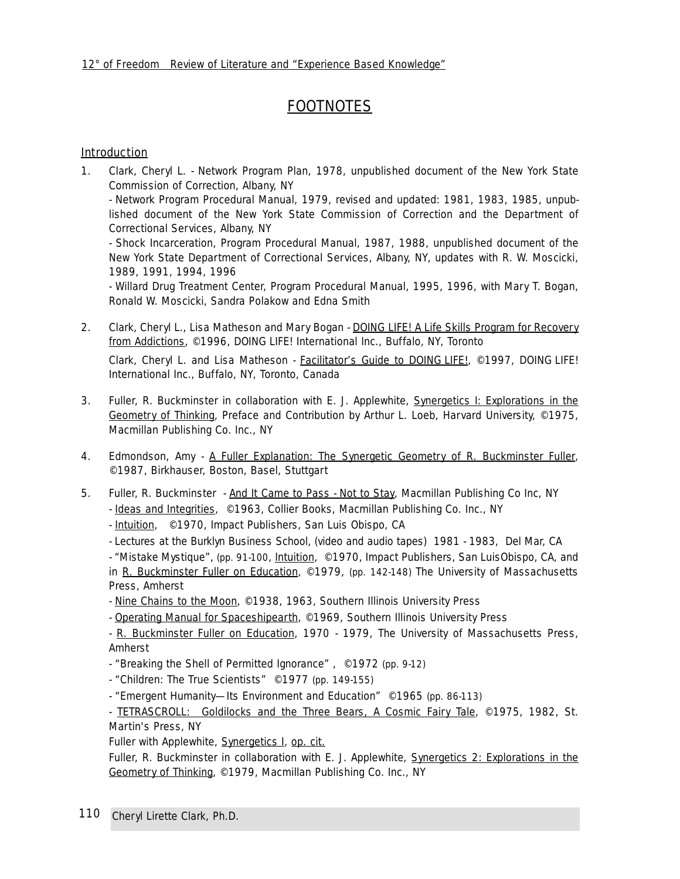## **FOOTNOTES**

### Introduction

1. Clark, Cheryl L. - *Network Program Plan*, 1978, unpublished document of the New York State Commission of Correction, Albany, NY

- *Network Program Procedural Manual,* 1979, revised and updated: 1981, 1983, 1985, unpublished document of the New York State Commission of Correction and the Department of Correctional Services, Albany, NY

- *Shock Incarceration, Program Procedural Manual*, 1987, 1988, unpublished document of the New York State Department of Correctional Services, Albany, NY, updates with R. W. Moscicki, 1989, 1991, 1994, 1996

- *Willard Drug Treatment Center, Program Procedural Manual*, 1995, 1996, with Mary T. Bogan, Ronald W. Moscicki, Sandra Polakow and Edna Smith

- 2. Clark, Cheryl L., Lisa Matheson and Mary Bogan DOING LIFE! A Life Skills Program for Recovery from Addictions, ©1996, DOING LIFE! International Inc., Buffalo, NY, Toronto Clark, Cheryl L. and Lisa Matheson - Facilitator's Guide to DOING LIFE!, ©1997, DOING LIFE! International Inc., Buffalo, NY, Toronto, Canada
- 3. Fuller, R. Buckminster in collaboration with E. J. Applewhite, Synergetics I: Explorations in the Geometry of Thinking, Preface and Contribution by Arthur L. Loeb, Harvard University, ©1975, Macmillan Publishing Co. Inc., NY
- 4. Edmondson, Amy A Fuller Explanation: The Synergetic Geometry of R. Buckminster Fuller, ©1987, Birkhauser, Boston, Basel, Stuttgart
- 5. Fuller, R. Buckminster And It Came to Pass Not to Stay, Macmillan Publishing Co Inc, NY - Ideas and Integrities, ©1963, Collier Books, Macmillan Publishing Co. Inc., NY

- Intuition, ©1970, Impact Publishers, San Luis Obispo, CA

- Lectures at the Burklyn Business School, (video and audio tapes) 1981 - 1983, Del Mar, CA

- *"Mistake Mystique",* (pp. 91-100, Intuition, ©1970, Impact Publishers, San LuisObispo, CA, and in R. Buckminster Fuller on Education, ©1979, (pp. 142-148) The University of Massachusetts Press, Amherst

- Nine Chains to the Moon, ©1938, 1963, Southern Illinois University Press

- Operating Manual for Spaceshipearth, ©1969, Southern Illinois University Press

- R. Buckminster Fuller on Education, 1970 - 1979, The University of Massachusetts Press, Amherst

- *"Breaking the Shell of Permitted Ignorance" ,* ©1972 (pp. 9-12)

- *"Children: The True Scientists"* ©1977 (pp. 149-155)

- *"Emergent Humanity—Its Environment and Education"* ©1965 (pp. 86-113)

- TETRASCROLL: Goldilocks and the Three Bears, A Cosmic Fairy Tale, ©1975, 1982, St. Martin's Press, NY

Fuller with Applewhite, Synergetics I, op. cit.

Fuller, R. Buckminster in collaboration with E. J. Applewhite, Synergetics 2: Explorations in the Geometry of Thinking, ©1979, Macmillan Publishing Co. Inc., NY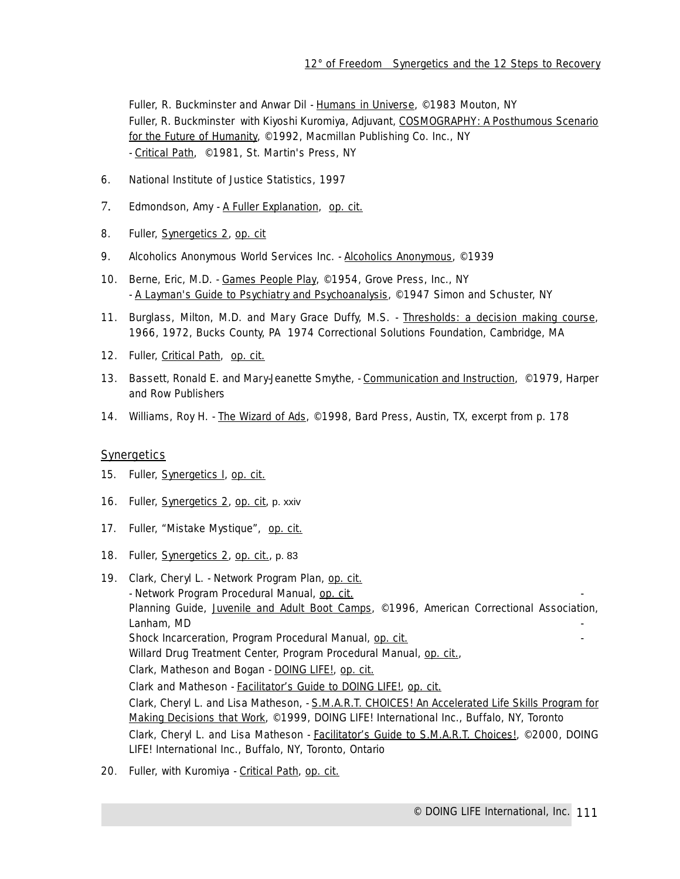Fuller, R. Buckminster and Anwar Dil - Humans in Universe, ©1983 Mouton, NY Fuller, R. Buckminster with Kiyoshi Kuromiya, Adjuvant, COSMOGRAPHY: A Posthumous Scenario for the Future of Humanity, ©1992, Macmillan Publishing Co. Inc., NY - Critical Path, ©1981, St. Martin's Press, NY

- 6. National Institute of Justice Statistics, 1997
- 7. Edmondson, Amy A Fuller Explanation, op. cit.
- 8. Fuller, Synergetics 2, op. cit
- 9. Alcoholics Anonymous World Services Inc. Alcoholics Anonymous, ©1939
- 10. Berne, Eric, M.D. Games People Play, ©1954, Grove Press, Inc., NY - A Layman's Guide to Psychiatry and Psychoanalysis, ©1947 Simon and Schuster, NY
- 11. Burglass, Milton, M.D. and Mary Grace Duffy, M.S. Thresholds: a decision making course, 1966, 1972, Bucks County, PA 1974 Correctional Solutions Foundation, Cambridge, MA
- 12. Fuller, Critical Path, op. cit.
- 13. Bassett, Ronald E. and Mary-Jeanette Smythe, Communication and Instruction, ©1979, Harper and Row Publishers
- 14. Williams, Roy H. The Wizard of Ads, ©1998, Bard Press, Austin, TX, excerpt from p. 178

#### **Synergetics**

- 15. Fuller, Synergetics I, op. cit.
- 16. Fuller, Synergetics 2, op. cit, p. xxiv
- 17. Fuller, *"Mistake Mystique",* op. cit.
- 18. Fuller, Synergetics 2, op. cit., p. 83
- 19. Clark, Cheryl L. *Network Program Plan*, op. cit. - *Network Program Procedural Manual,* op. cit. - *Planning Guide,* Juvenile and Adult Boot Camps, ©1996, American Correctional Association, Lanham, MD *Shock Incarceration, Program Procedural Manual*, op. cit. - *Willard Drug Treatment Center, Program Procedural Manual*, op. cit., Clark, Matheson and Bogan - DOING LIFE!, op. cit. Clark and Matheson - Facilitator's Guide to DOING LIFE!, op. cit. Clark, Cheryl L. and Lisa Matheson*,* - S.M.A.R.T. CHOICES! An Accelerated Life Skills Program for Making Decisions that Work, ©1999, DOING LIFE! International Inc., Buffalo, NY, Toronto Clark, Cheryl L. and Lisa Matheson - Facilitator's Guide to S.M.A.R.T. Choices!, ©2000, DOING LIFE! International Inc., Buffalo, NY, Toronto, Ontario
- 20. Fuller, with Kuromiya Critical Path, op. cit.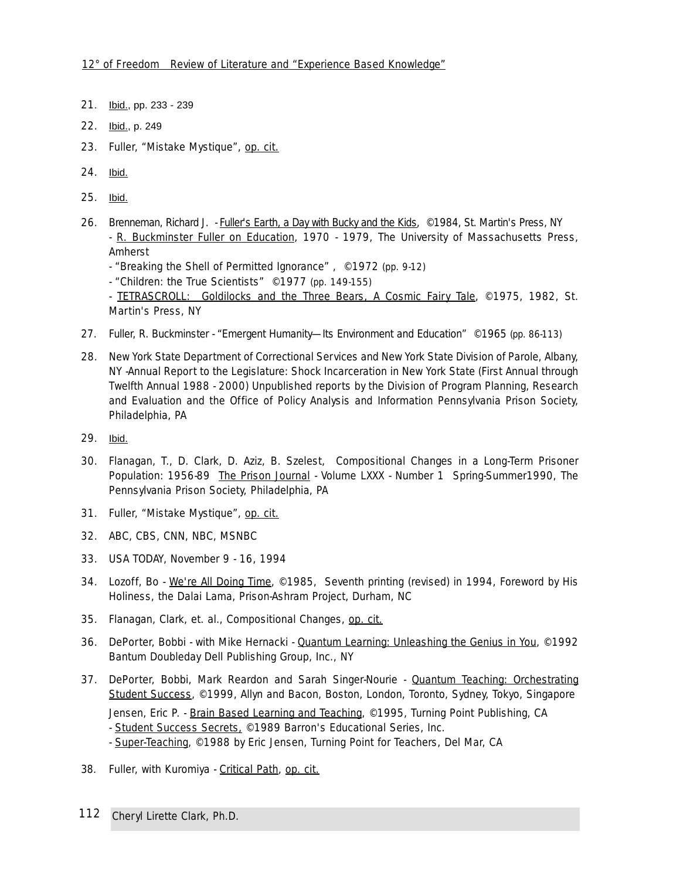- 21. Ibid., pp. 233 239
- 22. Ibid., p. 249
- 23. Fuller, *"Mistake Mystique",* op. cit.
- 24. Ibid.
- 25. Ibid.
- 26. Brenneman, Richard J. Fuller's Earth, a Day with Bucky and the Kids, ©1984, St. Martin's Press, NY - R. Buckminster Fuller on Education, 1970 - 1979, The University of Massachusetts Press, Amherst
	- *"Breaking the Shell of Permitted Ignorance" ,* ©1972 (pp. 9-12)
	- *"Children: the True Scientists"* ©1977 (pp. 149-155)
	- TETRASCROLL: Goldilocks and the Three Bears, A Cosmic Fairy Tale, ©1975, 1982, St. Martin's Press, NY
- 27. Fuller, R. Buckminster *"Emergent Humanity—Its Environment and Education"* ©1965 (pp. 86-113)
- 28. New York State Department of Correctional Services and New York State Division of Parole, Albany, NY -Annual Report to the Legislature: Shock Incarceration in New York State (First Annual through Twelfth Annual 1988 - 2000) Unpublished reports by the Division of Program Planning, Research and Evaluation and the Office of Policy Analysis and Information Pennsylvania Prison Society, Philadelphia, PA
- 29. Ibid.
- 30. Flanagan, T., D. Clark, D. Aziz, B. Szelest, *Compositional Changes in a Long-Term Prisoner Population: 1956-89* The Prison Journal - Volume LXXX - Number 1 Spring-Summer1990, The Pennsylvania Prison Society, Philadelphia, PA
- 31. Fuller, *"Mistake Mystique",* op. cit.
- 32. ABC, CBS, CNN, NBC, MSNBC
- 33. USA TODAY, November 9 16, 1994
- 34. Lozoff, Bo We're All Doing Time, ©1985, Seventh printing (revised) in 1994, Foreword by His Holiness, the Dalai Lama, Prison-Ashram Project, Durham, NC
- 35. Flanagan, Clark, et. al., *Compositional Changes,* op. cit.
- 36. DePorter, Bobbi with Mike Hernacki Quantum Learning: Unleashing the Genius in You, ©1992 Bantum Doubleday Dell Publishing Group, Inc., NY
- 37. DePorter, Bobbi, Mark Reardon and Sarah Singer-Nourie Quantum Teaching: Orchestrating Student Success, ©1999, Allyn and Bacon, Boston, London, Toronto, Sydney, Tokyo, Singapore Jensen, Eric P. - Brain Based Learning and Teaching, ©1995, Turning Point Publishing, CA - Student Success Secrets, ©1989 Barron's Educational Series, Inc. - Super-Teaching, ©1988 by Eric Jensen, Turning Point for Teachers, Del Mar, CA
- 38. Fuller, with Kuromiya Critical Path, op. cit.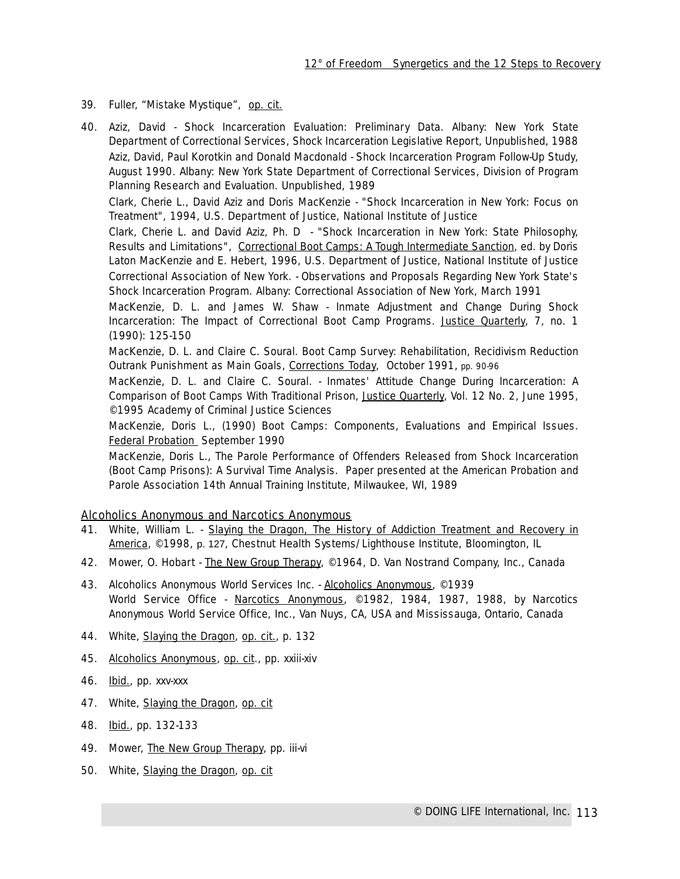- 39. Fuller, *"Mistake Mystique",* op. cit.
- 40. Aziz, David *Shock Incarceration Evaluation: Preliminary Data*. Albany: New York State Department of Correctional Services, Shock Incarceration Legislative Report, Unpublished, 1988 Aziz, David, Paul Korotkin and Donald Macdonald - *Shock Incarceration Program Follow-Up Study*, August 1990. Albany: New York State Department of Correctional Services, Division of Program Planning Research and Evaluation. Unpublished, 1989

Clark, Cherie L., David Aziz and Doris MacKenzie - *"Shock Incarceration in New York: Focus on Treatment",* 1994, U.S. Department of Justice, National Institute of Justice

Clark, Cherie L. and David Aziz, Ph. D - *"Shock Incarceration in New York: State Philosophy, Results and Limitations",* Correctional Boot Camps: A Tough Intermediate Sanction, ed. by Doris Laton MacKenzie and E. Hebert, 1996, U.S. Department of Justice, National Institute of Justice Correctional Association of New York. - *Observations and Proposals Regarding New York State's Shock Incarceration Program. Albany*: Correctional Association of New York, March 1991

MacKenzie, D. L. and James W. Shaw - *Inmate Adjustment and Change During Shock Incarceration: The Impact of Correctional Boot Camp Programs. Justice Quarterly, 7, no. 1* (1990): 125-150

MacKenzie, D. L. and Claire C. Soural. *Boot Camp Survey: Rehabilitation, Recidivism Reduction Outrank Punishment as Main Goals*, Corrections Today, October 1991, pp. 90-96

MacKenzie, D. L. and Claire C. Soural. - *Inmates' Attitude Change During Incarceration: A Comparison of Boot Camps With Traditional Prison*, Justice Quarterly, Vol. 12 No. 2, June 1995, ©1995 Academy of Criminal Justice Sciences

MacKenzie, Doris L., (1990) *Boot Camps: Components, Evaluations and Empirical Issues*. Federal Probation September 1990

MacKenzie, Doris L., *The Parole Performance of Offenders Released from Shock Incarceration (Boot Camp Prisons): A Survival Time Analysis.* Paper presented at the American Probation and Parole Association 14th Annual Training Institute, Milwaukee, WI, 1989

#### Alcoholics Anonymous and Narcotics Anonymous

- 41. White, William L. Slaying the Dragon, *The History of Addiction Treatment and Recovery in America*, ©1998, p. 127, Chestnut Health Systems/Lighthouse Institute, Bloomington, IL
- 42. Mower, O. Hobart The New Group Therapy, ©1964, D. Van Nostrand Company, Inc., Canada
- 43. Alcoholics Anonymous World Services Inc. Alcoholics Anonymous, ©1939 World Service Office - Narcotics Anonymous, ©1982, 1984, 1987, 1988, by Narcotics Anonymous World Service Office, Inc., Van Nuys, CA, USA and Mississauga, Ontario, Canada
- 44. White, Slaying the Dragon, op. cit., p. 132
- 45. Alcoholics Anonymous, op. cit., pp. xxiii-xiv
- 46. Ibid., pp. xxv-xxx
- 47. White, Slaying the Dragon, op. cit
- 48. **Ibid.**, pp. 132-133
- 49. Mower, The New Group Therapy, pp. iii-vi
- 50. White, Slaying the Dragon, op. cit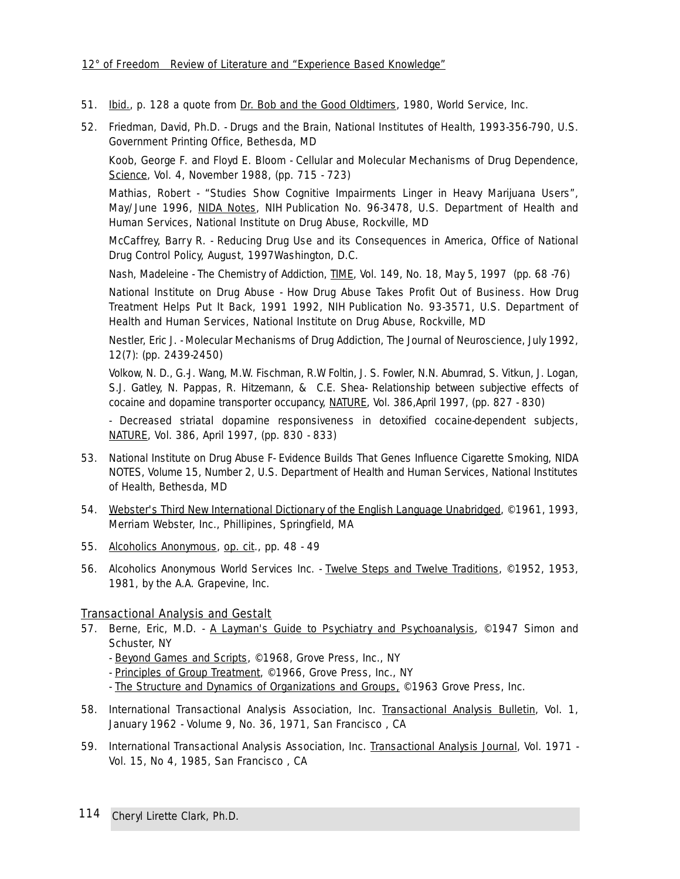- 51. Ibid., p. 128 a quote from Dr. Bob and the Good Oldtimers, 1980, World Service, Inc.
- 52. Friedman, David, Ph.D. *Drugs and the Brain*, National Institutes of Health, 1993-356-790, U.S. Government Printing Office, Bethesda, MD

Koob, George F. and Floyd E. Bloom - *Cellular and Molecular Mechanisms of Drug Dependence,* Science, Vol. 4, November 1988, (pp. 715 - 723)

Mathias, Robert - *"Studies Show Cognitive Impairments Linger in Heavy Marijuana Users",* May/June 1996, NIDA Notes, NIH Publication No. 96-3478, U.S. Department of Health and Human Services, National Institute on Drug Abuse, Rockville, MD

McCaffrey, Barry R. - *Reducing Drug Use and its Consequences in America*, Office of National Drug Control Policy, August, 1997Washington, D.C.

Nash, Madeleine - *The Chemistry of Addiction*, TIME, Vol. 149, No. 18, May 5, 1997 (pp. 68 -76)

National Institute on Drug Abuse - *How Drug Abuse Takes Profit Out of Business. How Drug Treatment Helps Put It Back*, 1991 1992, NIH Publication No. 93-3571, U.S. Department of Health and Human Services, National Institute on Drug Abuse, Rockville, MD

Nestler, Eric J. - *Molecular Mechanisms of Drug Addiction,* The Journal of Neuroscience, July 1992, 12(7): (pp. 2439-2450)

Volkow, N. D., G.-J. Wang, M.W. Fischman, R.W Foltin, J. S. Fowler, N.N. Abumrad, S. Vitkun, J. Logan, S.J. Gatley, N. Pappas, R. Hitzemann, & C.E. Shea- *Relationship between subjective effects of cocaine and dopamine transporter occupancy,* NATURE, Vol. 386,April 1997, (pp. 827 - 830)

- *Decreased striatal dopamine responsiveness in detoxified cocaine-dependent subjects,* NATURE, Vol. 386, April 1997, (pp. 830 - 833)

- 53. National Institute on Drug Abuse F- *Evidence Builds That Genes Influence Cigarette Smoking*, NIDA NOTES, Volume 15, Number 2, U.S. Department of Health and Human Services, National Institutes of Health, Bethesda, MD
- 54. Webster's Third New International Dictionary of the English Language Unabridged, ©1961, 1993, Merriam Webster, Inc., Phillipines, Springfield, MA
- 55. Alcoholics Anonymous, op. cit., pp. 48 49
- 56. Alcoholics Anonymous World Services Inc. Twelve Steps and Twelve Traditions, ©1952, 1953, 1981, by the A.A. Grapevine, Inc.

#### Transactional Analysis and Gestalt

57. Berne, Eric, M.D. - A Layman's Guide to Psychiatry and Psychoanalysis, ©1947 Simon and Schuster, NY

- Beyond Games and Scripts, ©1968, Grove Press, Inc., NY

- Principles of Group Treatment, ©1966, Grove Press, Inc., NY

- The Structure and Dynamics of Organizations and Groups, ©1963 Grove Press, Inc.
- 58. International Transactional Analysis Association, Inc. Transactional Analysis Bulletin, Vol. 1, January 1962 - Volume 9, No. 36, 1971, San Francisco , CA
- 59. International Transactional Analysis Association, Inc. Transactional Analysis Journal, Vol. 1971 Vol. 15, No 4, 1985, San Francisco , CA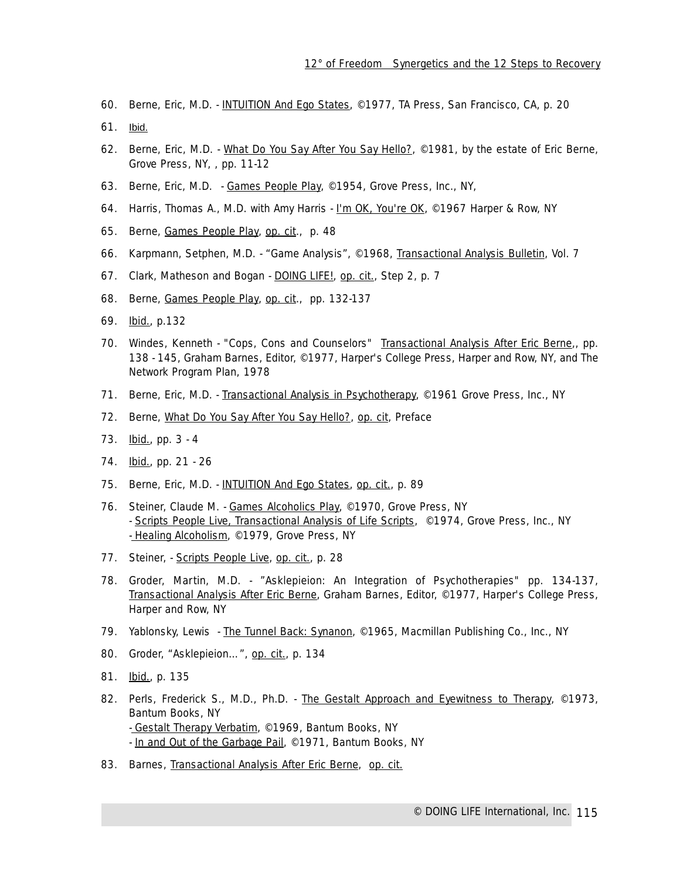- 60. Berne, Eric, M.D. INTUITION And Ego States, ©1977, TA Press, San Francisco, CA, p. 20
- 61. Ibid.
- 62. Berne, Eric, M.D. What Do You Say After You Say Hello?, ©1981, by the estate of Eric Berne, Grove Press, NY, , pp. 11-12
- 63. Berne, Eric, M.D. Games People Play, ©1954, Grove Press, Inc., NY,
- 64. Harris, Thomas A., M.D. with Amy Harris <u>I'm OK, You're OK</u>, ©1967 Harper & Row, NY
- 65. Berne, Games People Play, op. cit., p. 48
- 66. Karpmann, Setphen, M.D. *"Game Analysis"*, ©1968, Transactional Analysis Bulletin, Vol. 7
- 67. Clark, Matheson and Bogan DOING LIFE!, op. cit., Step 2, p. 7
- 68. Berne, Games People Play, op. cit., pp. 132-137
- 69. Ibid., p.132
- 70. Windes, Kenneth *"Cops, Cons and Counselors"* Transactional Analysis After Eric Berne,, pp. 138 - 145, Graham Barnes, Editor, ©1977, Harper's College Press, Harper and Row, NY, and *The Network Program Plan*, 1978
- 71. Berne, Eric, M.D. Transactional Analysis in Psychotherapy, ©1961 Grove Press, Inc., NY
- 72. Berne, What Do You Say After You Say Hello?, op. cit, Preface
- 73. **Ibid.**, pp. 3 4
- 74. Ibid., pp. 21 26
- 75. Berne, Eric, M.D. INTUITION And Ego States, op. cit., p. 89
- 76. Steiner, Claude M. Games Alcoholics Play, ©1970, Grove Press, NY - Scripts People Live, Transactional Analysis of Life Scripts, ©1974, Grove Press, Inc., NY - Healing Alcoholism, ©1979, Grove Press, NY
- 77. Steiner, Scripts People Live, op. cit., p. 28
- 78. Groder, Martin, M.D. *"Asklepieion: An Integration of Psychotherapies"* pp. 134-137, Transactional Analysis After Eric Berne, Graham Barnes, Editor, ©1977, Harper's College Press, Harper and Row, NY
- 79. Yablonsky, Lewis The Tunnel Back: Synanon, ©1965, Macmillan Publishing Co., Inc., NY
- 80. Groder, *"Asklepieion…"*, op. cit., p. 134
- 81. Ibid., p. 135
- 82. Perls, Frederick S., M.D., Ph.D. The Gestalt Approach and Eyewitness to Therapy, ©1973, Bantum Books, NY - Gestalt Therapy Verbatim, ©1969, Bantum Books, NY - In and Out of the Garbage Pail, ©1971, Bantum Books, NY
- 83. Barnes, Transactional Analysis After Eric Berne, op. cit.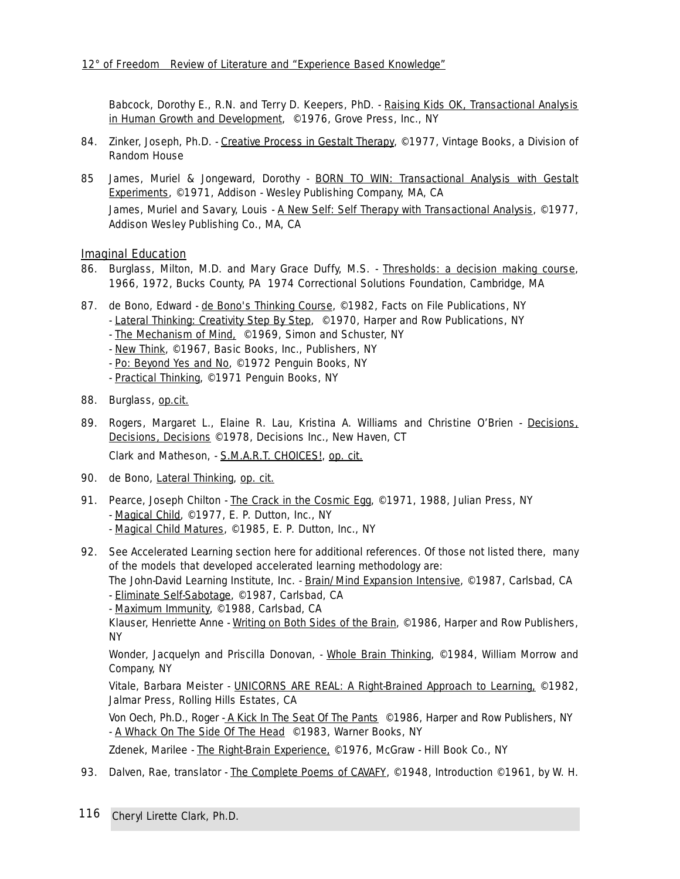Babcock, Dorothy E., R.N. and Terry D. Keepers, PhD. - Raising Kids OK, Transactional Analysis in Human Growth and Development, ©1976, Grove Press, Inc., NY

- 84. Zinker, Joseph, Ph.D. Creative Process in Gestalt Therapy, ©1977, Vintage Books, a Division of Random House
- 85 James, Muriel & Jongeward, Dorothy BORN TO WIN: Transactional Analysis with Gestalt Experiments, ©1971, Addison - Wesley Publishing Company, MA, CA James, Muriel and Savary, Louis - A New Self: Self Therapy with Transactional Analysis, ©1977, Addison Wesley Publishing Co., MA, CA

#### Imaginal Education

- 86. Burglass, Milton, M.D. and Mary Grace Duffy, M.S. Thresholds: a decision making course, 1966, 1972, Bucks County, PA 1974 Correctional Solutions Foundation, Cambridge, MA
- 87. de Bono, Edward de Bono's Thinking Course, ©1982, Facts on File Publications, NY - Lateral Thinking: *Creativity Step By Step*, ©1970, Harper and Row Publications, NY
	- The Mechanism of Mind, ©1969, Simon and Schuster, NY
	- New Think, ©1967, Basic Books, Inc., Publishers, NY
	- Po: Beyond Yes and No, ©1972 Penguin Books, NY
	- Practical Thinking, ©1971 Penguin Books, NY
- 88. Burglass, op.cit.
- 89. Rogers, Margaret L., Elaine R. Lau, Kristina A. Williams and Christine O'Brien Decisions, Decisions, Decisions ©1978, Decisions Inc., New Haven, CT

Clark and Matheson*,* - S.M.A.R.T. CHOICES!, op. cit.

- 90. de Bono, Lateral Thinking, op. cit.
- 91. Pearce, Joseph Chilton The Crack in the Cosmic Egg, ©1971, 1988, Julian Press, NY - Magical Child, ©1977, E. P. Dutton, Inc., NY - Magical Child Matures, ©1985, E. P. Dutton, Inc., NY
- 92. See Accelerated Learning section here for additional references. Of those not listed there, many of the models that developed accelerated learning methodology are: The John-David Learning Institute, Inc. - Brain/Mind Expansion Intensive, ©1987, Carlsbad, CA - Eliminate Self-Sabotage, ©1987, Carlsbad, CA
	- Maximum Immunity, ©1988, Carlsbad, CA

Klauser, Henriette Anne - Writing on Both Sides of the Brain, ©1986, Harper and Row Publishers, NY

Wonder, Jacquelyn and Priscilla Donovan, - Whole Brain Thinking, ©1984, William Morrow and Company, NY

Vitale, Barbara Meister - UNICORNS ARE REAL: A Right-Brained Approach to Learning, ©1982, Jalmar Press, Rolling Hills Estates, CA

Von Oech, Ph.D., Roger - A Kick In The Seat Of The Pants ©1986, Harper and Row Publishers, NY - A Whack On The Side Of The Head ©1983, Warner Books, NY

Zdenek, Marilee - The Right-Brain Experience, ©1976, McGraw - Hill Book Co., NY

93. Dalven, Rae, translator - The Complete Poems of CAVAFY, ©1948, Introduction ©1961, by W. H.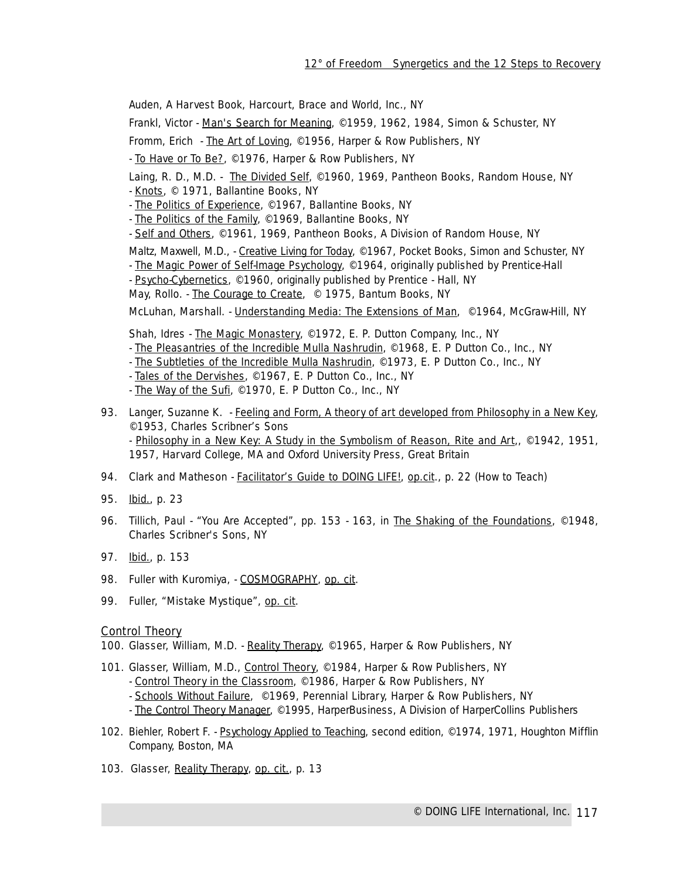Auden, A Harvest Book, Harcourt, Brace and World, Inc., NY

Frankl, Victor - Man's Search for Meaning, ©1959, 1962, 1984, Simon & Schuster, NY

Fromm, Erich - The Art of Loving, ©1956, Harper & Row Publishers, NY

- To Have or To Be?, ©1976, Harper & Row Publishers, NY

Laing, R. D., M.D. - The Divided Self, ©1960, 1969, Pantheon Books, Random House, NY

- Knots, © 1971, Ballantine Books, NY

- The Politics of Experience, ©1967, Ballantine Books, NY

- The Politics of the Family, ©1969, Ballantine Books, NY

- Self and Others, ©1961, 1969, Pantheon Books, A Division of Random House, NY

Maltz, Maxwell, M.D., - Creative Living for Today, ©1967, Pocket Books, Simon and Schuster, NY

- The Magic Power of Self-Image Psychology, ©1964, originally published by Prentice-Hall

- Psycho-Cybernetics, ©1960, originally published by Prentice - Hall, NY

May, Rollo. - The Courage to Create, © 1975, Bantum Books, NY

McLuhan, Marshall. - Understanding Media: The Extensions of Man, ©1964, McGraw-Hill, NY

Shah, Idres - The Magic Monastery, ©1972, E. P. Dutton Company, Inc., NY

- The Pleasantries of the Incredible Mulla Nashrudin, ©1968, E. P Dutton Co., Inc., NY
- The Subtleties of the Incredible Mulla Nashrudin, ©1973, E. P Dutton Co., Inc., NY
- Tales of the Dervishes, ©1967, E. P Dutton Co., Inc., NY
- The Way of the Sufi, ©1970, E. P Dutton Co., Inc., NY
- 93. Langer, Suzanne K. Feeling and Form, *A theory of art developed from* Philosophy in a New Key, ©1953, Charles Scribner's Sons - Philosophy in a New Key: *A Study in the Symbolism of Reason, Rite and Art*,, ©1942, 1951, 1957, Harvard College, MA and Oxford University Press, Great Britain
- 94. Clark and Matheson Facilitator's Guide to DOING LIFE!, op.cit., p. 22 (*How to Teach*)
- 95. Ibid., p. 23
- 96. Tillich, Paul *"You Are Accepted"*, pp. 153 163, in The Shaking of the Foundations, ©1948, Charles Scribner's Sons, NY
- 97. Ibid., p. 153
- 98. Fuller with Kuromiya, COSMOGRAPHY, op. cit.
- 99. Fuller, "Mistake Mystique", op. cit.

#### Control Theory

100. Glasser, William, M.D. - Reality Therapy, ©1965, Harper & Row Publishers, NY

- 101. Glasser, William, M.D., Control Theory, ©1984, Harper & Row Publishers, NY
	- Control Theory in the Classroom, ©1986, Harper & Row Publishers, NY
	- Schools Without Failure, ©1969, Perennial Library, Harper & Row Publishers, NY
	- The Control Theory Manager, ©1995, HarperBusiness, A Division of HarperCollins Publishers
- 102. Biehler, Robert F. Psychology Applied to Teaching, second edition, ©1974, 1971, Houghton Mifflin Company, Boston, MA
- 103. Glasser, Reality Therapy, op. cit., p. 13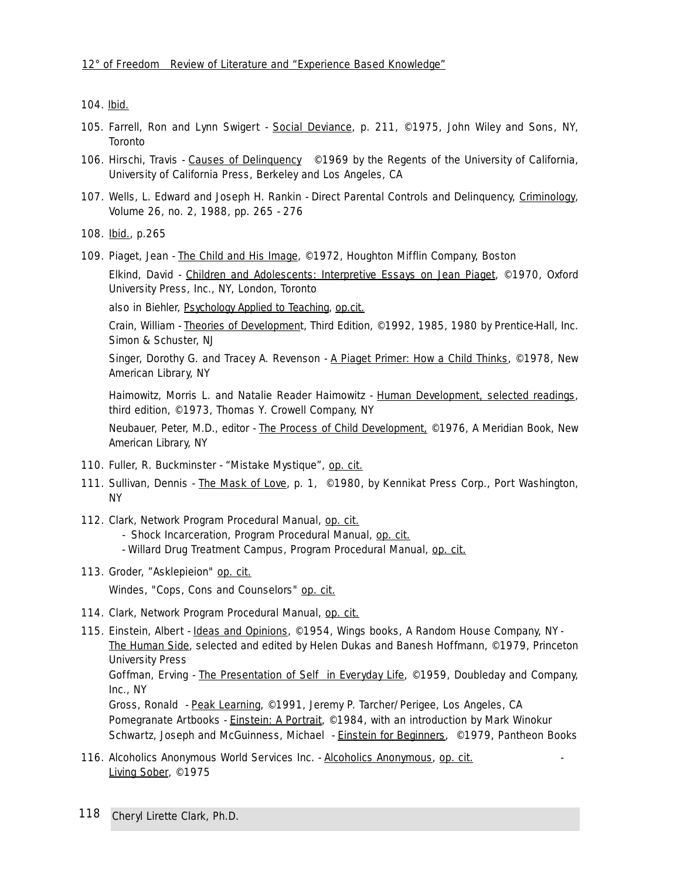104. Ibid.

- 105. Farrell, Ron and Lynn Swigert Social Deviance, p. 211, ©1975, John Wiley and Sons, NY, Toronto
- 106. Hirschi, Travis Causes of Delinquency ©1969 by the Regents of the University of California, University of California Press, Berkeley and Los Angeles, CA
- 107. Wells, L. Edward and Joseph H. Rankin *Direct Parental Controls and Delinquency,* Criminology, Volume 26, no. 2, 1988, pp. 265 - 276
- 108. Ibid., p.265
- 109. Piaget, Jean The Child and His Image, ©1972, Houghton Mifflin Company, Boston Elkind, David - Children and Adolescents: Interpretive Essays on Jean Piaget, ©1970, Oxford University Press, Inc., NY, London, Toronto

also in Biehler, Psychology Applied to Teaching, op.cit.

Crain, William - Theories of Development, Third Edition, ©1992, 1985, 1980 by Prentice-Hall, Inc. Simon & Schuster, NJ

Singer, Dorothy G. and Tracey A. Revenson - A Piaget Primer: How a Child Thinks, ©1978, New American Library, NY

Haimowitz, Morris L. and Natalie Reader Haimowitz - Human Development, selected readings, third edition, ©1973, Thomas Y. Crowell Company, NY

Neubauer, Peter, M.D., editor - The Process of Child Development, ©1976, A Meridian Book, New American Library, NY

- 110. Fuller, R. Buckminster *"Mistake Mystique",* op. cit.
- 111. Sullivan, Dennis The Mask of Love, p. 1, ©1980, by Kennikat Press Corp., Port Washington, NY
- 112. Clark, *Network Program Procedural Manual,* op. cit.
	- *Shock Incarceration, Program Procedural Manual*, op. cit.
	- *Willard Drug Treatment Campus, Program Procedural Manual*, op. cit.
- 113. Groder, *"Asklepieion"* op. cit. Windes, "Cops, Cons and Counselors" op. cit.
- 114. Clark, *Network Program Procedural Manual,* op. cit.
- 115. Einstein, Albert Ideas and Opinions, ©1954, Wings books, A Random House Company, NY -The Human Side, selected and edited by Helen Dukas and Banesh Hoffmann, ©1979, Princeton University Press Goffman, Erving - The Presentation of Self in Everyday Life, ©1959, Doubleday and Company, Inc., NY Gross, Ronald - Peak Learning, ©1991, Jeremy P. Tarcher/Perigee, Los Angeles, CA Pomegranate Artbooks - Einstein: A Portrait, ©1984, with an introduction by Mark Winokur Schwartz, Joseph and McGuinness, Michael - Einstein for Beginners, ©1979, Pantheon Books
- 116. Alcoholics Anonymous World Services Inc. Alcoholics Anonymous, op. cit. Living Sober, ©1975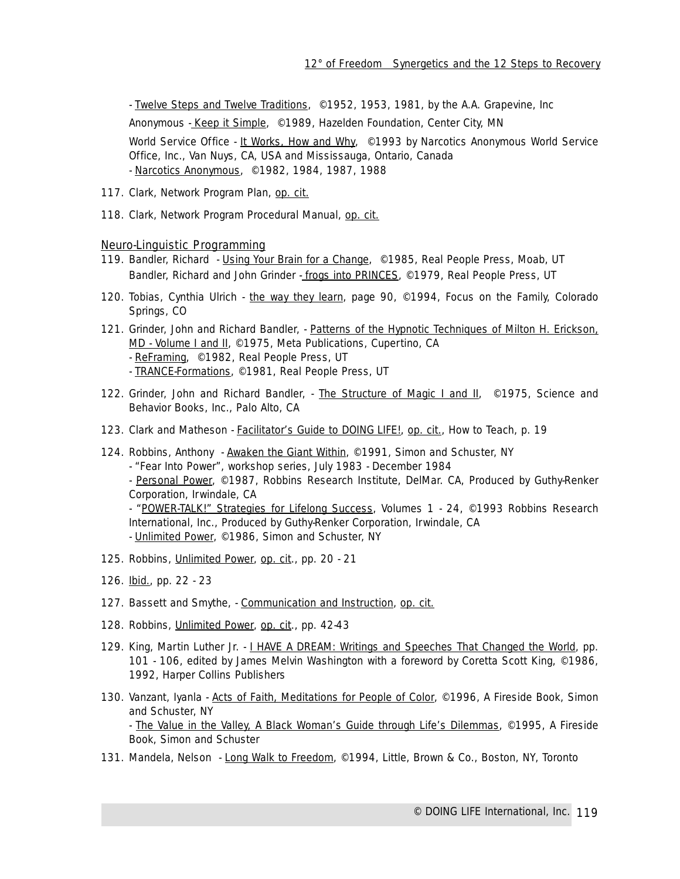- Twelve Steps and Twelve Traditions, ©1952, 1953, 1981, by the A.A. Grapevine, Inc Anonymous - Keep it Simple, ©1989, Hazelden Foundation, Center City, MN World Service Office - It Works, How and Why, ©1993 by Narcotics Anonymous World Service Office, Inc., Van Nuys, CA, USA and Mississauga, Ontario, Canada - Narcotics Anonymous, ©1982, 1984, 1987, 1988

- 117. Clark, *Network Program Plan,* op. cit.
- 118. Clark, *Network Program Procedural Manual,* op. cit.

#### Neuro-Linguistic Programming

- 119. Bandler, Richard Using Your Brain for a Change, ©1985, Real People Press, Moab, UT Bandler, Richard and John Grinder - frogs into PRINCES, ©1979, Real People Press, UT
- 120. Tobias, Cynthia Ulrich the way they learn, page 90, ©1994, Focus on the Family, Colorado Springs, CO
- 121. Grinder, John and Richard Bandler, Patterns of the Hypnotic Techniques of Milton H. Erickson, MD - Volume I and II, ©1975, Meta Publications, Cupertino, CA - ReFraming, ©1982, Real People Press, UT - TRANCE-Formations, ©1981, Real People Press, UT
- 122. Grinder, John and Richard Bandler, The Structure of Magic I and II, ©1975, Science and Behavior Books, Inc., Palo Alto, CA
- 123. Clark and Matheson Facilitator's Guide to DOING LIFE!, op. cit., *How to Teach*, p. 19
- 124. Robbins, Anthony Awaken the Giant Within, ©1991, Simon and Schuster, NY - *"Fear Into Power"*, workshop series, July 1983 - December 1984 - Personal Power, ©1987, Robbins Research Institute, DelMar. CA, Produced by Guthy-Renker Corporation, Irwindale, CA - "POWER-TALK!" Strategies for Lifelong Success, Volumes 1 - 24, ©1993 Robbins Research International, Inc., Produced by Guthy-Renker Corporation, Irwindale, CA - Unlimited Power, ©1986, Simon and Schuster, NY
- 125. Robbins, Unlimited Power, op. cit., pp. 20 21
- 126. Ibid., pp. 22 23
- 127. Bassett and Smythe, Communication and Instruction, op. cit.
- 128. Robbins, Unlimited Power, op. cit., pp. 42-43
- 129. King, Martin Luther Jr. I HAVE A DREAM: Writings and Speeches That Changed the World, pp. 101 - 106, edited by James Melvin Washington with a foreword by Coretta Scott King, ©1986, 1992, Harper Collins Publishers
- 130. Vanzant, Iyanla Acts of Faith, Meditations for People of Color, ©1996, A Fireside Book, Simon and Schuster, NY - The Value in the Valley, A Black Woman's Guide through Life's Dilemmas, ©1995, A Fireside Book, Simon and Schuster
- 131. Mandela, Nelson Long Walk to Freedom, ©1994, Little, Brown & Co., Boston, NY, Toronto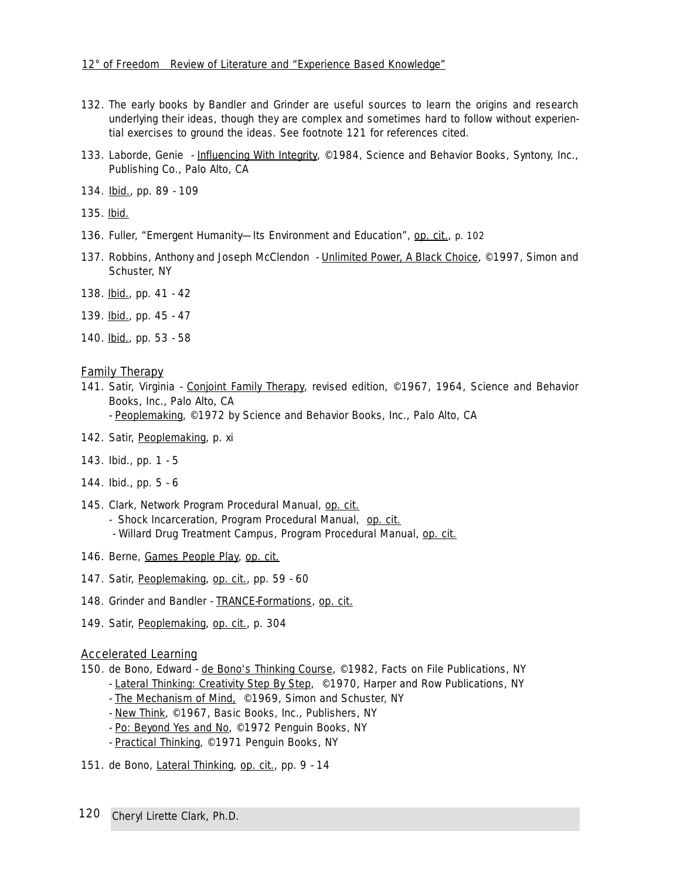- 132. The early books by Bandler and Grinder are useful sources to learn the origins and research underlying their ideas, though they are complex and sometimes hard to follow without experiential exercises to ground the ideas. See footnote 121 for references cited.
- 133. Laborde, Genie Influencing With Integrity, ©1984, Science and Behavior Books, Syntony, Inc., Publishing Co., Palo Alto, CA
- 134. Ibid., pp. 89 109
- 135. Ibid.
- 136. Fuller, *"Emergent Humanity—Its Environment and Education",* op. cit., p. 102
- 137. Robbins, Anthony and Joseph McClendon Unlimited Power, A Black Choice, ©1997, Simon and Schuster, NY
- 138. **Ibid.**, pp. 41 42
- 139. Ibid., pp. 45 47
- 140. Ibid., pp. 53 58

#### Family Therapy

141. Satir, Virginia - Conjoint Family Therapy, revised edition, ©1967, 1964, Science and Behavior Books, Inc., Palo Alto, CA

- Peoplemaking, ©1972 by Science and Behavior Books, Inc., Palo Alto, CA

- 142. Satir, Peoplemaking, p. xi
- 143. Ibid., pp. 1 5
- 144. Ibid., pp. 5 6
- 145. Clark, *Network Program Procedural Manual,* op. cit. - *Shock Incarceration, Program Procedural Manual*, op. cit. - *Willard Drug Treatment Campus, Program Procedural Manual*, op. cit.
- 146. Berne, Games People Play, op. cit.
- 147. Satir, Peoplemaking, op. cit., pp. 59 60
- 148. Grinder and Bandler TRANCE-Formations, op. cit.
- 149. Satir, Peoplemaking, op. cit., p. 304

#### Accelerated Learning

- 150. de Bono, Edward de Bono's Thinking Course, ©1982, Facts on File Publications, NY
	- Lateral Thinking: *Creativity Step By Step*, ©1970, Harper and Row Publications, NY
	- The Mechanism of Mind, ©1969, Simon and Schuster, NY
	- New Think, ©1967, Basic Books, Inc., Publishers, NY
	- Po: Beyond Yes and No, ©1972 Penguin Books, NY
	- Practical Thinking, ©1971 Penguin Books, NY
- 151. de Bono, Lateral Thinking, op. cit., pp. 9 14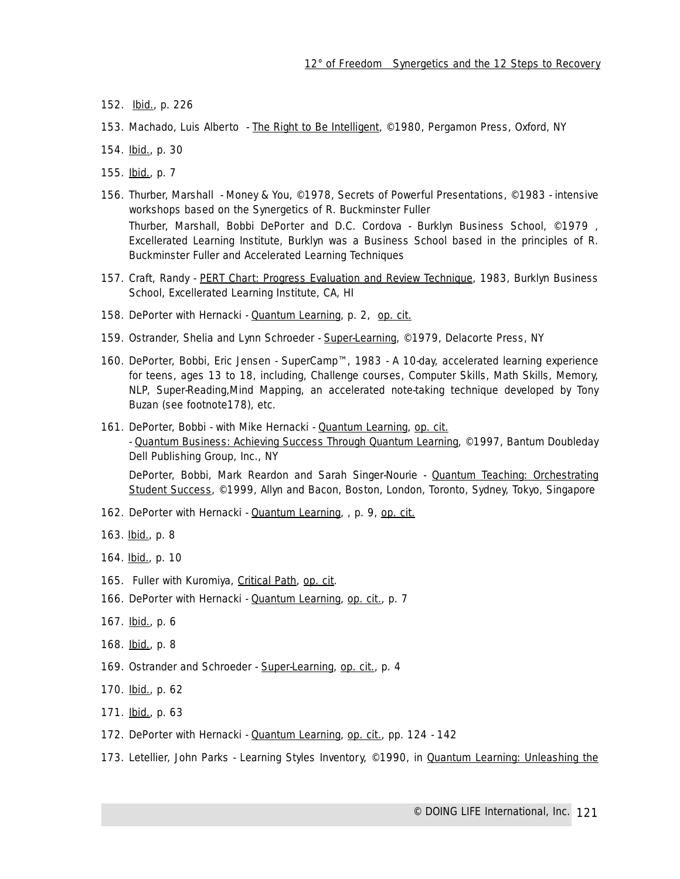- 152. Ibid., p. 226
- 153. Machado, Luis Alberto The Right to Be Intelligent, ©1980, Pergamon Press, Oxford, NY
- 154. Ibid., p. 30
- 155. Ibid., p. 7
- 156. Thurber, Marshall Money & You, ©1978, Secrets of Powerful Presentations, ©1983 intensive workshops based on the Synergetics of R. Buckminster Fuller Thurber, Marshall, Bobbi DePorter and D.C. Cordova - Burklyn Business School, ©1979 , Excellerated Learning Institute, Burklyn was a Business School based in the principles of R. Buckminster Fuller and Accelerated Learning Techniques
- 157. Craft, Randy PERT Chart: Progress Evaluation and Review Technique, 1983, Burklyn Business School, Excellerated Learning Institute, CA, HI
- 158. DePorter with Hernacki Quantum Learning, p. 2, op. cit.
- 159. Ostrander, Shelia and Lynn Schroeder Super-Learning, ©1979, Delacorte Press, NY
- 160. DePorter, Bobbi, Eric Jensen *SuperCamp*™, 1983 A 10-day, accelerated learning experience for teens, ages 13 to 18, including, Challenge courses, Computer Skills, Math Skills, Memory, NLP, Super-Reading,Mind Mapping, an accelerated note-taking technique developed by Tony Buzan (see footnote178), etc.
- 161. DePorter, Bobbi with Mike Hernacki Quantum Learning, op. cit. - Quantum Business: Achieving Success Through Quantum Learning, ©1997, Bantum Doubleday Dell Publishing Group, Inc., NY

DePorter, Bobbi, Mark Reardon and Sarah Singer-Nourie - Quantum Teaching: Orchestrating Student Success, ©1999, Allyn and Bacon, Boston, London, Toronto, Sydney, Tokyo, Singapore

- 162. DePorter with Hernacki Quantum Learning, , p. 9, op. cit.
- 163. Ibid., p. 8
- 164. Ibid., p. 10
- 165. Fuller with Kuromiya, Critical Path, op. cit.
- 166. DePorter with Hernacki Quantum Learning, op. cit., p. 7
- 167. Ibid., p. 6
- 168. Ibid., p. 8
- 169. Ostrander and Schroeder Super-Learning, op. cit., p. 4
- 170. Ibid., p. 62
- 171. Ibid., p. 63
- 172. DePorter with Hernacki Quantum Learning, op. cit., pp. 124 142
- 173. Letellier, John Parks Learning Styles Inventory, ©1990, in Quantum Learning: Unleashing the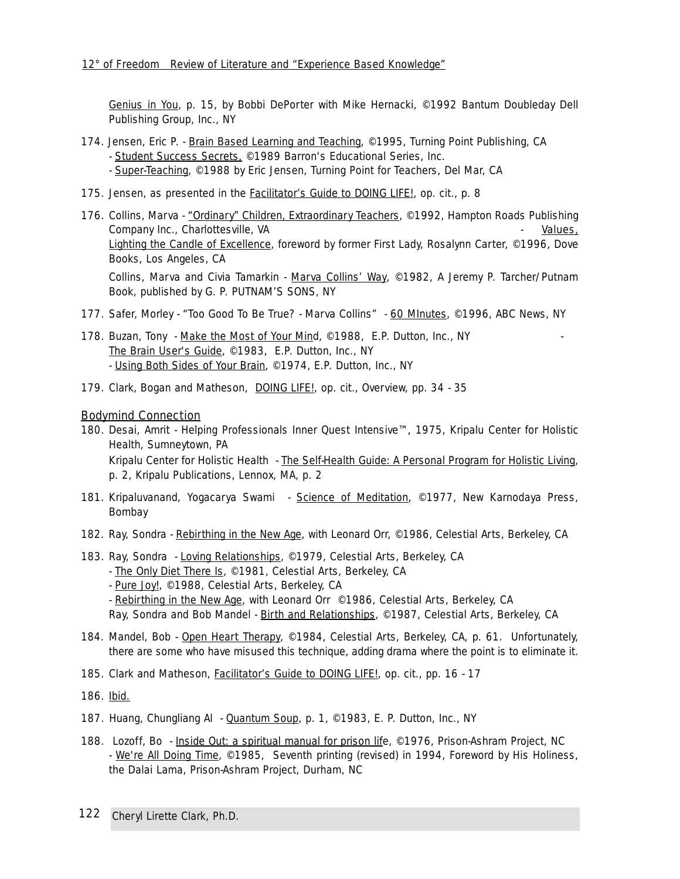Genius in You, p. 15, by Bobbi DePorter with Mike Hernacki, ©1992 Bantum Doubleday Dell Publishing Group, Inc., NY

- 174. Jensen, Eric P. Brain Based Learning and Teaching, ©1995, Turning Point Publishing, CA - Student Success Secrets, ©1989 Barron's Educational Series, Inc. - Super-Teaching, ©1988 by Eric Jensen, Turning Point for Teachers, Del Mar, CA
- 175. Jensen, as presented in the **Facilitator's Guide to DOING LIFE!**, op. cit., p. 8
- 176. Collins, Marva "Ordinary" Children, Extraordinary Teachers, ©1992, Hampton Roads Publishing Company Inc., Charlottesville, VA - Company Inc., Charlottesville, VA - Values, Values, Values, Values, Values, Values, Values, Values, Values, Values, Values, Values, Values, Values, Values, Values, Values, Values, Values Lighting the Candle of Excellence, foreword by former First Lady, Rosalynn Carter, ©1996, Dove Books, Los Angeles, CA Collins, Marva and Civia Tamarkin - Marva Collins' Way, ©1982, A Jeremy P. Tarcher/Putnam Book, published by G. P. PUTNAM'S SONS, NY
- 177. Safer, Morley *"Too Good To Be True? Marva Collins"* 60 MInutes, ©1996, ABC News, NY
- 178. Buzan, Tony Make the Most of Your Mind, ©1988, E.P. Dutton, Inc., NY The Brain User's Guide, ©1983, E.P. Dutton, Inc., NY - Using Both Sides of Your Brain, ©1974, E.P. Dutton, Inc., NY
- 179. Clark, Bogan and Matheson*,* DOING LIFE!, op. cit., *Overview,* pp. 34 35

#### Bodymind Connection

180. Desai, Amrit - Helping Professionals Inner Quest Intensive™, 1975, Kripalu Center for Holistic Health, Sumneytown, PA Kripalu Center for Holistic Health - The Self-Health Guide: A Personal Program for Holistic Living, p. 2, Kripalu Publications, Lennox, MA, p. 2

- 181. Kripaluvanand, Yogacarya Swami Science of Meditation, ©1977, New Karnodaya Press, Bombay
- 182. Ray, Sondra Rebirthing in the New Age, with Leonard Orr, ©1986, Celestial Arts, Berkeley, CA
- 183. Ray, Sondra Loving Relationships, ©1979, Celestial Arts, Berkeley, CA
	- The Only Diet There Is, ©1981, Celestial Arts, Berkeley, CA
	- Pure Joy!, ©1988, Celestial Arts, Berkeley, CA
	- Rebirthing in the New Age, with Leonard Orr ©1986, Celestial Arts, Berkeley, CA Ray, Sondra and Bob Mandel - Birth and Relationships, ©1987, Celestial Arts, Berkeley, CA
- 184. Mandel, Bob Open Heart Therapy, ©1984, Celestial Arts, Berkeley, CA, p. 61. Unfortunately, there are some who have misused this technique, adding drama where the point is to eliminate it.
- 185. Clark and Matheson*,* Facilitator's Guide to DOING LIFE!, op. cit., pp. 16 17
- 186. Ibid.
- 187. Huang, Chungliang Al Quantum Soup, p. 1, ©1983, E. P. Dutton, Inc., NY
- 188. Lozoff, Bo Inside Out: a spiritual manual for prison life, ©1976, Prison-Ashram Project, NC - We're All Doing Time, ©1985, Seventh printing (revised) in 1994, Foreword by His Holiness, the Dalai Lama, Prison-Ashram Project, Durham, NC
- 122 *Cheryl Lirette Clark, Ph.D.*